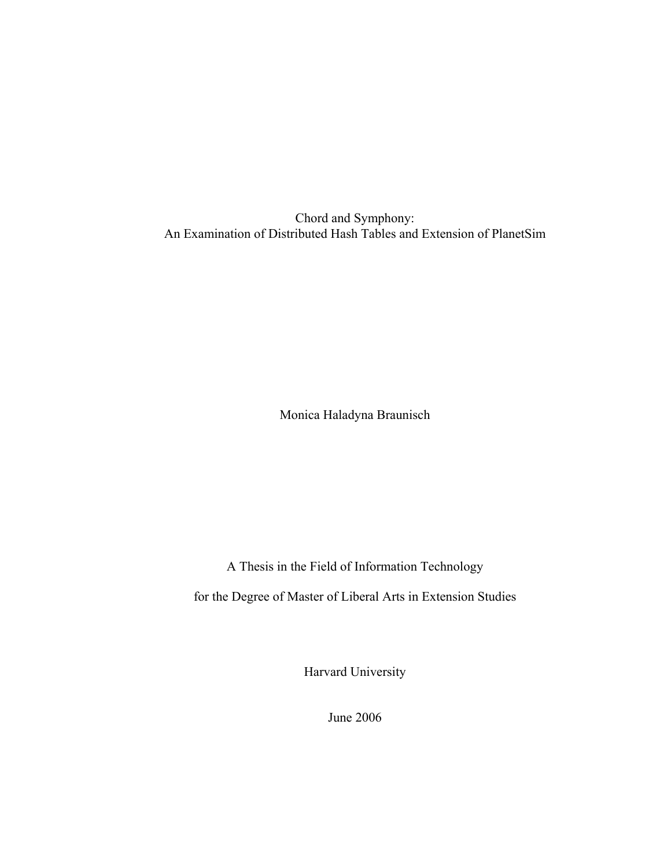Chord and Symphony: An Examination of Distributed Hash Tables and Extension of PlanetSim

Monica Haladyna Braunisch

A Thesis in the Field of Information Technology

for the Degree of Master of Liberal Arts in Extension Studies

Harvard University

June 2006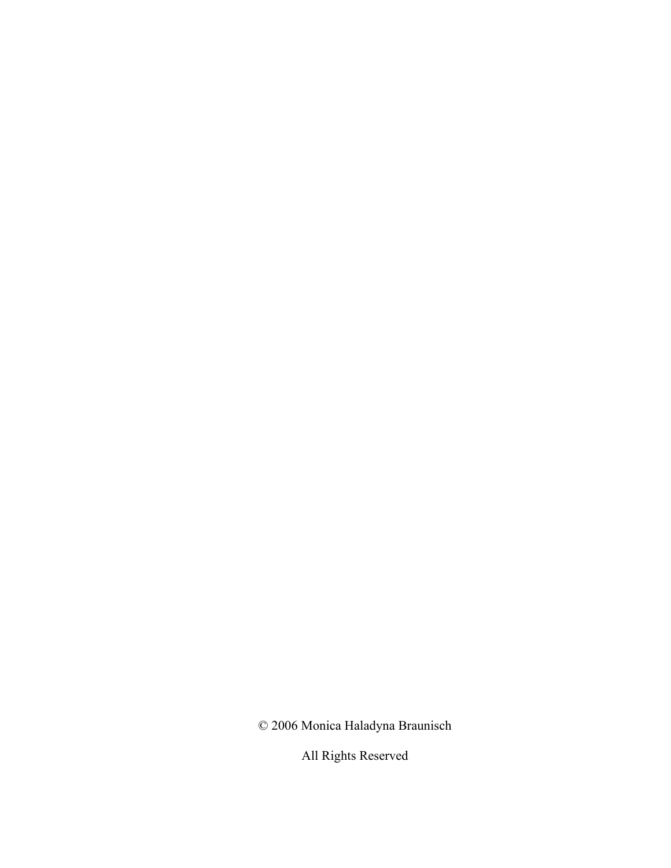© 2006 Monica Haladyna Braunisch

All Rights Reserved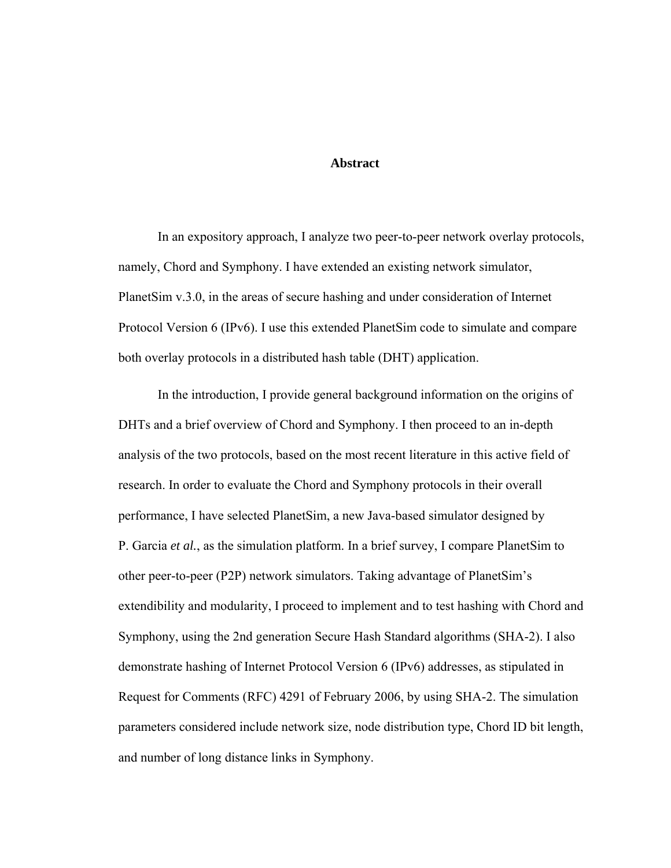#### **Abstract**

In an expository approach, I analyze two peer-to-peer network overlay protocols, namely, Chord and Symphony. I have extended an existing network simulator, PlanetSim v.3.0, in the areas of secure hashing and under consideration of Internet Protocol Version 6 (IPv6). I use this extended PlanetSim code to simulate and compare both overlay protocols in a distributed hash table (DHT) application.

In the introduction, I provide general background information on the origins of DHTs and a brief overview of Chord and Symphony. I then proceed to an in-depth analysis of the two protocols, based on the most recent literature in this active field of research. In order to evaluate the Chord and Symphony protocols in their overall performance, I have selected PlanetSim, a new Java-based simulator designed by P. Garcia *et al.*, as the simulation platform. In a brief survey, I compare PlanetSim to other peer-to-peer (P2P) network simulators. Taking advantage of PlanetSim's extendibility and modularity, I proceed to implement and to test hashing with Chord and Symphony, using the 2nd generation Secure Hash Standard algorithms (SHA-2). I also demonstrate hashing of Internet Protocol Version 6 (IPv6) addresses, as stipulated in Request for Comments (RFC) 4291 of February 2006, by using SHA-2. The simulation parameters considered include network size, node distribution type, Chord ID bit length, and number of long distance links in Symphony.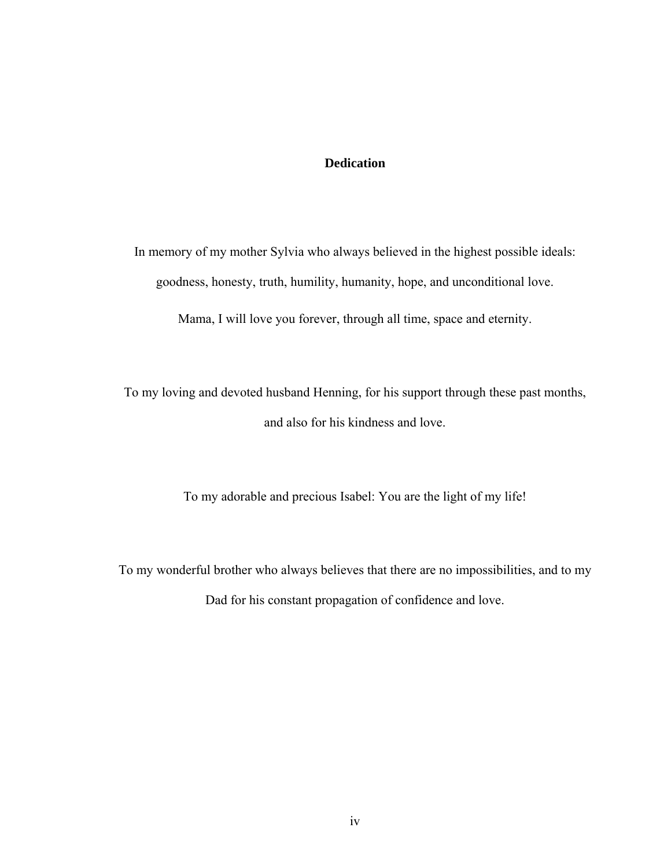#### **Dedication**

In memory of my mother Sylvia who always believed in the highest possible ideals: goodness, honesty, truth, humility, humanity, hope, and unconditional love.

Mama, I will love you forever, through all time, space and eternity.

To my loving and devoted husband Henning, for his support through these past months, and also for his kindness and love.

To my adorable and precious Isabel: You are the light of my life!

To my wonderful brother who always believes that there are no impossibilities, and to my Dad for his constant propagation of confidence and love.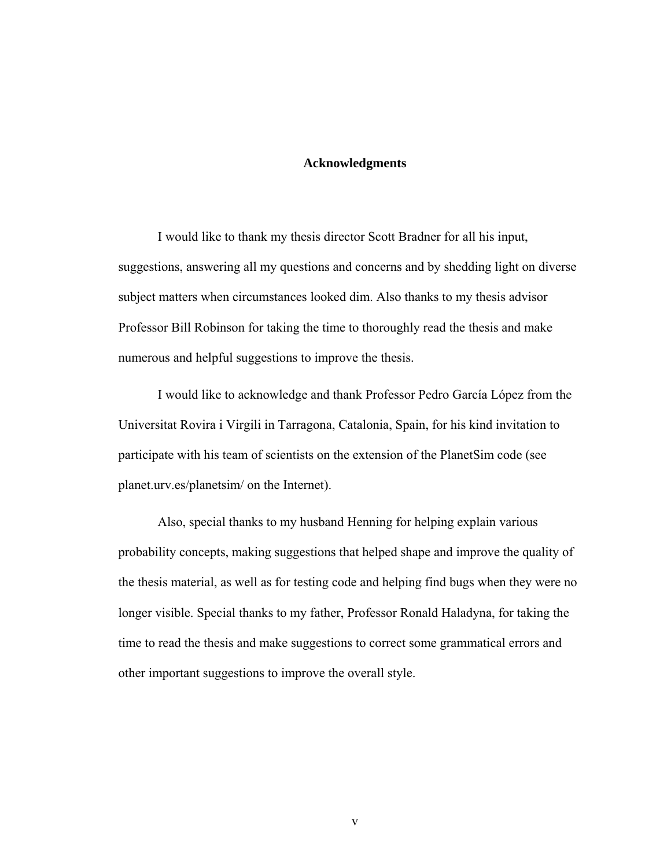#### **Acknowledgments**

I would like to thank my thesis director Scott Bradner for all his input, suggestions, answering all my questions and concerns and by shedding light on diverse subject matters when circumstances looked dim. Also thanks to my thesis advisor Professor Bill Robinson for taking the time to thoroughly read the thesis and make numerous and helpful suggestions to improve the thesis.

I would like to acknowledge and thank Professor Pedro García López from the Universitat Rovira i Virgili in Tarragona, Catalonia, Spain, for his kind invitation to participate with his team of scientists on the extension of the PlanetSim code (see planet.urv.es/planetsim/ on the Internet).

Also, special thanks to my husband Henning for helping explain various probability concepts, making suggestions that helped shape and improve the quality of the thesis material, as well as for testing code and helping find bugs when they were no longer visible. Special thanks to my father, Professor Ronald Haladyna, for taking the time to read the thesis and make suggestions to correct some grammatical errors and other important suggestions to improve the overall style.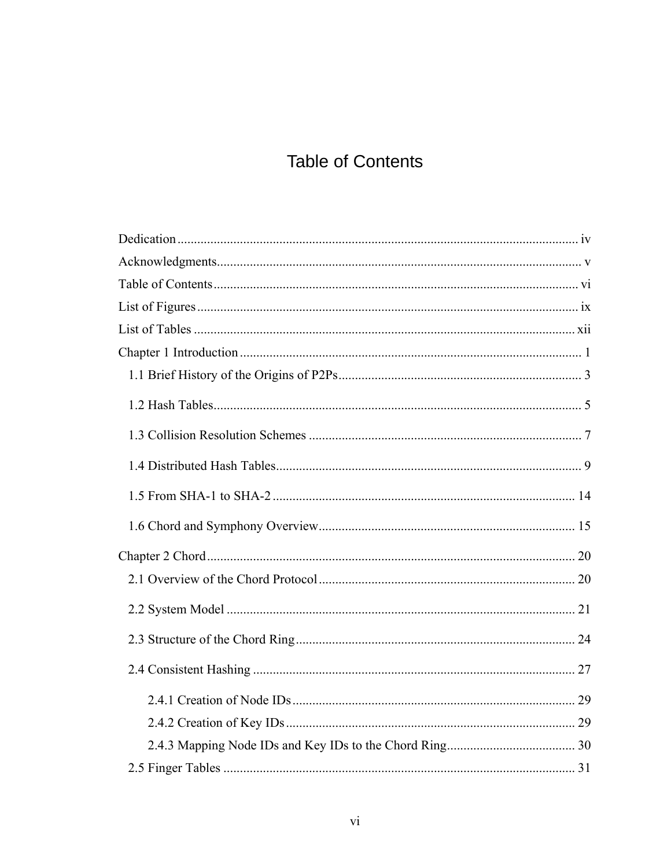## **Table of Contents**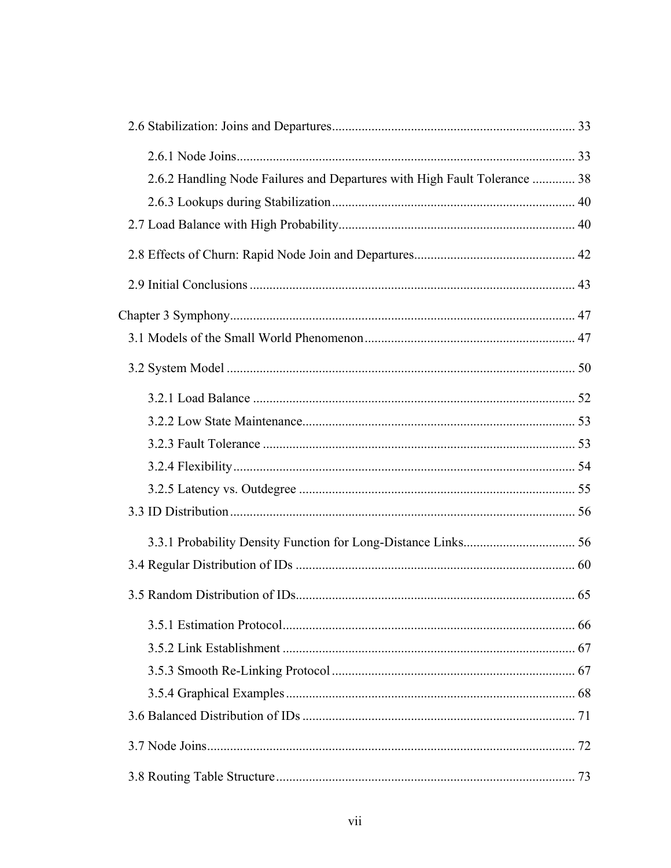| 2.6.2 Handling Node Failures and Departures with High Fault Tolerance  38 |  |
|---------------------------------------------------------------------------|--|
|                                                                           |  |
|                                                                           |  |
|                                                                           |  |
|                                                                           |  |
|                                                                           |  |
|                                                                           |  |
|                                                                           |  |
|                                                                           |  |
|                                                                           |  |
|                                                                           |  |
|                                                                           |  |
|                                                                           |  |
|                                                                           |  |
|                                                                           |  |
|                                                                           |  |
|                                                                           |  |
|                                                                           |  |
|                                                                           |  |
|                                                                           |  |
|                                                                           |  |
|                                                                           |  |
|                                                                           |  |
|                                                                           |  |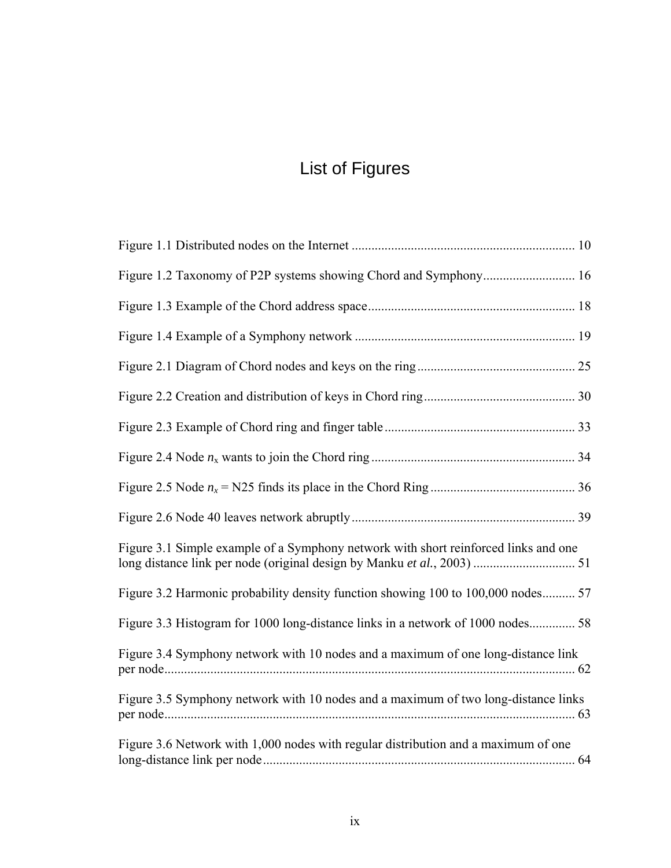# List of Figures

| Figure 3.1 Simple example of a Symphony network with short reinforced links and one |
|-------------------------------------------------------------------------------------|
| Figure 3.2 Harmonic probability density function showing 100 to 100,000 nodes 57    |
| Figure 3.3 Histogram for 1000 long-distance links in a network of 1000 nodes 58     |
| Figure 3.4 Symphony network with 10 nodes and a maximum of one long-distance link   |
| Figure 3.5 Symphony network with 10 nodes and a maximum of two long-distance links  |
| Figure 3.6 Network with 1,000 nodes with regular distribution and a maximum of one  |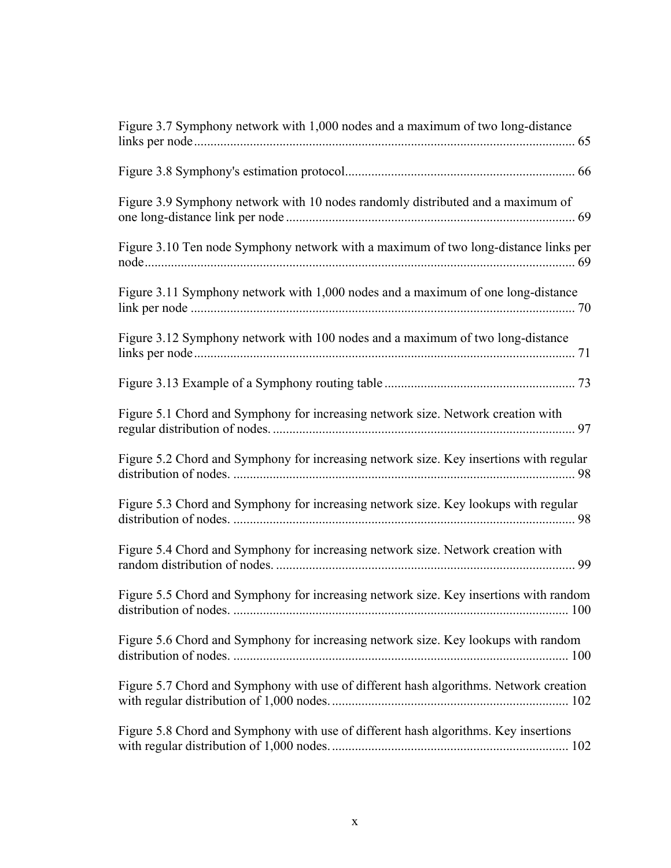| Figure 3.7 Symphony network with 1,000 nodes and a maximum of two long-distance        |
|----------------------------------------------------------------------------------------|
|                                                                                        |
| Figure 3.9 Symphony network with 10 nodes randomly distributed and a maximum of<br>69  |
| Figure 3.10 Ten node Symphony network with a maximum of two long-distance links per    |
| Figure 3.11 Symphony network with 1,000 nodes and a maximum of one long-distance       |
| Figure 3.12 Symphony network with 100 nodes and a maximum of two long-distance         |
|                                                                                        |
| Figure 5.1 Chord and Symphony for increasing network size. Network creation with       |
| Figure 5.2 Chord and Symphony for increasing network size. Key insertions with regular |
| Figure 5.3 Chord and Symphony for increasing network size. Key lookups with regular    |
| Figure 5.4 Chord and Symphony for increasing network size. Network creation with<br>99 |
| Figure 5.5 Chord and Symphony for increasing network size. Key insertions with random  |
| Figure 5.6 Chord and Symphony for increasing network size. Key lookups with random     |
| Figure 5.7 Chord and Symphony with use of different hash algorithms. Network creation  |
| Figure 5.8 Chord and Symphony with use of different hash algorithms. Key insertions    |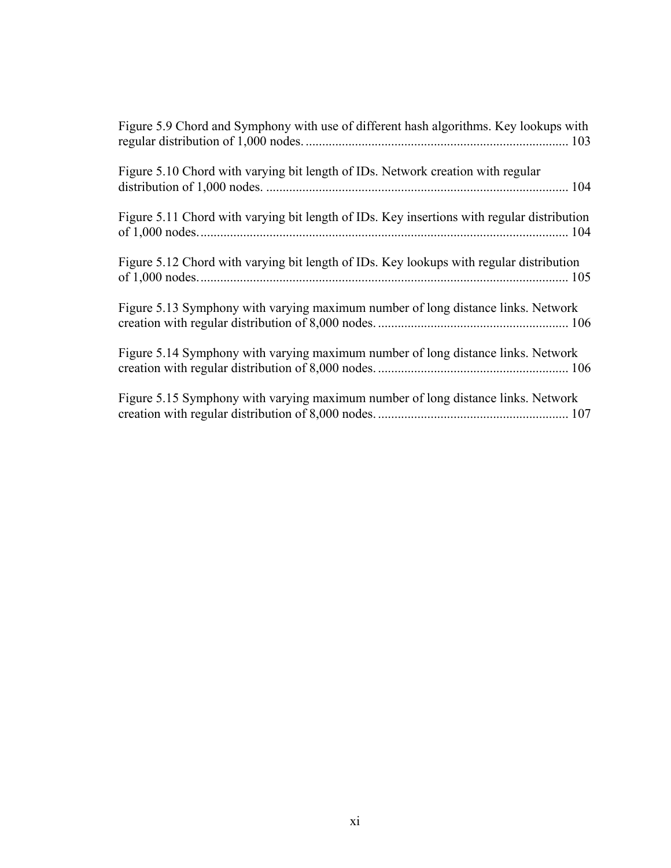| Figure 5.9 Chord and Symphony with use of different hash algorithms. Key lookups with      |
|--------------------------------------------------------------------------------------------|
| Figure 5.10 Chord with varying bit length of IDs. Network creation with regular            |
| Figure 5.11 Chord with varying bit length of IDs. Key insertions with regular distribution |
| Figure 5.12 Chord with varying bit length of IDs. Key lookups with regular distribution    |
| Figure 5.13 Symphony with varying maximum number of long distance links. Network           |
| Figure 5.14 Symphony with varying maximum number of long distance links. Network           |
| Figure 5.15 Symphony with varying maximum number of long distance links. Network           |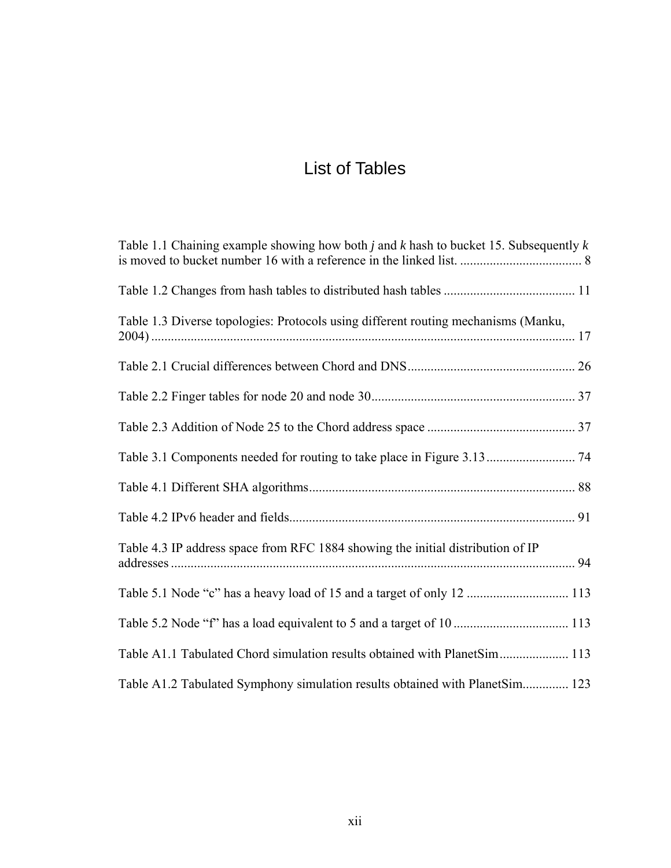## List of Tables

| Table 1.1 Chaining example showing how both <i>j</i> and <i>k</i> hash to bucket 15. Subsequently $k$ |  |
|-------------------------------------------------------------------------------------------------------|--|
|                                                                                                       |  |
| Table 1.3 Diverse topologies: Protocols using different routing mechanisms (Manku,                    |  |
|                                                                                                       |  |
|                                                                                                       |  |
|                                                                                                       |  |
|                                                                                                       |  |
|                                                                                                       |  |
|                                                                                                       |  |
| Table 4.3 IP address space from RFC 1884 showing the initial distribution of IP                       |  |
| Table 5.1 Node "c" has a heavy load of 15 and a target of only 12  113                                |  |
|                                                                                                       |  |
| Table A1.1 Tabulated Chord simulation results obtained with PlanetSim 113                             |  |
| Table A1.2 Tabulated Symphony simulation results obtained with PlanetSim 123                          |  |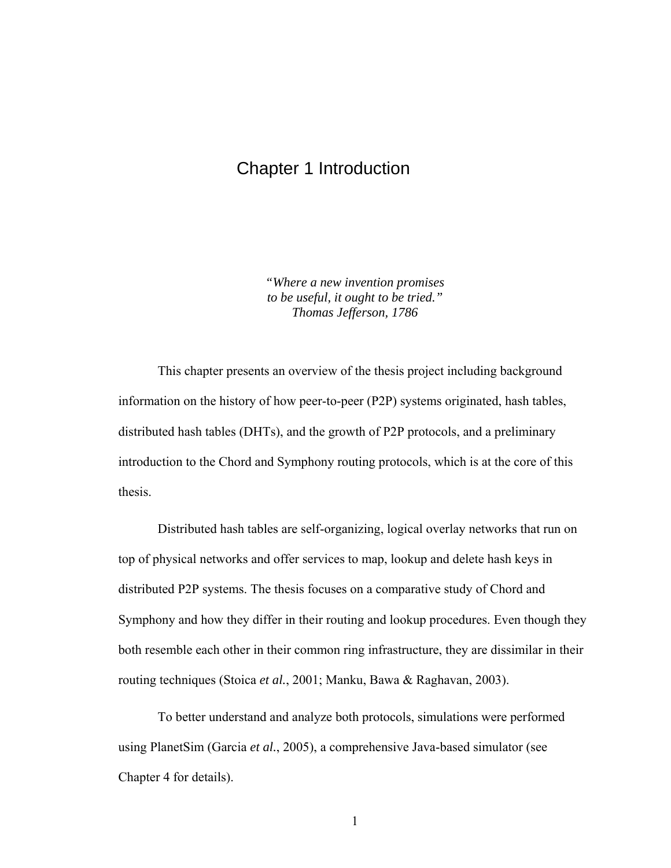### Chapter 1 Introduction

*"Where a new invention promises to be useful, it ought to be tried." Thomas Jefferson, 1786* 

This chapter presents an overview of the thesis project including background information on the history of how peer-to-peer (P2P) systems originated, hash tables, distributed hash tables (DHTs), and the growth of P2P protocols, and a preliminary introduction to the Chord and Symphony routing protocols, which is at the core of this thesis.

Distributed hash tables are self-organizing, logical overlay networks that run on top of physical networks and offer services to map, lookup and delete hash keys in distributed P2P systems. The thesis focuses on a comparative study of Chord and Symphony and how they differ in their routing and lookup procedures. Even though they both resemble each other in their common ring infrastructure, they are dissimilar in their routing techniques (Stoica *et al.*, 2001; Manku, Bawa & Raghavan, 2003).

To better understand and analyze both protocols, simulations were performed using PlanetSim (Garcia *et al.*, 2005), a comprehensive Java-based simulator (see Chapter 4 for details).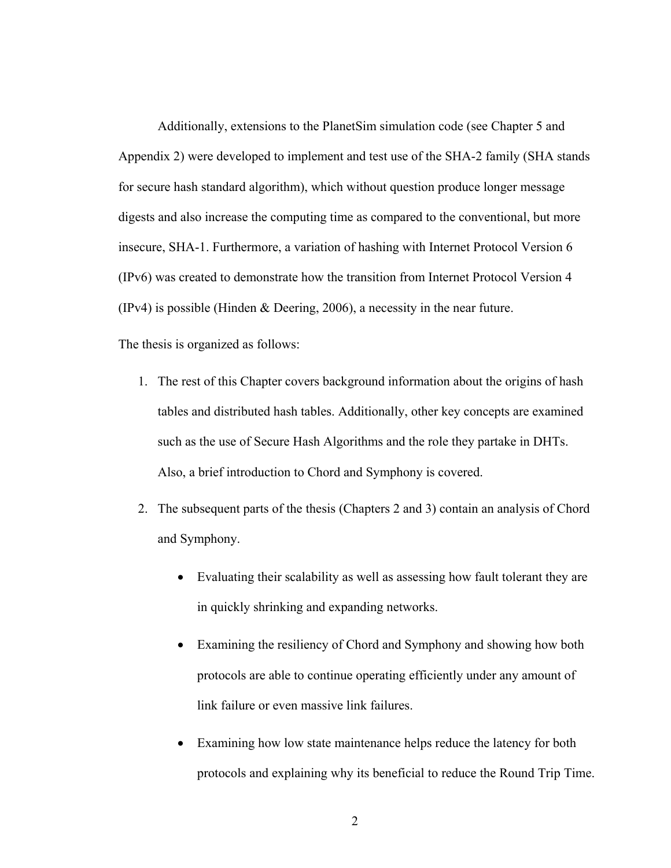Additionally, extensions to the PlanetSim simulation code (see Chapter 5 and Appendix 2) were developed to implement and test use of the SHA-2 family (SHA stands for secure hash standard algorithm), which without question produce longer message digests and also increase the computing time as compared to the conventional, but more insecure, SHA-1. Furthermore, a variation of hashing with Internet Protocol Version 6 (IPv6) was created to demonstrate how the transition from Internet Protocol Version 4 (IPv4) is possible (Hinden & Deering, 2006), a necessity in the near future.

The thesis is organized as follows:

- 1. The rest of this Chapter covers background information about the origins of hash tables and distributed hash tables. Additionally, other key concepts are examined such as the use of Secure Hash Algorithms and the role they partake in DHTs. Also, a brief introduction to Chord and Symphony is covered.
- 2. The subsequent parts of the thesis (Chapters 2 and 3) contain an analysis of Chord and Symphony.
	- Evaluating their scalability as well as assessing how fault tolerant they are in quickly shrinking and expanding networks.
	- Examining the resiliency of Chord and Symphony and showing how both protocols are able to continue operating efficiently under any amount of link failure or even massive link failures.
	- Examining how low state maintenance helps reduce the latency for both protocols and explaining why its beneficial to reduce the Round Trip Time.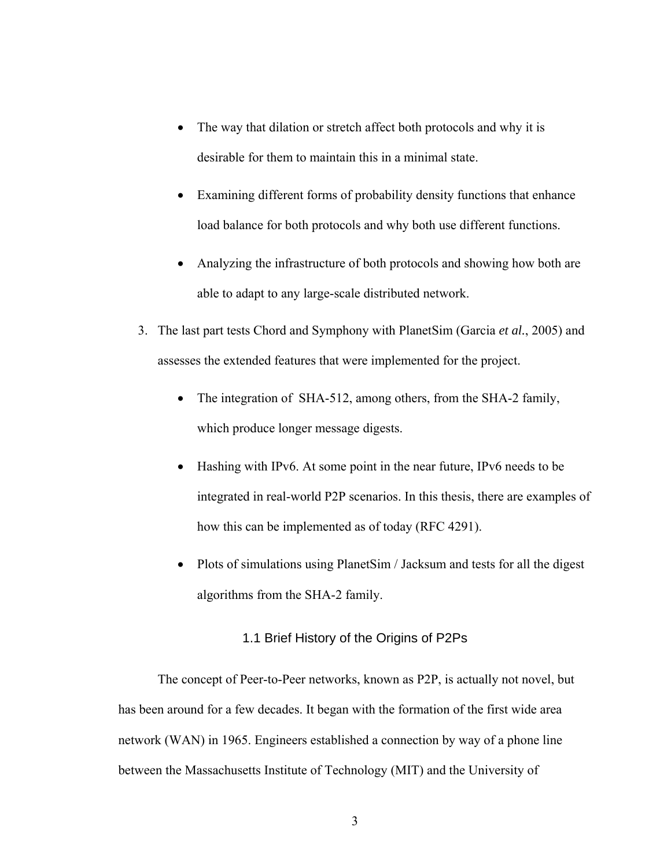- The way that dilation or stretch affect both protocols and why it is desirable for them to maintain this in a minimal state.
- Examining different forms of probability density functions that enhance load balance for both protocols and why both use different functions.
- Analyzing the infrastructure of both protocols and showing how both are able to adapt to any large-scale distributed network.
- 3. The last part tests Chord and Symphony with PlanetSim (Garcia *et al.*, 2005) and assesses the extended features that were implemented for the project.
	- The integration of SHA-512, among others, from the SHA-2 family, which produce longer message digests.
	- Hashing with IPv6. At some point in the near future, IPv6 needs to be integrated in real-world P2P scenarios. In this thesis, there are examples of how this can be implemented as of today (RFC 4291).
	- Plots of simulations using PlanetSim / Jacksum and tests for all the digest algorithms from the SHA-2 family.

#### 1.1 Brief History of the Origins of P2Ps

The concept of Peer-to-Peer networks, known as P2P, is actually not novel, but has been around for a few decades. It began with the formation of the first wide area network (WAN) in 1965. Engineers established a connection by way of a phone line between the Massachusetts Institute of Technology (MIT) and the University of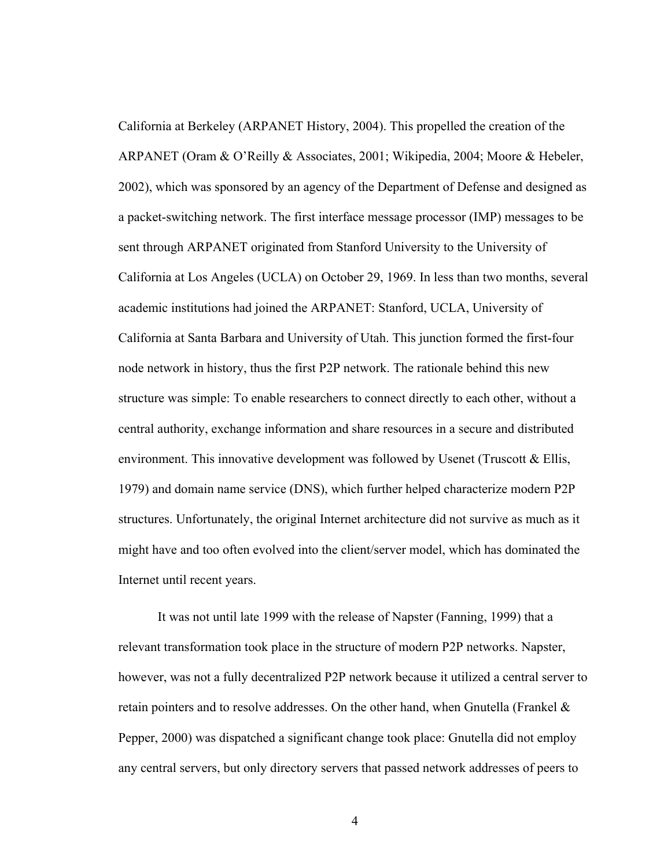California at Berkeley (ARPANET History, 2004). This propelled the creation of the ARPANET (Oram & O'Reilly & Associates, 2001; Wikipedia, 2004; Moore & Hebeler, 2002), which was sponsored by an agency of the Department of Defense and designed as a packet-switching network. The first interface message processor (IMP) messages to be sent through ARPANET originated from Stanford University to the University of California at Los Angeles (UCLA) on October 29, 1969. In less than two months, several academic institutions had joined the ARPANET: Stanford, UCLA, University of California at Santa Barbara and University of Utah. This junction formed the first-four node network in history, thus the first P2P network. The rationale behind this new structure was simple: To enable researchers to connect directly to each other, without a central authority, exchange information and share resources in a secure and distributed environment. This innovative development was followed by Usenet (Truscott  $\&$  Ellis, 1979) and domain name service (DNS), which further helped characterize modern P2P structures. Unfortunately, the original Internet architecture did not survive as much as it might have and too often evolved into the client/server model, which has dominated the Internet until recent years.

It was not until late 1999 with the release of Napster (Fanning, 1999) that a relevant transformation took place in the structure of modern P2P networks. Napster, however, was not a fully decentralized P2P network because it utilized a central server to retain pointers and to resolve addresses. On the other hand, when Gnutella (Frankel  $\&$ Pepper, 2000) was dispatched a significant change took place: Gnutella did not employ any central servers, but only directory servers that passed network addresses of peers to

4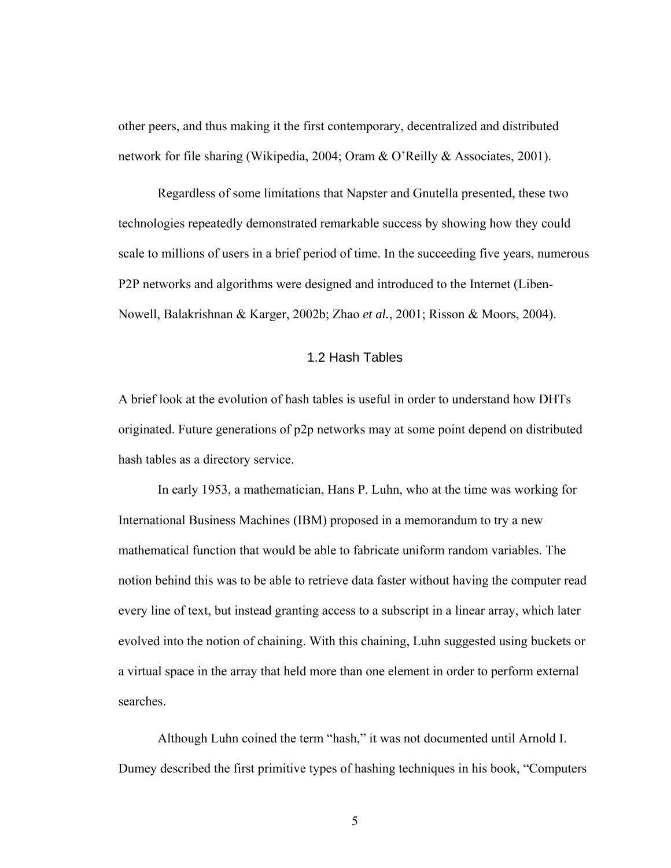other peers, and thus making it the first contemporary, decentralized and distributed network for file sharing (Wikipedia, 2004; Oram & O'Reilly & Associates, 2001).

Regardless of some limitations that Napster and Gnutella presented, these two technologies repeatedly demonstrated remarkable success by showing how they could scale to millions of users in a brief period of time. In the succeeding five years, numerous P2P networks and algorithms were designed and introduced to the Internet (Liben-Nowell, Balakrishnan & Karger, 2002b; Zhao *et al.*, 2001; Risson & Moors, 2004).

#### 1.2 Hash Tables

A brief look at the evolution of hash tables is useful in order to understand how DHTs originated. Future generations of p2p networks may at some point depend on distributed hash tables as a directory service.

In early 1953, a mathematician, Hans P. Luhn, who at the time was working for International Business Machines (IBM) proposed in a memorandum to try a new mathematical function that would be able to fabricate uniform random variables. The notion behind this was to be able to retrieve data faster without having the computer read every line of text, but instead granting access to a subscript in a linear array, which later evolved into the notion of chaining. With this chaining, Luhn suggested using buckets or a virtual space in the array that held more than one element in order to perform external searches.

Although Luhn coined the term "hash," it was not documented until Arnold I. Dumey described the first primitive types of hashing techniques in his book, "Computers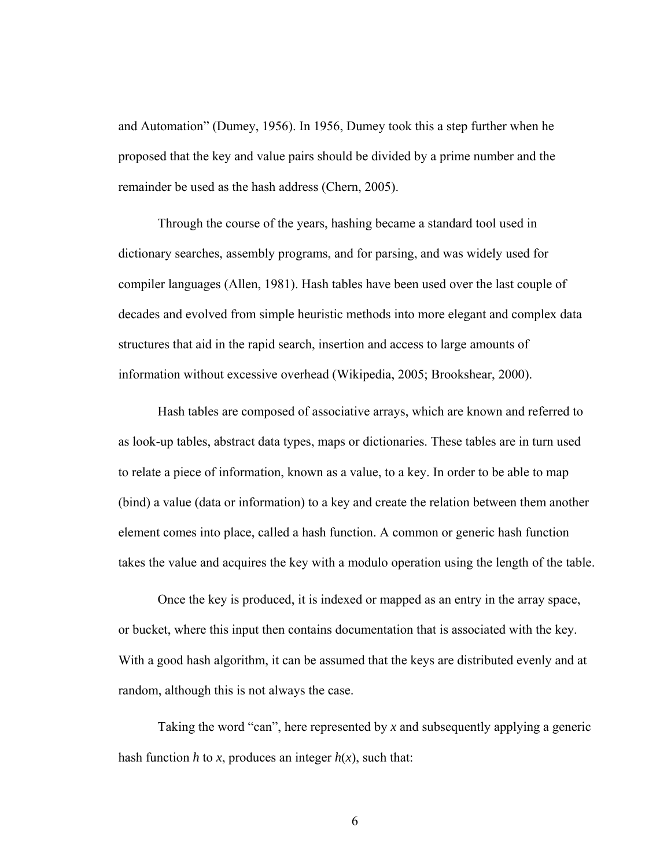and Automation" (Dumey, 1956). In 1956, Dumey took this a step further when he proposed that the key and value pairs should be divided by a prime number and the remainder be used as the hash address (Chern, 2005).

Through the course of the years, hashing became a standard tool used in dictionary searches, assembly programs, and for parsing, and was widely used for compiler languages (Allen, 1981). Hash tables have been used over the last couple of decades and evolved from simple heuristic methods into more elegant and complex data structures that aid in the rapid search, insertion and access to large amounts of information without excessive overhead (Wikipedia, 2005; Brookshear, 2000).

Hash tables are composed of associative arrays, which are known and referred to as look-up tables, abstract data types, maps or dictionaries. These tables are in turn used to relate a piece of information, known as a value, to a key. In order to be able to map (bind) a value (data or information) to a key and create the relation between them another element comes into place, called a hash function. A common or generic hash function takes the value and acquires the key with a modulo operation using the length of the table.

Once the key is produced, it is indexed or mapped as an entry in the array space, or bucket, where this input then contains documentation that is associated with the key. With a good hash algorithm, it can be assumed that the keys are distributed evenly and at random, although this is not always the case.

Taking the word "can", here represented by *x* and subsequently applying a generic hash function *h* to *x*, produces an integer  $h(x)$ , such that:

6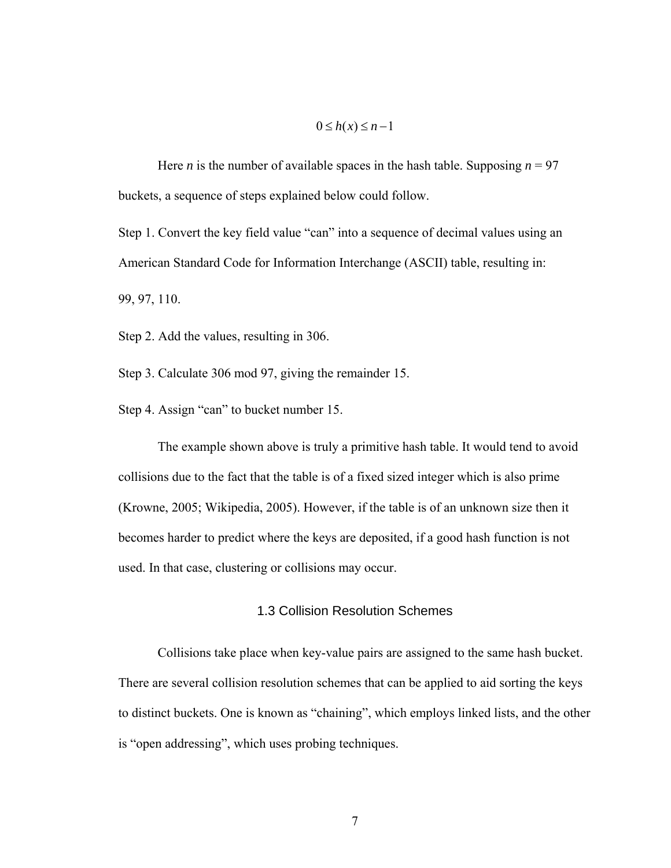#### $0 \leq h(x) \leq n-1$

Here *n* is the number of available spaces in the hash table. Supposing  $n = 97$ buckets, a sequence of steps explained below could follow.

Step 1. Convert the key field value "can" into a sequence of decimal values using an American Standard Code for Information Interchange (ASCII) table, resulting in:

99, 97, 110.

Step 2. Add the values, resulting in 306.

Step 3. Calculate 306 mod 97, giving the remainder 15.

Step 4. Assign "can" to bucket number 15.

The example shown above is truly a primitive hash table. It would tend to avoid collisions due to the fact that the table is of a fixed sized integer which is also prime (Krowne, 2005; Wikipedia, 2005). However, if the table is of an unknown size then it becomes harder to predict where the keys are deposited, if a good hash function is not used. In that case, clustering or collisions may occur.

#### 1.3 Collision Resolution Schemes

Collisions take place when key-value pairs are assigned to the same hash bucket. There are several collision resolution schemes that can be applied to aid sorting the keys to distinct buckets. One is known as "chaining", which employs linked lists, and the other is "open addressing", which uses probing techniques.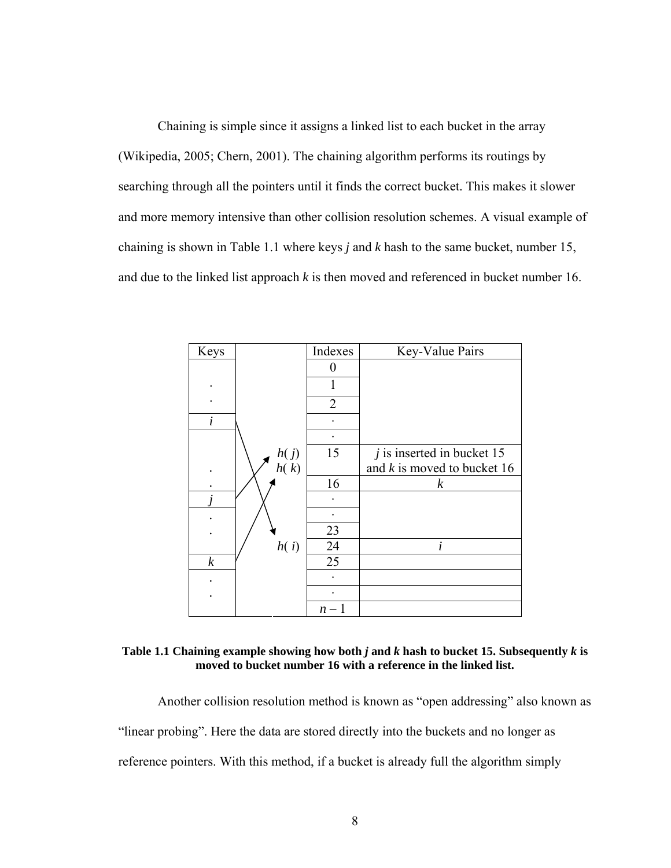Chaining is simple since it assigns a linked list to each bucket in the array (Wikipedia, 2005; Chern, 2001). The chaining algorithm performs its routings by searching through all the pointers until it finds the correct bucket. This makes it slower and more memory intensive than other collision resolution schemes. A visual example of chaining is shown in Table 1.1 where keys *j* and *k* hash to the same bucket, number 15, and due to the linked list approach *k* is then moved and referenced in bucket number 16.

| Keys             |                  | Indexes        | Key-Value Pairs               |
|------------------|------------------|----------------|-------------------------------|
|                  |                  | 0              |                               |
|                  |                  | 1              |                               |
|                  |                  | $\overline{2}$ |                               |
| $\dot{i}$        |                  |                |                               |
|                  |                  |                |                               |
|                  |                  | 15             | $j$ is inserted in bucket 15  |
|                  | $h(j)$<br>$h(k)$ |                | and $k$ is moved to bucket 16 |
|                  |                  | 16             | $\boldsymbol{k}$              |
|                  |                  |                |                               |
|                  |                  |                |                               |
|                  |                  | 23             |                               |
|                  | h(i)             | 24             | $\dot{i}$                     |
| $\boldsymbol{k}$ |                  | 25             |                               |
|                  |                  |                |                               |
|                  |                  |                |                               |
|                  |                  | $n -$          |                               |

Table 1.1 Chaining example showing how both  $j$  and  $k$  hash to bucket 15. Subsequently  $k$  is **moved to bucket number 16 with a reference in the linked list.** 

Another collision resolution method is known as "open addressing" also known as "linear probing". Here the data are stored directly into the buckets and no longer as reference pointers. With this method, if a bucket is already full the algorithm simply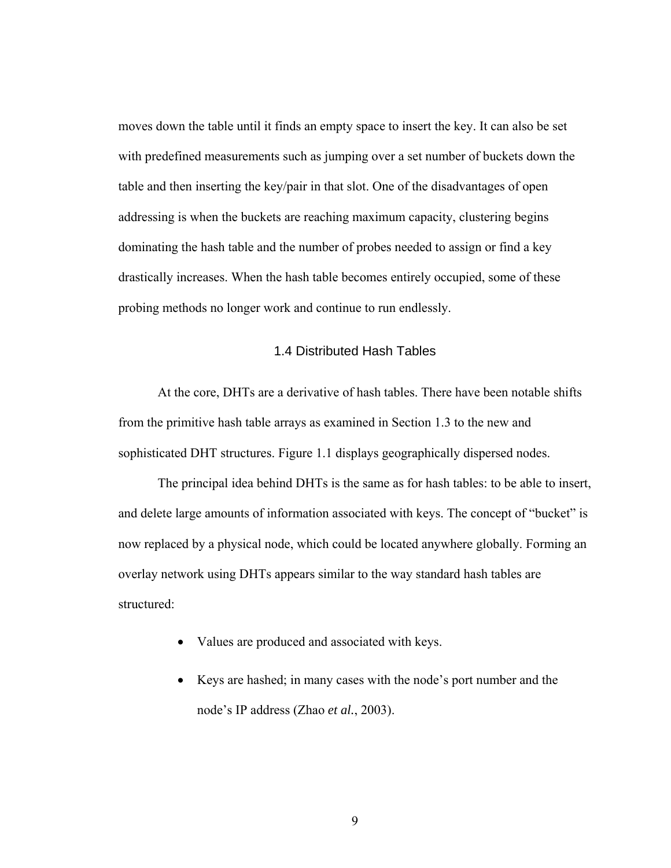moves down the table until it finds an empty space to insert the key. It can also be set with predefined measurements such as jumping over a set number of buckets down the table and then inserting the key/pair in that slot. One of the disadvantages of open addressing is when the buckets are reaching maximum capacity, clustering begins dominating the hash table and the number of probes needed to assign or find a key drastically increases. When the hash table becomes entirely occupied, some of these probing methods no longer work and continue to run endlessly.

#### 1.4 Distributed Hash Tables

At the core, DHTs are a derivative of hash tables. There have been notable shifts from the primitive hash table arrays as examined in Section 1.3 to the new and sophisticated DHT structures. Figure 1.1 displays geographically dispersed nodes.

The principal idea behind DHTs is the same as for hash tables: to be able to insert, and delete large amounts of information associated with keys. The concept of "bucket" is now replaced by a physical node, which could be located anywhere globally. Forming an overlay network using DHTs appears similar to the way standard hash tables are structured:

- Values are produced and associated with keys.
- Keys are hashed; in many cases with the node's port number and the node's IP address (Zhao *et al.*, 2003).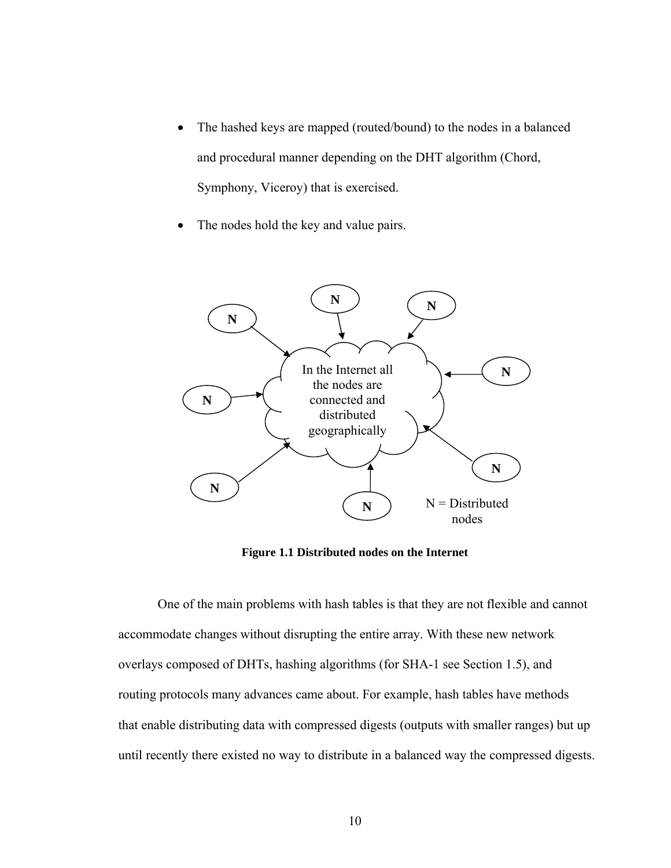- The hashed keys are mapped (routed/bound) to the nodes in a balanced and procedural manner depending on the DHT algorithm (Chord, Symphony, Viceroy) that is exercised.
- The nodes hold the key and value pairs.



**Figure 1.1 Distributed nodes on the Internet** 

One of the main problems with hash tables is that they are not flexible and cannot accommodate changes without disrupting the entire array. With these new network overlays composed of DHTs, hashing algorithms (for SHA-1 see Section 1.5), and routing protocols many advances came about. For example, hash tables have methods that enable distributing data with compressed digests (outputs with smaller ranges) but up until recently there existed no way to distribute in a balanced way the compressed digests.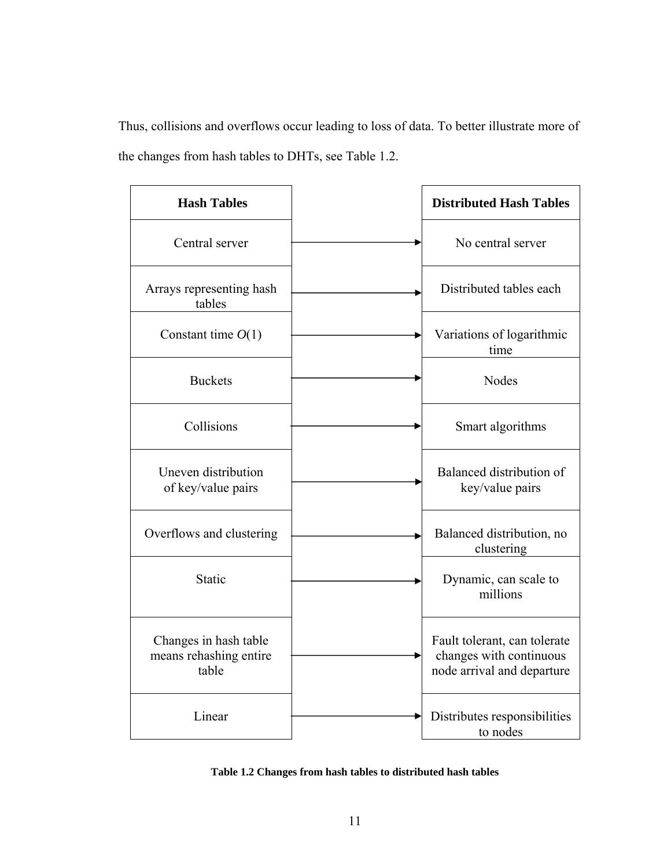Thus, collisions and overflows occur leading to loss of data. To better illustrate more of the changes from hash tables to DHTs, see Table 1.2.

| <b>Hash Tables</b>                                       | <b>Distributed Hash Tables</b>                                                        |
|----------------------------------------------------------|---------------------------------------------------------------------------------------|
| Central server                                           | No central server                                                                     |
| Arrays representing hash<br>tables                       | Distributed tables each                                                               |
| Constant time $O(1)$                                     | Variations of logarithmic<br>time                                                     |
| <b>Buckets</b>                                           | <b>Nodes</b>                                                                          |
| Collisions                                               | Smart algorithms                                                                      |
| Uneven distribution<br>of key/value pairs                | Balanced distribution of<br>key/value pairs                                           |
| Overflows and clustering                                 | Balanced distribution, no<br>clustering                                               |
| Static                                                   | Dynamic, can scale to<br>millions                                                     |
| Changes in hash table<br>means rehashing entire<br>table | Fault tolerant, can tolerate<br>changes with continuous<br>node arrival and departure |
| Linear                                                   | Distributes responsibilities<br>to nodes                                              |

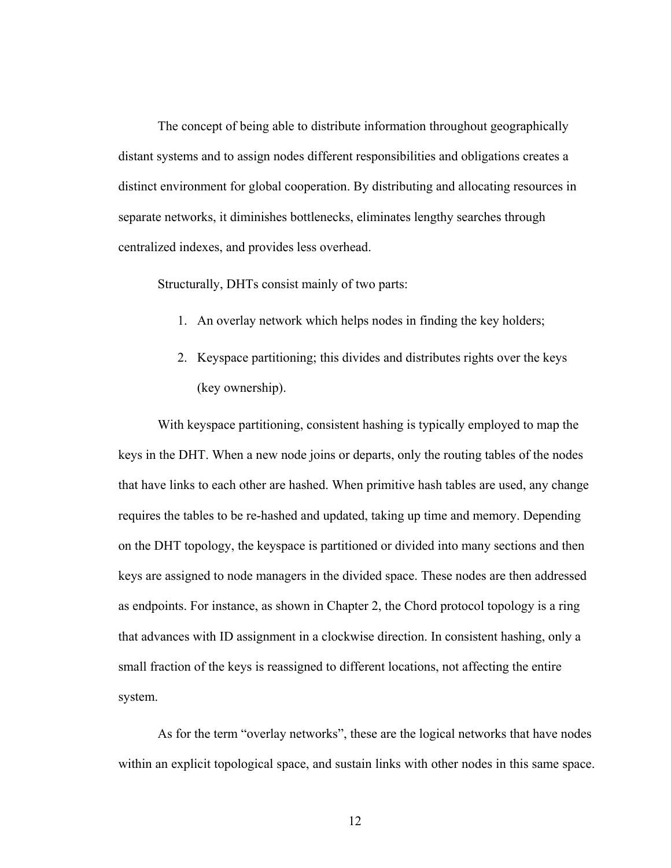The concept of being able to distribute information throughout geographically distant systems and to assign nodes different responsibilities and obligations creates a distinct environment for global cooperation. By distributing and allocating resources in separate networks, it diminishes bottlenecks, eliminates lengthy searches through centralized indexes, and provides less overhead.

Structurally, DHTs consist mainly of two parts:

- 1. An overlay network which helps nodes in finding the key holders;
- 2. Keyspace partitioning; this divides and distributes rights over the keys (key ownership).

With keyspace partitioning, consistent hashing is typically employed to map the keys in the DHT. When a new node joins or departs, only the routing tables of the nodes that have links to each other are hashed. When primitive hash tables are used, any change requires the tables to be re-hashed and updated, taking up time and memory. Depending on the DHT topology, the keyspace is partitioned or divided into many sections and then keys are assigned to node managers in the divided space. These nodes are then addressed as endpoints. For instance, as shown in Chapter 2, the Chord protocol topology is a ring that advances with ID assignment in a clockwise direction. In consistent hashing, only a small fraction of the keys is reassigned to different locations, not affecting the entire system.

As for the term "overlay networks", these are the logical networks that have nodes within an explicit topological space, and sustain links with other nodes in this same space.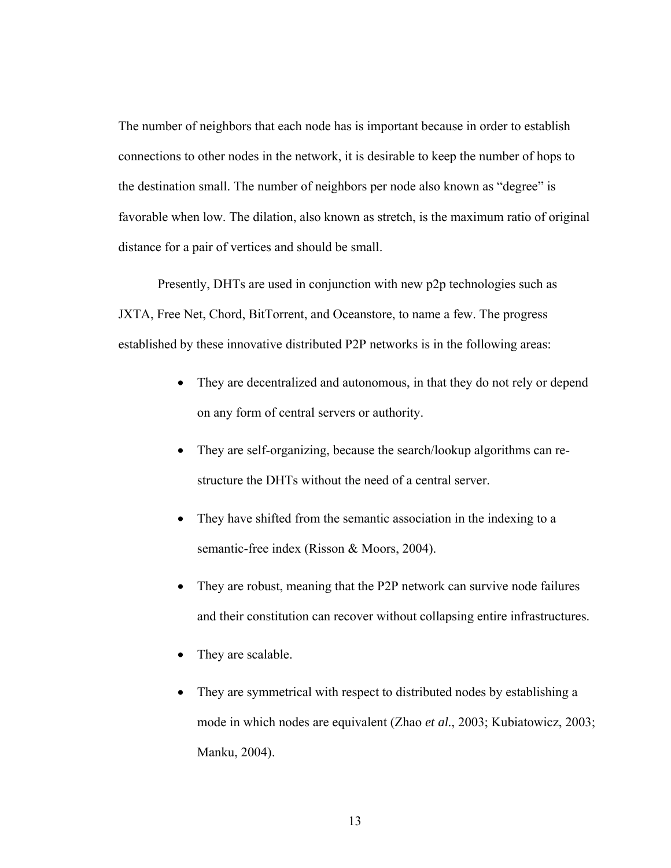The number of neighbors that each node has is important because in order to establish connections to other nodes in the network, it is desirable to keep the number of hops to the destination small. The number of neighbors per node also known as "degree" is favorable when low. The dilation, also known as stretch, is the maximum ratio of original distance for a pair of vertices and should be small.

Presently, DHTs are used in conjunction with new p2p technologies such as JXTA, Free Net, Chord, BitTorrent, and Oceanstore, to name a few. The progress established by these innovative distributed P2P networks is in the following areas:

- They are decentralized and autonomous, in that they do not rely or depend on any form of central servers or authority.
- They are self-organizing, because the search/lookup algorithms can restructure the DHTs without the need of a central server.
- They have shifted from the semantic association in the indexing to a semantic-free index (Risson & Moors, 2004).
- They are robust, meaning that the P2P network can survive node failures and their constitution can recover without collapsing entire infrastructures.
- They are scalable.
- They are symmetrical with respect to distributed nodes by establishing a mode in which nodes are equivalent (Zhao *et al.*, 2003; Kubiatowicz, 2003; Manku, 2004).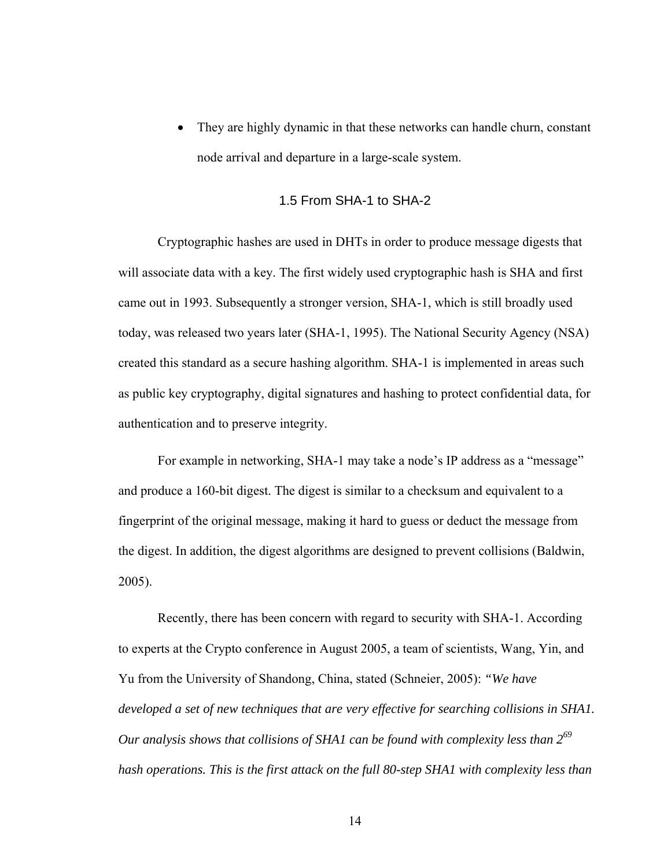They are highly dynamic in that these networks can handle churn, constant node arrival and departure in a large-scale system.

#### 1.5 From SHA-1 to SHA-2

Cryptographic hashes are used in DHTs in order to produce message digests that will associate data with a key. The first widely used cryptographic hash is SHA and first came out in 1993. Subsequently a stronger version, SHA-1, which is still broadly used today, was released two years later (SHA-1, 1995). The National Security Agency (NSA) created this standard as a secure hashing algorithm. SHA-1 is implemented in areas such as public key cryptography, digital signatures and hashing to protect confidential data, for authentication and to preserve integrity.

For example in networking, SHA-1 may take a node's IP address as a "message" and produce a 160-bit digest. The digest is similar to a checksum and equivalent to a fingerprint of the original message, making it hard to guess or deduct the message from the digest. In addition, the digest algorithms are designed to prevent collisions (Baldwin, 2005).

Recently, there has been concern with regard to security with SHA-1. According to experts at the Crypto conference in August 2005, a team of scientists, Wang, Yin, and Yu from the University of Shandong, China, stated (Schneier, 2005): *"We have developed a set of new techniques that are very effective for searching collisions in SHA1. Our analysis shows that collisions of SHA1 can be found with complexity less than 269 hash operations. This is the first attack on the full 80-step SHA1 with complexity less than* 

14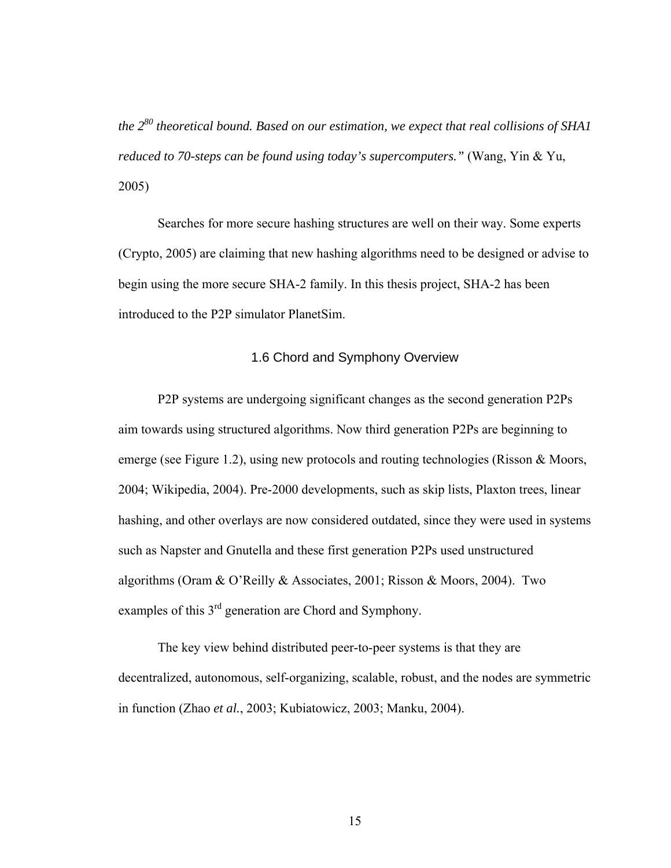*the 280 theoretical bound. Based on our estimation, we expect that real collisions of SHA1 reduced to 70-steps can be found using today's supercomputers."* (Wang, Yin & Yu, 2005)

Searches for more secure hashing structures are well on their way. Some experts (Crypto, 2005) are claiming that new hashing algorithms need to be designed or advise to begin using the more secure SHA-2 family. In this thesis project, SHA-2 has been introduced to the P2P simulator PlanetSim.

#### 1.6 Chord and Symphony Overview

P2P systems are undergoing significant changes as the second generation P2Ps aim towards using structured algorithms. Now third generation P2Ps are beginning to emerge (see Figure 1.2), using new protocols and routing technologies (Risson & Moors, 2004; Wikipedia, 2004). Pre-2000 developments, such as skip lists, Plaxton trees, linear hashing, and other overlays are now considered outdated, since they were used in systems such as Napster and Gnutella and these first generation P2Ps used unstructured algorithms (Oram & O'Reilly & Associates, 2001; Risson & Moors, 2004). Two examples of this 3<sup>rd</sup> generation are Chord and Symphony.

The key view behind distributed peer-to-peer systems is that they are decentralized, autonomous, self-organizing, scalable, robust, and the nodes are symmetric in function (Zhao *et al.*, 2003; Kubiatowicz, 2003; Manku, 2004).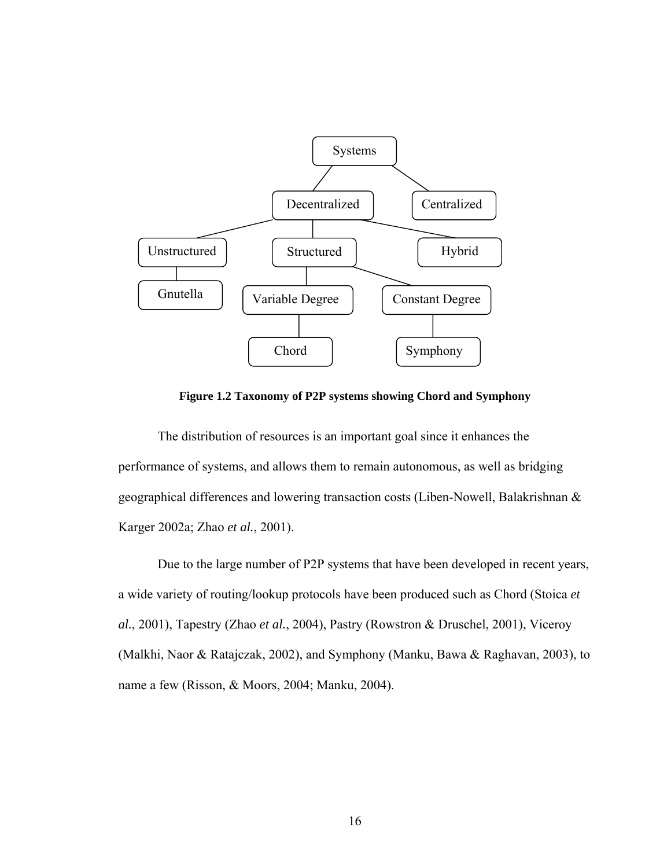

**Figure 1.2 Taxonomy of P2P systems showing Chord and Symphony** 

The distribution of resources is an important goal since it enhances the performance of systems, and allows them to remain autonomous, as well as bridging geographical differences and lowering transaction costs (Liben-Nowell, Balakrishnan & Karger 2002a; Zhao *et al.*, 2001).

Due to the large number of P2P systems that have been developed in recent years, a wide variety of routing/lookup protocols have been produced such as Chord (Stoica *et al.*, 2001), Tapestry (Zhao *et al.*, 2004), Pastry (Rowstron & Druschel, 2001), Viceroy (Malkhi, Naor & Ratajczak, 2002), and Symphony (Manku, Bawa & Raghavan, 2003), to name a few (Risson, & Moors, 2004; Manku, 2004).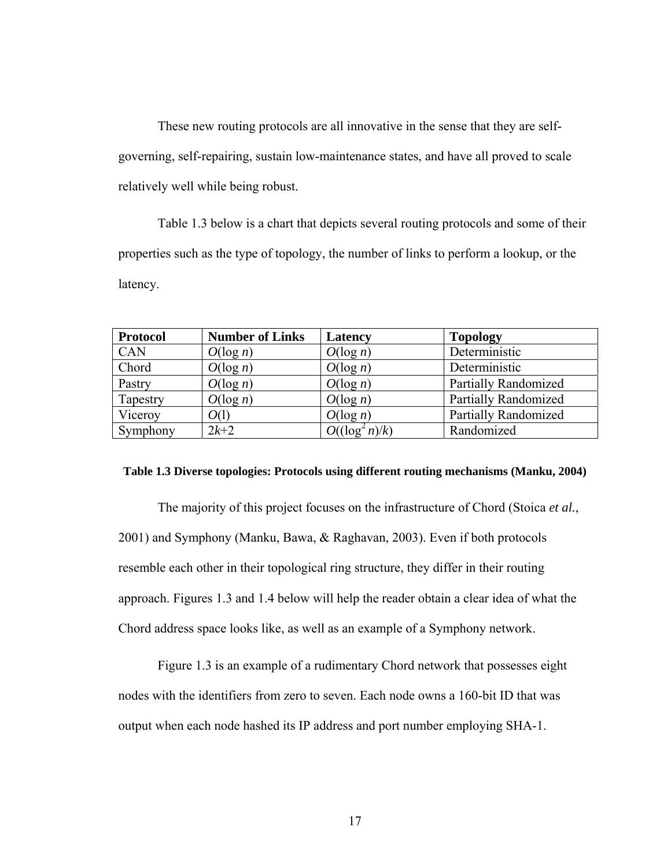These new routing protocols are all innovative in the sense that they are selfgoverning, self-repairing, sustain low-maintenance states, and have all proved to scale relatively well while being robust.

Table 1.3 below is a chart that depicts several routing protocols and some of their properties such as the type of topology, the number of links to perform a lookup, or the latency.

| <b>Protocol</b> | <b>Number of Links</b> | Latency           | <b>Topology</b>             |
|-----------------|------------------------|-------------------|-----------------------------|
| CAN             | $O(\log n)$            | $O(\log n)$       | Deterministic               |
| Chord           | $O(\log n)$            | $O(\log n)$       | Deterministic               |
| Pastry          | $O(\log n)$            | $O(\log n)$       | <b>Partially Randomized</b> |
| Tapestry        | $O(\log n)$            | $O(\log n)$       | <b>Partially Randomized</b> |
| Viceroy         | O(1)                   | $O(\log n)$       | <b>Partially Randomized</b> |
| Symphony        | $2k+2$                 | $O((\log^2 n)/k)$ | Randomized                  |

#### **Table 1.3 Diverse topologies: Protocols using different routing mechanisms (Manku, 2004)**

The majority of this project focuses on the infrastructure of Chord (Stoica *et al.*, 2001) and Symphony (Manku, Bawa, & Raghavan, 2003). Even if both protocols resemble each other in their topological ring structure, they differ in their routing approach. Figures 1.3 and 1.4 below will help the reader obtain a clear idea of what the Chord address space looks like, as well as an example of a Symphony network.

Figure 1.3 is an example of a rudimentary Chord network that possesses eight nodes with the identifiers from zero to seven. Each node owns a 160-bit ID that was output when each node hashed its IP address and port number employing SHA-1.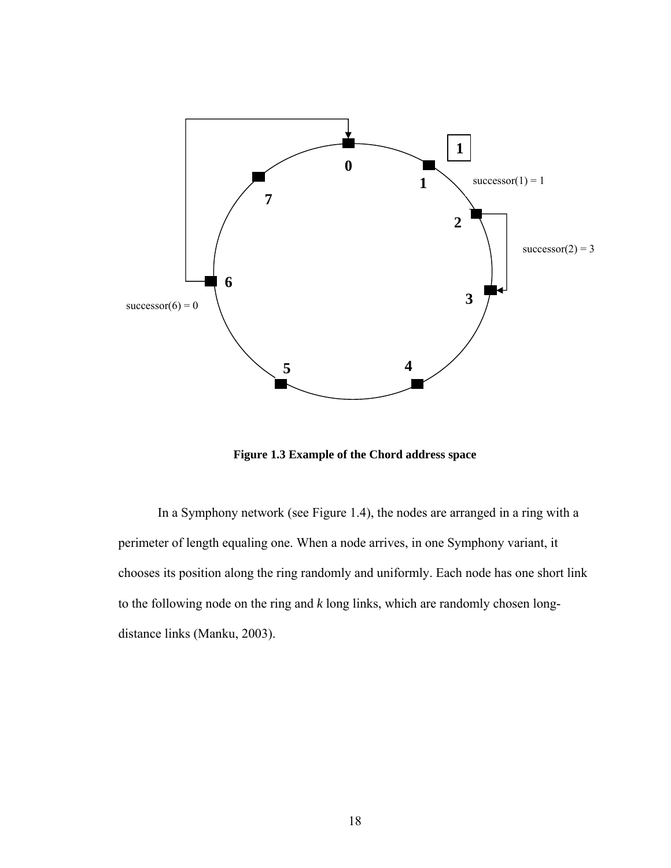

**Figure 1.3 Example of the Chord address space** 

In a Symphony network (see Figure 1.4), the nodes are arranged in a ring with a perimeter of length equaling one. When a node arrives, in one Symphony variant, it chooses its position along the ring randomly and uniformly. Each node has one short link to the following node on the ring and *k* long links, which are randomly chosen longdistance links (Manku, 2003).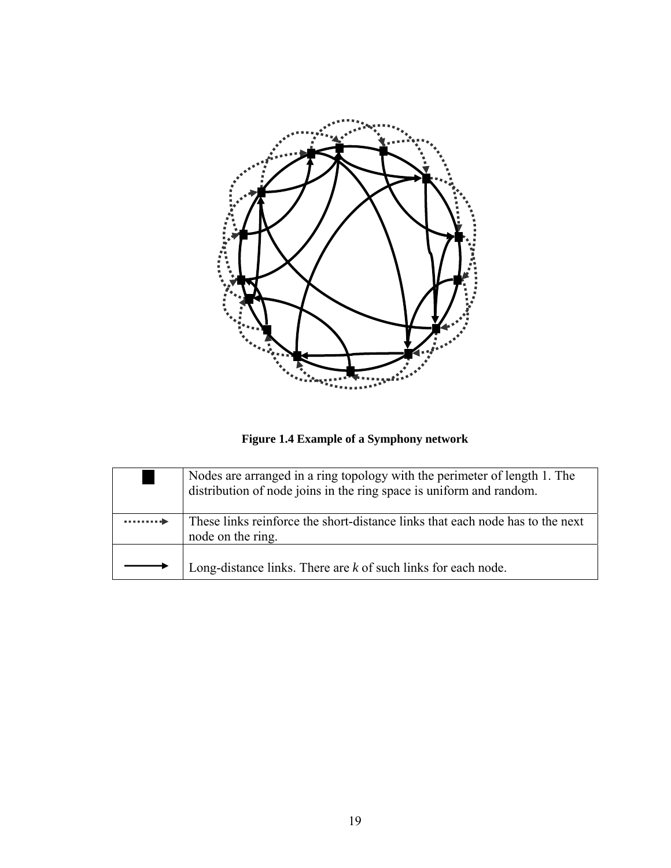

**Figure 1.4 Example of a Symphony network** 

|                | Nodes are arranged in a ring topology with the perimeter of length 1. The distribution of node joins in the ring space is uniform and random. |
|----------------|-----------------------------------------------------------------------------------------------------------------------------------------------|
| and a complete | These links reinforce the short-distance links that each node has to the next<br>node on the ring.                                            |
|                | Long-distance links. There are $k$ of such links for each node.                                                                               |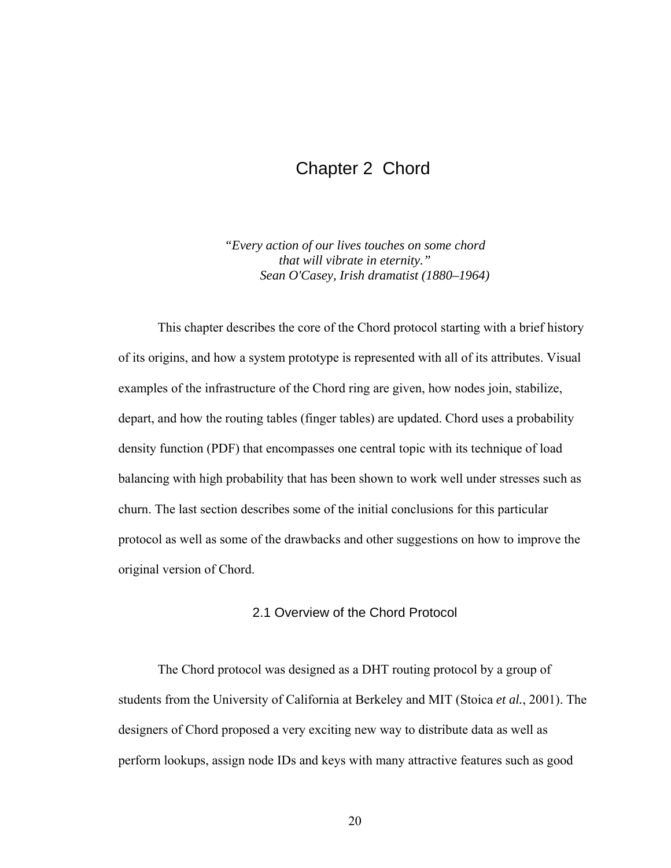### Chapter 2 Chord

*"Every action of our lives touches on some chord that will vibrate in eternity." Sean O'Casey, Irish dramatist (1880–1964)* 

This chapter describes the core of the Chord protocol starting with a brief history of its origins, and how a system prototype is represented with all of its attributes. Visual examples of the infrastructure of the Chord ring are given, how nodes join, stabilize, depart, and how the routing tables (finger tables) are updated. Chord uses a probability density function (PDF) that encompasses one central topic with its technique of load balancing with high probability that has been shown to work well under stresses such as churn. The last section describes some of the initial conclusions for this particular protocol as well as some of the drawbacks and other suggestions on how to improve the original version of Chord.

#### 2.1 Overview of the Chord Protocol

The Chord protocol was designed as a DHT routing protocol by a group of students from the University of California at Berkeley and MIT (Stoica *et al.*, 2001). The designers of Chord proposed a very exciting new way to distribute data as well as perform lookups, assign node IDs and keys with many attractive features such as good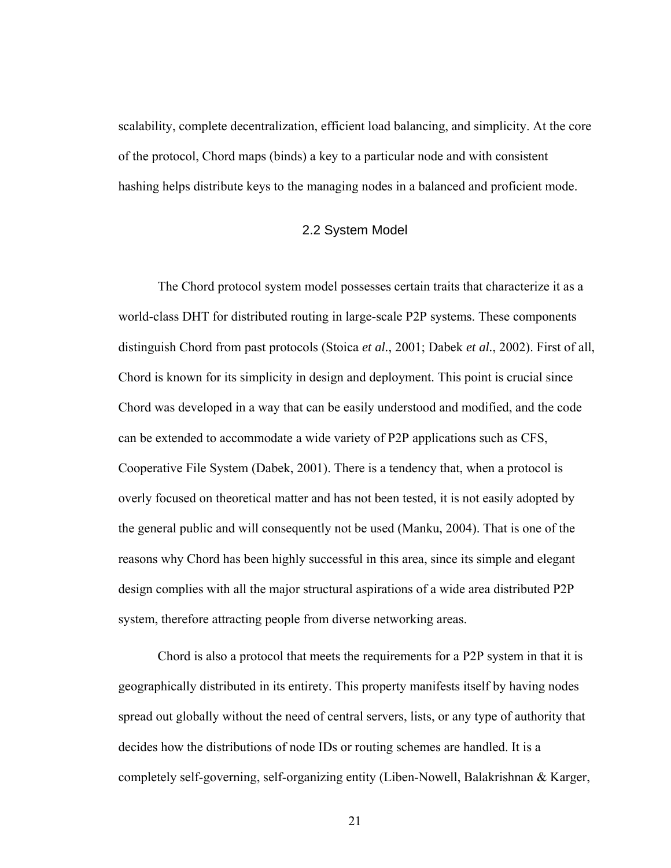scalability, complete decentralization, efficient load balancing, and simplicity. At the core of the protocol, Chord maps (binds) a key to a particular node and with consistent hashing helps distribute keys to the managing nodes in a balanced and proficient mode.

#### 2.2 System Model

The Chord protocol system model possesses certain traits that characterize it as a world-class DHT for distributed routing in large-scale P2P systems. These components distinguish Chord from past protocols (Stoica *et al.*, 2001; Dabek *et al.*, 2002). First of all, Chord is known for its simplicity in design and deployment. This point is crucial since Chord was developed in a way that can be easily understood and modified, and the code can be extended to accommodate a wide variety of P2P applications such as CFS, Cooperative File System (Dabek, 2001). There is a tendency that, when a protocol is overly focused on theoretical matter and has not been tested, it is not easily adopted by the general public and will consequently not be used (Manku, 2004). That is one of the reasons why Chord has been highly successful in this area, since its simple and elegant design complies with all the major structural aspirations of a wide area distributed P2P system, therefore attracting people from diverse networking areas.

Chord is also a protocol that meets the requirements for a P2P system in that it is geographically distributed in its entirety. This property manifests itself by having nodes spread out globally without the need of central servers, lists, or any type of authority that decides how the distributions of node IDs or routing schemes are handled. It is a completely self-governing, self-organizing entity (Liben-Nowell, Balakrishnan & Karger,

21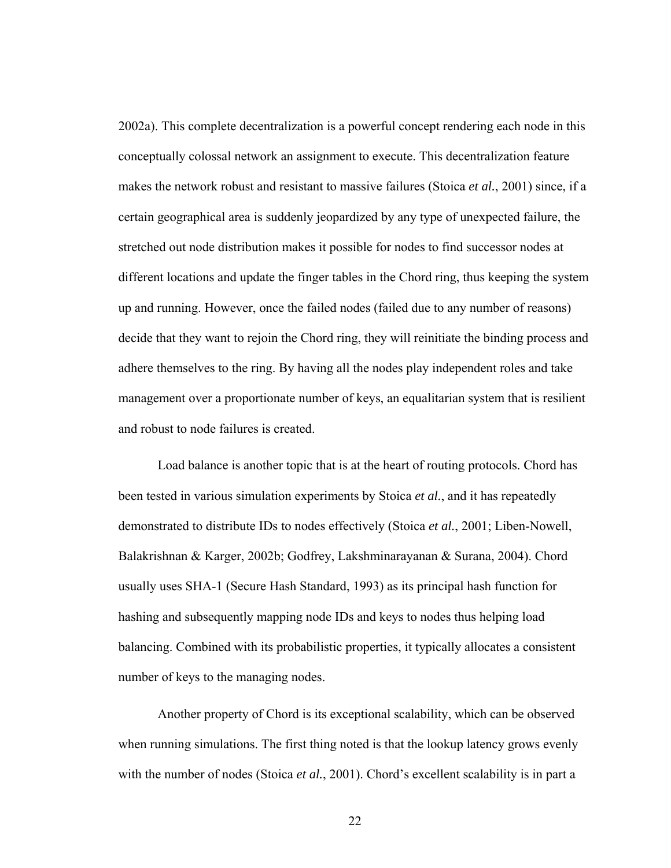2002a). This complete decentralization is a powerful concept rendering each node in this conceptually colossal network an assignment to execute. This decentralization feature makes the network robust and resistant to massive failures (Stoica *et al.*, 2001) since, if a certain geographical area is suddenly jeopardized by any type of unexpected failure, the stretched out node distribution makes it possible for nodes to find successor nodes at different locations and update the finger tables in the Chord ring, thus keeping the system up and running. However, once the failed nodes (failed due to any number of reasons) decide that they want to rejoin the Chord ring, they will reinitiate the binding process and adhere themselves to the ring. By having all the nodes play independent roles and take management over a proportionate number of keys, an equalitarian system that is resilient and robust to node failures is created.

Load balance is another topic that is at the heart of routing protocols. Chord has been tested in various simulation experiments by Stoica *et al.*, and it has repeatedly demonstrated to distribute IDs to nodes effectively (Stoica *et al.*, 2001; Liben-Nowell, Balakrishnan & Karger, 2002b; Godfrey, Lakshminarayanan & Surana, 2004). Chord usually uses SHA-1 (Secure Hash Standard, 1993) as its principal hash function for hashing and subsequently mapping node IDs and keys to nodes thus helping load balancing. Combined with its probabilistic properties, it typically allocates a consistent number of keys to the managing nodes.

Another property of Chord is its exceptional scalability, which can be observed when running simulations. The first thing noted is that the lookup latency grows evenly with the number of nodes (Stoica *et al.*, 2001). Chord's excellent scalability is in part a

22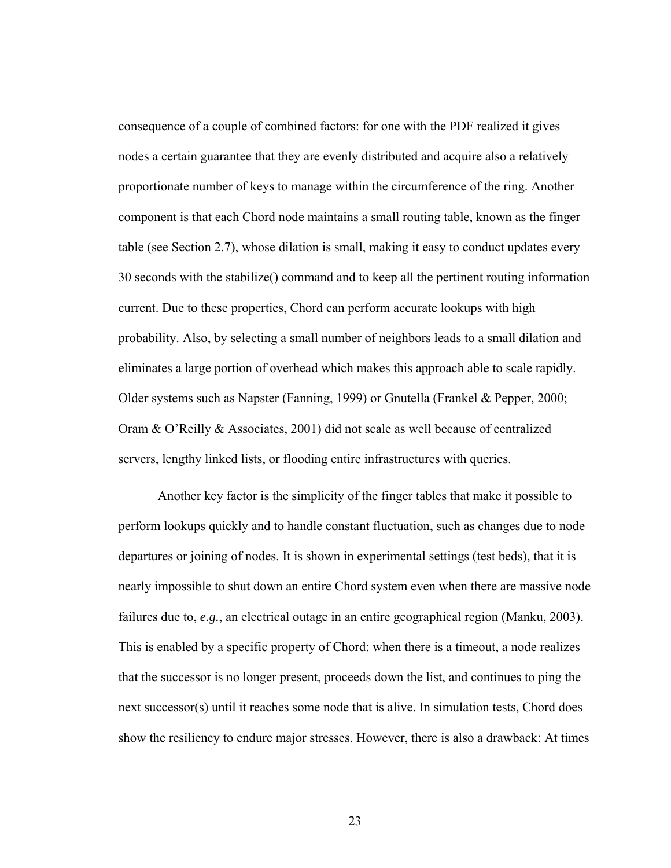consequence of a couple of combined factors: for one with the PDF realized it gives nodes a certain guarantee that they are evenly distributed and acquire also a relatively proportionate number of keys to manage within the circumference of the ring. Another component is that each Chord node maintains a small routing table, known as the finger table (see Section 2.7), whose dilation is small, making it easy to conduct updates every 30 seconds with the stabilize() command and to keep all the pertinent routing information current. Due to these properties, Chord can perform accurate lookups with high probability. Also, by selecting a small number of neighbors leads to a small dilation and eliminates a large portion of overhead which makes this approach able to scale rapidly. Older systems such as Napster (Fanning, 1999) or Gnutella (Frankel & Pepper, 2000; Oram & O'Reilly & Associates, 2001) did not scale as well because of centralized servers, lengthy linked lists, or flooding entire infrastructures with queries.

Another key factor is the simplicity of the finger tables that make it possible to perform lookups quickly and to handle constant fluctuation, such as changes due to node departures or joining of nodes. It is shown in experimental settings (test beds), that it is nearly impossible to shut down an entire Chord system even when there are massive node failures due to, *e.g.*, an electrical outage in an entire geographical region (Manku, 2003). This is enabled by a specific property of Chord: when there is a timeout, a node realizes that the successor is no longer present, proceeds down the list, and continues to ping the next successor(s) until it reaches some node that is alive. In simulation tests, Chord does show the resiliency to endure major stresses. However, there is also a drawback: At times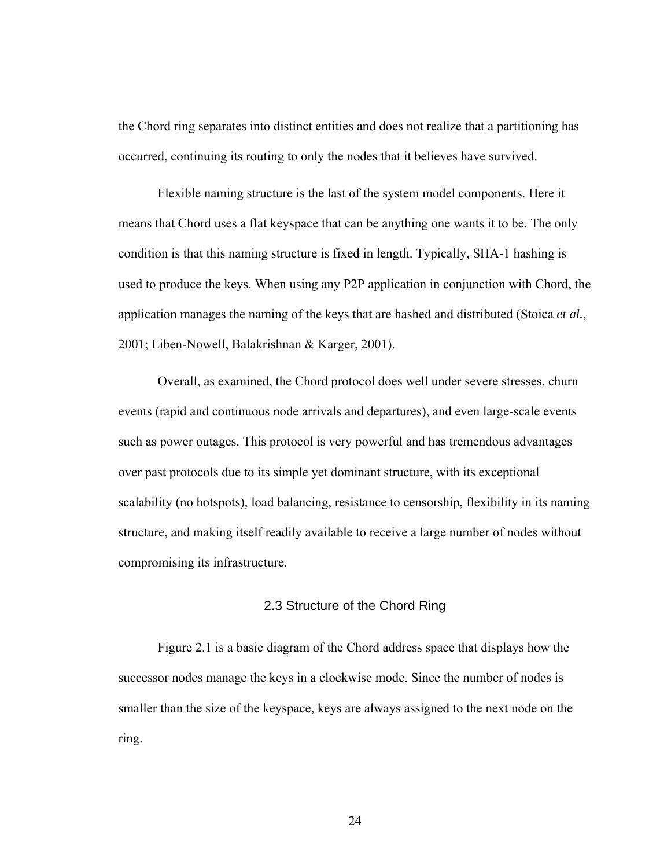the Chord ring separates into distinct entities and does not realize that a partitioning has occurred, continuing its routing to only the nodes that it believes have survived.

Flexible naming structure is the last of the system model components. Here it means that Chord uses a flat keyspace that can be anything one wants it to be. The only condition is that this naming structure is fixed in length. Typically, SHA-1 hashing is used to produce the keys. When using any P2P application in conjunction with Chord, the application manages the naming of the keys that are hashed and distributed (Stoica *et al.*, 2001; Liben-Nowell, Balakrishnan & Karger, 2001).

Overall, as examined, the Chord protocol does well under severe stresses, churn events (rapid and continuous node arrivals and departures), and even large-scale events such as power outages. This protocol is very powerful and has tremendous advantages over past protocols due to its simple yet dominant structure, with its exceptional scalability (no hotspots), load balancing, resistance to censorship, flexibility in its naming structure, and making itself readily available to receive a large number of nodes without compromising its infrastructure.

#### 2.3 Structure of the Chord Ring

Figure 2.1 is a basic diagram of the Chord address space that displays how the successor nodes manage the keys in a clockwise mode. Since the number of nodes is smaller than the size of the keyspace, keys are always assigned to the next node on the ring.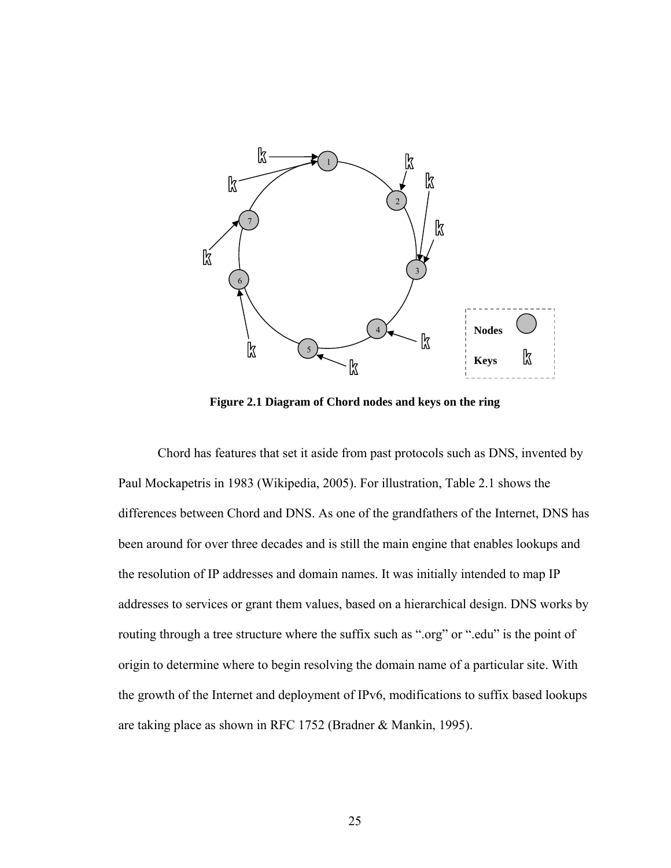

**Figure 2.1 Diagram of Chord nodes and keys on the ring** 

Chord has features that set it aside from past protocols such as DNS, invented by Paul Mockapetris in 1983 (Wikipedia, 2005). For illustration, Table 2.1 shows the differences between Chord and DNS. As one of the grandfathers of the Internet, DNS has been around for over three decades and is still the main engine that enables lookups and the resolution of IP addresses and domain names. It was initially intended to map IP addresses to services or grant them values, based on a hierarchical design. DNS works by routing through a tree structure where the suffix such as ".org" or ".edu" is the point of origin to determine where to begin resolving the domain name of a particular site. With the growth of the Internet and deployment of IPv6, modifications to suffix based lookups are taking place as shown in RFC 1752 (Bradner & Mankin, 1995).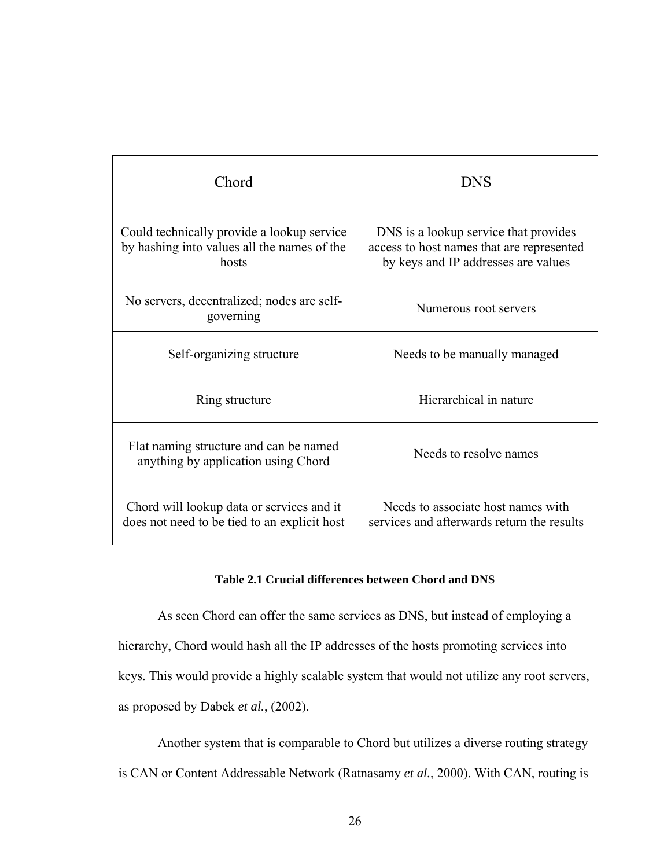| Chord                                                                                              | <b>DNS</b>                                                                                                                |  |  |
|----------------------------------------------------------------------------------------------------|---------------------------------------------------------------------------------------------------------------------------|--|--|
| Could technically provide a lookup service<br>by hashing into values all the names of the<br>hosts | DNS is a lookup service that provides<br>access to host names that are represented<br>by keys and IP addresses are values |  |  |
| No servers, decentralized; nodes are self-<br>governing                                            | Numerous root servers                                                                                                     |  |  |
| Self-organizing structure                                                                          | Needs to be manually managed                                                                                              |  |  |
| Ring structure                                                                                     | Hierarchical in nature                                                                                                    |  |  |
| Flat naming structure and can be named<br>anything by application using Chord                      | Needs to resolve names                                                                                                    |  |  |
| Chord will lookup data or services and it<br>does not need to be tied to an explicit host          | Needs to associate host names with<br>services and afterwards return the results                                          |  |  |

### **Table 2.1 Crucial differences between Chord and DNS**

As seen Chord can offer the same services as DNS, but instead of employing a hierarchy, Chord would hash all the IP addresses of the hosts promoting services into keys. This would provide a highly scalable system that would not utilize any root servers, as proposed by Dabek *et al.*, (2002).

Another system that is comparable to Chord but utilizes a diverse routing strategy is CAN or Content Addressable Network (Ratnasamy *et al.*, 2000). With CAN, routing is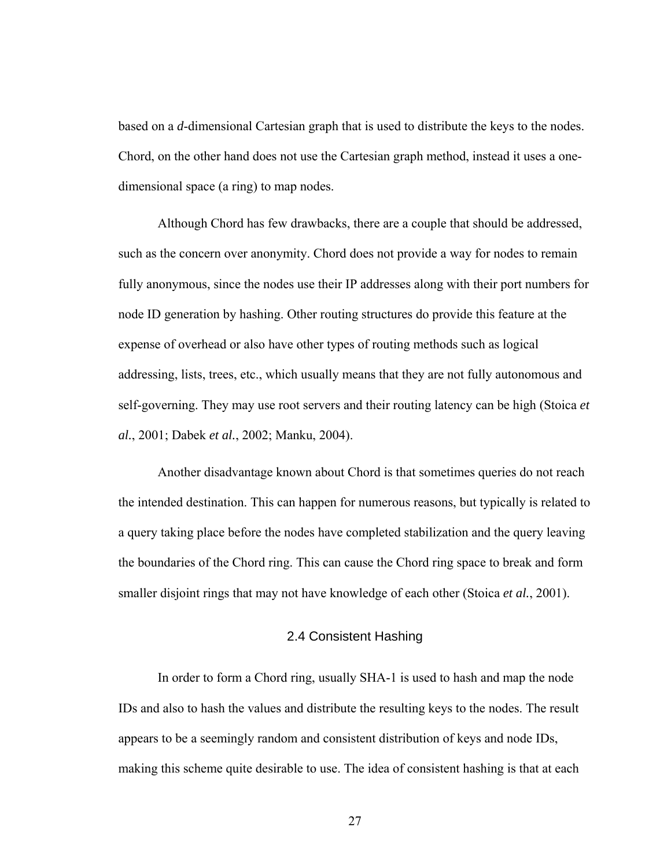based on a *d*-dimensional Cartesian graph that is used to distribute the keys to the nodes. Chord, on the other hand does not use the Cartesian graph method, instead it uses a onedimensional space (a ring) to map nodes.

Although Chord has few drawbacks, there are a couple that should be addressed, such as the concern over anonymity. Chord does not provide a way for nodes to remain fully anonymous, since the nodes use their IP addresses along with their port numbers for node ID generation by hashing. Other routing structures do provide this feature at the expense of overhead or also have other types of routing methods such as logical addressing, lists, trees, etc., which usually means that they are not fully autonomous and self-governing. They may use root servers and their routing latency can be high (Stoica *et al.*, 2001; Dabek *et al.*, 2002; Manku, 2004).

Another disadvantage known about Chord is that sometimes queries do not reach the intended destination. This can happen for numerous reasons, but typically is related to a query taking place before the nodes have completed stabilization and the query leaving the boundaries of the Chord ring. This can cause the Chord ring space to break and form smaller disjoint rings that may not have knowledge of each other (Stoica *et al.*, 2001).

### 2.4 Consistent Hashing

In order to form a Chord ring, usually SHA-1 is used to hash and map the node IDs and also to hash the values and distribute the resulting keys to the nodes. The result appears to be a seemingly random and consistent distribution of keys and node IDs, making this scheme quite desirable to use. The idea of consistent hashing is that at each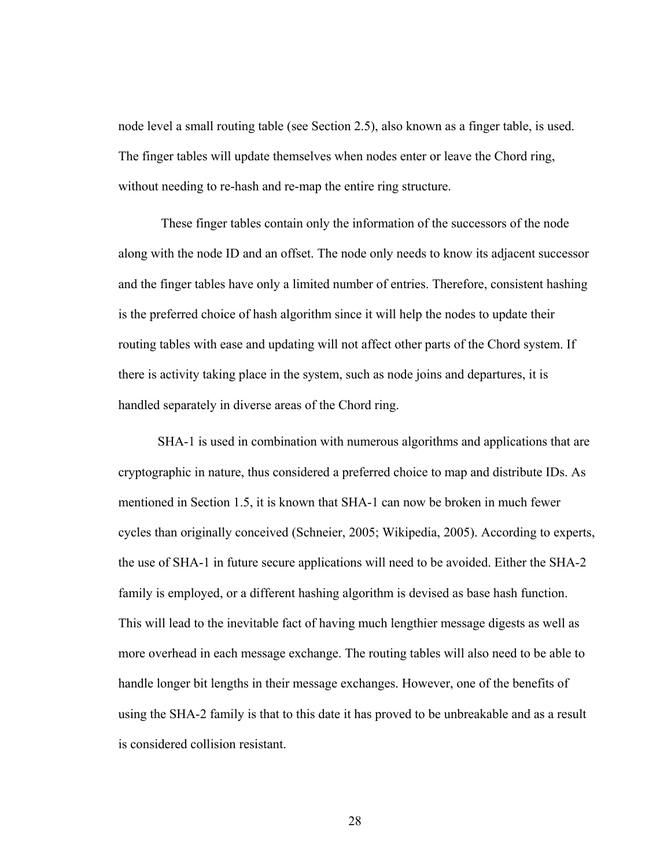node level a small routing table (see Section 2.5), also known as a finger table, is used. The finger tables will update themselves when nodes enter or leave the Chord ring, without needing to re-hash and re-map the entire ring structure.

 These finger tables contain only the information of the successors of the node along with the node ID and an offset. The node only needs to know its adjacent successor and the finger tables have only a limited number of entries. Therefore, consistent hashing is the preferred choice of hash algorithm since it will help the nodes to update their routing tables with ease and updating will not affect other parts of the Chord system. If there is activity taking place in the system, such as node joins and departures, it is handled separately in diverse areas of the Chord ring.

SHA-1 is used in combination with numerous algorithms and applications that are cryptographic in nature, thus considered a preferred choice to map and distribute IDs. As mentioned in Section 1.5, it is known that SHA-1 can now be broken in much fewer cycles than originally conceived (Schneier, 2005; Wikipedia, 2005). According to experts, the use of SHA-1 in future secure applications will need to be avoided. Either the SHA-2 family is employed, or a different hashing algorithm is devised as base hash function. This will lead to the inevitable fact of having much lengthier message digests as well as more overhead in each message exchange. The routing tables will also need to be able to handle longer bit lengths in their message exchanges. However, one of the benefits of using the SHA-2 family is that to this date it has proved to be unbreakable and as a result is considered collision resistant.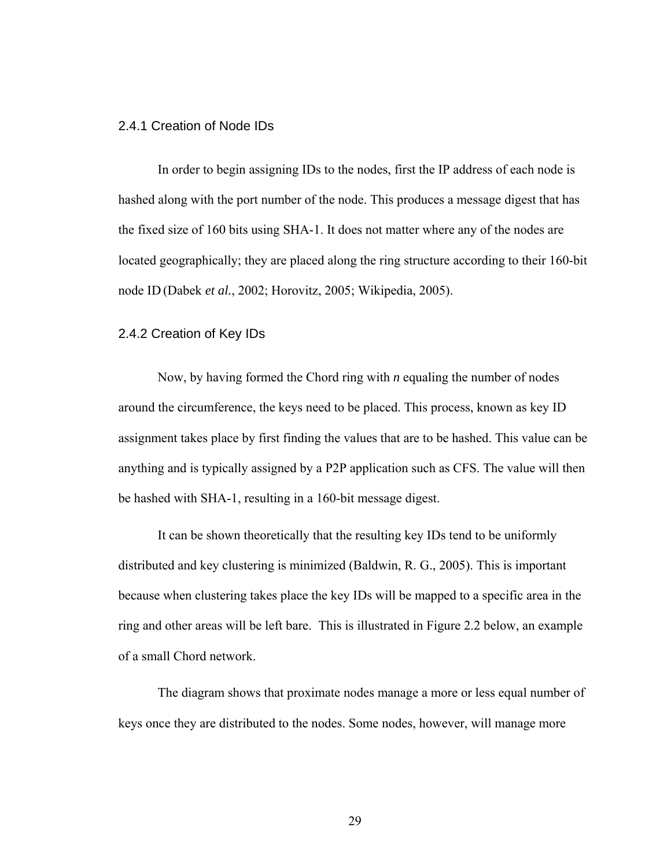### 2.4.1 Creation of Node IDs

In order to begin assigning IDs to the nodes, first the IP address of each node is hashed along with the port number of the node. This produces a message digest that has the fixed size of 160 bits using SHA-1. It does not matter where any of the nodes are located geographically; they are placed along the ring structure according to their 160-bit node ID (Dabek *et al.*, 2002; Horovitz, 2005; Wikipedia, 2005).

## 2.4.2 Creation of Key IDs

Now, by having formed the Chord ring with *n* equaling the number of nodes around the circumference, the keys need to be placed. This process, known as key ID assignment takes place by first finding the values that are to be hashed. This value can be anything and is typically assigned by a P2P application such as CFS. The value will then be hashed with SHA-1, resulting in a 160-bit message digest.

It can be shown theoretically that the resulting key IDs tend to be uniformly distributed and key clustering is minimized (Baldwin, R. G., 2005). This is important because when clustering takes place the key IDs will be mapped to a specific area in the ring and other areas will be left bare. This is illustrated in Figure 2.2 below, an example of a small Chord network.

The diagram shows that proximate nodes manage a more or less equal number of keys once they are distributed to the nodes. Some nodes, however, will manage more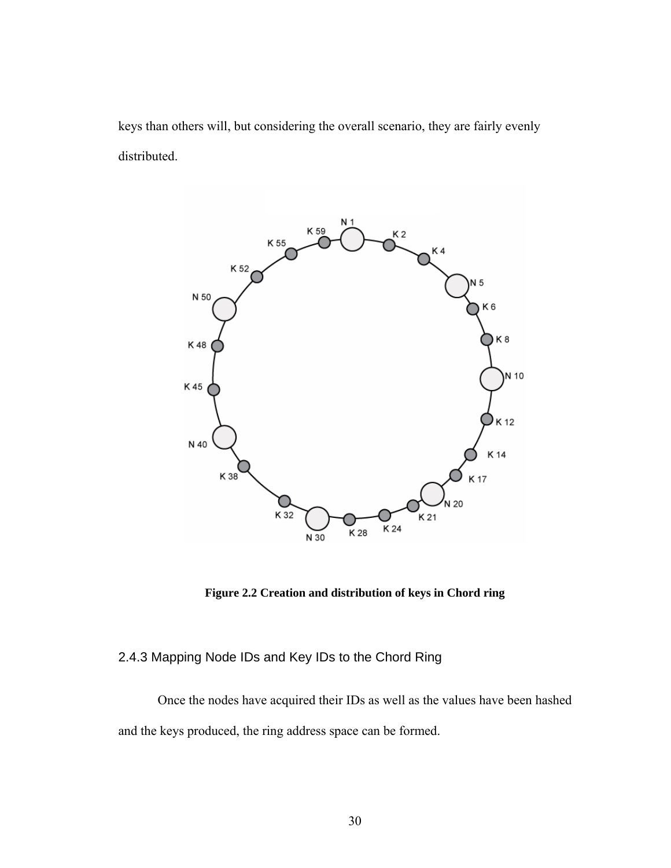keys than others will, but considering the overall scenario, they are fairly evenly distributed.



**Figure 2.2 Creation and distribution of keys in Chord ring** 

## 2.4.3 Mapping Node IDs and Key IDs to the Chord Ring

Once the nodes have acquired their IDs as well as the values have been hashed and the keys produced, the ring address space can be formed.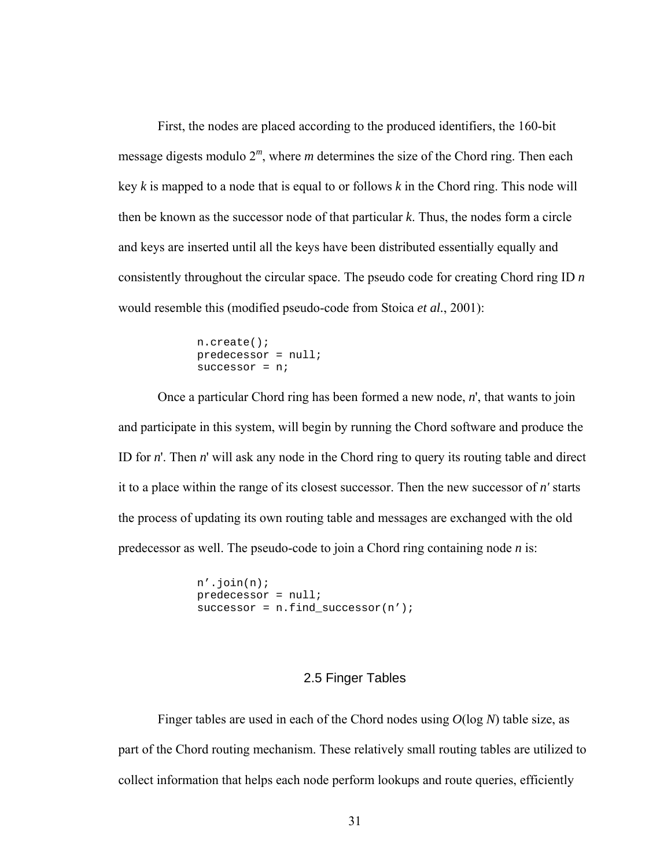First, the nodes are placed according to the produced identifiers, the 160-bit message digests modulo 2*<sup>m</sup>*, where *m* determines the size of the Chord ring. Then each key *k* is mapped to a node that is equal to or follows *k* in the Chord ring. This node will then be known as the successor node of that particular *k*. Thus, the nodes form a circle and keys are inserted until all the keys have been distributed essentially equally and consistently throughout the circular space. The pseudo code for creating Chord ring ID *n* would resemble this (modified pseudo-code from Stoica *et al.*, 2001):

```
 n.create(); 
 predecessor = null; 
successor = ni
```
Once a particular Chord ring has been formed a new node, *n*', that wants to join and participate in this system, will begin by running the Chord software and produce the ID for *n*'. Then *n*' will ask any node in the Chord ring to query its routing table and direct it to a place within the range of its closest successor. Then the new successor of *n'* starts the process of updating its own routing table and messages are exchanged with the old predecessor as well. The pseudo-code to join a Chord ring containing node *n* is:

```
 n'.join(n); 
predecessor = null; 
successor = n. find successor(n');
```
## 2.5 Finger Tables

Finger tables are used in each of the Chord nodes using *O*(log *N*) table size, as part of the Chord routing mechanism. These relatively small routing tables are utilized to collect information that helps each node perform lookups and route queries, efficiently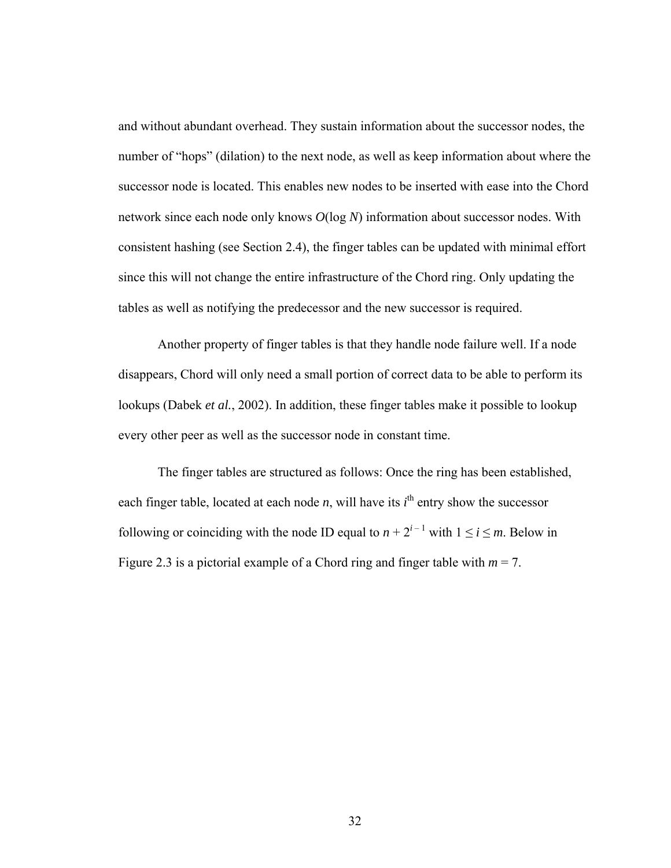and without abundant overhead. They sustain information about the successor nodes, the number of "hops" (dilation) to the next node, as well as keep information about where the successor node is located. This enables new nodes to be inserted with ease into the Chord network since each node only knows *O*(log *N*) information about successor nodes. With consistent hashing (see Section 2.4), the finger tables can be updated with minimal effort since this will not change the entire infrastructure of the Chord ring. Only updating the tables as well as notifying the predecessor and the new successor is required.

Another property of finger tables is that they handle node failure well. If a node disappears, Chord will only need a small portion of correct data to be able to perform its lookups (Dabek *et al.*, 2002). In addition, these finger tables make it possible to lookup every other peer as well as the successor node in constant time.

The finger tables are structured as follows: Once the ring has been established, each finger table, located at each node *n*, will have its  $i<sup>th</sup>$  entry show the successor following or coinciding with the node ID equal to  $n + 2^{i-1}$  with  $1 \le i \le m$ . Below in Figure 2.3 is a pictorial example of a Chord ring and finger table with  $m = 7$ .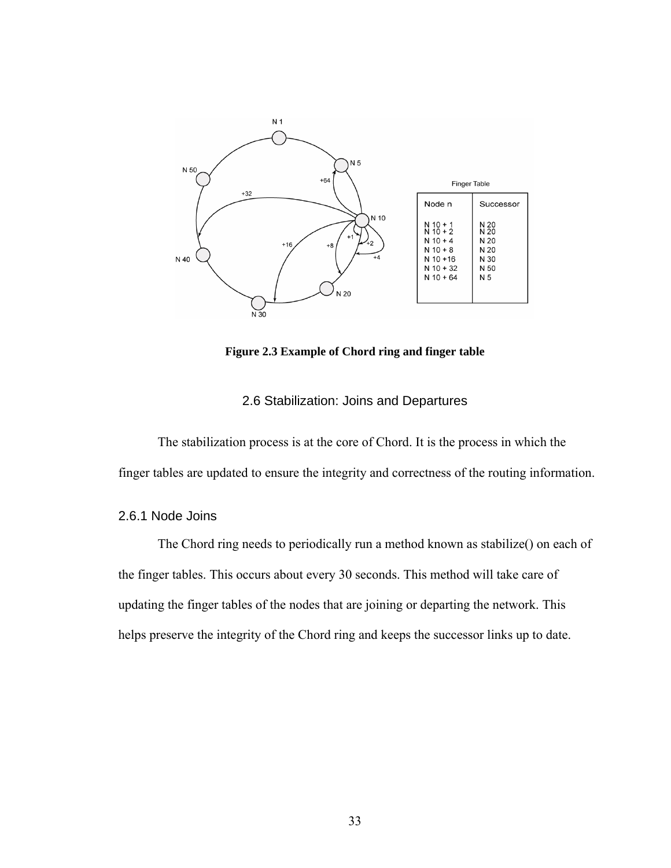

**Figure 2.3 Example of Chord ring and finger table** 

### 2.6 Stabilization: Joins and Departures

The stabilization process is at the core of Chord. It is the process in which the finger tables are updated to ensure the integrity and correctness of the routing information.

## 2.6.1 Node Joins

The Chord ring needs to periodically run a method known as stabilize() on each of the finger tables. This occurs about every 30 seconds. This method will take care of updating the finger tables of the nodes that are joining or departing the network. This helps preserve the integrity of the Chord ring and keeps the successor links up to date.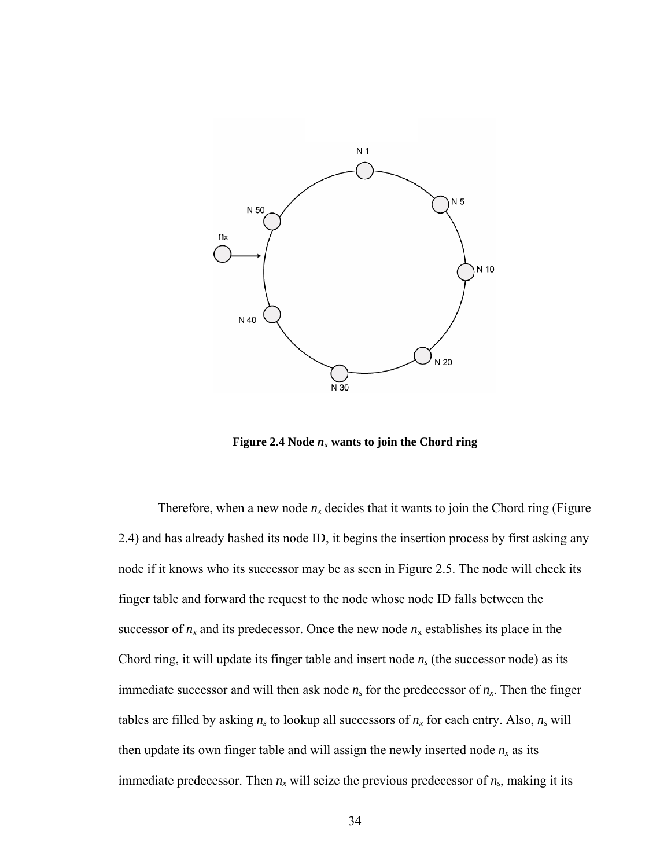

**Figure 2.4 Node**  $n_x$  **wants to join the Chord ring** 

Therefore, when a new node  $n_x$  decides that it wants to join the Chord ring (Figure 2.4) and has already hashed its node ID, it begins the insertion process by first asking any node if it knows who its successor may be as seen in Figure 2.5. The node will check its finger table and forward the request to the node whose node ID falls between the successor of  $n_x$  and its predecessor. Once the new node  $n_x$  establishes its place in the Chord ring, it will update its finger table and insert node *ns* (the successor node) as its immediate successor and will then ask node  $n<sub>s</sub>$  for the predecessor of  $n<sub>x</sub>$ . Then the finger tables are filled by asking  $n_s$  to lookup all successors of  $n_x$  for each entry. Also,  $n_s$  will then update its own finger table and will assign the newly inserted node  $n_x$  as its immediate predecessor. Then  $n_x$  will seize the previous predecessor of  $n_s$ , making it its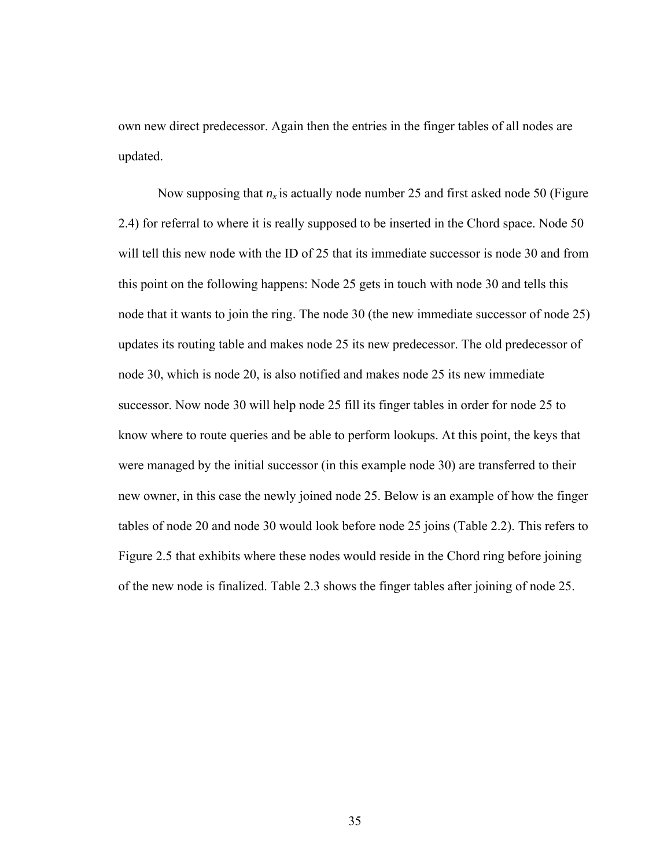own new direct predecessor. Again then the entries in the finger tables of all nodes are updated.

Now supposing that  $n_x$  is actually node number 25 and first asked node 50 (Figure 2.4) for referral to where it is really supposed to be inserted in the Chord space. Node 50 will tell this new node with the ID of 25 that its immediate successor is node 30 and from this point on the following happens: Node 25 gets in touch with node 30 and tells this node that it wants to join the ring. The node 30 (the new immediate successor of node 25) updates its routing table and makes node 25 its new predecessor. The old predecessor of node 30, which is node 20, is also notified and makes node 25 its new immediate successor. Now node 30 will help node 25 fill its finger tables in order for node 25 to know where to route queries and be able to perform lookups. At this point, the keys that were managed by the initial successor (in this example node 30) are transferred to their new owner, in this case the newly joined node 25. Below is an example of how the finger tables of node 20 and node 30 would look before node 25 joins (Table 2.2). This refers to Figure 2.5 that exhibits where these nodes would reside in the Chord ring before joining of the new node is finalized. Table 2.3 shows the finger tables after joining of node 25.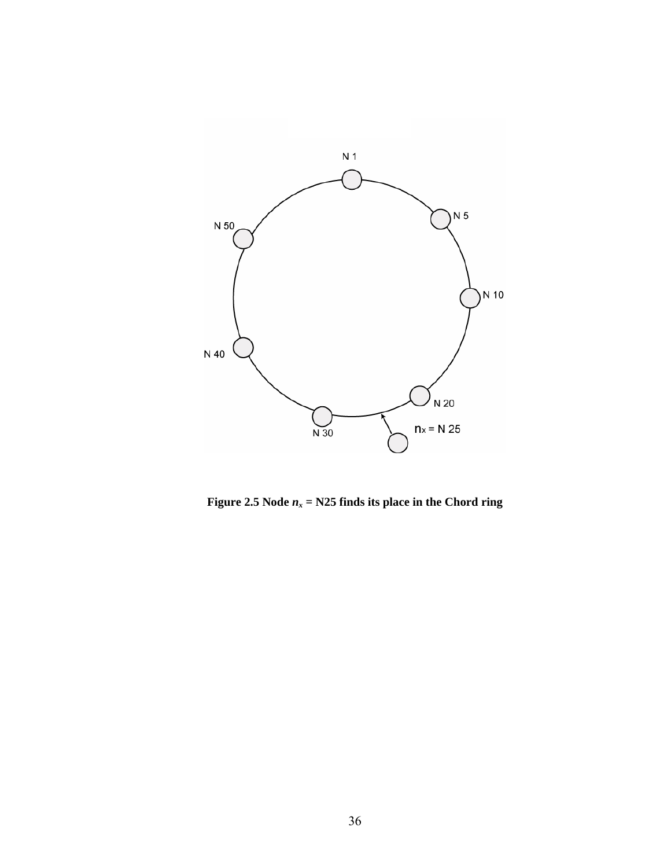

**Figure 2.5 Node**  $n_x = N25$  **finds its place in the Chord ring**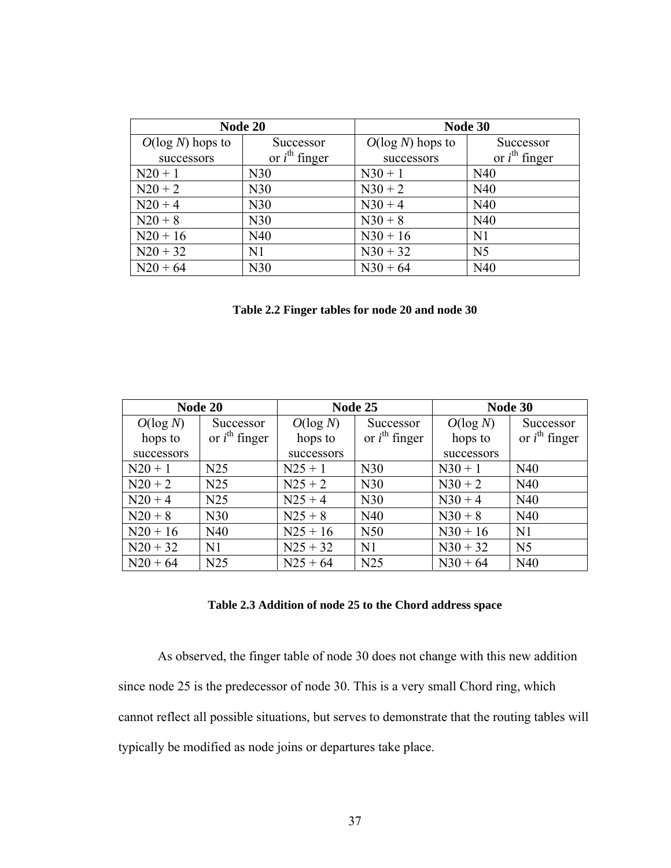| Node 20             |                           | Node 30             |                           |  |
|---------------------|---------------------------|---------------------|---------------------------|--|
| $O(\log N)$ hops to | Successor                 | $O(\log N)$ hops to | Successor                 |  |
| successors          | or $i^{\text{th}}$ finger | successors          | or $i^{\text{th}}$ finger |  |
| $N20 + 1$           | N30                       | $N30 + 1$           | N40                       |  |
| $N20 + 2$           | N30                       | $N30 + 2$           | N40                       |  |
| $N20 + 4$           | N30                       | $N30 + 4$           | N40                       |  |
| $N20 + 8$           | N30                       | $N30 + 8$           | N40                       |  |
| $N20 + 16$          | N40                       | $N30 + 16$          | N <sub>1</sub>            |  |
| $N20 + 32$          | N <sub>1</sub>            | $N30 + 32$          | N <sub>5</sub>            |  |
| $N20 + 64$          | N30                       | $N30 + 64$          | N40                       |  |

**Table 2.2 Finger tables for node 20 and node 30** 

| Node 20     |                           | Node 25     |                           | Node 30     |                           |
|-------------|---------------------------|-------------|---------------------------|-------------|---------------------------|
| $O(\log N)$ | Successor                 | $O(\log N)$ | Successor                 | $O(\log N)$ | Successor                 |
| hops to     | or $i^{\text{th}}$ finger | hops to     | or $i^{\text{th}}$ finger | hops to     | or $i^{\text{th}}$ finger |
| successors  |                           | successors  |                           | successors  |                           |
| $N20 + 1$   | N25                       | $N25 + 1$   | N30                       | $N30 + 1$   | N40                       |
| $N20 + 2$   | N25                       | $N25 + 2$   | N30                       | $N30 + 2$   | N40                       |
| $N20 + 4$   | N25                       | $N25 + 4$   | N30                       | $N30 + 4$   | N40                       |
| $N20 + 8$   | N30                       | $N25 + 8$   | N40                       | $N30 + 8$   | N40                       |
| $N20 + 16$  | N40                       | $N25 + 16$  | N <sub>50</sub>           | $N30 + 16$  | N1                        |
| $N20 + 32$  | N <sub>1</sub>            | $N25 + 32$  | N <sub>1</sub>            | $N30 + 32$  | N <sub>5</sub>            |
| $N20 + 64$  | N25                       | $N25 + 64$  | N25                       | $N30 + 64$  | N40                       |

## **Table 2.3 Addition of node 25 to the Chord address space**

As observed, the finger table of node 30 does not change with this new addition since node 25 is the predecessor of node 30. This is a very small Chord ring, which cannot reflect all possible situations, but serves to demonstrate that the routing tables will typically be modified as node joins or departures take place.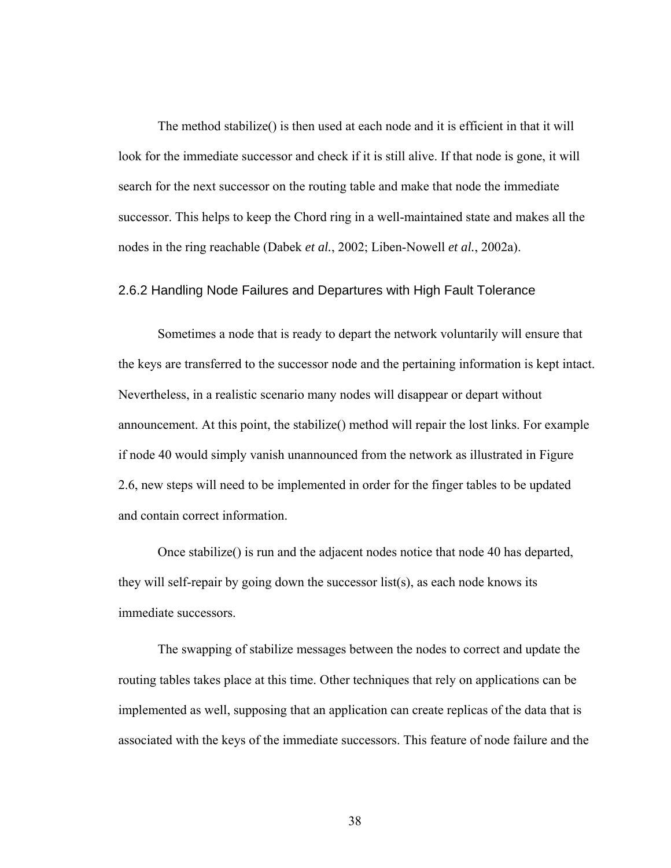The method stabilize() is then used at each node and it is efficient in that it will look for the immediate successor and check if it is still alive. If that node is gone, it will search for the next successor on the routing table and make that node the immediate successor. This helps to keep the Chord ring in a well-maintained state and makes all the nodes in the ring reachable (Dabek *et al.*, 2002; Liben-Nowell *et al.*, 2002a).

## 2.6.2 Handling Node Failures and Departures with High Fault Tolerance

Sometimes a node that is ready to depart the network voluntarily will ensure that the keys are transferred to the successor node and the pertaining information is kept intact. Nevertheless, in a realistic scenario many nodes will disappear or depart without announcement. At this point, the stabilize() method will repair the lost links. For example if node 40 would simply vanish unannounced from the network as illustrated in Figure 2.6, new steps will need to be implemented in order for the finger tables to be updated and contain correct information.

Once stabilize() is run and the adjacent nodes notice that node 40 has departed, they will self-repair by going down the successor list(s), as each node knows its immediate successors.

The swapping of stabilize messages between the nodes to correct and update the routing tables takes place at this time. Other techniques that rely on applications can be implemented as well, supposing that an application can create replicas of the data that is associated with the keys of the immediate successors. This feature of node failure and the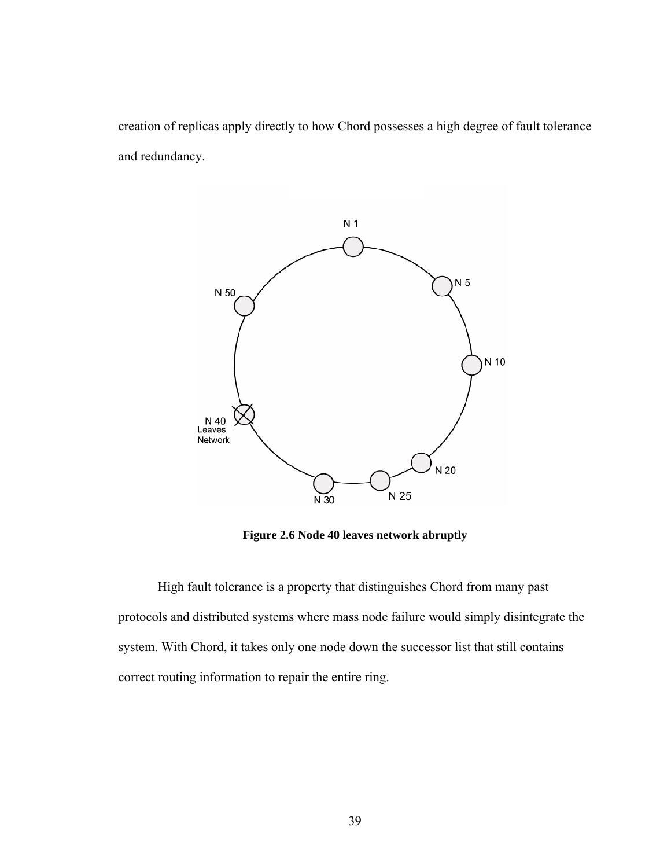creation of replicas apply directly to how Chord possesses a high degree of fault tolerance and redundancy.



**Figure 2.6 Node 40 leaves network abruptly** 

High fault tolerance is a property that distinguishes Chord from many past protocols and distributed systems where mass node failure would simply disintegrate the system. With Chord, it takes only one node down the successor list that still contains correct routing information to repair the entire ring.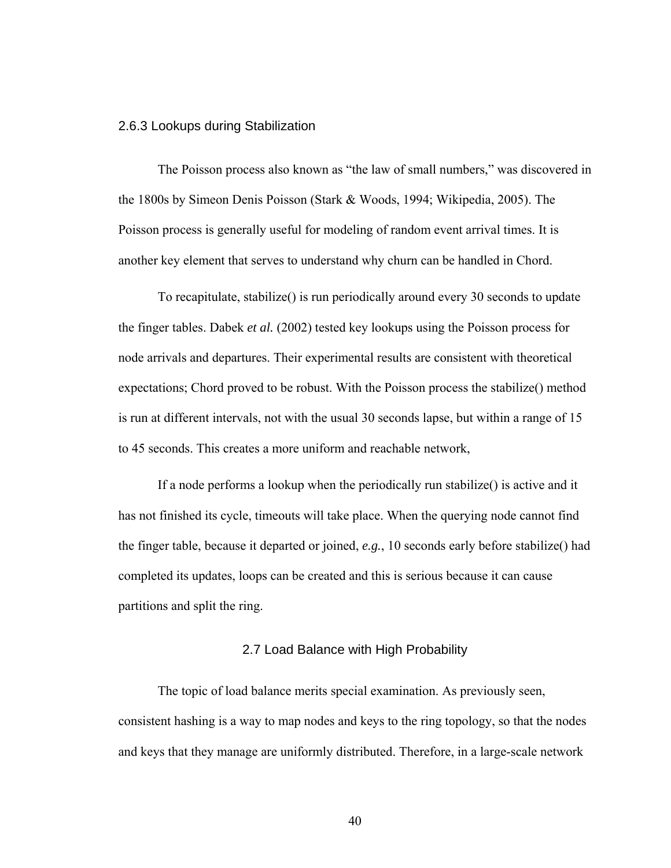### 2.6.3 Lookups during Stabilization

The Poisson process also known as "the law of small numbers," was discovered in the 1800s by Simeon Denis Poisson (Stark & Woods, 1994; Wikipedia, 2005). The Poisson process is generally useful for modeling of random event arrival times. It is another key element that serves to understand why churn can be handled in Chord.

To recapitulate, stabilize() is run periodically around every 30 seconds to update the finger tables. Dabek *et al.* (2002) tested key lookups using the Poisson process for node arrivals and departures. Their experimental results are consistent with theoretical expectations; Chord proved to be robust. With the Poisson process the stabilize() method is run at different intervals, not with the usual 30 seconds lapse, but within a range of 15 to 45 seconds. This creates a more uniform and reachable network,

If a node performs a lookup when the periodically run stabilize() is active and it has not finished its cycle, timeouts will take place. When the querying node cannot find the finger table, because it departed or joined, *e.g.*, 10 seconds early before stabilize() had completed its updates, loops can be created and this is serious because it can cause partitions and split the ring.

### 2.7 Load Balance with High Probability

The topic of load balance merits special examination. As previously seen, consistent hashing is a way to map nodes and keys to the ring topology, so that the nodes and keys that they manage are uniformly distributed. Therefore, in a large-scale network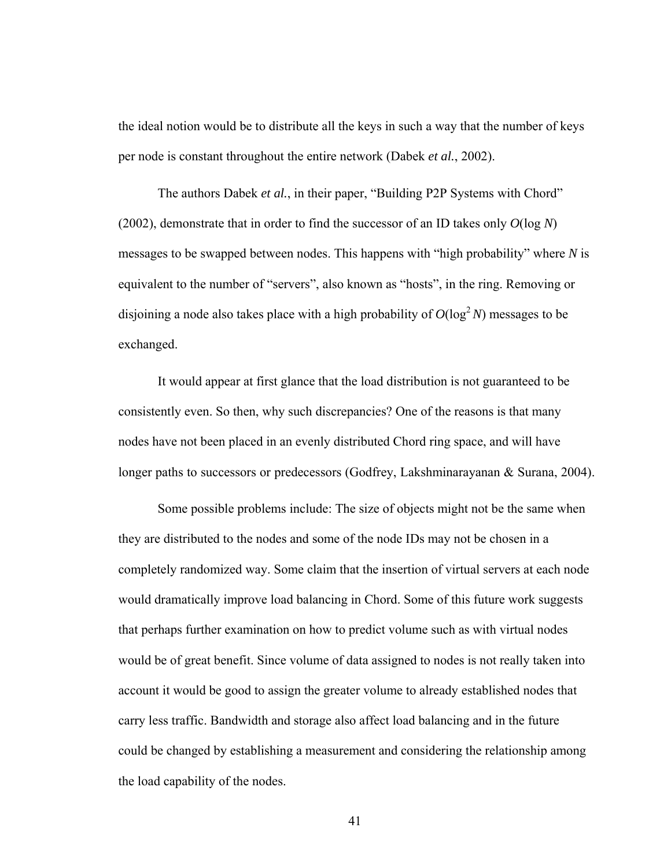the ideal notion would be to distribute all the keys in such a way that the number of keys per node is constant throughout the entire network (Dabek *et al.*, 2002).

The authors Dabek *et al.*, in their paper, "Building P2P Systems with Chord" (2002), demonstrate that in order to find the successor of an ID takes only *O*(log *N*) messages to be swapped between nodes. This happens with "high probability" where *N* is equivalent to the number of "servers", also known as "hosts", in the ring. Removing or disjoining a node also takes place with a high probability of  $O(\log^2 N)$  messages to be exchanged.

It would appear at first glance that the load distribution is not guaranteed to be consistently even. So then, why such discrepancies? One of the reasons is that many nodes have not been placed in an evenly distributed Chord ring space, and will have longer paths to successors or predecessors (Godfrey, Lakshminarayanan & Surana, 2004).

Some possible problems include: The size of objects might not be the same when they are distributed to the nodes and some of the node IDs may not be chosen in a completely randomized way. Some claim that the insertion of virtual servers at each node would dramatically improve load balancing in Chord. Some of this future work suggests that perhaps further examination on how to predict volume such as with virtual nodes would be of great benefit. Since volume of data assigned to nodes is not really taken into account it would be good to assign the greater volume to already established nodes that carry less traffic. Bandwidth and storage also affect load balancing and in the future could be changed by establishing a measurement and considering the relationship among the load capability of the nodes.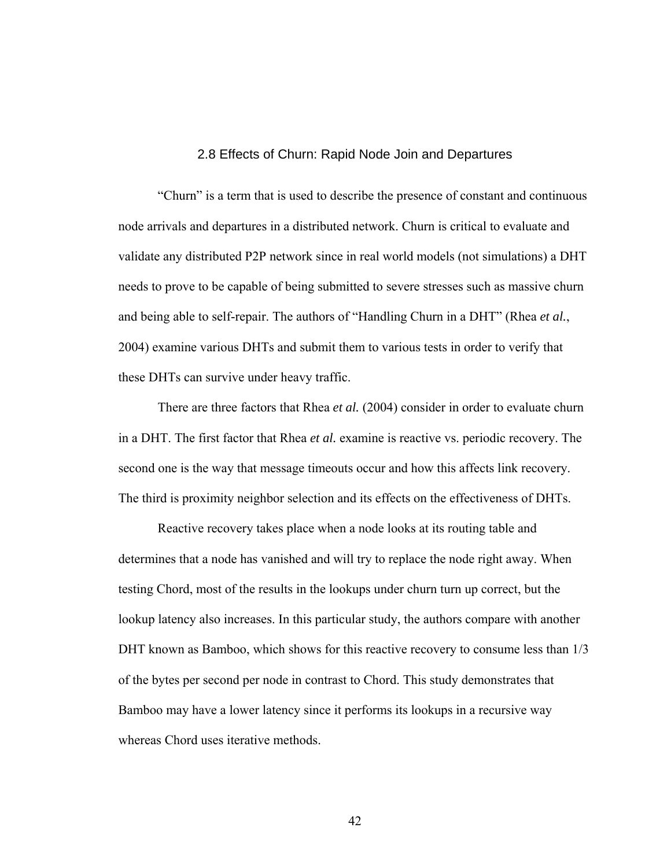### 2.8 Effects of Churn: Rapid Node Join and Departures

"Churn" is a term that is used to describe the presence of constant and continuous node arrivals and departures in a distributed network. Churn is critical to evaluate and validate any distributed P2P network since in real world models (not simulations) a DHT needs to prove to be capable of being submitted to severe stresses such as massive churn and being able to self-repair. The authors of "Handling Churn in a DHT" (Rhea *et al.*, 2004) examine various DHTs and submit them to various tests in order to verify that these DHTs can survive under heavy traffic.

There are three factors that Rhea *et al.* (2004) consider in order to evaluate churn in a DHT. The first factor that Rhea *et al.* examine is reactive vs. periodic recovery. The second one is the way that message timeouts occur and how this affects link recovery. The third is proximity neighbor selection and its effects on the effectiveness of DHTs.

 Reactive recovery takes place when a node looks at its routing table and determines that a node has vanished and will try to replace the node right away. When testing Chord, most of the results in the lookups under churn turn up correct, but the lookup latency also increases. In this particular study, the authors compare with another DHT known as Bamboo, which shows for this reactive recovery to consume less than 1/3 of the bytes per second per node in contrast to Chord. This study demonstrates that Bamboo may have a lower latency since it performs its lookups in a recursive way whereas Chord uses iterative methods.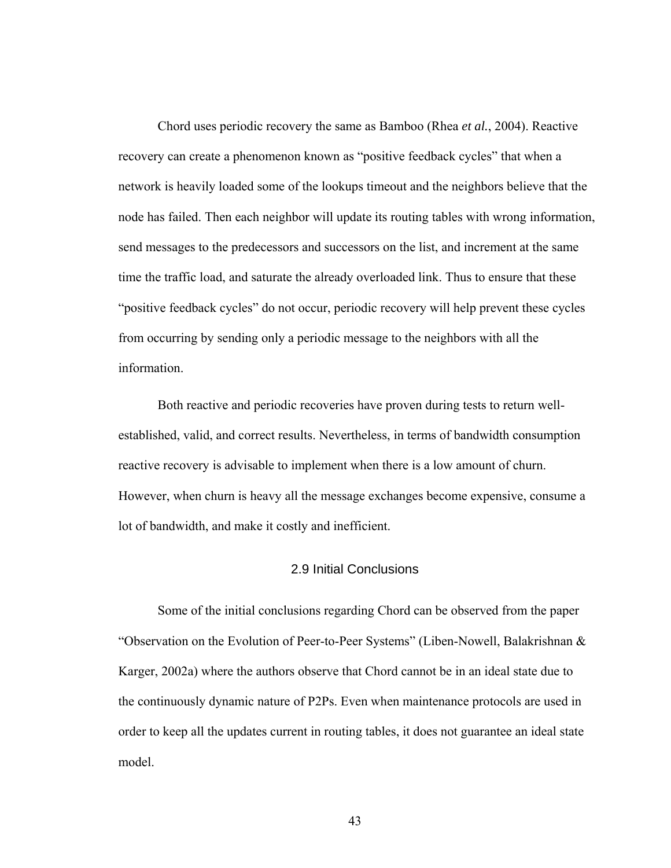Chord uses periodic recovery the same as Bamboo (Rhea *et al.*, 2004). Reactive recovery can create a phenomenon known as "positive feedback cycles" that when a network is heavily loaded some of the lookups timeout and the neighbors believe that the node has failed. Then each neighbor will update its routing tables with wrong information, send messages to the predecessors and successors on the list, and increment at the same time the traffic load, and saturate the already overloaded link. Thus to ensure that these "positive feedback cycles" do not occur, periodic recovery will help prevent these cycles from occurring by sending only a periodic message to the neighbors with all the information.

Both reactive and periodic recoveries have proven during tests to return wellestablished, valid, and correct results. Nevertheless, in terms of bandwidth consumption reactive recovery is advisable to implement when there is a low amount of churn. However, when churn is heavy all the message exchanges become expensive, consume a lot of bandwidth, and make it costly and inefficient.

## 2.9 Initial Conclusions

Some of the initial conclusions regarding Chord can be observed from the paper "Observation on the Evolution of Peer-to-Peer Systems" (Liben-Nowell, Balakrishnan & Karger, 2002a) where the authors observe that Chord cannot be in an ideal state due to the continuously dynamic nature of P2Ps. Even when maintenance protocols are used in order to keep all the updates current in routing tables, it does not guarantee an ideal state model.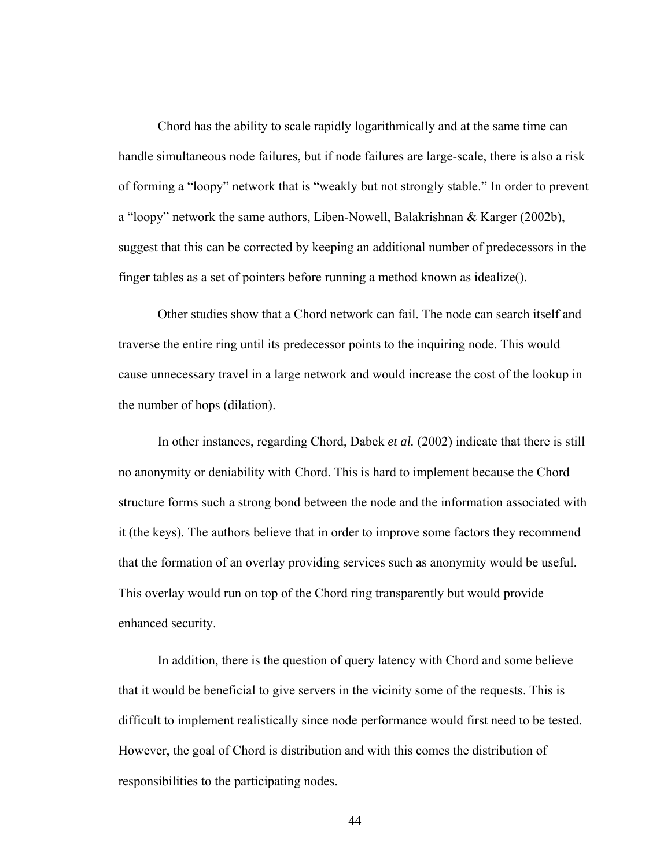Chord has the ability to scale rapidly logarithmically and at the same time can handle simultaneous node failures, but if node failures are large-scale, there is also a risk of forming a "loopy" network that is "weakly but not strongly stable." In order to prevent a "loopy" network the same authors, Liben-Nowell, Balakrishnan & Karger (2002b), suggest that this can be corrected by keeping an additional number of predecessors in the finger tables as a set of pointers before running a method known as idealize().

Other studies show that a Chord network can fail. The node can search itself and traverse the entire ring until its predecessor points to the inquiring node. This would cause unnecessary travel in a large network and would increase the cost of the lookup in the number of hops (dilation).

In other instances, regarding Chord, Dabek *et al.* (2002) indicate that there is still no anonymity or deniability with Chord. This is hard to implement because the Chord structure forms such a strong bond between the node and the information associated with it (the keys). The authors believe that in order to improve some factors they recommend that the formation of an overlay providing services such as anonymity would be useful. This overlay would run on top of the Chord ring transparently but would provide enhanced security.

In addition, there is the question of query latency with Chord and some believe that it would be beneficial to give servers in the vicinity some of the requests. This is difficult to implement realistically since node performance would first need to be tested. However, the goal of Chord is distribution and with this comes the distribution of responsibilities to the participating nodes.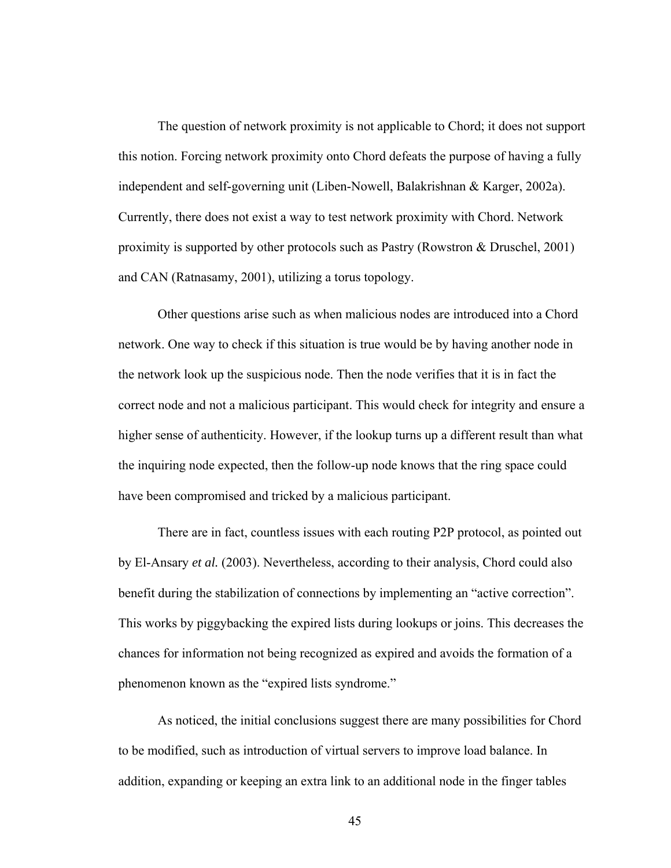The question of network proximity is not applicable to Chord; it does not support this notion. Forcing network proximity onto Chord defeats the purpose of having a fully independent and self-governing unit (Liben-Nowell, Balakrishnan & Karger, 2002a). Currently, there does not exist a way to test network proximity with Chord. Network proximity is supported by other protocols such as Pastry (Rowstron & Druschel, 2001) and CAN (Ratnasamy, 2001), utilizing a torus topology.

Other questions arise such as when malicious nodes are introduced into a Chord network. One way to check if this situation is true would be by having another node in the network look up the suspicious node. Then the node verifies that it is in fact the correct node and not a malicious participant. This would check for integrity and ensure a higher sense of authenticity. However, if the lookup turns up a different result than what the inquiring node expected, then the follow-up node knows that the ring space could have been compromised and tricked by a malicious participant.

There are in fact, countless issues with each routing P2P protocol, as pointed out by El-Ansary *et al.* (2003). Nevertheless, according to their analysis, Chord could also benefit during the stabilization of connections by implementing an "active correction". This works by piggybacking the expired lists during lookups or joins. This decreases the chances for information not being recognized as expired and avoids the formation of a phenomenon known as the "expired lists syndrome."

As noticed, the initial conclusions suggest there are many possibilities for Chord to be modified, such as introduction of virtual servers to improve load balance. In addition, expanding or keeping an extra link to an additional node in the finger tables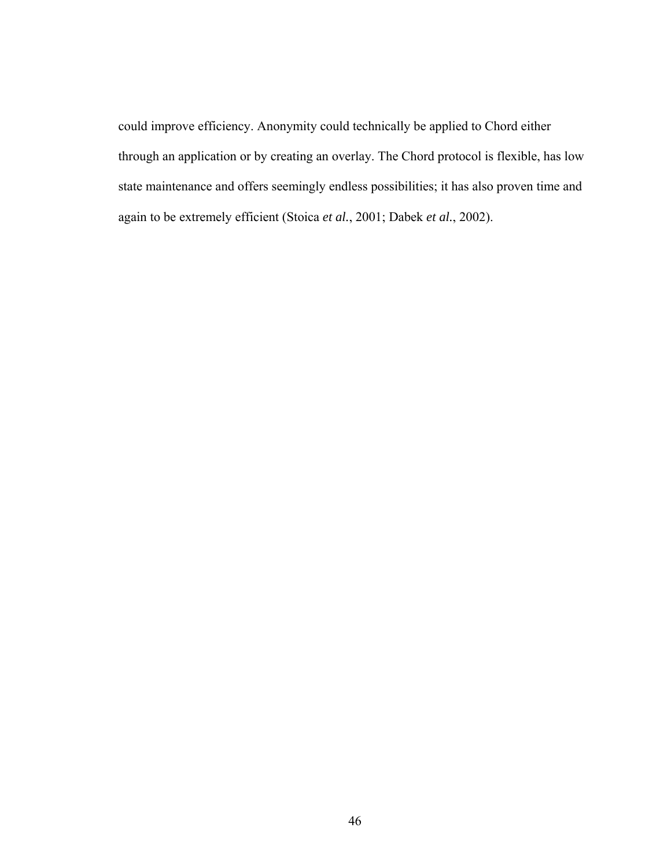could improve efficiency. Anonymity could technically be applied to Chord either through an application or by creating an overlay. The Chord protocol is flexible, has low state maintenance and offers seemingly endless possibilities; it has also proven time and again to be extremely efficient (Stoica *et al.*, 2001; Dabek *et al.*, 2002).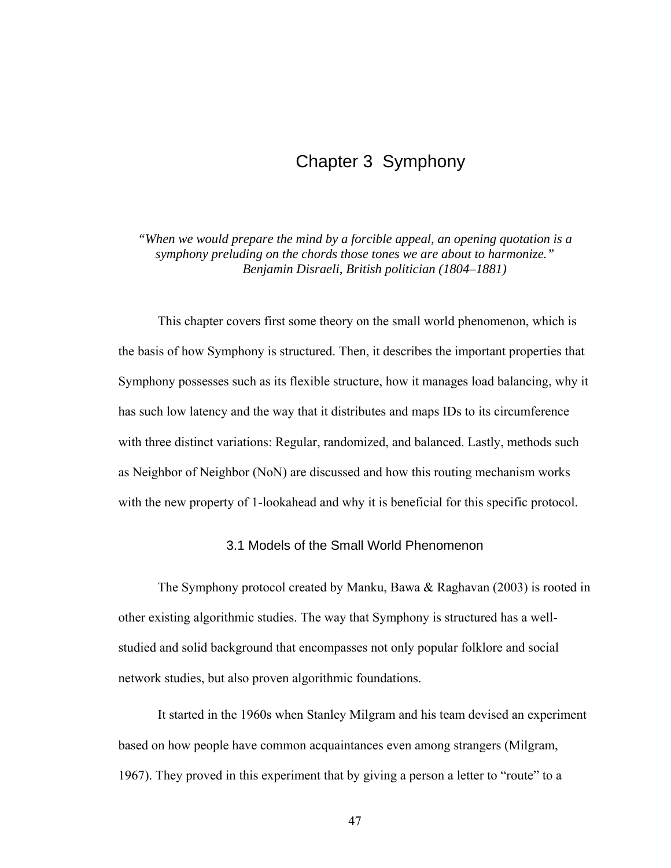# Chapter 3 Symphony

*"When we would prepare the mind by a forcible appeal, an opening quotation is a symphony preluding on the chords those tones we are about to harmonize." Benjamin Disraeli, British politician (1804–1881)* 

This chapter covers first some theory on the small world phenomenon, which is the basis of how Symphony is structured. Then, it describes the important properties that Symphony possesses such as its flexible structure, how it manages load balancing, why it has such low latency and the way that it distributes and maps IDs to its circumference with three distinct variations: Regular, randomized, and balanced. Lastly, methods such as Neighbor of Neighbor (NoN) are discussed and how this routing mechanism works with the new property of 1-lookahead and why it is beneficial for this specific protocol.

## 3.1 Models of the Small World Phenomenon

The Symphony protocol created by Manku, Bawa & Raghavan (2003) is rooted in other existing algorithmic studies. The way that Symphony is structured has a wellstudied and solid background that encompasses not only popular folklore and social network studies, but also proven algorithmic foundations.

It started in the 1960s when Stanley Milgram and his team devised an experiment based on how people have common acquaintances even among strangers (Milgram, 1967). They proved in this experiment that by giving a person a letter to "route" to a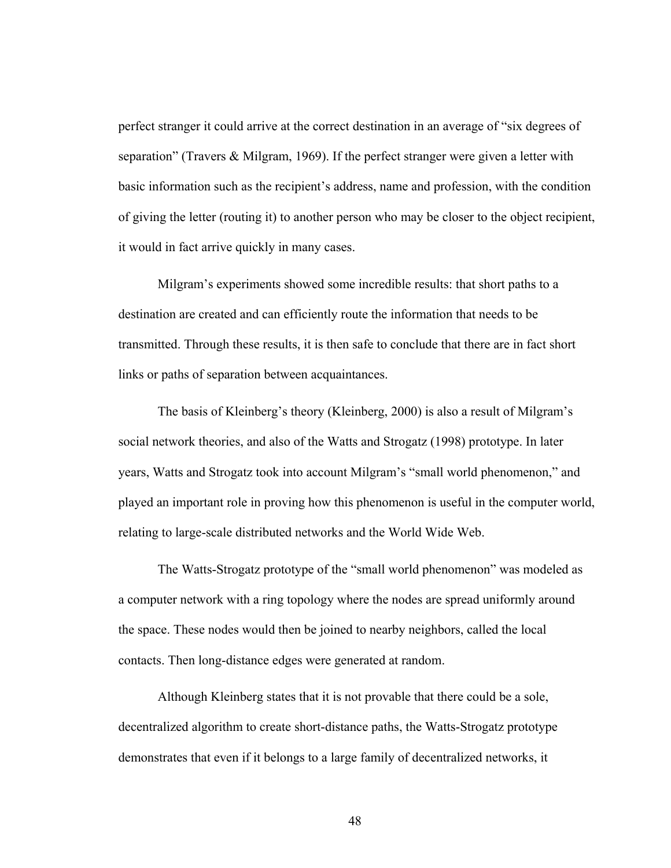perfect stranger it could arrive at the correct destination in an average of "six degrees of separation" (Travers & Milgram, 1969). If the perfect stranger were given a letter with basic information such as the recipient's address, name and profession, with the condition of giving the letter (routing it) to another person who may be closer to the object recipient, it would in fact arrive quickly in many cases.

Milgram's experiments showed some incredible results: that short paths to a destination are created and can efficiently route the information that needs to be transmitted. Through these results, it is then safe to conclude that there are in fact short links or paths of separation between acquaintances.

The basis of Kleinberg's theory (Kleinberg, 2000) is also a result of Milgram's social network theories, and also of the Watts and Strogatz (1998) prototype. In later years, Watts and Strogatz took into account Milgram's "small world phenomenon," and played an important role in proving how this phenomenon is useful in the computer world, relating to large-scale distributed networks and the World Wide Web.

The Watts-Strogatz prototype of the "small world phenomenon" was modeled as a computer network with a ring topology where the nodes are spread uniformly around the space. These nodes would then be joined to nearby neighbors, called the local contacts. Then long-distance edges were generated at random.

Although Kleinberg states that it is not provable that there could be a sole, decentralized algorithm to create short-distance paths, the Watts-Strogatz prototype demonstrates that even if it belongs to a large family of decentralized networks, it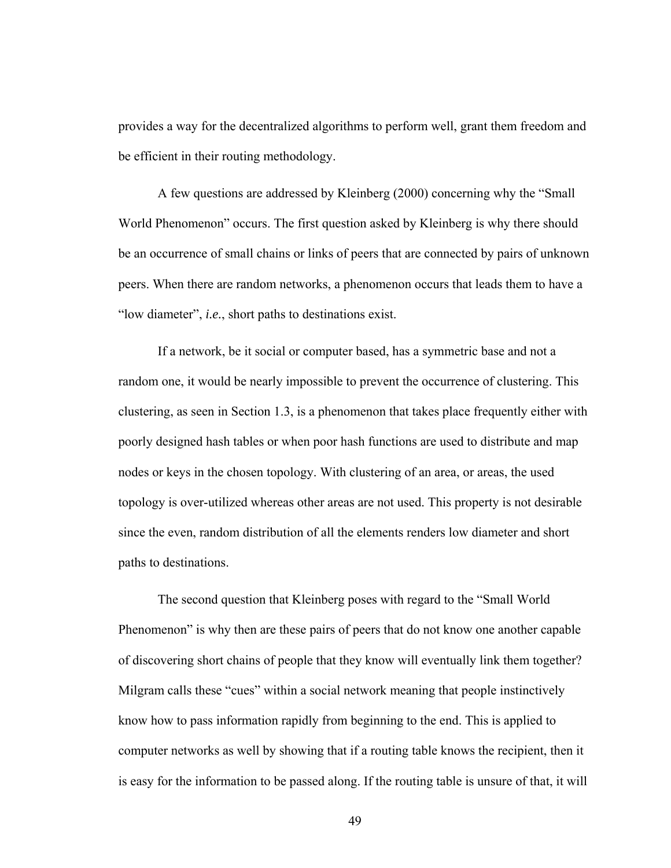provides a way for the decentralized algorithms to perform well, grant them freedom and be efficient in their routing methodology.

A few questions are addressed by Kleinberg (2000) concerning why the "Small World Phenomenon" occurs. The first question asked by Kleinberg is why there should be an occurrence of small chains or links of peers that are connected by pairs of unknown peers. When there are random networks, a phenomenon occurs that leads them to have a "low diameter", *i.e.*, short paths to destinations exist.

If a network, be it social or computer based, has a symmetric base and not a random one, it would be nearly impossible to prevent the occurrence of clustering. This clustering, as seen in Section 1.3, is a phenomenon that takes place frequently either with poorly designed hash tables or when poor hash functions are used to distribute and map nodes or keys in the chosen topology. With clustering of an area, or areas, the used topology is over-utilized whereas other areas are not used. This property is not desirable since the even, random distribution of all the elements renders low diameter and short paths to destinations.

The second question that Kleinberg poses with regard to the "Small World Phenomenon" is why then are these pairs of peers that do not know one another capable of discovering short chains of people that they know will eventually link them together? Milgram calls these "cues" within a social network meaning that people instinctively know how to pass information rapidly from beginning to the end. This is applied to computer networks as well by showing that if a routing table knows the recipient, then it is easy for the information to be passed along. If the routing table is unsure of that, it will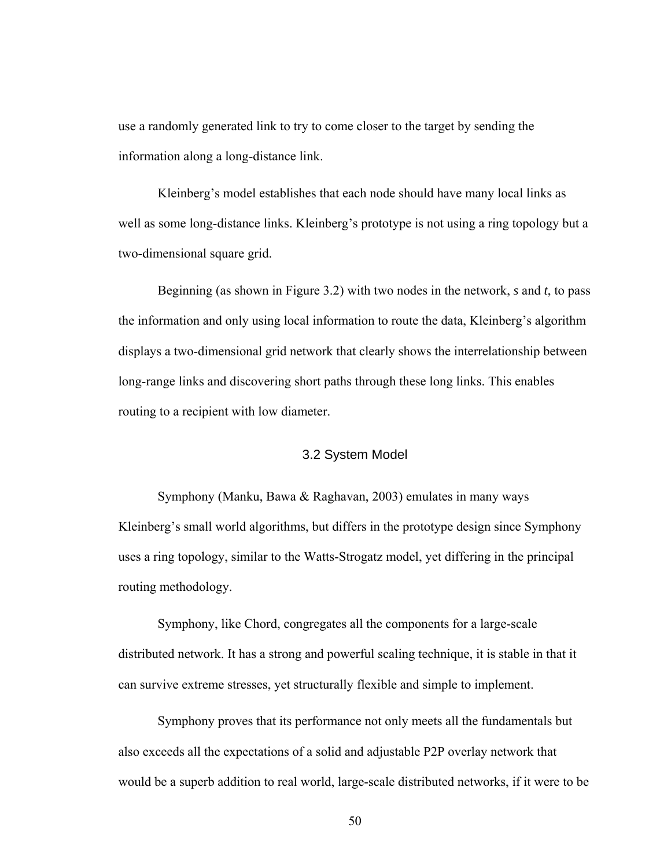use a randomly generated link to try to come closer to the target by sending the information along a long-distance link.

Kleinberg's model establishes that each node should have many local links as well as some long-distance links. Kleinberg's prototype is not using a ring topology but a two-dimensional square grid.

Beginning (as shown in Figure 3.2) with two nodes in the network, *s* and *t*, to pass the information and only using local information to route the data, Kleinberg's algorithm displays a two-dimensional grid network that clearly shows the interrelationship between long-range links and discovering short paths through these long links. This enables routing to a recipient with low diameter.

## 3.2 System Model

Symphony (Manku, Bawa & Raghavan, 2003) emulates in many ways Kleinberg's small world algorithms, but differs in the prototype design since Symphony uses a ring topology, similar to the Watts-Strogatz model, yet differing in the principal routing methodology.

Symphony, like Chord, congregates all the components for a large-scale distributed network. It has a strong and powerful scaling technique, it is stable in that it can survive extreme stresses, yet structurally flexible and simple to implement.

Symphony proves that its performance not only meets all the fundamentals but also exceeds all the expectations of a solid and adjustable P2P overlay network that would be a superb addition to real world, large-scale distributed networks, if it were to be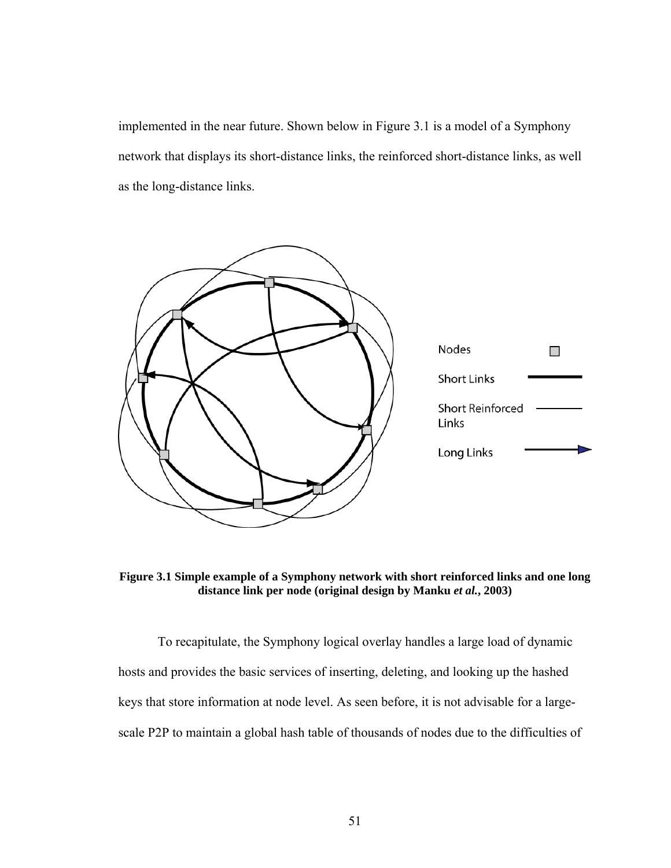implemented in the near future. Shown below in Figure 3.1 is a model of a Symphony network that displays its short-distance links, the reinforced short-distance links, as well as the long-distance links.



**Figure 3.1 Simple example of a Symphony network with short reinforced links and one long distance link per node (original design by Manku** *et al.***, 2003)** 

To recapitulate, the Symphony logical overlay handles a large load of dynamic hosts and provides the basic services of inserting, deleting, and looking up the hashed keys that store information at node level. As seen before, it is not advisable for a largescale P2P to maintain a global hash table of thousands of nodes due to the difficulties of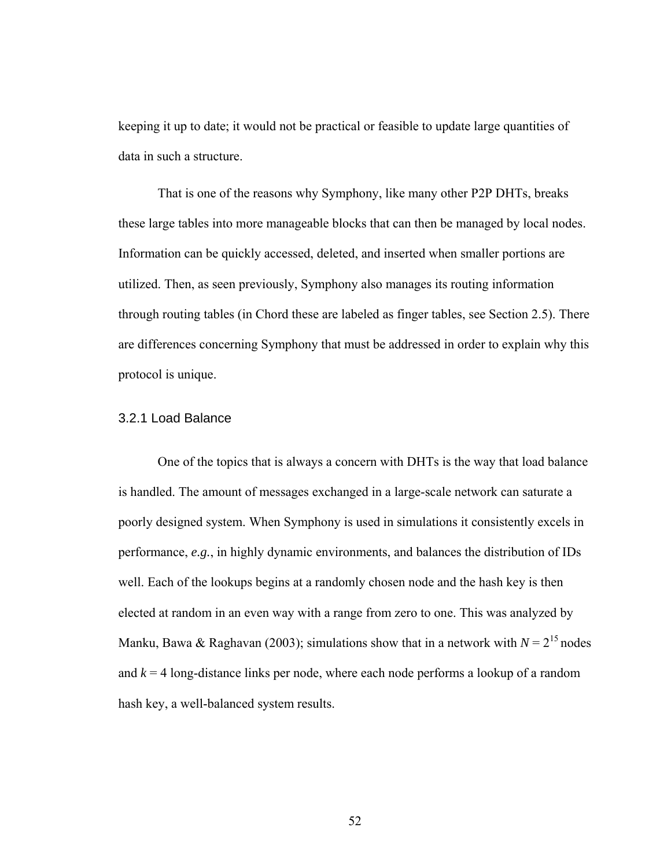keeping it up to date; it would not be practical or feasible to update large quantities of data in such a structure.

That is one of the reasons why Symphony, like many other P2P DHTs, breaks these large tables into more manageable blocks that can then be managed by local nodes. Information can be quickly accessed, deleted, and inserted when smaller portions are utilized. Then, as seen previously, Symphony also manages its routing information through routing tables (in Chord these are labeled as finger tables, see Section 2.5). There are differences concerning Symphony that must be addressed in order to explain why this protocol is unique.

### 3.2.1 Load Balance

One of the topics that is always a concern with DHTs is the way that load balance is handled. The amount of messages exchanged in a large-scale network can saturate a poorly designed system. When Symphony is used in simulations it consistently excels in performance, *e.g.*, in highly dynamic environments, and balances the distribution of IDs well. Each of the lookups begins at a randomly chosen node and the hash key is then elected at random in an even way with a range from zero to one. This was analyzed by Manku, Bawa & Raghavan (2003); simulations show that in a network with  $N = 2^{15}$  nodes and  $k = 4$  long-distance links per node, where each node performs a lookup of a random hash key, a well-balanced system results.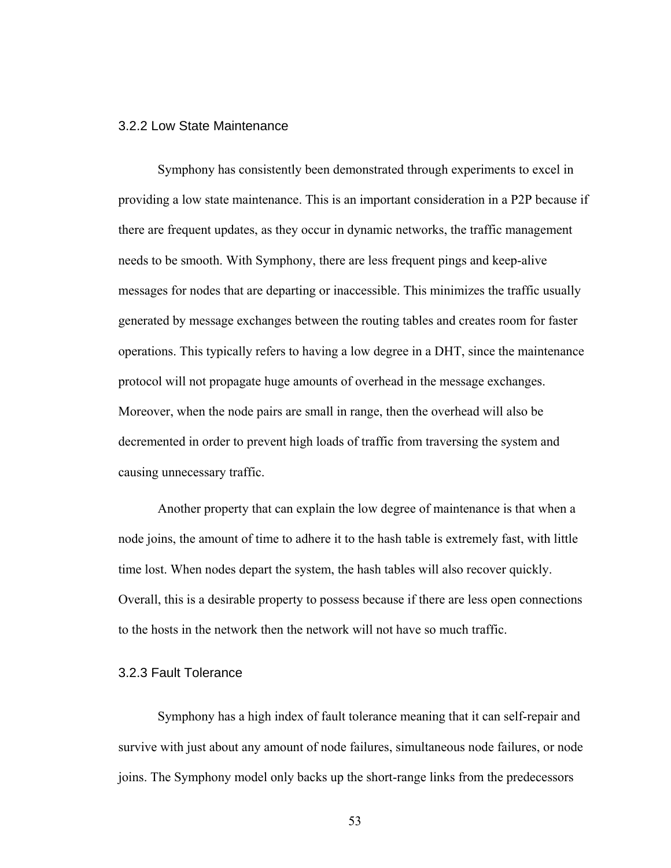### 3.2.2 Low State Maintenance

Symphony has consistently been demonstrated through experiments to excel in providing a low state maintenance. This is an important consideration in a P2P because if there are frequent updates, as they occur in dynamic networks, the traffic management needs to be smooth. With Symphony, there are less frequent pings and keep-alive messages for nodes that are departing or inaccessible. This minimizes the traffic usually generated by message exchanges between the routing tables and creates room for faster operations. This typically refers to having a low degree in a DHT, since the maintenance protocol will not propagate huge amounts of overhead in the message exchanges. Moreover, when the node pairs are small in range, then the overhead will also be decremented in order to prevent high loads of traffic from traversing the system and causing unnecessary traffic.

Another property that can explain the low degree of maintenance is that when a node joins, the amount of time to adhere it to the hash table is extremely fast, with little time lost. When nodes depart the system, the hash tables will also recover quickly. Overall, this is a desirable property to possess because if there are less open connections to the hosts in the network then the network will not have so much traffic.

### 3.2.3 Fault Tolerance

Symphony has a high index of fault tolerance meaning that it can self-repair and survive with just about any amount of node failures, simultaneous node failures, or node joins. The Symphony model only backs up the short-range links from the predecessors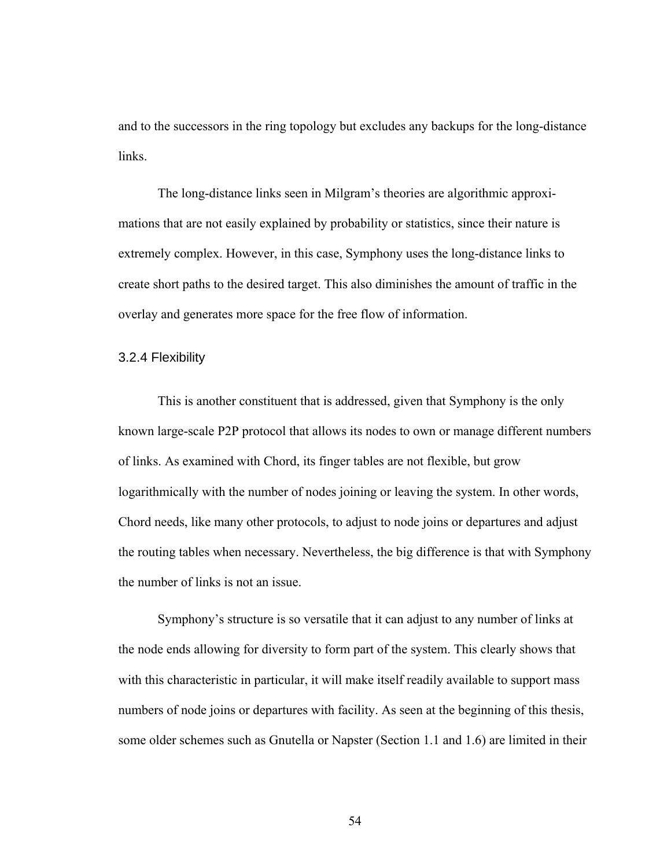and to the successors in the ring topology but excludes any backups for the long-distance links.

The long-distance links seen in Milgram's theories are algorithmic approximations that are not easily explained by probability or statistics, since their nature is extremely complex. However, in this case, Symphony uses the long-distance links to create short paths to the desired target. This also diminishes the amount of traffic in the overlay and generates more space for the free flow of information.

### 3.2.4 Flexibility

This is another constituent that is addressed, given that Symphony is the only known large-scale P2P protocol that allows its nodes to own or manage different numbers of links. As examined with Chord, its finger tables are not flexible, but grow logarithmically with the number of nodes joining or leaving the system. In other words, Chord needs, like many other protocols, to adjust to node joins or departures and adjust the routing tables when necessary. Nevertheless, the big difference is that with Symphony the number of links is not an issue.

Symphony's structure is so versatile that it can adjust to any number of links at the node ends allowing for diversity to form part of the system. This clearly shows that with this characteristic in particular, it will make itself readily available to support mass numbers of node joins or departures with facility. As seen at the beginning of this thesis, some older schemes such as Gnutella or Napster (Section 1.1 and 1.6) are limited in their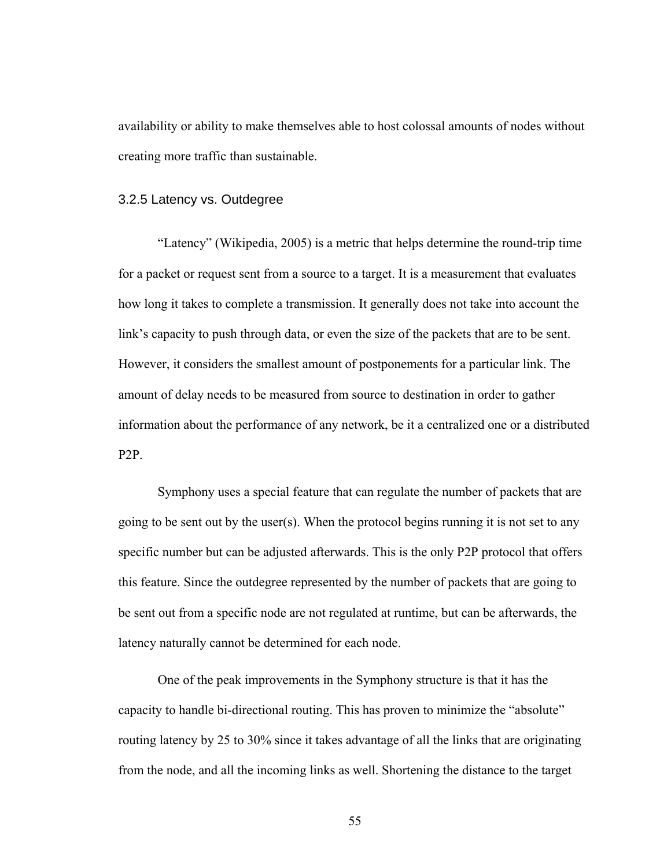availability or ability to make themselves able to host colossal amounts of nodes without creating more traffic than sustainable.

### 3.2.5 Latency vs. Outdegree

"Latency" (Wikipedia, 2005) is a metric that helps determine the round-trip time for a packet or request sent from a source to a target. It is a measurement that evaluates how long it takes to complete a transmission. It generally does not take into account the link's capacity to push through data, or even the size of the packets that are to be sent. However, it considers the smallest amount of postponements for a particular link. The amount of delay needs to be measured from source to destination in order to gather information about the performance of any network, be it a centralized one or a distributed P2P.

Symphony uses a special feature that can regulate the number of packets that are going to be sent out by the user(s). When the protocol begins running it is not set to any specific number but can be adjusted afterwards. This is the only P2P protocol that offers this feature. Since the outdegree represented by the number of packets that are going to be sent out from a specific node are not regulated at runtime, but can be afterwards, the latency naturally cannot be determined for each node.

One of the peak improvements in the Symphony structure is that it has the capacity to handle bi-directional routing. This has proven to minimize the "absolute" routing latency by 25 to 30% since it takes advantage of all the links that are originating from the node, and all the incoming links as well. Shortening the distance to the target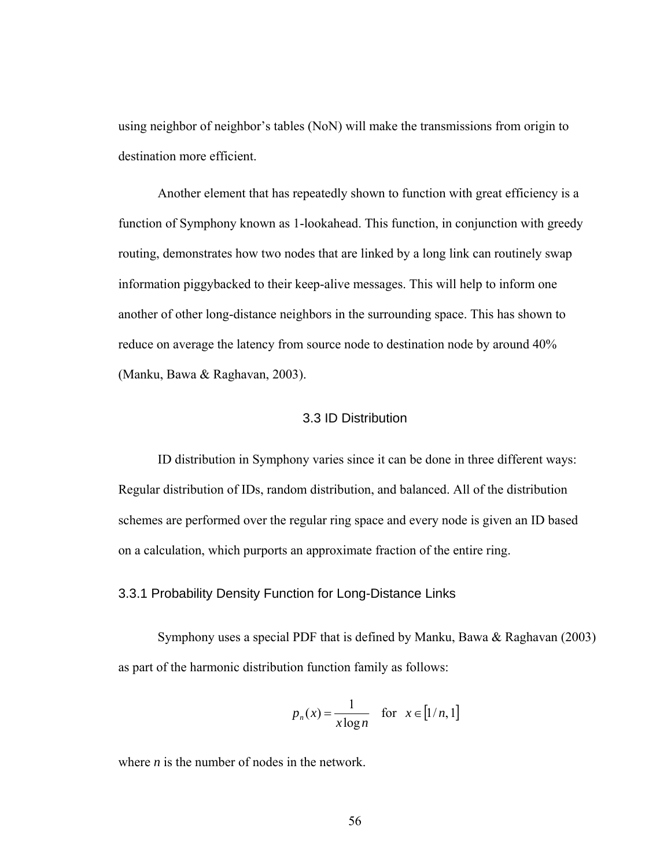using neighbor of neighbor's tables (NoN) will make the transmissions from origin to destination more efficient.

Another element that has repeatedly shown to function with great efficiency is a function of Symphony known as 1-lookahead. This function, in conjunction with greedy routing, demonstrates how two nodes that are linked by a long link can routinely swap information piggybacked to their keep-alive messages. This will help to inform one another of other long-distance neighbors in the surrounding space. This has shown to reduce on average the latency from source node to destination node by around 40% (Manku, Bawa & Raghavan, 2003).

### 3.3 ID Distribution

ID distribution in Symphony varies since it can be done in three different ways: Regular distribution of IDs, random distribution, and balanced. All of the distribution schemes are performed over the regular ring space and every node is given an ID based on a calculation, which purports an approximate fraction of the entire ring.

### 3.3.1 Probability Density Function for Long-Distance Links

Symphony uses a special PDF that is defined by Manku, Bawa & Raghavan (2003) as part of the harmonic distribution function family as follows:

$$
p_n(x) = \frac{1}{x \log n} \quad \text{for } x \in [1/n, 1]
$$

where *n* is the number of nodes in the network.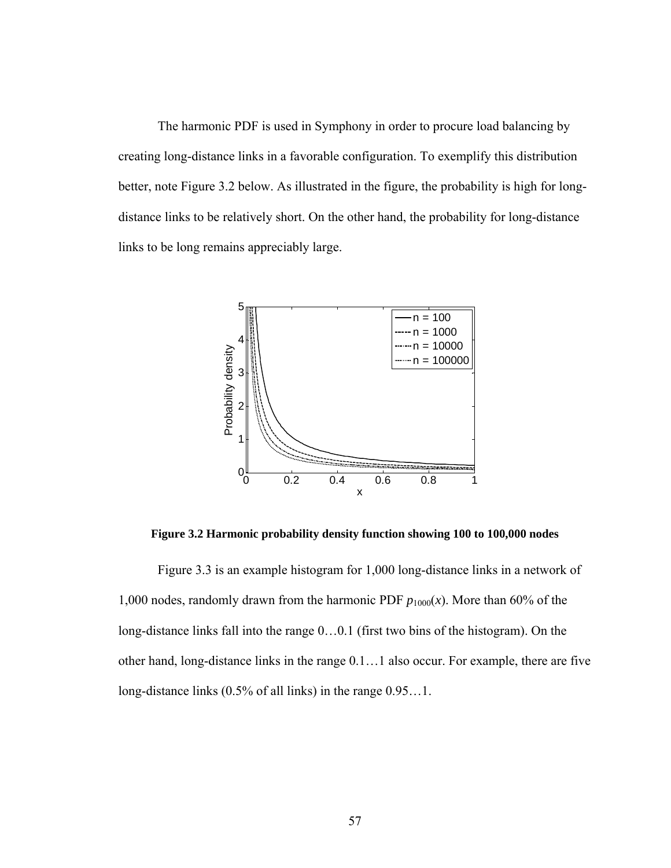The harmonic PDF is used in Symphony in order to procure load balancing by creating long-distance links in a favorable configuration. To exemplify this distribution better, note Figure 3.2 below. As illustrated in the figure, the probability is high for longdistance links to be relatively short. On the other hand, the probability for long-distance links to be long remains appreciably large.



**Figure 3.2 Harmonic probability density function showing 100 to 100,000 nodes** 

Figure 3.3 is an example histogram for 1,000 long-distance links in a network of 1,000 nodes, randomly drawn from the harmonic PDF  $p_{1000}(x)$ . More than 60% of the long-distance links fall into the range 0…0.1 (first two bins of the histogram). On the other hand, long-distance links in the range 0.1…1 also occur. For example, there are five long-distance links (0.5% of all links) in the range 0.95…1.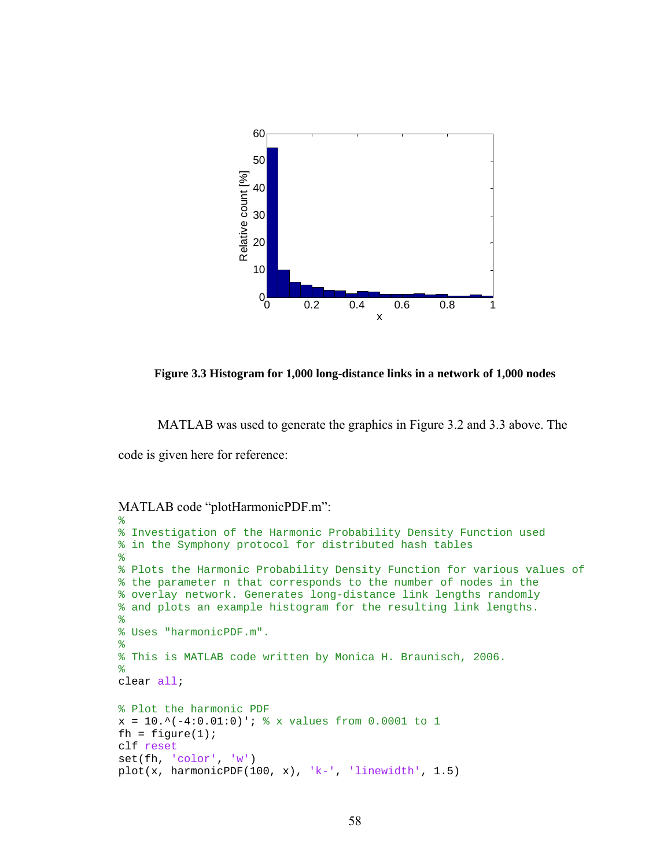

**Figure 3.3 Histogram for 1,000 long-distance links in a network of 1,000 nodes** 

MATLAB was used to generate the graphics in Figure 3.2 and 3.3 above. The

code is given here for reference:

```
MATLAB code "plotHarmonicPDF.m":
```

```
%
% Investigation of the Harmonic Probability Density Function used
% in the Symphony protocol for distributed hash tables
\approx% Plots the Harmonic Probability Density Function for various values of
% the parameter n that corresponds to the number of nodes in the 
% overlay network. Generates long-distance link lengths randomly 
% and plots an example histogram for the resulting link lengths.
\frac{8}{6}% Uses "harmonicPDF.m".
%
% This is MATLAB code written by Monica H. Braunisch, 2006.
\frac{6}{5}clear all;
% Plot the harmonic PDF
x = 10.^{\wedge}(-4:0.01:0)'; % x values from 0.0001 to 1
fh = figure(1);clf reset
set(fh, 'color', 'w')
plot(x, harmonicPDF(100, x), 'k-', 'linewidth', 1.5)
```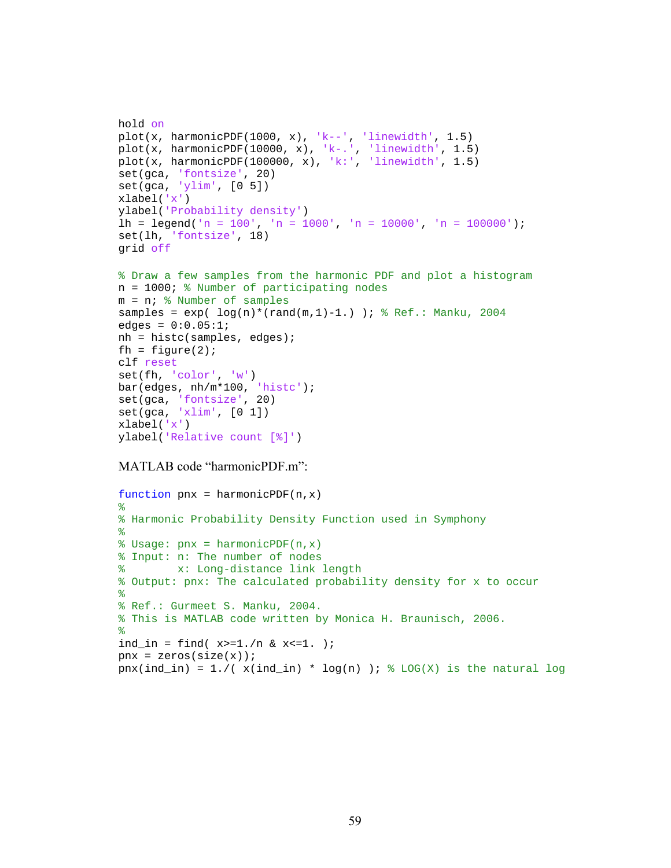```
hold on
plot(x, harmonicPDF(1000, x), k--, 'linewidth', 1.5)
plot(x, harmonicPDF(10000, x), 'k-.', 'linewidth', 1.5)
plot(x, harmonicPDF(100000, x), 'k:', 'linewidth', 1.5)
set(gca, 'fontsize', 20)
set(gca, 'ylim', [0 5])
xlabel('x')
ylabel('Probability density')
lh = legend('n = 100', 'n = 1000', 'n = 10000', 'n = 100000');
set(lh, 'fontsize', 18)
grid off
% Draw a few samples from the harmonic PDF and plot a histogram
n = 1000; % Number of participating nodes
m = n; % Number of samples
samples = exp( log(n)*(rand(m,1)-1.)) ; % Ref.: Manku, 2004
edges = 0:0.05:1;nh = histc(samples, edges);
fh = figure(2);
clf reset
set(fh, 'color', 'w')
bar(edges, nh/m*100, 'histc');
set(gca, 'fontsize', 20)
set(gca, 'xlim', [0 1])
xlabel('x')
```
#### MATLAB code "harmonicPDF.m":

ylabel('Relative count [%]')

```
function pnx = harmonicPDF(n, x)%
% Harmonic Probability Density Function used in Symphony
\approx% Usage: pnx = harmonicPDF(n,x)
% Input: n: The number of nodes
% x: Long-distance link length
% Output: pnx: The calculated probability density for x to occur
%
% Ref.: Gurmeet S. Manku, 2004.
% This is MATLAB code written by Monica H. Braunisch, 2006.
%
ind_in = find( x>=1./n & x<=1. );
pnx = zeros(size(x));pnx(ind_in) = 1./(x(int\_in) * log(n)); % Log(X) is the natural log
```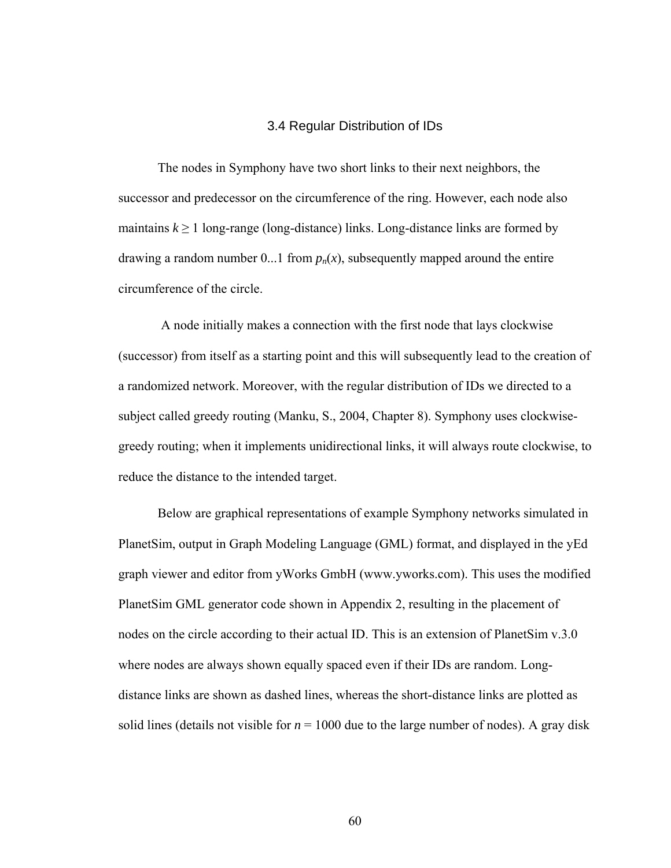### 3.4 Regular Distribution of IDs

The nodes in Symphony have two short links to their next neighbors, the successor and predecessor on the circumference of the ring. However, each node also maintains  $k \geq 1$  long-range (long-distance) links. Long-distance links are formed by drawing a random number 0...1 from  $p_n(x)$ , subsequently mapped around the entire circumference of the circle.

 A node initially makes a connection with the first node that lays clockwise (successor) from itself as a starting point and this will subsequently lead to the creation of a randomized network. Moreover, with the regular distribution of IDs we directed to a subject called greedy routing (Manku, S., 2004, Chapter 8). Symphony uses clockwisegreedy routing; when it implements unidirectional links, it will always route clockwise, to reduce the distance to the intended target.

Below are graphical representations of example Symphony networks simulated in PlanetSim, output in Graph Modeling Language (GML) format, and displayed in the yEd graph viewer and editor from yWorks GmbH (www.yworks.com). This uses the modified PlanetSim GML generator code shown in Appendix 2, resulting in the placement of nodes on the circle according to their actual ID. This is an extension of PlanetSim v.3.0 where nodes are always shown equally spaced even if their IDs are random. Longdistance links are shown as dashed lines, whereas the short-distance links are plotted as solid lines (details not visible for  $n = 1000$  due to the large number of nodes). A gray disk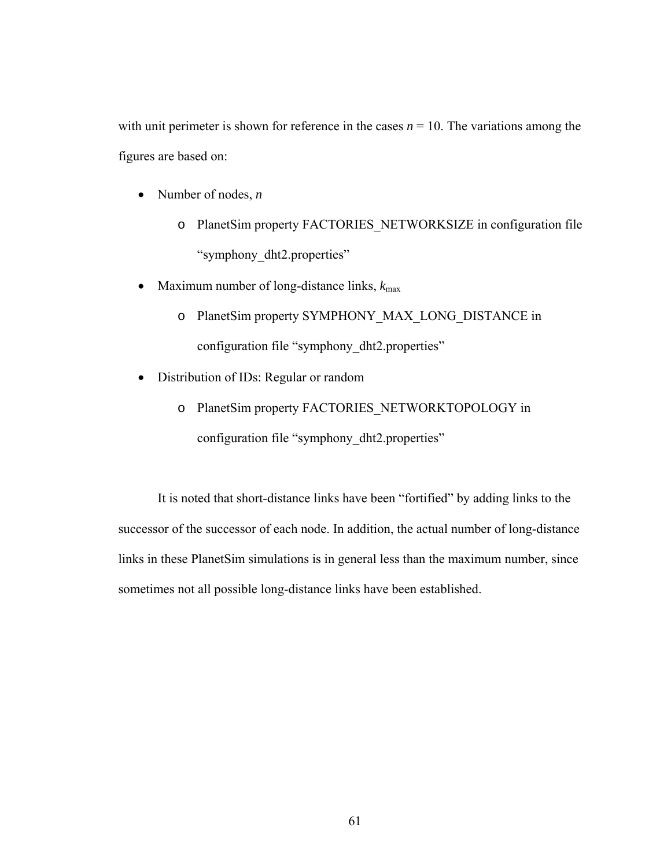with unit perimeter is shown for reference in the cases  $n = 10$ . The variations among the figures are based on:

- Number of nodes, *n*
	- o PlanetSim property FACTORIES\_NETWORKSIZE in configuration file "symphony dht2.properties"
- Maximum number of long-distance links,  $k_{\text{max}}$ 
	- o PlanetSim property SYMPHONY\_MAX\_LONG\_DISTANCE in configuration file "symphony\_dht2.properties"
- Distribution of IDs: Regular or random
	- o PlanetSim property FACTORIES\_NETWORKTOPOLOGY in configuration file "symphony\_dht2.properties"

It is noted that short-distance links have been "fortified" by adding links to the successor of the successor of each node. In addition, the actual number of long-distance links in these PlanetSim simulations is in general less than the maximum number, since sometimes not all possible long-distance links have been established.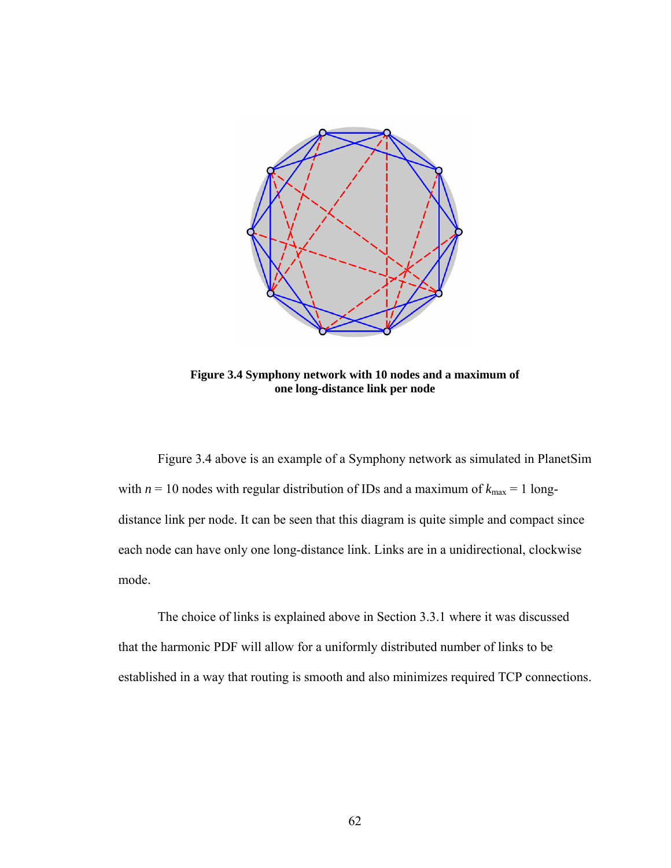

**Figure 3.4 Symphony network with 10 nodes and a maximum of one long-distance link per node** 

Figure 3.4 above is an example of a Symphony network as simulated in PlanetSim with  $n = 10$  nodes with regular distribution of IDs and a maximum of  $k_{\text{max}} = 1$  longdistance link per node. It can be seen that this diagram is quite simple and compact since each node can have only one long-distance link. Links are in a unidirectional, clockwise mode.

The choice of links is explained above in Section 3.3.1 where it was discussed that the harmonic PDF will allow for a uniformly distributed number of links to be established in a way that routing is smooth and also minimizes required TCP connections.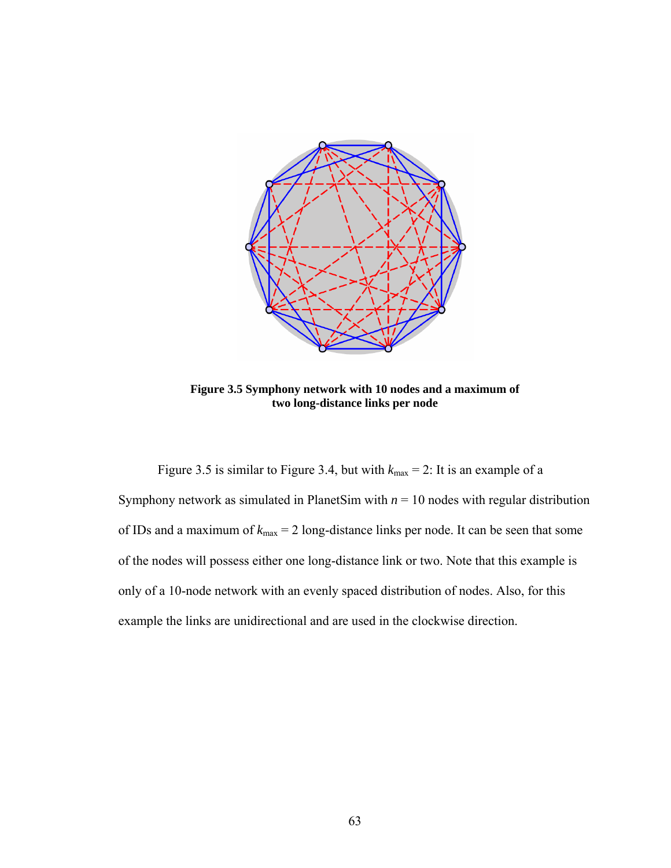

**Figure 3.5 Symphony network with 10 nodes and a maximum of two long-distance links per node** 

Figure 3.5 is similar to Figure 3.4, but with  $k_{\text{max}} = 2$ : It is an example of a Symphony network as simulated in PlanetSim with  $n = 10$  nodes with regular distribution of IDs and a maximum of  $k_{\text{max}} = 2$  long-distance links per node. It can be seen that some of the nodes will possess either one long-distance link or two. Note that this example is only of a 10-node network with an evenly spaced distribution of nodes. Also, for this example the links are unidirectional and are used in the clockwise direction.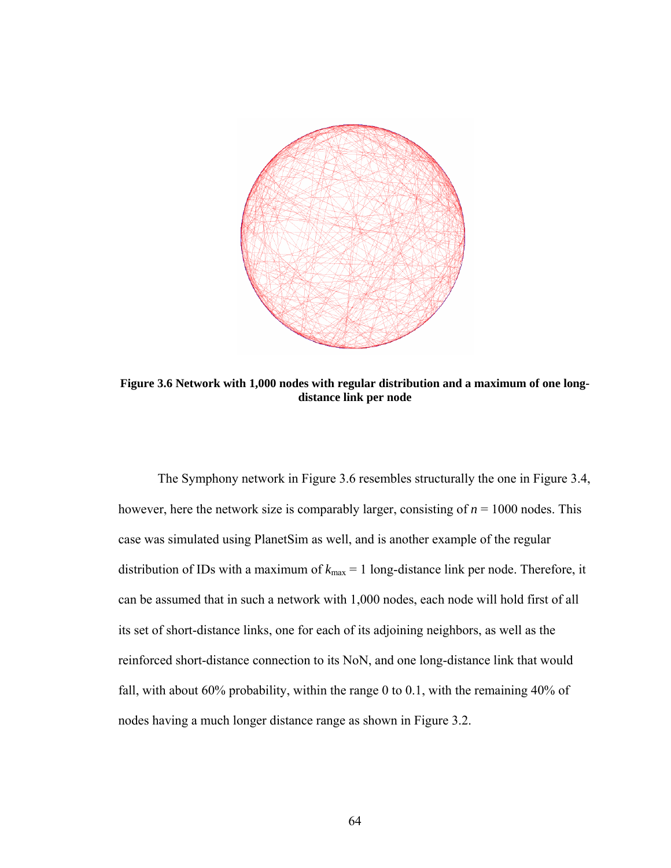

**Figure 3.6 Network with 1,000 nodes with regular distribution and a maximum of one longdistance link per node** 

The Symphony network in Figure 3.6 resembles structurally the one in Figure 3.4, however, here the network size is comparably larger, consisting of  $n = 1000$  nodes. This case was simulated using PlanetSim as well, and is another example of the regular distribution of IDs with a maximum of  $k_{\text{max}} = 1$  long-distance link per node. Therefore, it can be assumed that in such a network with 1,000 nodes, each node will hold first of all its set of short-distance links, one for each of its adjoining neighbors, as well as the reinforced short-distance connection to its NoN, and one long-distance link that would fall, with about 60% probability, within the range 0 to 0.1, with the remaining 40% of nodes having a much longer distance range as shown in Figure 3.2.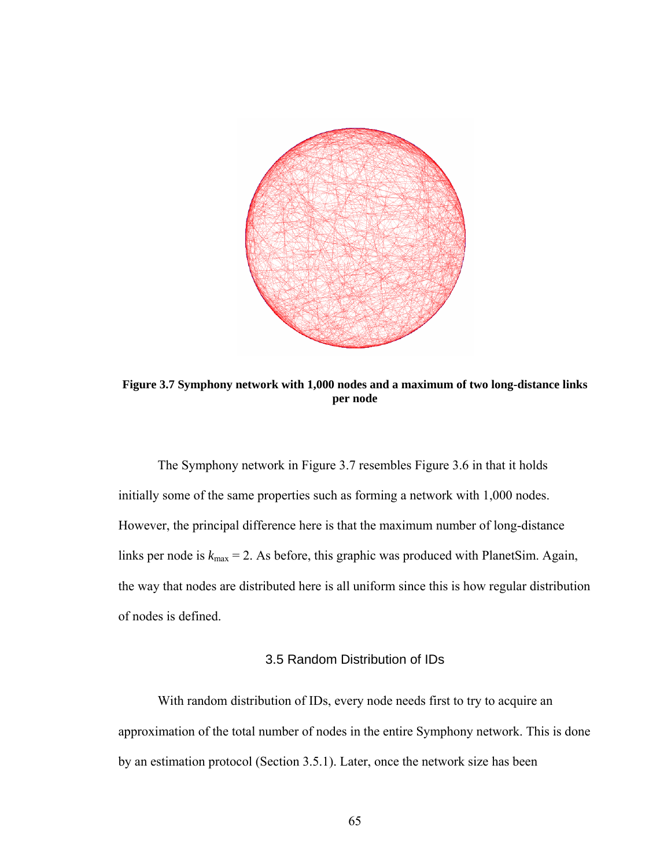

**Figure 3.7 Symphony network with 1,000 nodes and a maximum of two long-distance links per node** 

The Symphony network in Figure 3.7 resembles Figure 3.6 in that it holds initially some of the same properties such as forming a network with 1,000 nodes. However, the principal difference here is that the maximum number of long-distance links per node is  $k_{\text{max}} = 2$ . As before, this graphic was produced with PlanetSim. Again, the way that nodes are distributed here is all uniform since this is how regular distribution of nodes is defined.

# 3.5 Random Distribution of IDs

With random distribution of IDs, every node needs first to try to acquire an approximation of the total number of nodes in the entire Symphony network. This is done by an estimation protocol (Section 3.5.1). Later, once the network size has been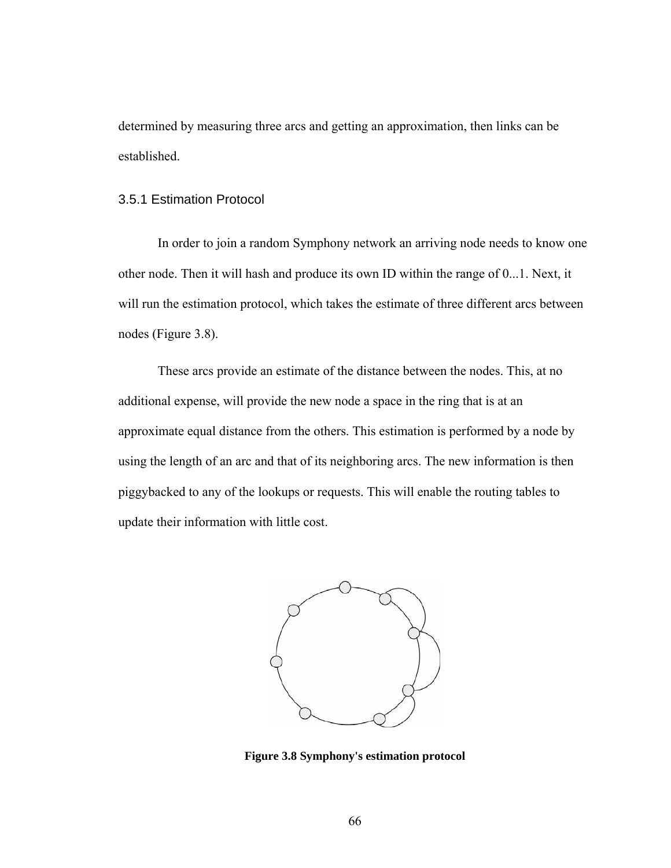determined by measuring three arcs and getting an approximation, then links can be established.

### 3.5.1 Estimation Protocol

In order to join a random Symphony network an arriving node needs to know one other node. Then it will hash and produce its own ID within the range of 0...1. Next, it will run the estimation protocol, which takes the estimate of three different arcs between nodes (Figure 3.8).

These arcs provide an estimate of the distance between the nodes. This, at no additional expense, will provide the new node a space in the ring that is at an approximate equal distance from the others. This estimation is performed by a node by using the length of an arc and that of its neighboring arcs. The new information is then piggybacked to any of the lookups or requests. This will enable the routing tables to update their information with little cost.



**Figure 3.8 Symphony's estimation protocol**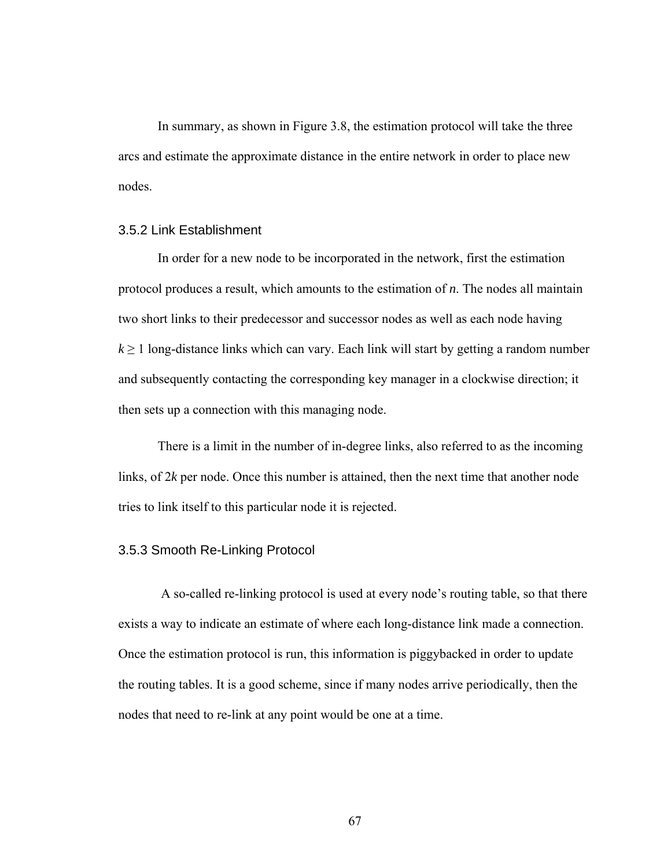In summary, as shown in Figure 3.8, the estimation protocol will take the three arcs and estimate the approximate distance in the entire network in order to place new nodes.

## 3.5.2 Link Establishment

In order for a new node to be incorporated in the network, first the estimation protocol produces a result, which amounts to the estimation of *n*. The nodes all maintain two short links to their predecessor and successor nodes as well as each node having  $k \geq 1$  long-distance links which can vary. Each link will start by getting a random number and subsequently contacting the corresponding key manager in a clockwise direction; it then sets up a connection with this managing node.

There is a limit in the number of in-degree links, also referred to as the incoming links, of 2*k* per node. Once this number is attained, then the next time that another node tries to link itself to this particular node it is rejected.

## 3.5.3 Smooth Re-Linking Protocol

 A so-called re-linking protocol is used at every node's routing table, so that there exists a way to indicate an estimate of where each long-distance link made a connection. Once the estimation protocol is run, this information is piggybacked in order to update the routing tables. It is a good scheme, since if many nodes arrive periodically, then the nodes that need to re-link at any point would be one at a time.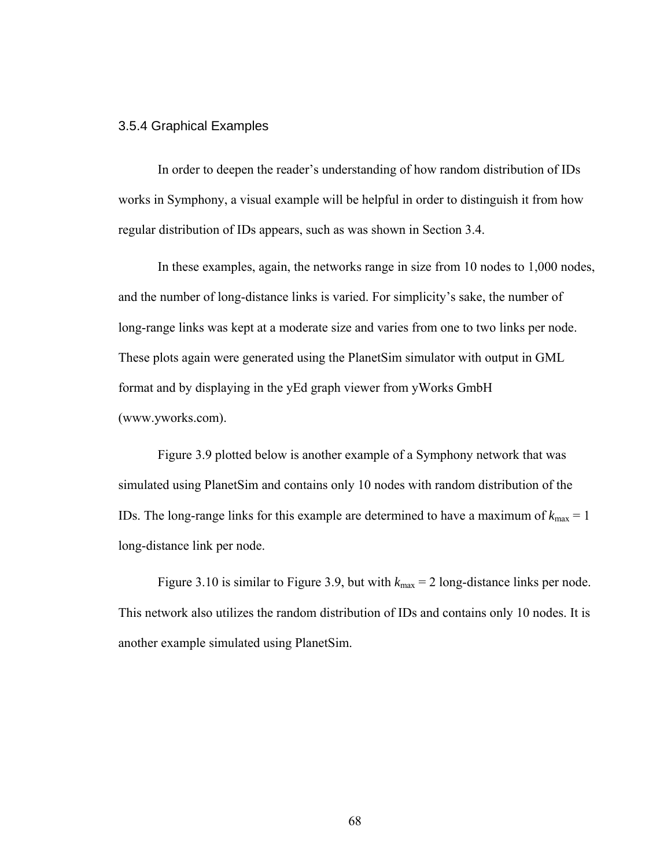## 3.5.4 Graphical Examples

In order to deepen the reader's understanding of how random distribution of IDs works in Symphony, a visual example will be helpful in order to distinguish it from how regular distribution of IDs appears, such as was shown in Section 3.4.

In these examples, again, the networks range in size from 10 nodes to 1,000 nodes, and the number of long-distance links is varied. For simplicity's sake, the number of long-range links was kept at a moderate size and varies from one to two links per node. These plots again were generated using the PlanetSim simulator with output in GML format and by displaying in the yEd graph viewer from yWorks GmbH (www.yworks.com).

Figure 3.9 plotted below is another example of a Symphony network that was simulated using PlanetSim and contains only 10 nodes with random distribution of the IDs. The long-range links for this example are determined to have a maximum of  $k_{\text{max}} = 1$ long-distance link per node.

Figure 3.10 is similar to Figure 3.9, but with  $k_{\text{max}} = 2$  long-distance links per node. This network also utilizes the random distribution of IDs and contains only 10 nodes. It is another example simulated using PlanetSim.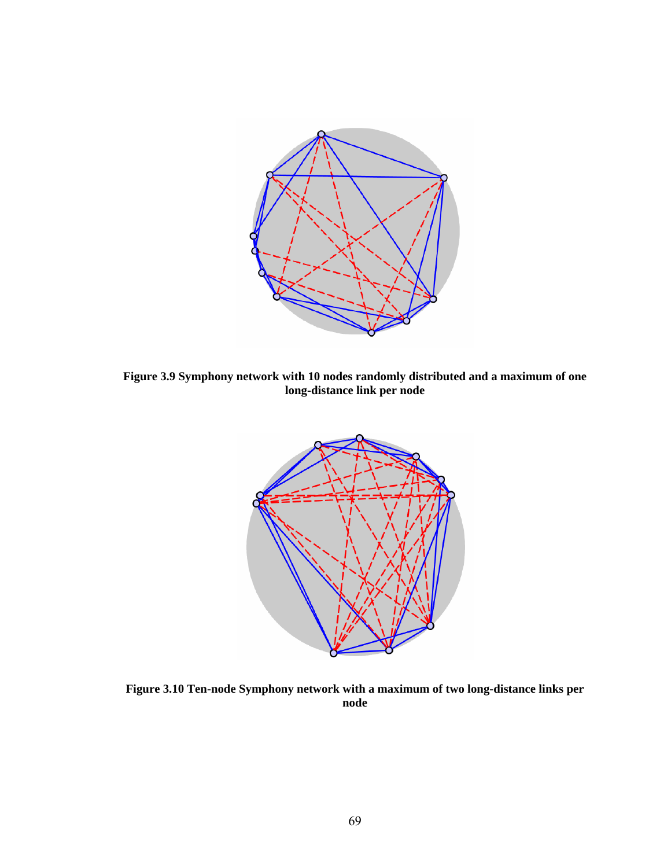

**Figure 3.9 Symphony network with 10 nodes randomly distributed and a maximum of one long-distance link per node** 



**Figure 3.10 Ten-node Symphony network with a maximum of two long-distance links per node**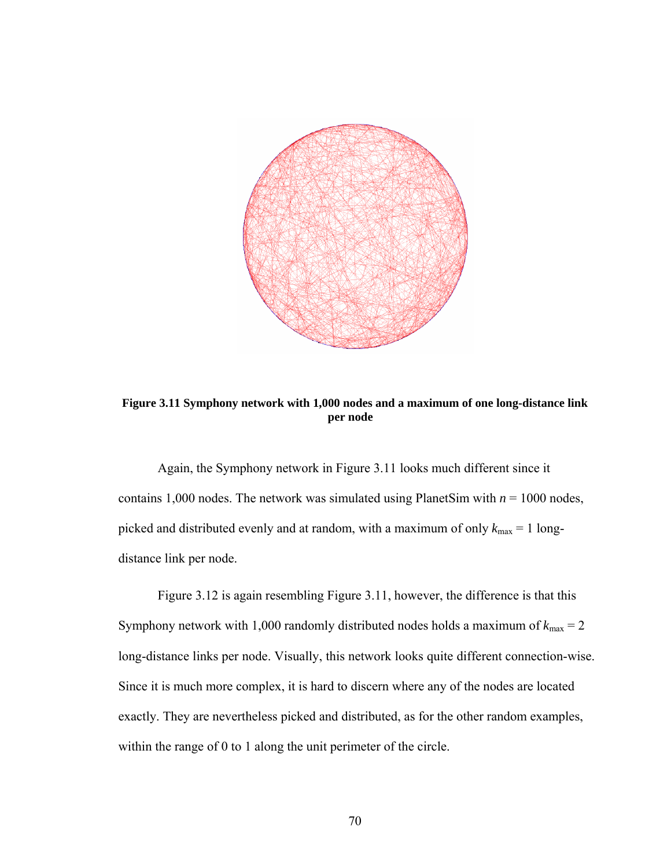

**Figure 3.11 Symphony network with 1,000 nodes and a maximum of one long-distance link per node 1**

Again, the Symphony network in Figure 3.11 looks much different since it contains 1,000 nodes. The network was simulated using PlanetSim with  $n = 1000$  nodes, picked and distributed evenly and at random, with a maximum of only  $k_{\text{max}} = 1$  longdistance link per node.

Figure 3.12 is again resembling Figure 3.11, however, the difference is that this Symphony network with 1,000 randomly distributed nodes holds a maximum of  $k_{\text{max}} = 2$ long-distance links per node. Visually, this network looks quite different connection-wise. Since it is much more complex, it is hard to discern where any of the nodes are located exactly. They are nevertheless picked and distributed, as for the other random examples, within the range of 0 to 1 along the unit perimeter of the circle.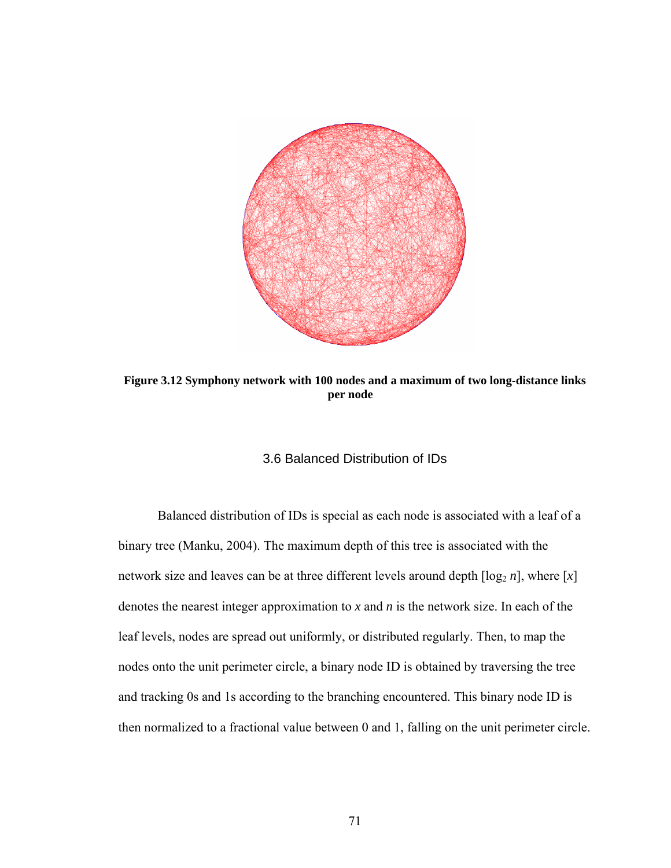

**Figure 3.12 Symphony network with 100 nodes and a maximum of two long-distance links per node 1**

## 3.6 Balanced Distribution of IDs

Balanced distribution of IDs is special as each node is associated with a leaf of a binary tree (Manku, 2004). The maximum depth of this tree is associated with the network size and leaves can be at three different levels around depth  $\lceil \log_2 n \rceil$ , where  $\lceil x \rceil$ denotes the nearest integer approximation to *x* and *n* is the network size. In each of the leaf levels, nodes are spread out uniformly, or distributed regularly. Then, to map the nodes onto the unit perimeter circle, a binary node ID is obtained by traversing the tree and tracking 0s and 1s according to the branching encountered. This binary node ID is then normalized to a fractional value between 0 and 1, falling on the unit perimeter circle.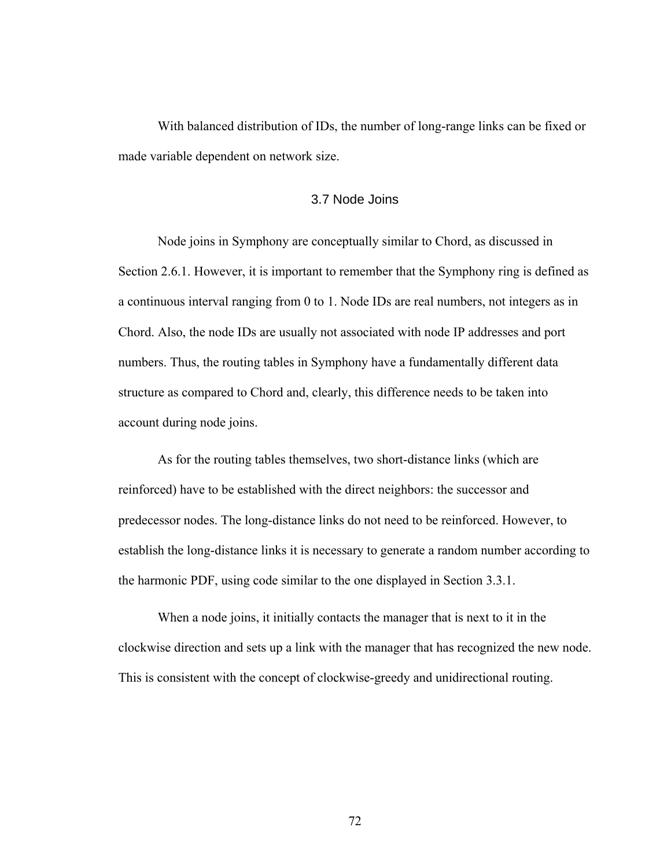With balanced distribution of IDs, the number of long-range links can be fixed or made variable dependent on network size.

## 3.7 Node Joins

Node joins in Symphony are conceptually similar to Chord, as discussed in Section 2.6.1. However, it is important to remember that the Symphony ring is defined as a continuous interval ranging from 0 to 1. Node IDs are real numbers, not integers as in Chord. Also, the node IDs are usually not associated with node IP addresses and port numbers. Thus, the routing tables in Symphony have a fundamentally different data structure as compared to Chord and, clearly, this difference needs to be taken into account during node joins.

As for the routing tables themselves, two short-distance links (which are reinforced) have to be established with the direct neighbors: the successor and predecessor nodes. The long-distance links do not need to be reinforced. However, to establish the long-distance links it is necessary to generate a random number according to the harmonic PDF, using code similar to the one displayed in Section 3.3.1.

When a node joins, it initially contacts the manager that is next to it in the clockwise direction and sets up a link with the manager that has recognized the new node. This is consistent with the concept of clockwise-greedy and unidirectional routing.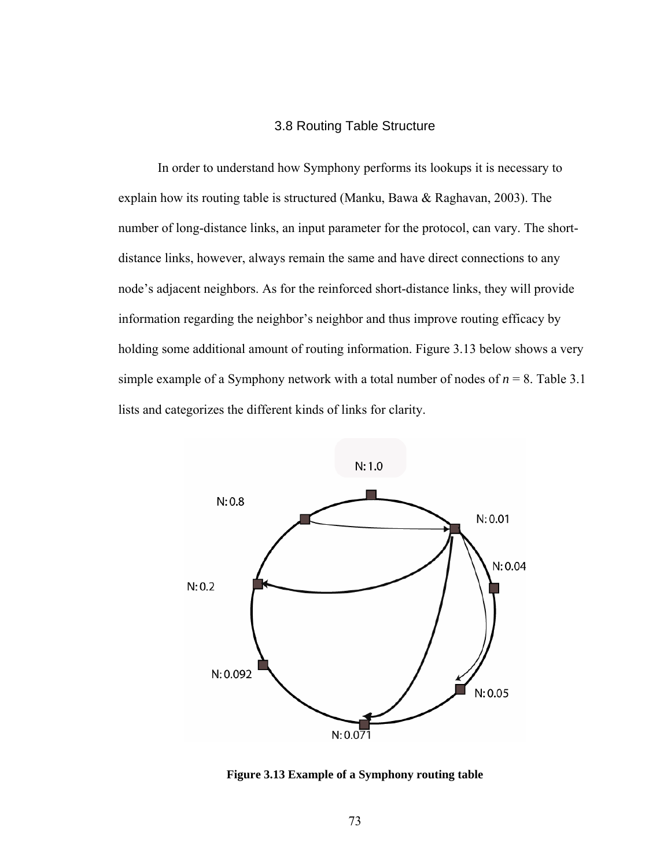## 3.8 Routing Table Structure

In order to understand how Symphony performs its lookups it is necessary to explain how its routing table is structured (Manku, Bawa & Raghavan, 2003). The number of long-distance links, an input parameter for the protocol, can vary. The shortdistance links, however, always remain the same and have direct connections to any node's adjacent neighbors. As for the reinforced short-distance links, they will provide information regarding the neighbor's neighbor and thus improve routing efficacy by holding some additional amount of routing information. Figure 3.13 below shows a very simple example of a Symphony network with a total number of nodes of  $n = 8$ . Table 3.1 lists and categorizes the different kinds of links for clarity.



**Figure 3.13 Example of a Symphony routing table**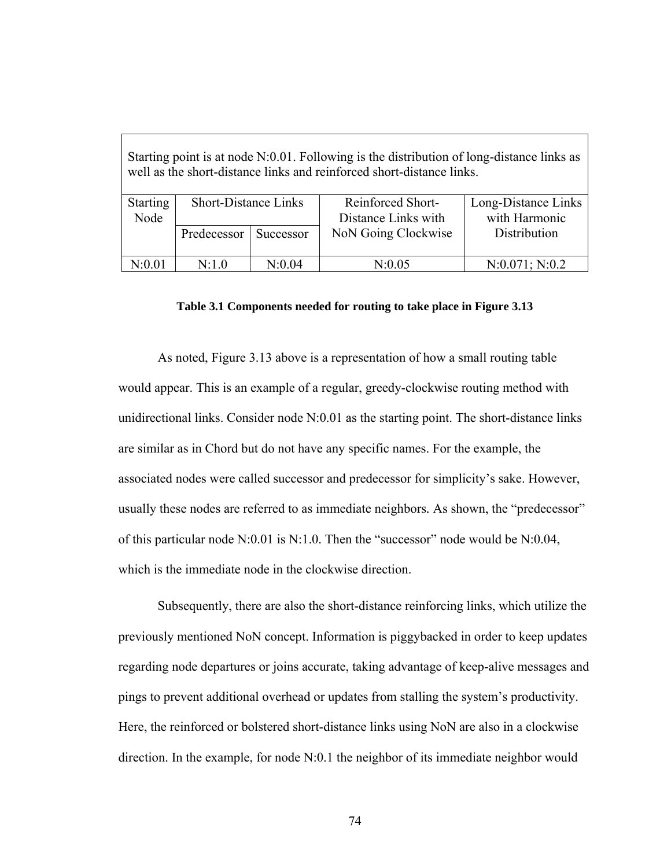| Starting point is at node N:0.01. Following is the distribution of long-distance links as<br>well as the short-distance links and reinforced short-distance links. |                             |           |                                          |                                      |  |
|--------------------------------------------------------------------------------------------------------------------------------------------------------------------|-----------------------------|-----------|------------------------------------------|--------------------------------------|--|
| <b>Starting</b><br>Node                                                                                                                                            | <b>Short-Distance Links</b> |           | Reinforced Short-<br>Distance Links with | Long-Distance Links<br>with Harmonic |  |
|                                                                                                                                                                    |                             |           |                                          |                                      |  |
|                                                                                                                                                                    | Predecessor                 | Successor | NoN Going Clockwise                      | Distribution                         |  |
|                                                                                                                                                                    |                             |           |                                          |                                      |  |
| N:0.01                                                                                                                                                             | N:1.0                       | N:0.04    | N:0.05                                   | N:0.071; N:0.2                       |  |

#### **Table 3.1 Components needed for routing to take place in Figure 3.13**

As noted, Figure 3.13 above is a representation of how a small routing table would appear. This is an example of a regular, greedy-clockwise routing method with unidirectional links. Consider node N:0.01 as the starting point. The short-distance links are similar as in Chord but do not have any specific names. For the example, the associated nodes were called successor and predecessor for simplicity's sake. However, usually these nodes are referred to as immediate neighbors*.* As shown, the "predecessor" of this particular node  $N:0.01$  is  $N:1.0$ . Then the "successor" node would be  $N:0.04$ , which is the immediate node in the clockwise direction.

Subsequently, there are also the short-distance reinforcing links, which utilize the previously mentioned NoN concept. Information is piggybacked in order to keep updates regarding node departures or joins accurate, taking advantage of keep-alive messages and pings to prevent additional overhead or updates from stalling the system's productivity. Here, the reinforced or bolstered short-distance links using NoN are also in a clockwise direction. In the example, for node N:0.1 the neighbor of its immediate neighbor would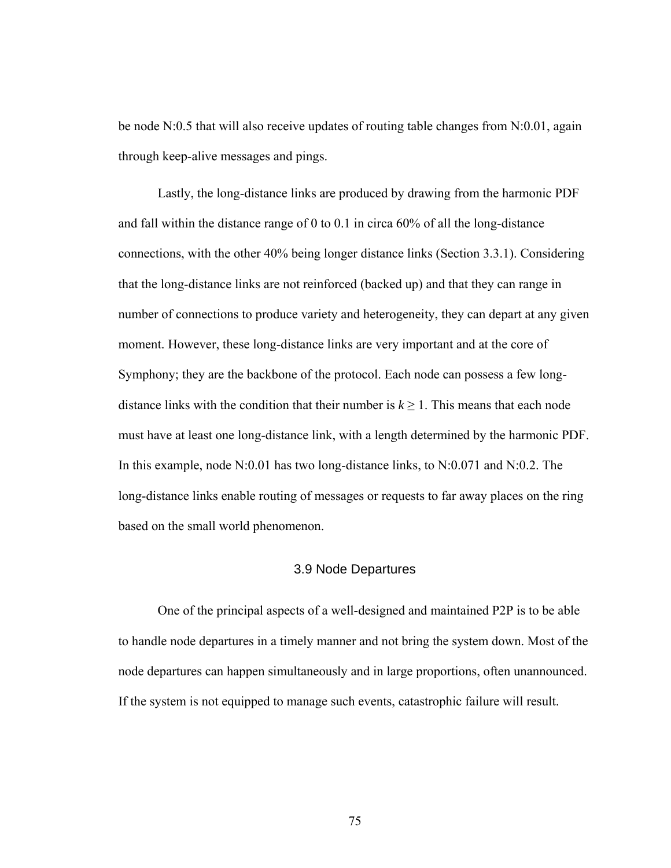be node N:0.5 that will also receive updates of routing table changes from N:0.01, again through keep-alive messages and pings.

Lastly, the long-distance links are produced by drawing from the harmonic PDF and fall within the distance range of 0 to 0.1 in circa 60% of all the long-distance connections, with the other 40% being longer distance links (Section 3.3.1). Considering that the long-distance links are not reinforced (backed up) and that they can range in number of connections to produce variety and heterogeneity, they can depart at any given moment. However, these long-distance links are very important and at the core of Symphony; they are the backbone of the protocol. Each node can possess a few longdistance links with the condition that their number is  $k \ge 1$ . This means that each node must have at least one long-distance link, with a length determined by the harmonic PDF. In this example, node N:0.01 has two long-distance links, to N:0.071 and N:0.2. The long-distance links enable routing of messages or requests to far away places on the ring based on the small world phenomenon.

### 3.9 Node Departures

One of the principal aspects of a well-designed and maintained P2P is to be able to handle node departures in a timely manner and not bring the system down. Most of the node departures can happen simultaneously and in large proportions, often unannounced. If the system is not equipped to manage such events, catastrophic failure will result.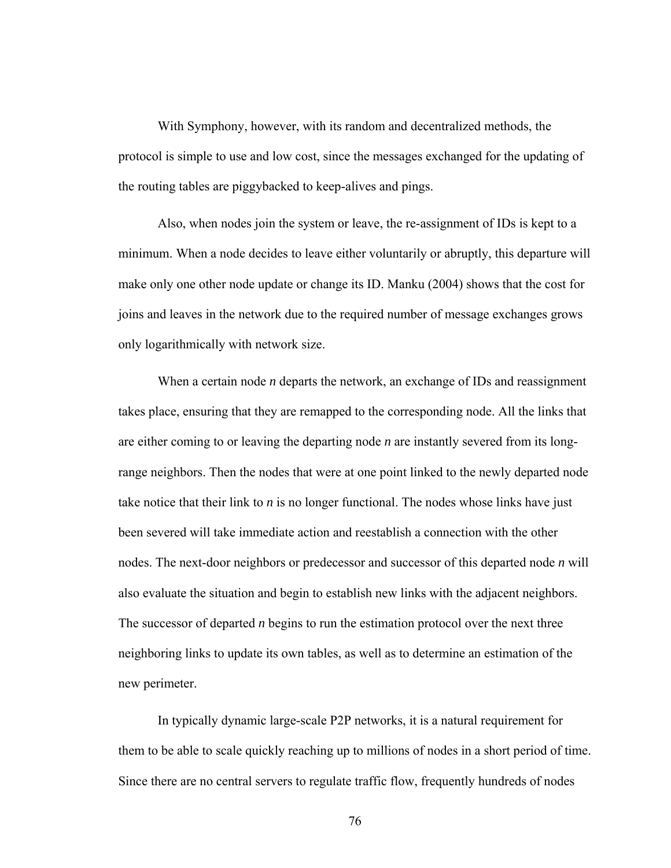With Symphony, however, with its random and decentralized methods, the protocol is simple to use and low cost, since the messages exchanged for the updating of the routing tables are piggybacked to keep-alives and pings.

Also, when nodes join the system or leave, the re-assignment of IDs is kept to a minimum. When a node decides to leave either voluntarily or abruptly, this departure will make only one other node update or change its ID. Manku (2004) shows that the cost for joins and leaves in the network due to the required number of message exchanges grows only logarithmically with network size.

When a certain node *n* departs the network, an exchange of IDs and reassignment takes place, ensuring that they are remapped to the corresponding node. All the links that are either coming to or leaving the departing node *n* are instantly severed from its longrange neighbors. Then the nodes that were at one point linked to the newly departed node take notice that their link to *n* is no longer functional. The nodes whose links have just been severed will take immediate action and reestablish a connection with the other nodes. The next-door neighbors or predecessor and successor of this departed node *n* will also evaluate the situation and begin to establish new links with the adjacent neighbors. The successor of departed *n* begins to run the estimation protocol over the next three neighboring links to update its own tables, as well as to determine an estimation of the new perimeter.

In typically dynamic large-scale P2P networks, it is a natural requirement for them to be able to scale quickly reaching up to millions of nodes in a short period of time. Since there are no central servers to regulate traffic flow, frequently hundreds of nodes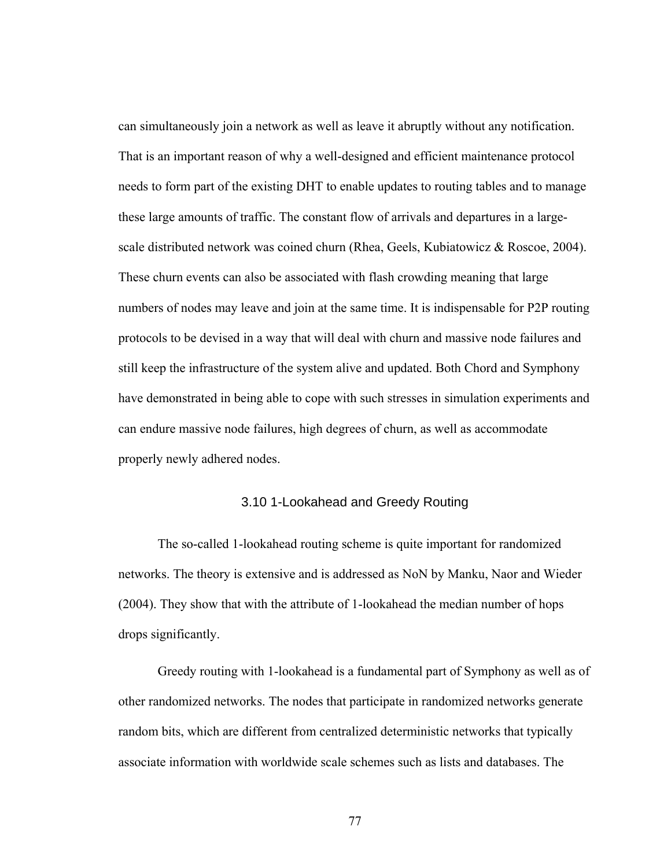can simultaneously join a network as well as leave it abruptly without any notification. That is an important reason of why a well-designed and efficient maintenance protocol needs to form part of the existing DHT to enable updates to routing tables and to manage these large amounts of traffic. The constant flow of arrivals and departures in a largescale distributed network was coined churn (Rhea, Geels, Kubiatowicz & Roscoe, 2004). These churn events can also be associated with flash crowding meaning that large numbers of nodes may leave and join at the same time. It is indispensable for P2P routing protocols to be devised in a way that will deal with churn and massive node failures and still keep the infrastructure of the system alive and updated. Both Chord and Symphony have demonstrated in being able to cope with such stresses in simulation experiments and can endure massive node failures, high degrees of churn, as well as accommodate properly newly adhered nodes.

### 3.10 1-Lookahead and Greedy Routing

The so-called 1-lookahead routing scheme is quite important for randomized networks. The theory is extensive and is addressed as NoN by Manku, Naor and Wieder (2004). They show that with the attribute of 1-lookahead the median number of hops drops significantly.

Greedy routing with 1-lookahead is a fundamental part of Symphony as well as of other randomized networks. The nodes that participate in randomized networks generate random bits, which are different from centralized deterministic networks that typically associate information with worldwide scale schemes such as lists and databases. The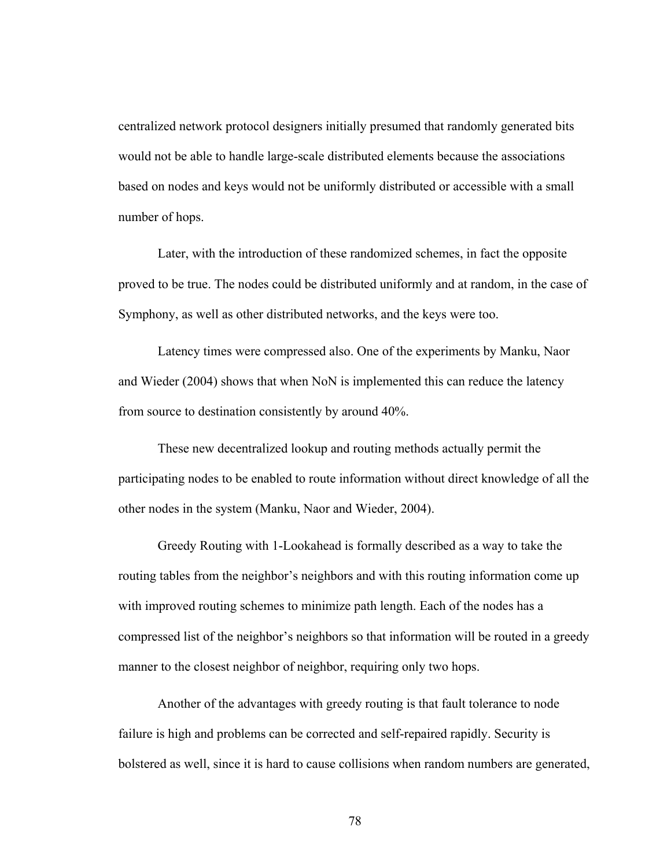centralized network protocol designers initially presumed that randomly generated bits would not be able to handle large-scale distributed elements because the associations based on nodes and keys would not be uniformly distributed or accessible with a small number of hops.

Later, with the introduction of these randomized schemes, in fact the opposite proved to be true. The nodes could be distributed uniformly and at random, in the case of Symphony, as well as other distributed networks, and the keys were too.

Latency times were compressed also. One of the experiments by Manku, Naor and Wieder (2004) shows that when NoN is implemented this can reduce the latency from source to destination consistently by around 40%.

These new decentralized lookup and routing methods actually permit the participating nodes to be enabled to route information without direct knowledge of all the other nodes in the system (Manku, Naor and Wieder, 2004).

Greedy Routing with 1-Lookahead is formally described as a way to take the routing tables from the neighbor's neighbors and with this routing information come up with improved routing schemes to minimize path length. Each of the nodes has a compressed list of the neighbor's neighbors so that information will be routed in a greedy manner to the closest neighbor of neighbor, requiring only two hops.

Another of the advantages with greedy routing is that fault tolerance to node failure is high and problems can be corrected and self-repaired rapidly. Security is bolstered as well, since it is hard to cause collisions when random numbers are generated,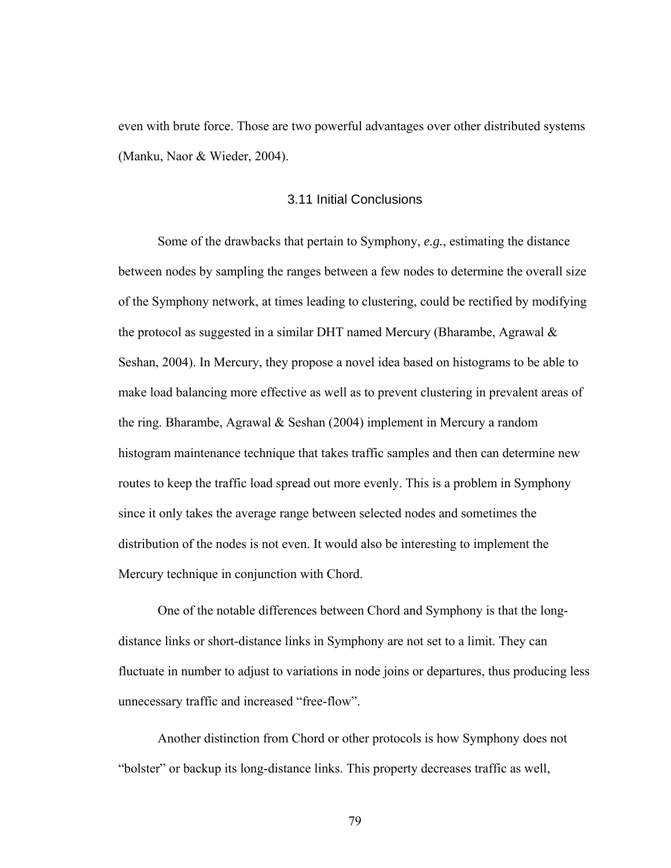even with brute force. Those are two powerful advantages over other distributed systems (Manku, Naor & Wieder, 2004).

## 3.11 Initial Conclusions

Some of the drawbacks that pertain to Symphony, *e.g.*, estimating the distance between nodes by sampling the ranges between a few nodes to determine the overall size of the Symphony network, at times leading to clustering, could be rectified by modifying the protocol as suggested in a similar DHT named Mercury (Bharambe, Agrawal  $\&$ Seshan, 2004). In Mercury, they propose a novel idea based on histograms to be able to make load balancing more effective as well as to prevent clustering in prevalent areas of the ring. Bharambe, Agrawal & Seshan (2004) implement in Mercury a random histogram maintenance technique that takes traffic samples and then can determine new routes to keep the traffic load spread out more evenly. This is a problem in Symphony since it only takes the average range between selected nodes and sometimes the distribution of the nodes is not even. It would also be interesting to implement the Mercury technique in conjunction with Chord.

One of the notable differences between Chord and Symphony is that the longdistance links or short-distance links in Symphony are not set to a limit. They can fluctuate in number to adjust to variations in node joins or departures, thus producing less unnecessary traffic and increased "free-flow".

Another distinction from Chord or other protocols is how Symphony does not "bolster" or backup its long-distance links. This property decreases traffic as well,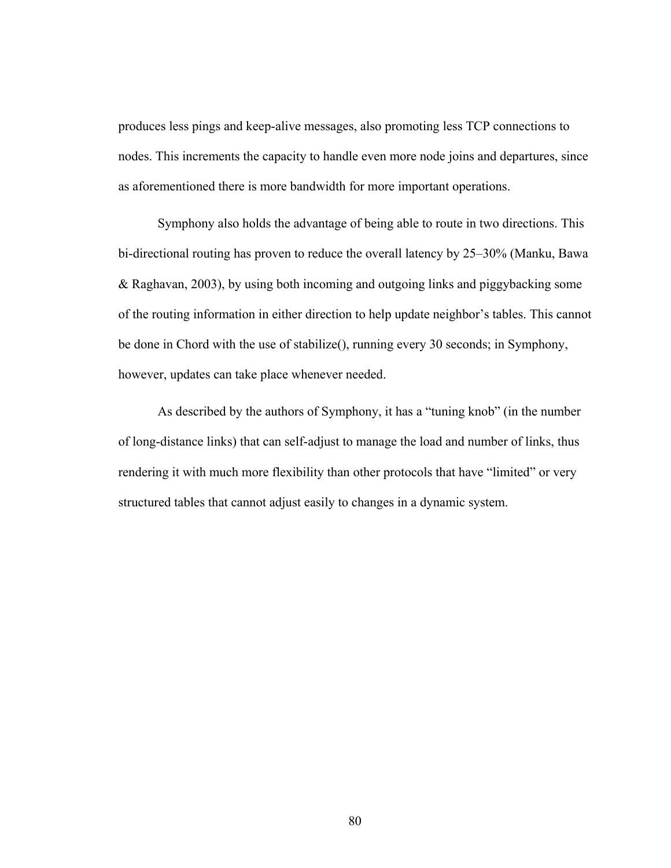produces less pings and keep-alive messages, also promoting less TCP connections to nodes. This increments the capacity to handle even more node joins and departures, since as aforementioned there is more bandwidth for more important operations.

Symphony also holds the advantage of being able to route in two directions. This bi-directional routing has proven to reduce the overall latency by 25–30% (Manku, Bawa & Raghavan, 2003), by using both incoming and outgoing links and piggybacking some of the routing information in either direction to help update neighbor's tables. This cannot be done in Chord with the use of stabilize(), running every 30 seconds; in Symphony, however, updates can take place whenever needed.

As described by the authors of Symphony, it has a "tuning knob" (in the number of long-distance links) that can self-adjust to manage the load and number of links, thus rendering it with much more flexibility than other protocols that have "limited" or very structured tables that cannot adjust easily to changes in a dynamic system.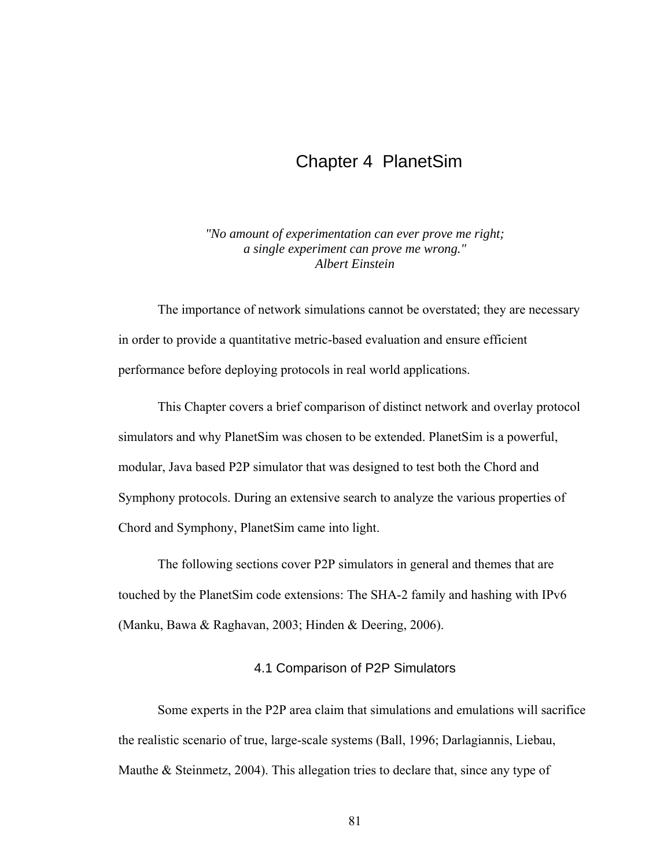# Chapter 4 PlanetSim

*"No amount of experimentation can ever prove me right; a single experiment can prove me wrong." Albert Einstein* 

The importance of network simulations cannot be overstated; they are necessary in order to provide a quantitative metric-based evaluation and ensure efficient performance before deploying protocols in real world applications.

This Chapter covers a brief comparison of distinct network and overlay protocol simulators and why PlanetSim was chosen to be extended. PlanetSim is a powerful, modular, Java based P2P simulator that was designed to test both the Chord and Symphony protocols. During an extensive search to analyze the various properties of Chord and Symphony, PlanetSim came into light.

The following sections cover P2P simulators in general and themes that are touched by the PlanetSim code extensions: The SHA-2 family and hashing with IPv6 (Manku, Bawa & Raghavan, 2003; Hinden & Deering, 2006).

### 4.1 Comparison of P2P Simulators

Some experts in the P2P area claim that simulations and emulations will sacrifice the realistic scenario of true, large-scale systems (Ball, 1996; Darlagiannis, Liebau, Mauthe  $& Steinmetz, 2004$ . This allegation tries to declare that, since any type of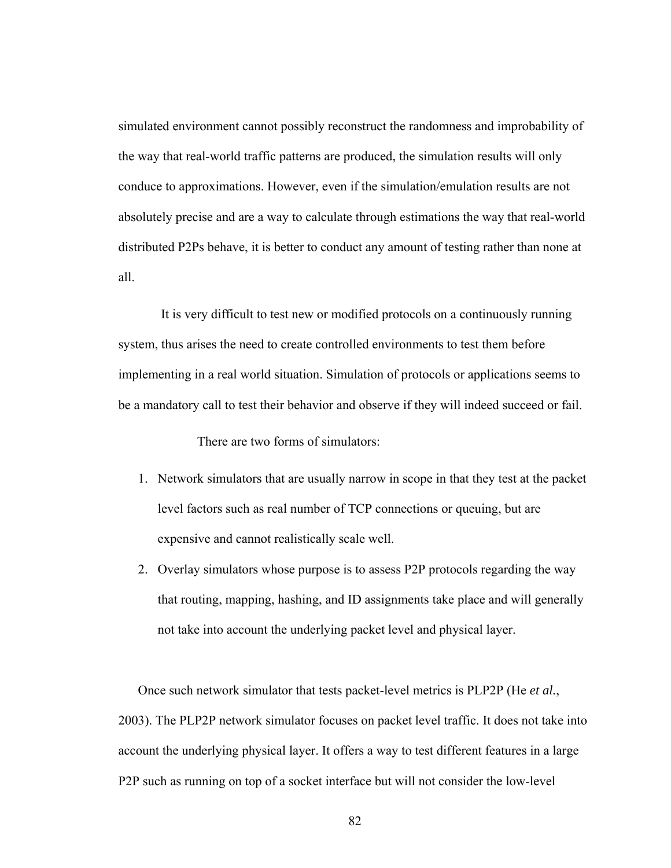simulated environment cannot possibly reconstruct the randomness and improbability of the way that real-world traffic patterns are produced, the simulation results will only conduce to approximations. However, even if the simulation/emulation results are not absolutely precise and are a way to calculate through estimations the way that real-world distributed P2Ps behave, it is better to conduct any amount of testing rather than none at all.

 It is very difficult to test new or modified protocols on a continuously running system, thus arises the need to create controlled environments to test them before implementing in a real world situation. Simulation of protocols or applications seems to be a mandatory call to test their behavior and observe if they will indeed succeed or fail.

There are two forms of simulators:

- 1. Network simulators that are usually narrow in scope in that they test at the packet level factors such as real number of TCP connections or queuing, but are expensive and cannot realistically scale well.
- 2. Overlay simulators whose purpose is to assess P2P protocols regarding the way that routing, mapping, hashing, and ID assignments take place and will generally not take into account the underlying packet level and physical layer.

Once such network simulator that tests packet-level metrics is PLP2P (He *et al.*, 2003). The PLP2P network simulator focuses on packet level traffic. It does not take into account the underlying physical layer. It offers a way to test different features in a large P2P such as running on top of a socket interface but will not consider the low-level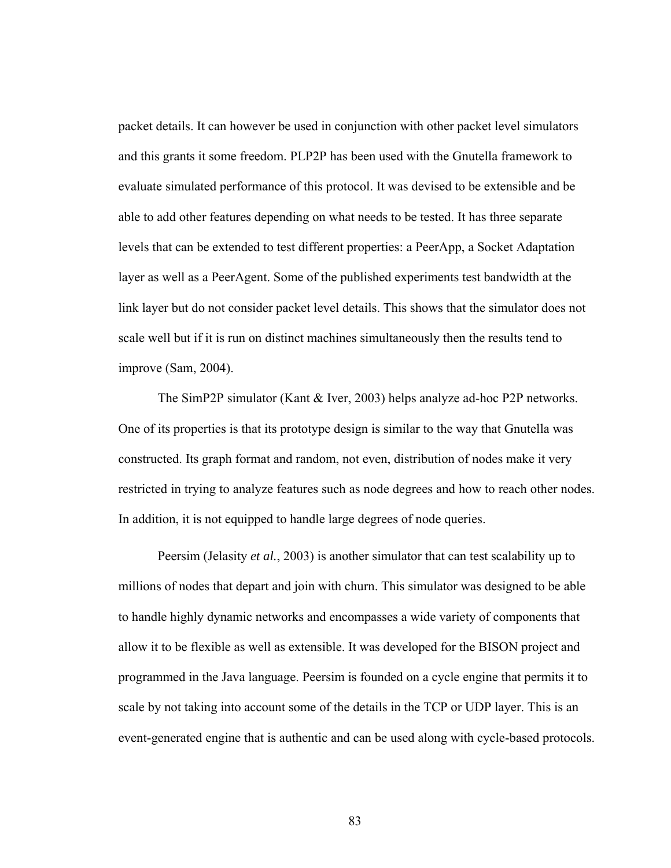packet details. It can however be used in conjunction with other packet level simulators and this grants it some freedom. PLP2P has been used with the Gnutella framework to evaluate simulated performance of this protocol. It was devised to be extensible and be able to add other features depending on what needs to be tested. It has three separate levels that can be extended to test different properties: a PeerApp, a Socket Adaptation layer as well as a PeerAgent. Some of the published experiments test bandwidth at the link layer but do not consider packet level details. This shows that the simulator does not scale well but if it is run on distinct machines simultaneously then the results tend to improve (Sam, 2004).

The SimP2P simulator (Kant & Iver, 2003) helps analyze ad-hoc P2P networks. One of its properties is that its prototype design is similar to the way that Gnutella was constructed. Its graph format and random, not even, distribution of nodes make it very restricted in trying to analyze features such as node degrees and how to reach other nodes. In addition, it is not equipped to handle large degrees of node queries.

Peersim (Jelasity *et al.*, 2003) is another simulator that can test scalability up to millions of nodes that depart and join with churn. This simulator was designed to be able to handle highly dynamic networks and encompasses a wide variety of components that allow it to be flexible as well as extensible. It was developed for the BISON project and programmed in the Java language. Peersim is founded on a cycle engine that permits it to scale by not taking into account some of the details in the TCP or UDP layer. This is an event-generated engine that is authentic and can be used along with cycle-based protocols.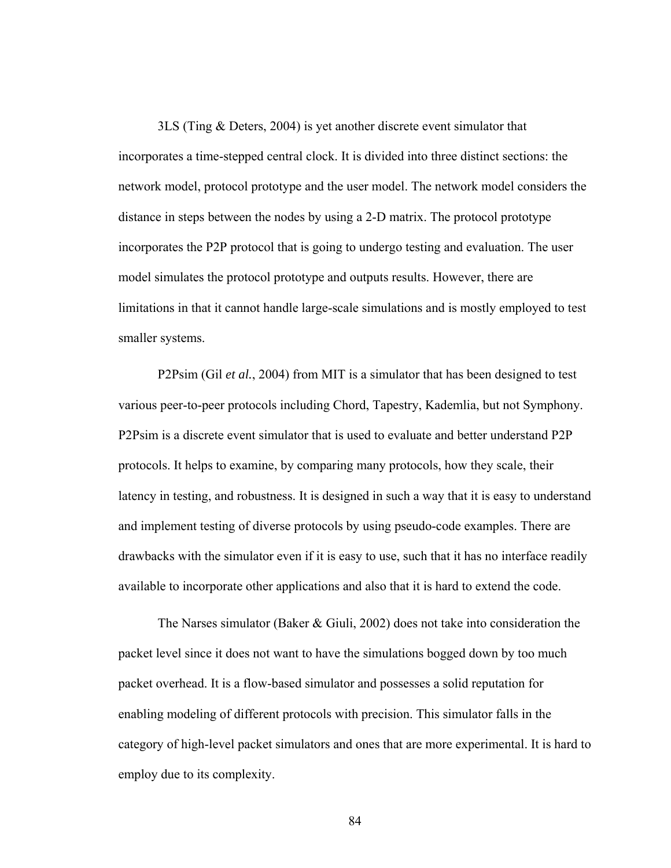3LS (Ting & Deters, 2004) is yet another discrete event simulator that incorporates a time-stepped central clock. It is divided into three distinct sections: the network model, protocol prototype and the user model. The network model considers the distance in steps between the nodes by using a 2-D matrix. The protocol prototype incorporates the P2P protocol that is going to undergo testing and evaluation. The user model simulates the protocol prototype and outputs results. However, there are limitations in that it cannot handle large-scale simulations and is mostly employed to test smaller systems.

P2Psim (Gil *et al.*, 2004) from MIT is a simulator that has been designed to test various peer-to-peer protocols including Chord, Tapestry, Kademlia, but not Symphony. P2Psim is a discrete event simulator that is used to evaluate and better understand P2P protocols. It helps to examine, by comparing many protocols, how they scale, their latency in testing, and robustness. It is designed in such a way that it is easy to understand and implement testing of diverse protocols by using pseudo-code examples. There are drawbacks with the simulator even if it is easy to use, such that it has no interface readily available to incorporate other applications and also that it is hard to extend the code.

The Narses simulator (Baker & Giuli, 2002) does not take into consideration the packet level since it does not want to have the simulations bogged down by too much packet overhead. It is a flow-based simulator and possesses a solid reputation for enabling modeling of different protocols with precision. This simulator falls in the category of high-level packet simulators and ones that are more experimental. It is hard to employ due to its complexity.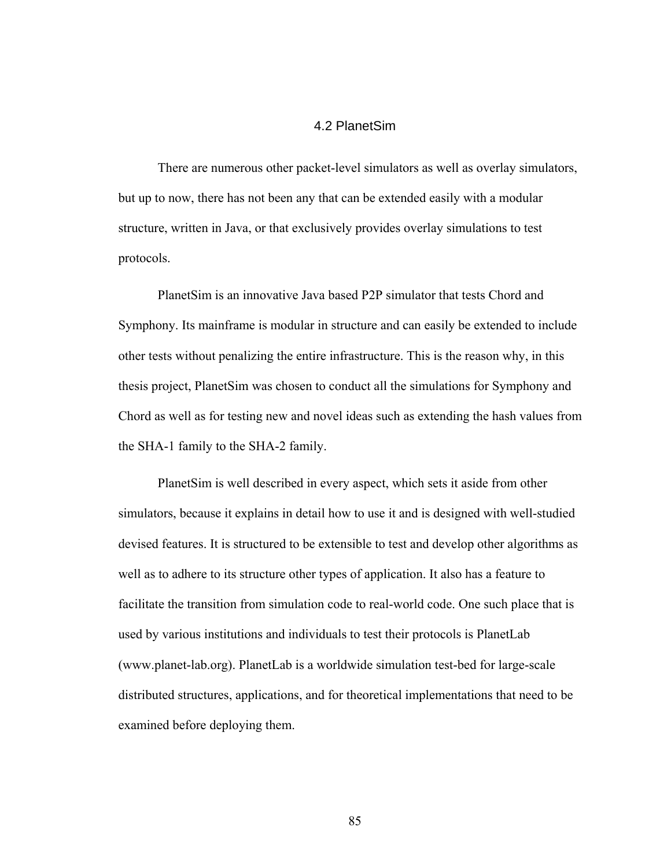### 4.2 PlanetSim

There are numerous other packet-level simulators as well as overlay simulators, but up to now, there has not been any that can be extended easily with a modular structure, written in Java, or that exclusively provides overlay simulations to test protocols.

PlanetSim is an innovative Java based P2P simulator that tests Chord and Symphony. Its mainframe is modular in structure and can easily be extended to include other tests without penalizing the entire infrastructure. This is the reason why, in this thesis project, PlanetSim was chosen to conduct all the simulations for Symphony and Chord as well as for testing new and novel ideas such as extending the hash values from the SHA-1 family to the SHA-2 family.

PlanetSim is well described in every aspect, which sets it aside from other simulators, because it explains in detail how to use it and is designed with well-studied devised features. It is structured to be extensible to test and develop other algorithms as well as to adhere to its structure other types of application. It also has a feature to facilitate the transition from simulation code to real-world code. One such place that is used by various institutions and individuals to test their protocols is PlanetLab (www.planet-lab.org). PlanetLab is a worldwide simulation test-bed for large-scale distributed structures, applications, and for theoretical implementations that need to be examined before deploying them.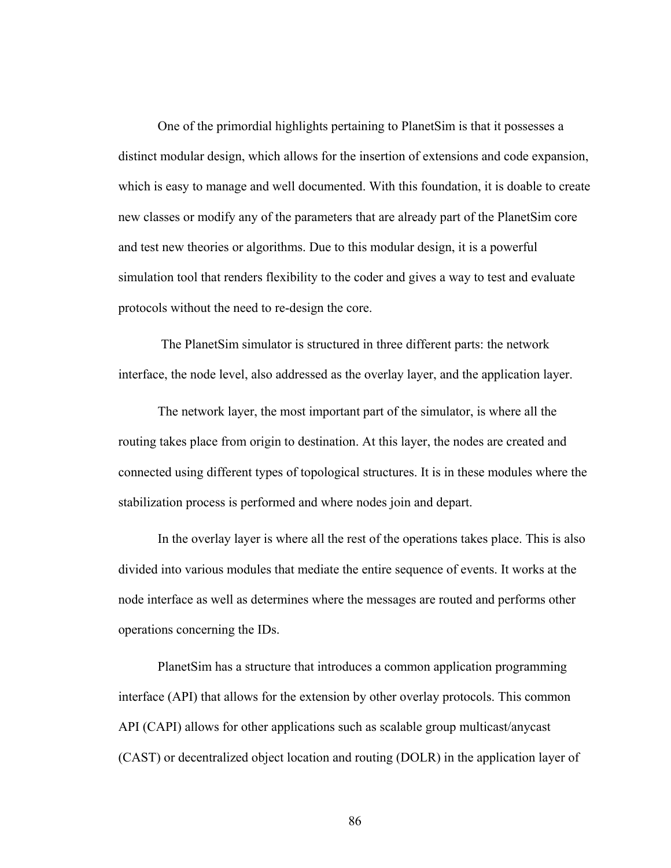One of the primordial highlights pertaining to PlanetSim is that it possesses a distinct modular design, which allows for the insertion of extensions and code expansion, which is easy to manage and well documented. With this foundation, it is doable to create new classes or modify any of the parameters that are already part of the PlanetSim core and test new theories or algorithms. Due to this modular design, it is a powerful simulation tool that renders flexibility to the coder and gives a way to test and evaluate protocols without the need to re-design the core.

 The PlanetSim simulator is structured in three different parts: the network interface, the node level, also addressed as the overlay layer, and the application layer.

The network layer, the most important part of the simulator, is where all the routing takes place from origin to destination. At this layer, the nodes are created and connected using different types of topological structures. It is in these modules where the stabilization process is performed and where nodes join and depart.

In the overlay layer is where all the rest of the operations takes place. This is also divided into various modules that mediate the entire sequence of events. It works at the node interface as well as determines where the messages are routed and performs other operations concerning the IDs.

PlanetSim has a structure that introduces a common application programming interface (API) that allows for the extension by other overlay protocols. This common API (CAPI) allows for other applications such as scalable group multicast/anycast (CAST) or decentralized object location and routing (DOLR) in the application layer of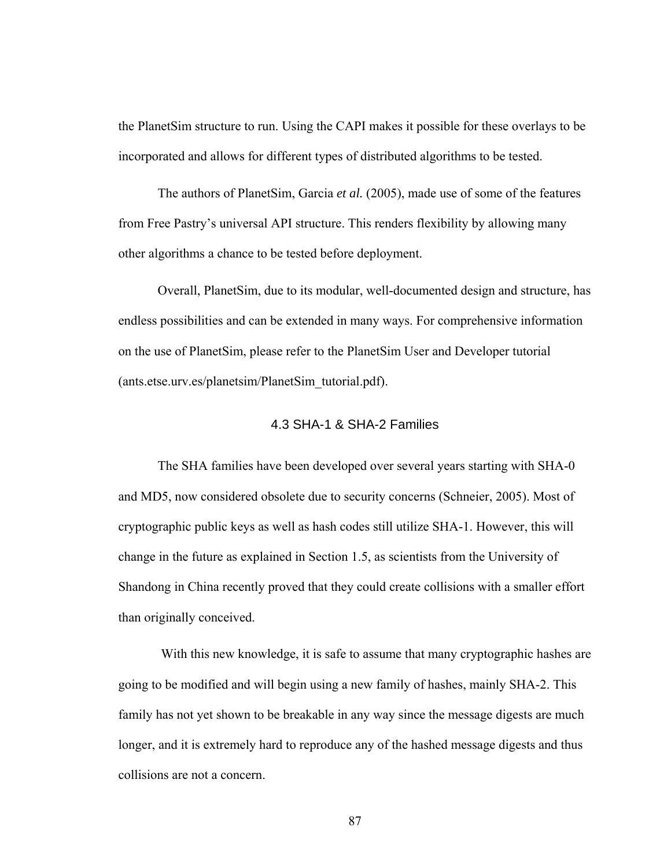the PlanetSim structure to run. Using the CAPI makes it possible for these overlays to be incorporated and allows for different types of distributed algorithms to be tested.

The authors of PlanetSim, Garcia *et al.* (2005), made use of some of the features from Free Pastry's universal API structure. This renders flexibility by allowing many other algorithms a chance to be tested before deployment.

Overall, PlanetSim, due to its modular, well-documented design and structure, has endless possibilities and can be extended in many ways. For comprehensive information on the use of PlanetSim, please refer to the PlanetSim User and Developer tutorial (ants.etse.urv.es/planetsim/PlanetSim\_tutorial.pdf).

## 4.3 SHA-1 & SHA-2 Families

The SHA families have been developed over several years starting with SHA-0 and MD5, now considered obsolete due to security concerns (Schneier, 2005). Most of cryptographic public keys as well as hash codes still utilize SHA-1. However, this will change in the future as explained in Section 1.5, as scientists from the University of Shandong in China recently proved that they could create collisions with a smaller effort than originally conceived.

 With this new knowledge, it is safe to assume that many cryptographic hashes are going to be modified and will begin using a new family of hashes, mainly SHA-2. This family has not yet shown to be breakable in any way since the message digests are much longer, and it is extremely hard to reproduce any of the hashed message digests and thus collisions are not a concern.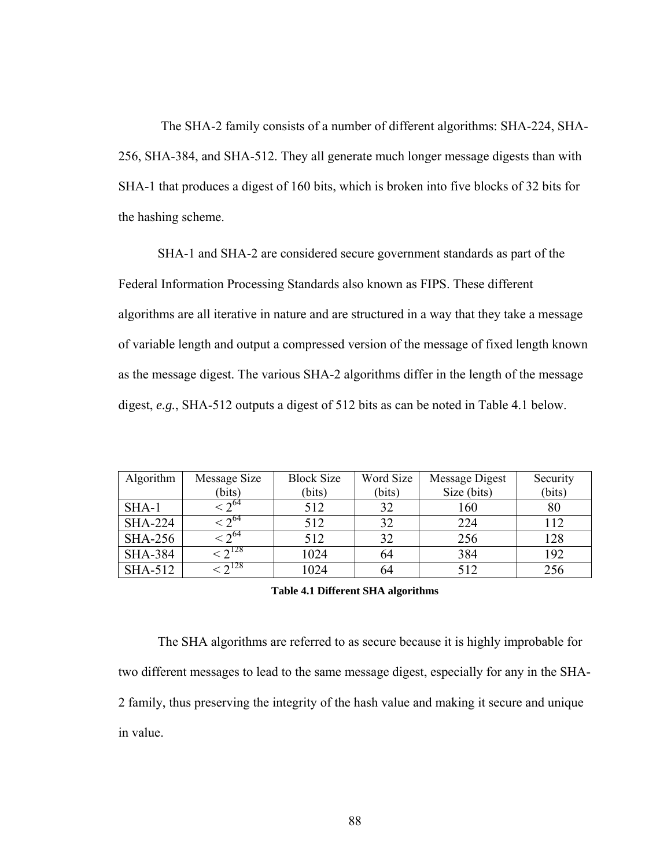The SHA-2 family consists of a number of different algorithms: SHA-224, SHA-256, SHA-384, and SHA-512. They all generate much longer message digests than with SHA-1 that produces a digest of 160 bits, which is broken into five blocks of 32 bits for the hashing scheme.

SHA-1 and SHA-2 are considered secure government standards as part of the Federal Information Processing Standards also known as FIPS. These different algorithms are all iterative in nature and are structured in a way that they take a message of variable length and output a compressed version of the message of fixed length known as the message digest. The various SHA-2 algorithms differ in the length of the message digest, *e.g.*, SHA-512 outputs a digest of 512 bits as can be noted in Table 4.1 below.

| Algorithm      | Message Size     | <b>Block Size</b> | Word Size | Message Digest | Security |
|----------------|------------------|-------------------|-----------|----------------|----------|
|                | (bits)           | (bits)            | (bits)    | Size (bits)    | (bits)   |
| $SHA-1$        | $-2^{64}$        | 512               | 32        | 160            | 80       |
| <b>SHA-224</b> | $\sqrt{2^{64}}$  | 512               | 32        | 224            | 112      |
| <b>SHA-256</b> | $-2^{64}$        | 512               | 32        | 256            | 128      |
| <b>SHA-384</b> | $\sim$ 7 128     | 1024              | 64        | 384            | 192      |
| SHA-512        | $\sqrt{2^{128}}$ | 1024              | 64        | 512            | 256      |

### **Table 4.1 Different SHA algorithms**

The SHA algorithms are referred to as secure because it is highly improbable for two different messages to lead to the same message digest, especially for any in the SHA-2 family, thus preserving the integrity of the hash value and making it secure and unique in value.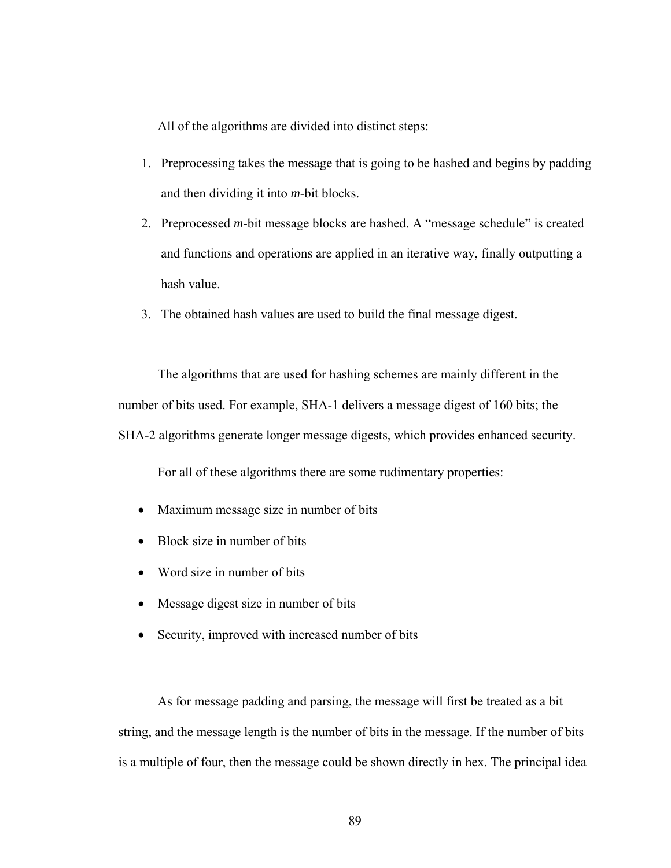All of the algorithms are divided into distinct steps:

- 1. Preprocessing takes the message that is going to be hashed and begins by padding and then dividing it into *m*-bit blocks.
- 2. Preprocessed *m*-bit message blocks are hashed. A "message schedule" is created and functions and operations are applied in an iterative way, finally outputting a hash value.
- 3. The obtained hash values are used to build the final message digest.

The algorithms that are used for hashing schemes are mainly different in the number of bits used. For example, SHA-1 delivers a message digest of 160 bits; the SHA-2 algorithms generate longer message digests, which provides enhanced security.

For all of these algorithms there are some rudimentary properties:

- Maximum message size in number of bits
- Block size in number of bits
- Word size in number of bits
- Message digest size in number of bits
- Security, improved with increased number of bits

As for message padding and parsing, the message will first be treated as a bit string, and the message length is the number of bits in the message. If the number of bits is a multiple of four, then the message could be shown directly in hex. The principal idea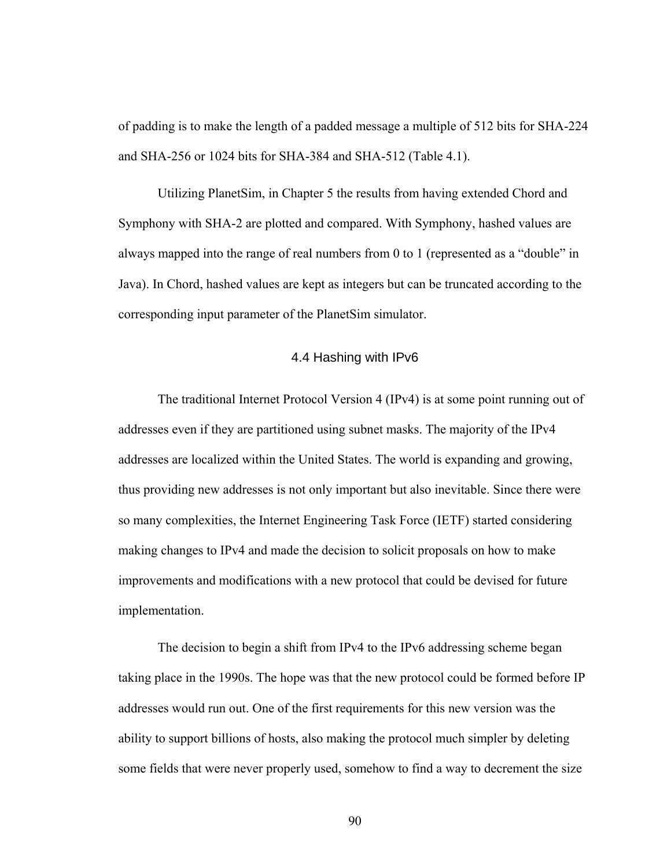of padding is to make the length of a padded message a multiple of 512 bits for SHA-224 and SHA-256 or 1024 bits for SHA-384 and SHA-512 (Table 4.1).

Utilizing PlanetSim, in Chapter 5 the results from having extended Chord and Symphony with SHA-2 are plotted and compared. With Symphony, hashed values are always mapped into the range of real numbers from 0 to 1 (represented as a "double" in Java). In Chord, hashed values are kept as integers but can be truncated according to the corresponding input parameter of the PlanetSim simulator.

## 4.4 Hashing with IPv6

The traditional Internet Protocol Version 4 (IPv4) is at some point running out of addresses even if they are partitioned using subnet masks. The majority of the IPv4 addresses are localized within the United States. The world is expanding and growing, thus providing new addresses is not only important but also inevitable. Since there were so many complexities, the Internet Engineering Task Force (IETF) started considering making changes to IPv4 and made the decision to solicit proposals on how to make improvements and modifications with a new protocol that could be devised for future implementation.

The decision to begin a shift from IPv4 to the IPv6 addressing scheme began taking place in the 1990s. The hope was that the new protocol could be formed before IP addresses would run out. One of the first requirements for this new version was the ability to support billions of hosts, also making the protocol much simpler by deleting some fields that were never properly used, somehow to find a way to decrement the size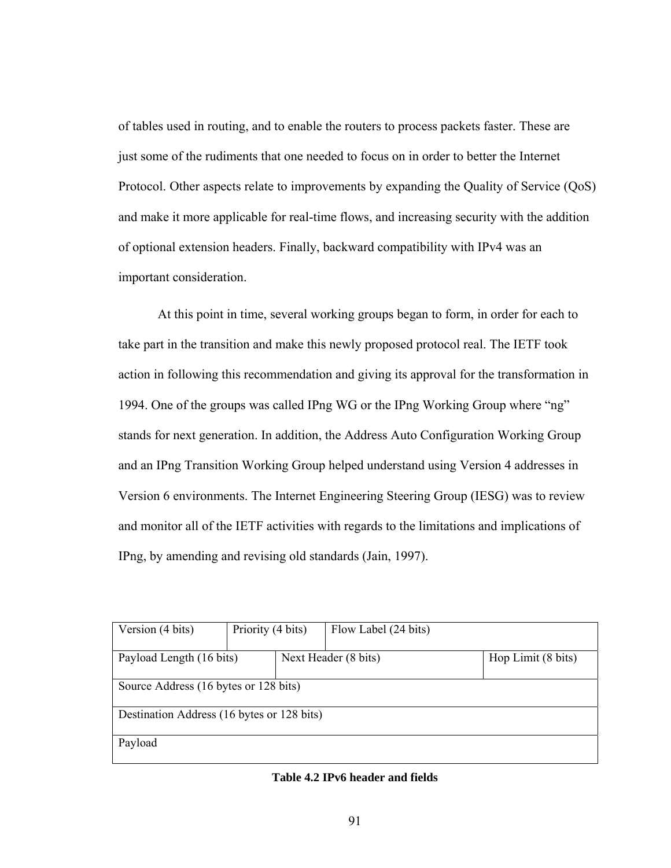of tables used in routing, and to enable the routers to process packets faster. These are just some of the rudiments that one needed to focus on in order to better the Internet Protocol. Other aspects relate to improvements by expanding the Quality of Service (QoS) and make it more applicable for real-time flows, and increasing security with the addition of optional extension headers. Finally, backward compatibility with IPv4 was an important consideration.

At this point in time, several working groups began to form, in order for each to take part in the transition and make this newly proposed protocol real. The IETF took action in following this recommendation and giving its approval for the transformation in 1994. One of the groups was called IPng WG or the IPng Working Group where "ng" stands for next generation. In addition, the Address Auto Configuration Working Group and an IPng Transition Working Group helped understand using Version 4 addresses in Version 6 environments. The Internet Engineering Steering Group (IESG) was to review and monitor all of the IETF activities with regards to the limitations and implications of IPng, by amending and revising old standards (Jain, 1997).

| Priority (4 bits)<br>Version (4 bits)      |  |                      | Flow Label (24 bits) |                    |
|--------------------------------------------|--|----------------------|----------------------|--------------------|
|                                            |  |                      |                      |                    |
|                                            |  |                      |                      |                    |
| Payload Length (16 bits)                   |  | Next Header (8 bits) |                      | Hop Limit (8 bits) |
|                                            |  |                      |                      |                    |
|                                            |  |                      |                      |                    |
| Source Address (16 bytes or 128 bits)      |  |                      |                      |                    |
|                                            |  |                      |                      |                    |
|                                            |  |                      |                      |                    |
| Destination Address (16 bytes or 128 bits) |  |                      |                      |                    |
|                                            |  |                      |                      |                    |
|                                            |  |                      |                      |                    |
| Payload                                    |  |                      |                      |                    |
|                                            |  |                      |                      |                    |
|                                            |  |                      |                      |                    |

### **Table 4.2 IPv6 header and fields**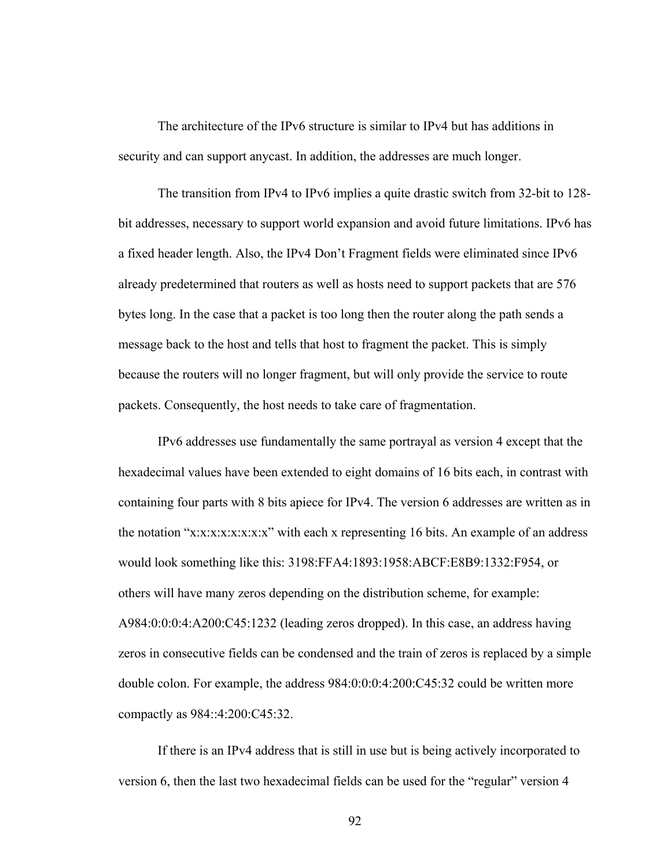The architecture of the IPv6 structure is similar to IPv4 but has additions in security and can support anycast. In addition, the addresses are much longer.

The transition from IPv4 to IPv6 implies a quite drastic switch from 32-bit to 128 bit addresses, necessary to support world expansion and avoid future limitations. IPv6 has a fixed header length. Also, the IPv4 Don't Fragment fields were eliminated since IPv6 already predetermined that routers as well as hosts need to support packets that are 576 bytes long. In the case that a packet is too long then the router along the path sends a message back to the host and tells that host to fragment the packet. This is simply because the routers will no longer fragment, but will only provide the service to route packets. Consequently, the host needs to take care of fragmentation.

IPv6 addresses use fundamentally the same portrayal as version 4 except that the hexadecimal values have been extended to eight domains of 16 bits each, in contrast with containing four parts with 8 bits apiece for IPv4. The version 6 addresses are written as in the notation "x:x:x:x:x:x:x:x" with each x representing 16 bits. An example of an address would look something like this: 3198:FFA4:1893:1958:ABCF:E8B9:1332:F954, or others will have many zeros depending on the distribution scheme, for example: A984:0:0:0:4:A200:C45:1232 (leading zeros dropped). In this case, an address having zeros in consecutive fields can be condensed and the train of zeros is replaced by a simple double colon. For example, the address 984:0:0:0:4:200:C45:32 could be written more compactly as 984::4:200:C45:32.

If there is an IPv4 address that is still in use but is being actively incorporated to version 6, then the last two hexadecimal fields can be used for the "regular" version 4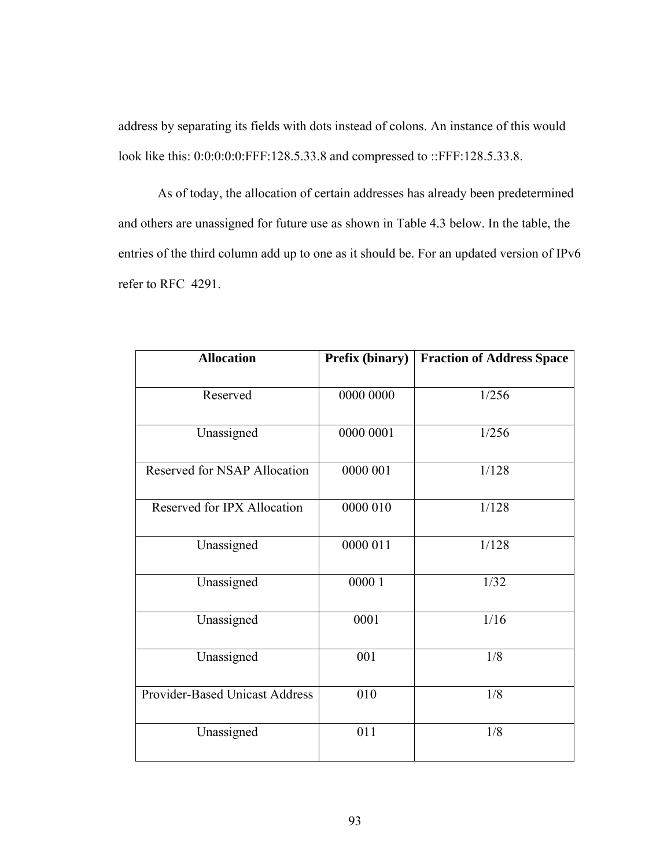address by separating its fields with dots instead of colons. An instance of this would look like this: 0:0:0:0:0:FFF:128.5.33.8 and compressed to ::FFF:128.5.33.8.

As of today, the allocation of certain addresses has already been predetermined and others are unassigned for future use as shown in Table 4.3 below. In the table, the entries of the third column add up to one as it should be. For an updated version of IPv6 refer to RFC 4291.

| <b>Allocation</b>                     | Prefix (binary) | <b>Fraction of Address Space</b> |
|---------------------------------------|-----------------|----------------------------------|
| Reserved                              | 0000 0000       | 1/256                            |
| Unassigned                            | 0000 0001       | 1/256                            |
| <b>Reserved for NSAP Allocation</b>   | 0000 001        | 1/128                            |
| Reserved for IPX Allocation           | 0000 010        | 1/128                            |
| Unassigned                            | 0000 011        | 1/128                            |
| Unassigned                            | 00001           | 1/32                             |
| Unassigned                            | 0001            | 1/16                             |
| Unassigned                            | 001             | 1/8                              |
| <b>Provider-Based Unicast Address</b> | 010             | 1/8                              |
| Unassigned                            | 011             | 1/8                              |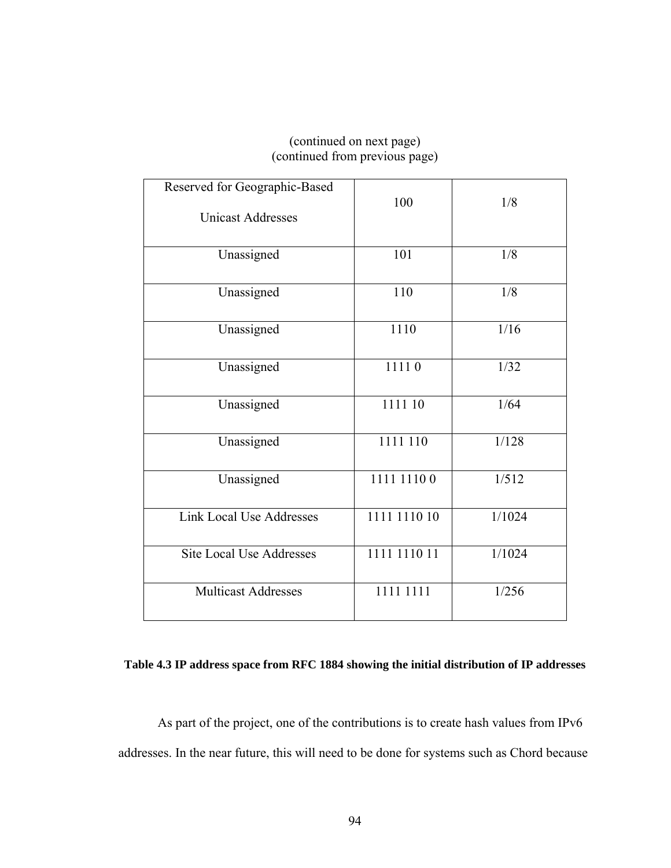# (continued on next page) (continued from previous page)

| Reserved for Geographic-Based<br><b>Unicast Addresses</b> | 100          | 1/8    |
|-----------------------------------------------------------|--------------|--------|
| Unassigned                                                | 101          | 1/8    |
| Unassigned                                                | 110          | 1/8    |
| Unassigned                                                | 1110         | 1/16   |
| Unassigned                                                | 11110        | 1/32   |
| Unassigned                                                | 1111 10      | 1/64   |
| Unassigned                                                | 1111 110     | 1/128  |
| Unassigned                                                | 1111 1110 0  | 1/512  |
| <b>Link Local Use Addresses</b>                           | 1111 1110 10 | 1/1024 |
| <b>Site Local Use Addresses</b>                           | 1111 1110 11 | 1/1024 |
| <b>Multicast Addresses</b>                                | 1111 1111    | 1/256  |

## **Table 4.3 IP address space from RFC 1884 showing the initial distribution of IP addresses**

As part of the project, one of the contributions is to create hash values from IPv6 addresses. In the near future, this will need to be done for systems such as Chord because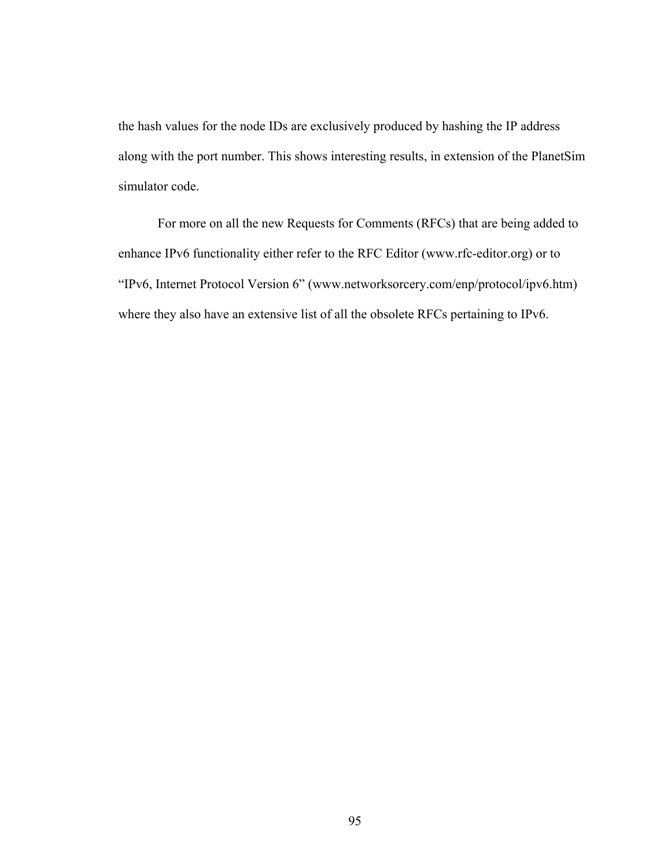the hash values for the node IDs are exclusively produced by hashing the IP address along with the port number. This shows interesting results, in extension of the PlanetSim simulator code.

For more on all the new Requests for Comments (RFCs) that are being added to enhance IPv6 functionality either refer to the RFC Editor (www.rfc-editor.org) or to "IPv6, Internet Protocol Version 6" (www.networksorcery.com/enp/protocol/ipv6.htm) where they also have an extensive list of all the obsolete RFCs pertaining to IPv6.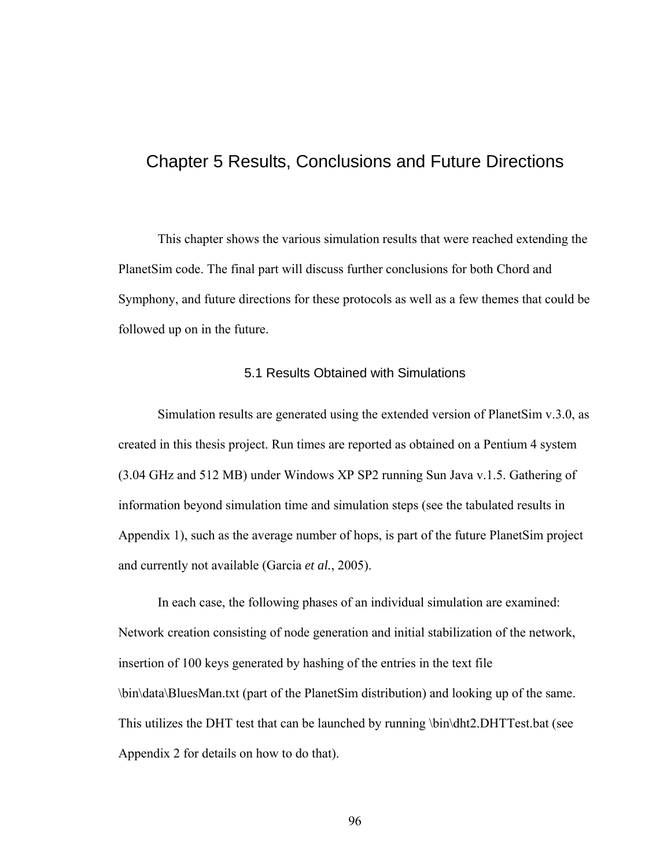# Chapter 5 Results, Conclusions and Future Directions

This chapter shows the various simulation results that were reached extending the PlanetSim code. The final part will discuss further conclusions for both Chord and Symphony, and future directions for these protocols as well as a few themes that could be followed up on in the future.

### 5.1 Results Obtained with Simulations

Simulation results are generated using the extended version of PlanetSim v.3.0, as created in this thesis project. Run times are reported as obtained on a Pentium 4 system (3.04 GHz and 512 MB) under Windows XP SP2 running Sun Java v.1.5. Gathering of information beyond simulation time and simulation steps (see the tabulated results in Appendix 1), such as the average number of hops, is part of the future PlanetSim project and currently not available (Garcia *et al.*, 2005).

In each case, the following phases of an individual simulation are examined: Network creation consisting of node generation and initial stabilization of the network, insertion of 100 keys generated by hashing of the entries in the text file \bin\data\BluesMan.txt (part of the PlanetSim distribution) and looking up of the same. This utilizes the DHT test that can be launched by running \bin\dht2.DHTTest.bat (see Appendix 2 for details on how to do that).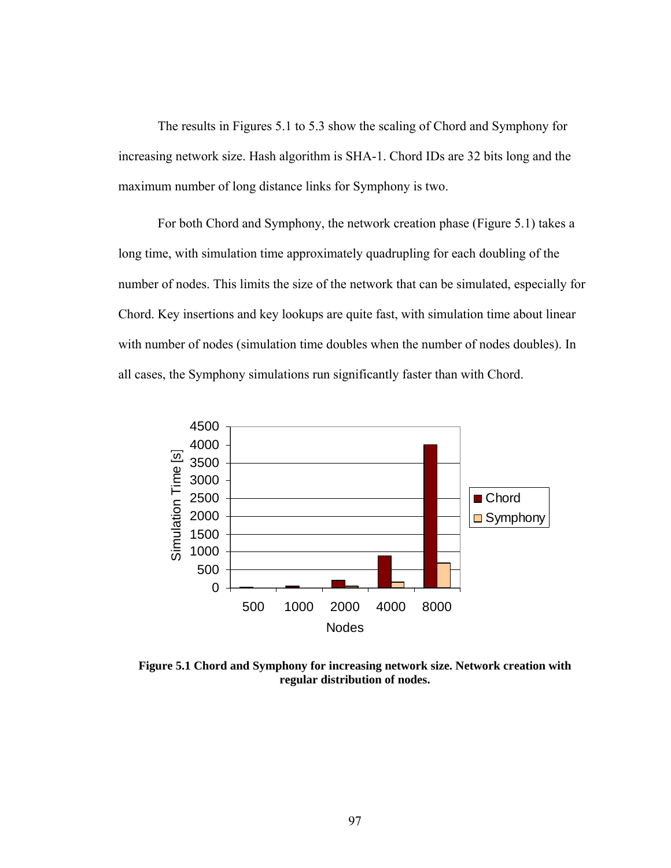The results in Figures 5.1 to 5.3 show the scaling of Chord and Symphony for increasing network size. Hash algorithm is SHA-1. Chord IDs are 32 bits long and the maximum number of long distance links for Symphony is two.

For both Chord and Symphony, the network creation phase (Figure 5.1) takes a long time, with simulation time approximately quadrupling for each doubling of the number of nodes. This limits the size of the network that can be simulated, especially for Chord. Key insertions and key lookups are quite fast, with simulation time about linear with number of nodes (simulation time doubles when the number of nodes doubles). In all cases, the Symphony simulations run significantly faster than with Chord.



**Figure 5.1 Chord and Symphony for increasing network size. Network creation with regular distribution of nodes.**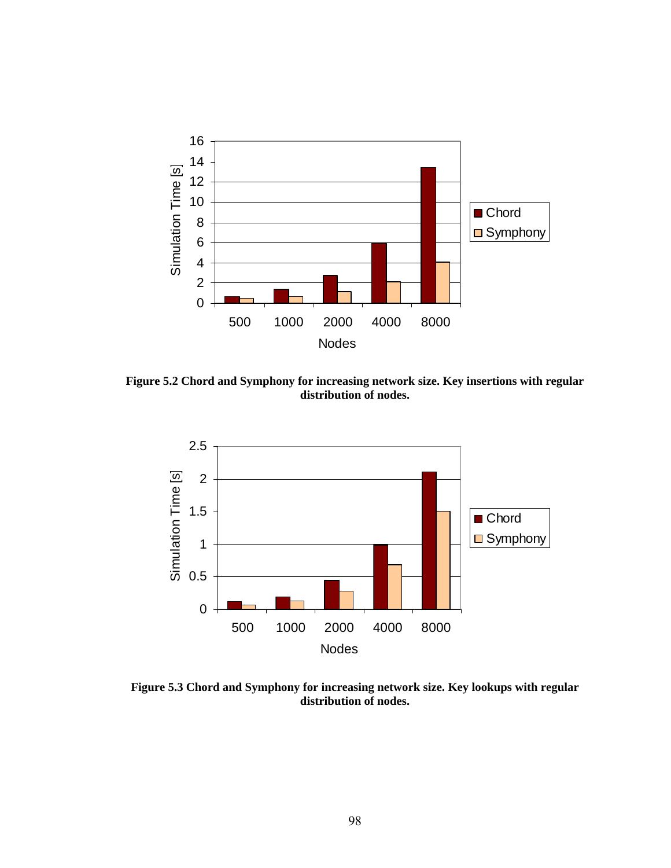

**Figure 5.2 Chord and Symphony for increasing network size. Key insertions with regular distribution of nodes.** 



**Figure 5.3 Chord and Symphony for increasing network size. Key lookups with regular distribution of nodes.**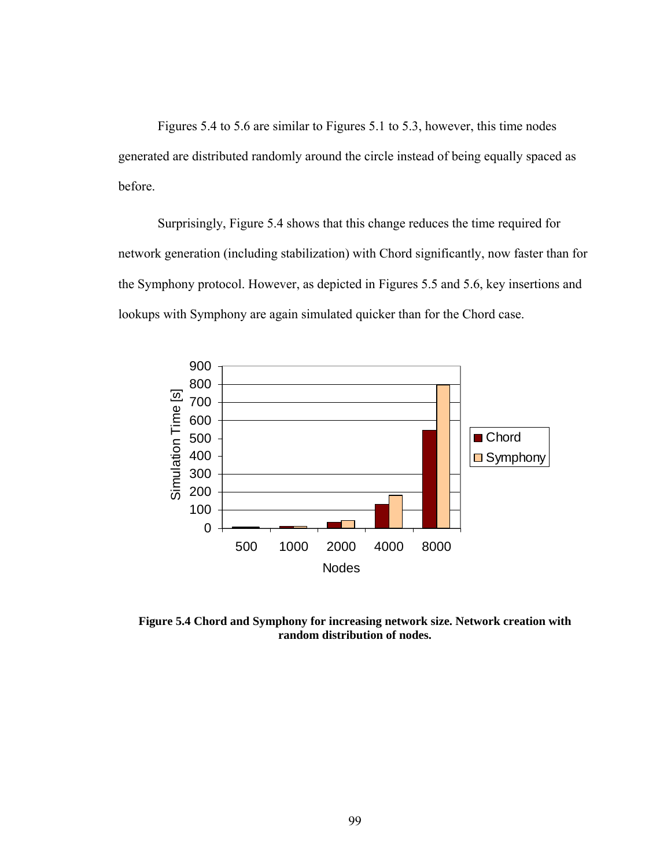Figures 5.4 to 5.6 are similar to Figures 5.1 to 5.3, however, this time nodes generated are distributed randomly around the circle instead of being equally spaced as before.

Surprisingly, Figure 5.4 shows that this change reduces the time required for network generation (including stabilization) with Chord significantly, now faster than for the Symphony protocol. However, as depicted in Figures 5.5 and 5.6, key insertions and lookups with Symphony are again simulated quicker than for the Chord case.



**Figure 5.4 Chord and Symphony for increasing network size. Network creation with random distribution of nodes.**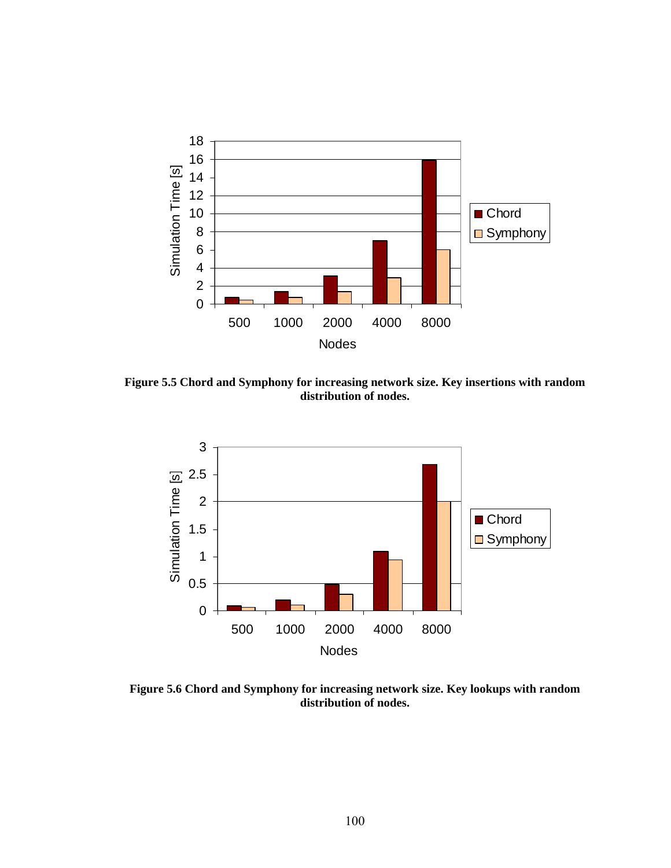

**Figure 5.5 Chord and Symphony for increasing network size. Key insertions with random distribution of nodes.** 



**Figure 5.6 Chord and Symphony for increasing network size. Key lookups with random distribution of nodes.**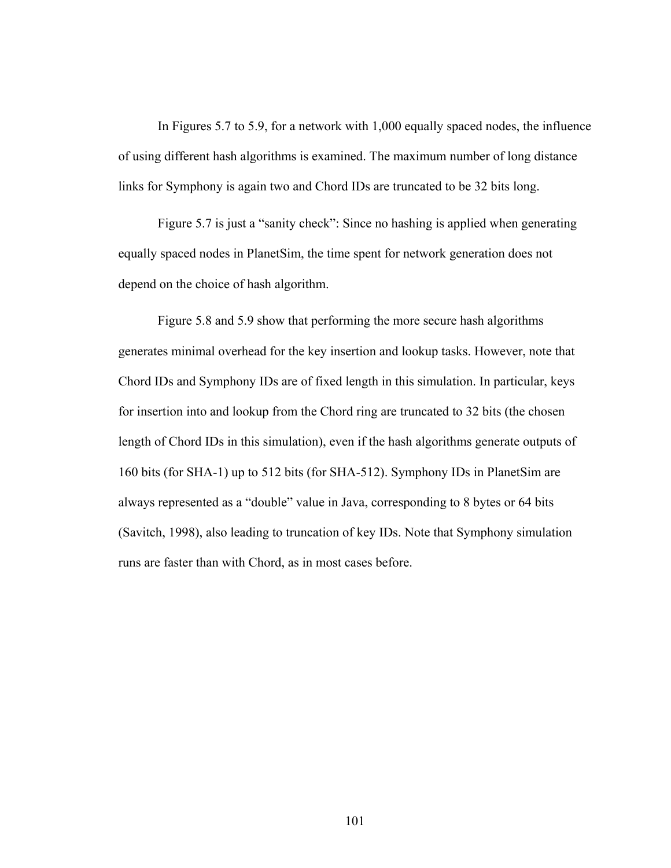In Figures 5.7 to 5.9, for a network with 1,000 equally spaced nodes, the influence of using different hash algorithms is examined. The maximum number of long distance links for Symphony is again two and Chord IDs are truncated to be 32 bits long.

 Figure 5.7 is just a "sanity check": Since no hashing is applied when generating equally spaced nodes in PlanetSim, the time spent for network generation does not depend on the choice of hash algorithm.

 Figure 5.8 and 5.9 show that performing the more secure hash algorithms generates minimal overhead for the key insertion and lookup tasks. However, note that Chord IDs and Symphony IDs are of fixed length in this simulation. In particular, keys for insertion into and lookup from the Chord ring are truncated to 32 bits (the chosen length of Chord IDs in this simulation), even if the hash algorithms generate outputs of 160 bits (for SHA-1) up to 512 bits (for SHA-512). Symphony IDs in PlanetSim are always represented as a "double" value in Java, corresponding to 8 bytes or 64 bits (Savitch, 1998), also leading to truncation of key IDs. Note that Symphony simulation runs are faster than with Chord, as in most cases before.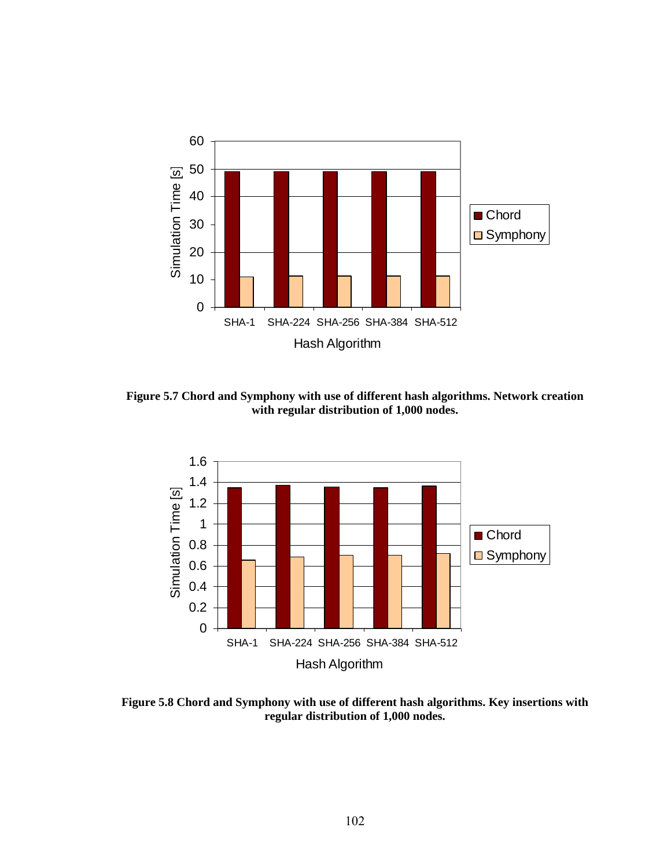

**Figure 5.7 Chord and Symphony with use of different hash algorithms. Network creation with regular distribution of 1,000 nodes.** 



**Figure 5.8 Chord and Symphony with use of different hash algorithms. Key insertions with regular distribution of 1,000 nodes.**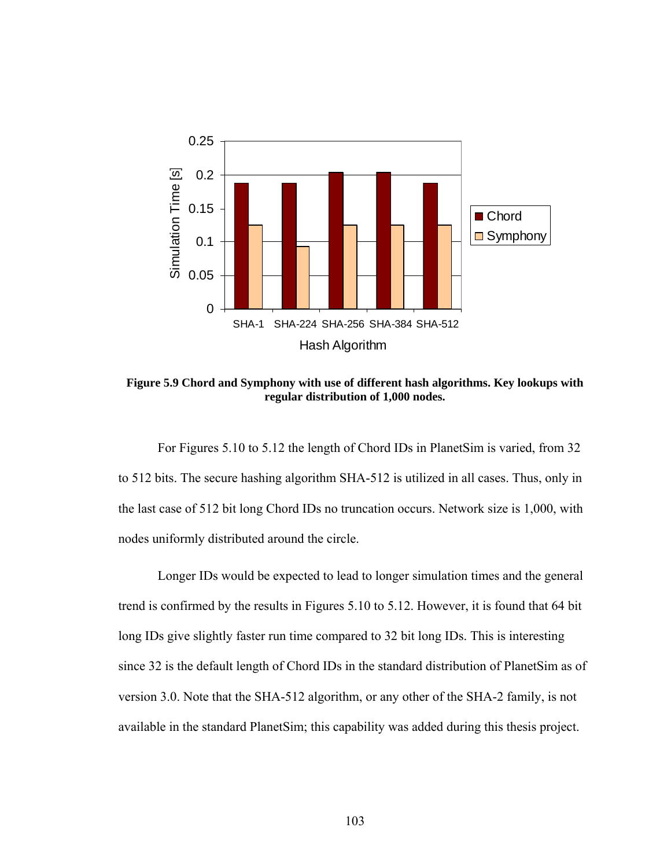

**Figure 5.9 Chord and Symphony with use of different hash algorithms. Key lookups with regular distribution of 1,000 nodes.** 

For Figures 5.10 to 5.12 the length of Chord IDs in PlanetSim is varied, from 32 to 512 bits. The secure hashing algorithm SHA-512 is utilized in all cases. Thus, only in the last case of 512 bit long Chord IDs no truncation occurs. Network size is 1,000, with nodes uniformly distributed around the circle.

Longer IDs would be expected to lead to longer simulation times and the general trend is confirmed by the results in Figures 5.10 to 5.12. However, it is found that 64 bit long IDs give slightly faster run time compared to 32 bit long IDs. This is interesting since 32 is the default length of Chord IDs in the standard distribution of PlanetSim as of version 3.0. Note that the SHA-512 algorithm, or any other of the SHA-2 family, is not available in the standard PlanetSim; this capability was added during this thesis project.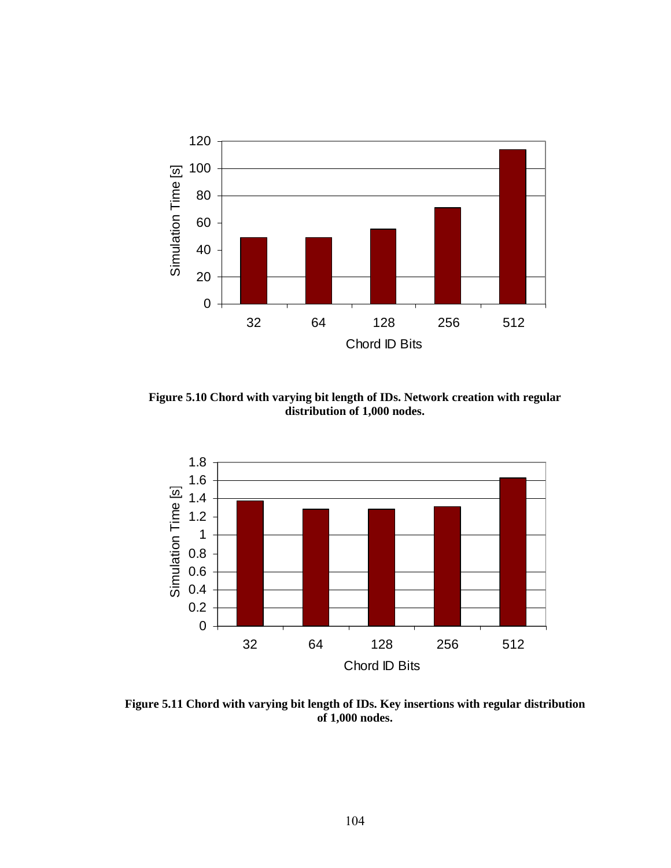

**Figure 5.10 Chord with varying bit length of IDs. Network creation with regular distribution of 1,000 nodes.** 



**Figure 5.11 Chord with varying bit length of IDs. Key insertions with regular distribution of 1,000 nodes.**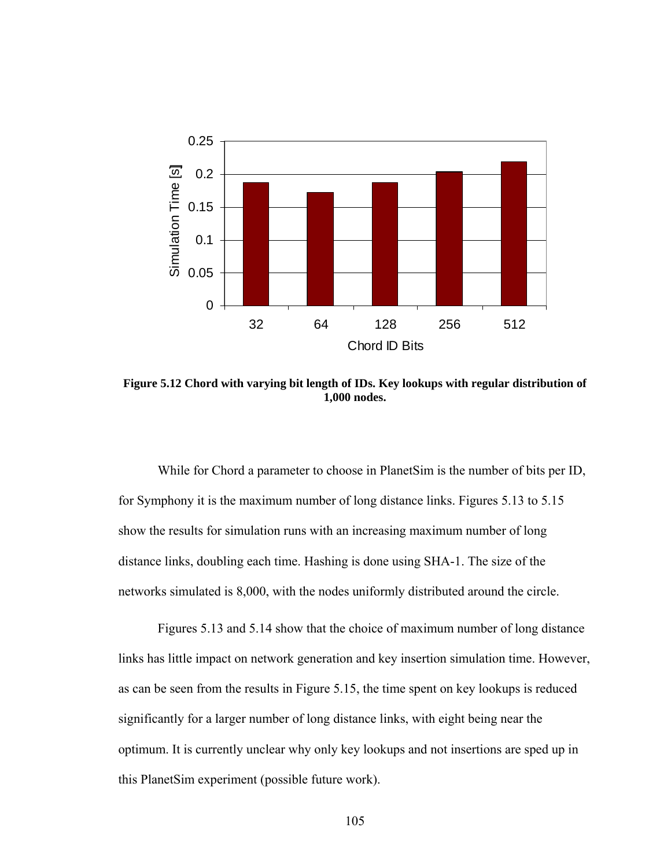

**Figure 5.12 Chord with varying bit length of IDs. Key lookups with regular distribution of 1,000 nodes.** 

While for Chord a parameter to choose in PlanetSim is the number of bits per ID, for Symphony it is the maximum number of long distance links. Figures 5.13 to 5.15 show the results for simulation runs with an increasing maximum number of long distance links, doubling each time. Hashing is done using SHA-1. The size of the networks simulated is 8,000, with the nodes uniformly distributed around the circle.

Figures 5.13 and 5.14 show that the choice of maximum number of long distance links has little impact on network generation and key insertion simulation time. However, as can be seen from the results in Figure 5.15, the time spent on key lookups is reduced significantly for a larger number of long distance links, with eight being near the optimum. It is currently unclear why only key lookups and not insertions are sped up in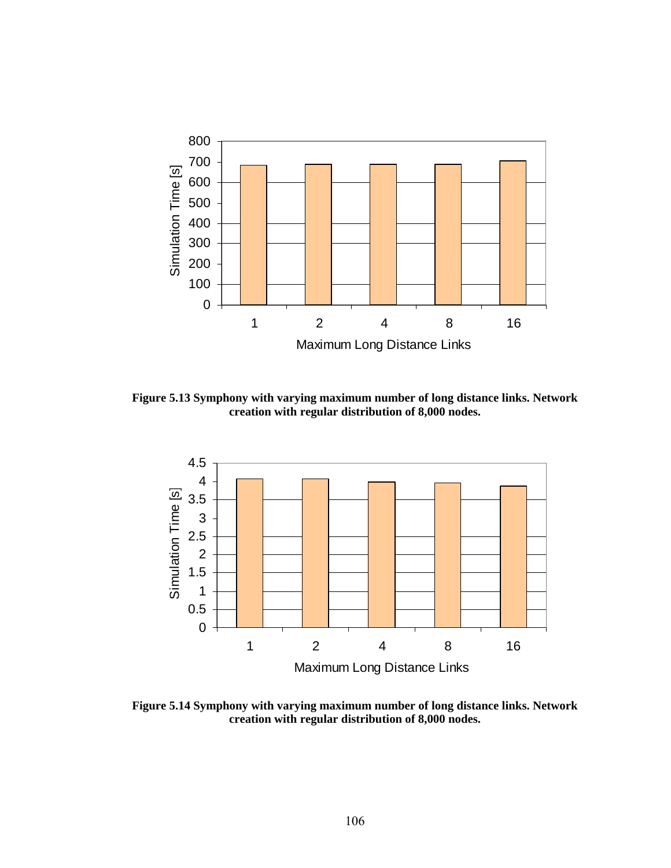

**Figure 5.13 Symphony with varying maximum number of long distance links. Network creation with regular distribution of 8,000 nodes.** 



**Figure 5.14 Symphony with varying maximum number of long distance links. Network creation with regular distribution of 8,000 nodes.**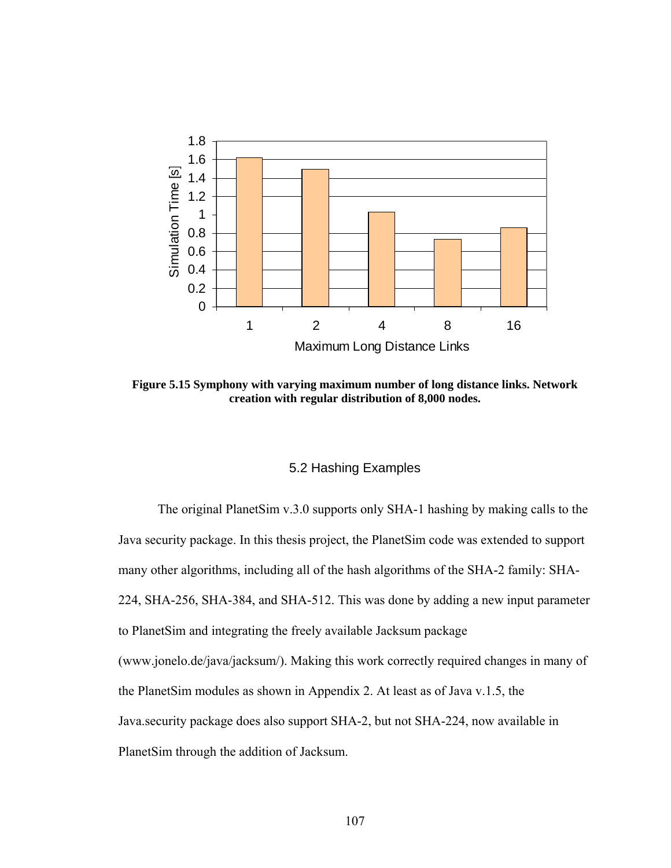

**Figure 5.15 Symphony with varying maximum number of long distance links. Network creation with regular distribution of 8,000 nodes.** 

### 5.2 Hashing Examples

The original PlanetSim v.3.0 supports only SHA-1 hashing by making calls to the Java security package. In this thesis project, the PlanetSim code was extended to support many other algorithms, including all of the hash algorithms of the SHA-2 family: SHA-224, SHA-256, SHA-384, and SHA-512. This was done by adding a new input parameter to PlanetSim and integrating the freely available Jacksum package (www.jonelo.de/java/jacksum/). Making this work correctly required changes in many of the PlanetSim modules as shown in Appendix 2. At least as of Java v.1.5, the Java.security package does also support SHA-2, but not SHA-224, now available in PlanetSim through the addition of Jacksum.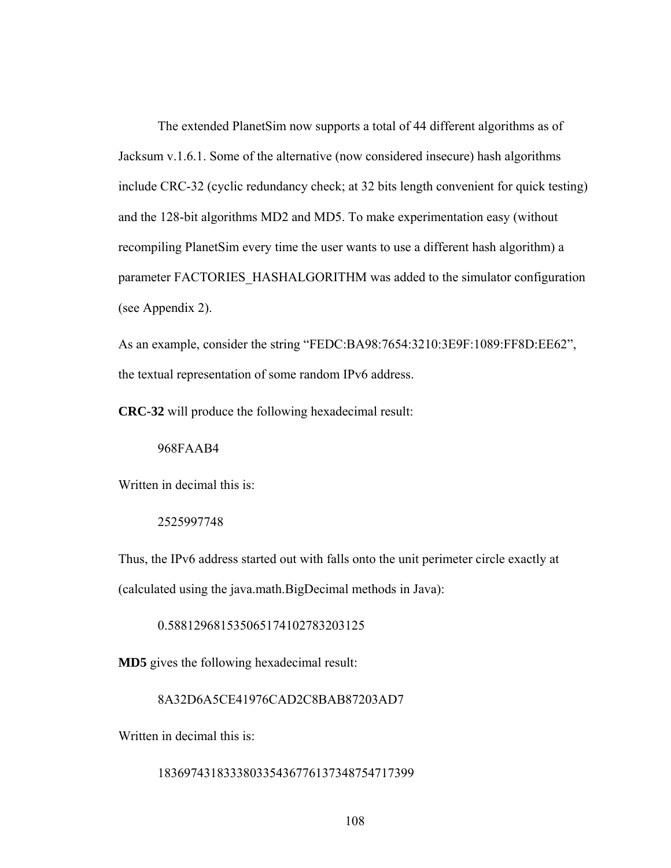The extended PlanetSim now supports a total of 44 different algorithms as of Jacksum v.1.6.1. Some of the alternative (now considered insecure) hash algorithms include CRC-32 (cyclic redundancy check; at 32 bits length convenient for quick testing) and the 128-bit algorithms MD2 and MD5. To make experimentation easy (without recompiling PlanetSim every time the user wants to use a different hash algorithm) a parameter FACTORIES HASHALGORITHM was added to the simulator configuration (see Appendix 2).

As an example, consider the string "FEDC:BA98:7654:3210:3E9F:1089:FF8D:EE62", the textual representation of some random IPv6 address.

**CRC-32** will produce the following hexadecimal result:

### 968FAAB4

Written in decimal this is:

2525997748

Thus, the IPv6 address started out with falls onto the unit perimeter circle exactly at (calculated using the java.math.BigDecimal methods in Java):

0.588129681535065174102783203125

**MD5** gives the following hexadecimal result:

### 8A32D6A5CE41976CAD2C8BAB87203AD7

Written in decimal this is:

#### 183697431833380335436776137348754717399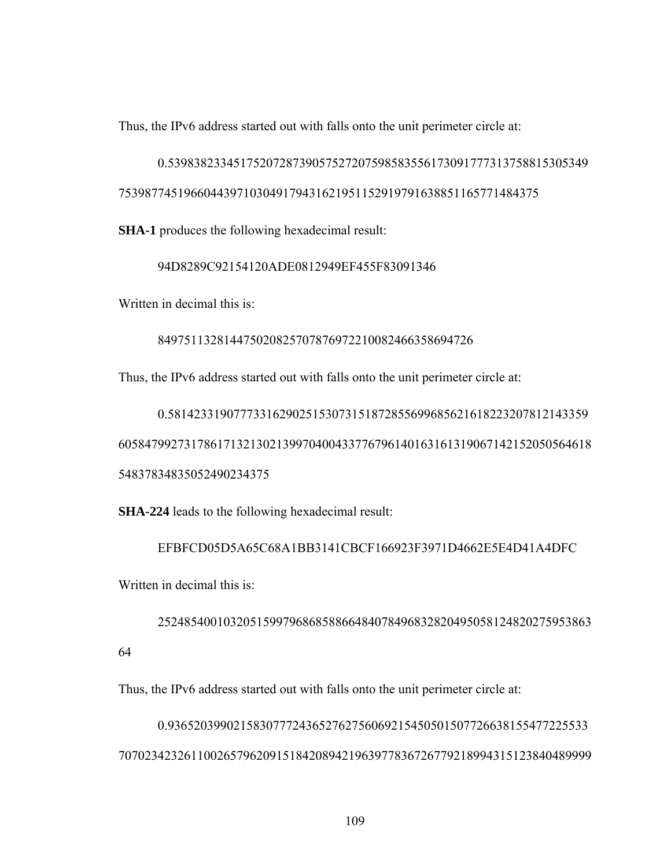Thus, the IPv6 address started out with falls onto the unit perimeter circle at:

0.5398382334517520728739057527207598583556173091777313758815305349 7539877451966044397103049179431621951152919791638851165771484375

**SHA-1** produces the following hexadecimal result:

94D8289C92154120ADE0812949EF455F83091346

Written in decimal this is:

849751132814475020825707876972210082466358694726

Thus, the IPv6 address started out with falls onto the unit perimeter circle at:

0.5814233190777331629025153073151872855699685621618223207812143359 605847992731786171321302139970400433776796140163161319067142152050564618 54837834835052490234375

**SHA-224** leads to the following hexadecimal result:

EFBFCD05D5A65C68A1BB3141CBCF166923F3971D4662E5E4D41A4DFC Written in decimal this is:

252485400103205159979686858866484078496832820495058124820275953863 64

Thus, the IPv6 address started out with falls onto the unit perimeter circle at:

0.9365203990215830777243652762756069215450501507726638155477225533 707023423261100265796209151842089421963977836726779218994315123840489999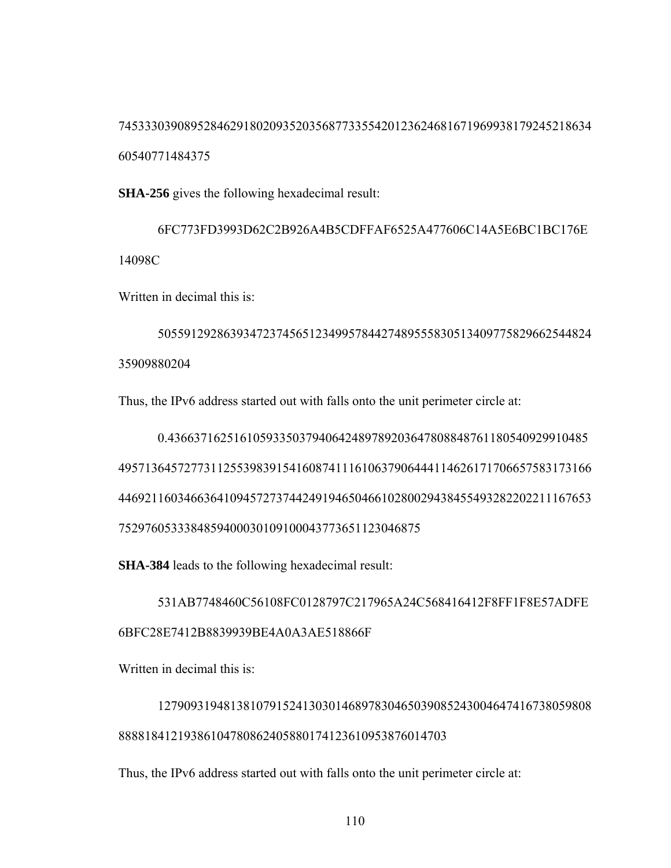745333039089528462918020935203568773355420123624681671969938179245218634 60540771484375

**SHA-256** gives the following hexadecimal result:

6FC773FD3993D62C2B926A4B5CDFFAF6525A477606C14A5E6BC1BC176E 14098C

Written in decimal this is:

505591292863934723745651234995784427489555830513409775829662544824 35909880204

Thus, the IPv6 address started out with falls onto the unit perimeter circle at:

0.4366371625161059335037940642489789203647808848761180540929910485 495713645727731125539839154160874111610637906444114626171706657583173166 446921160346636410945727374424919465046610280029438455493282202211167653 7529760533384859400030109100043773651123046875

**SHA-384** leads to the following hexadecimal result:

531AB7748460C56108FC0128797C217965A24C568416412F8FF1F8E57ADFE 6BFC28E7412B8839939BE4A0A3AE518866F

Written in decimal this is:

127909319481381079152413030146897830465039085243004647416738059808 88881841219386104780862405880174123610953876014703

Thus, the IPv6 address started out with falls onto the unit perimeter circle at: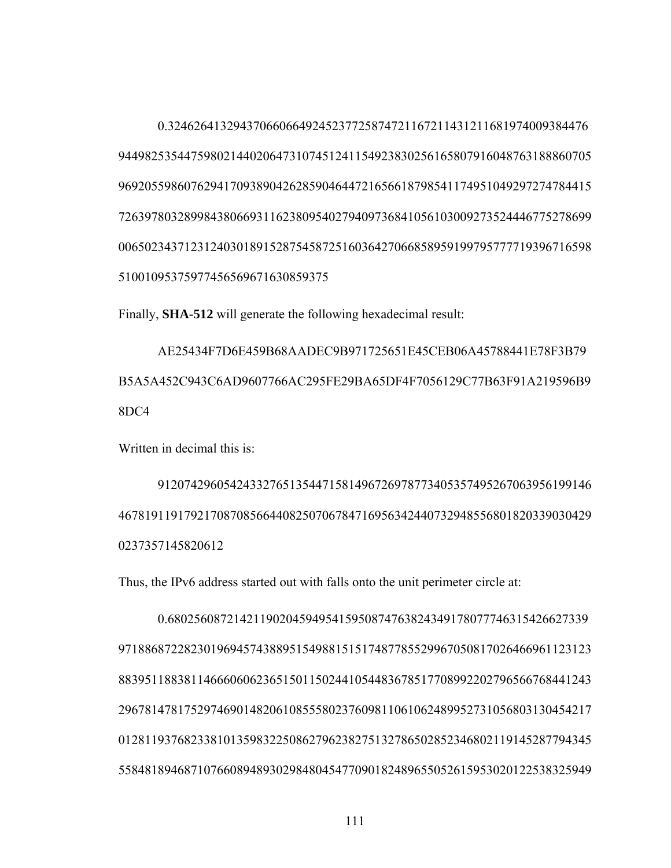0.3246264132943706606649245237725874721167211431211681974009384476 

Finally, **SHA-512** will generate the following hexadecimal result:

AE25434F7D6E459B68AADEC9B971725651E45CEB06A45788441E78F3B79 B5A5A452C943C6AD9607766AC295FE29BA65DF4F7056129C77B63F91A219596B9 8DC4

Written in decimal this is:

 

Thus, the IPv6 address started out with falls onto the unit perimeter circle at:

0.6802560872142119020459495415950874763824349178077746315426627339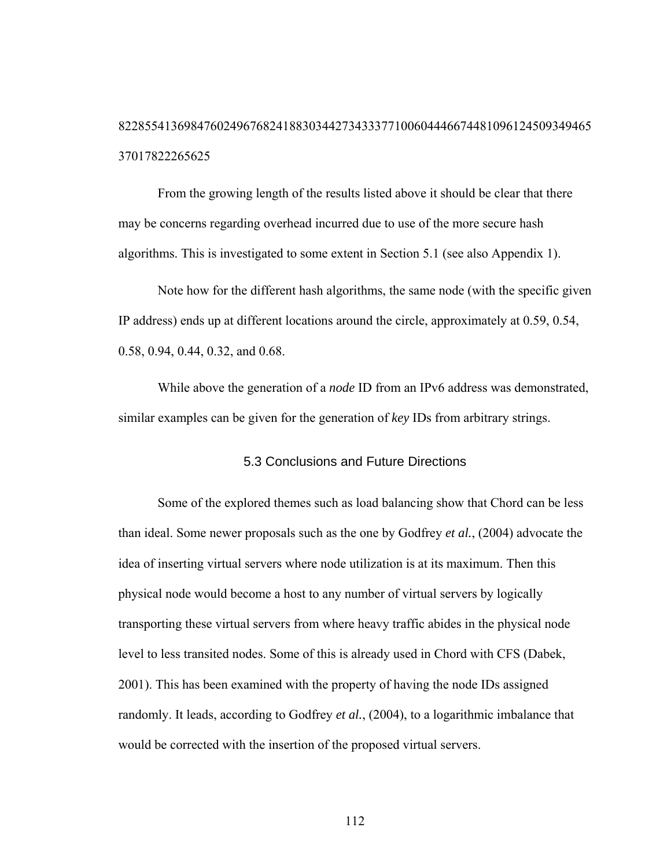# 822855413698476024967682418830344273433377100604446674481096124509349465 37017822265625

From the growing length of the results listed above it should be clear that there may be concerns regarding overhead incurred due to use of the more secure hash algorithms. This is investigated to some extent in Section 5.1 (see also Appendix 1).

Note how for the different hash algorithms, the same node (with the specific given IP address) ends up at different locations around the circle, approximately at 0.59, 0.54, 0.58, 0.94, 0.44, 0.32, and 0.68.

While above the generation of a *node* ID from an IPv6 address was demonstrated, similar examples can be given for the generation of *key* IDs from arbitrary strings.

### 5.3 Conclusions and Future Directions

Some of the explored themes such as load balancing show that Chord can be less than ideal. Some newer proposals such as the one by Godfrey *et al.*, (2004) advocate the idea of inserting virtual servers where node utilization is at its maximum. Then this physical node would become a host to any number of virtual servers by logically transporting these virtual servers from where heavy traffic abides in the physical node level to less transited nodes. Some of this is already used in Chord with CFS (Dabek, 2001). This has been examined with the property of having the node IDs assigned randomly. It leads, according to Godfrey *et al.*, (2004), to a logarithmic imbalance that would be corrected with the insertion of the proposed virtual servers.

112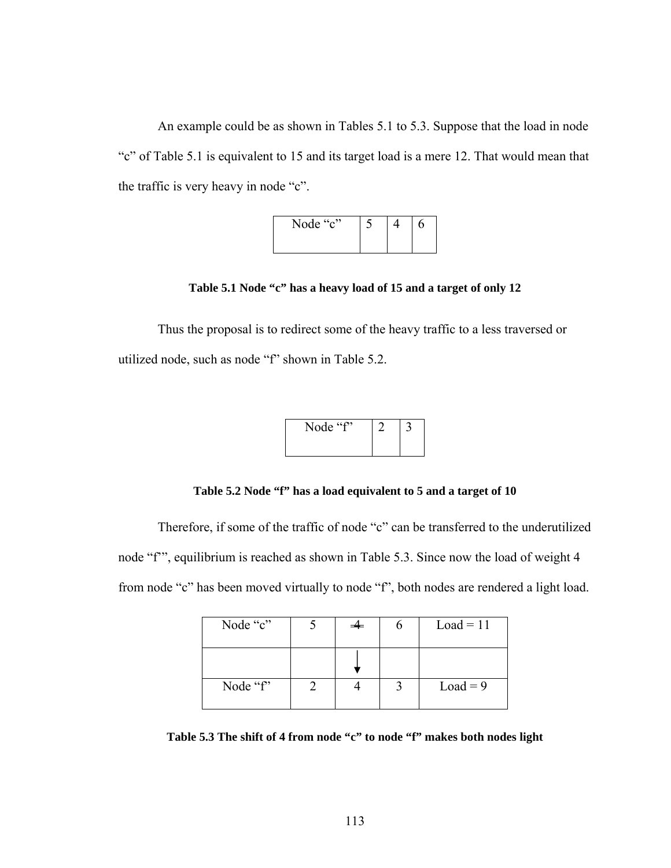An example could be as shown in Tables 5.1 to 5.3. Suppose that the load in node "c" of Table 5.1 is equivalent to 15 and its target load is a mere 12. That would mean that the traffic is very heavy in node "c".



**Table 5.1 Node "c" has a heavy load of 15 and a target of only 12** 

Thus the proposal is to redirect some of the heavy traffic to a less traversed or utilized node, such as node "f" shown in Table 5.2.

| Node "f" |  |
|----------|--|
|          |  |

**Table 5.2 Node "f" has a load equivalent to 5 and a target of 10** 

Therefore, if some of the traffic of node "c" can be transferred to the underutilized node "f'", equilibrium is reached as shown in Table 5.3. Since now the load of weight 4 from node "c" has been moved virtually to node "f", both nodes are rendered a light load.

| Node "c" |  | $Load = 11$ |
|----------|--|-------------|
|          |  |             |
| Node "f" |  | $Load = 9$  |

**Table 5.3 The shift of 4 from node "c" to node "f" makes both nodes light**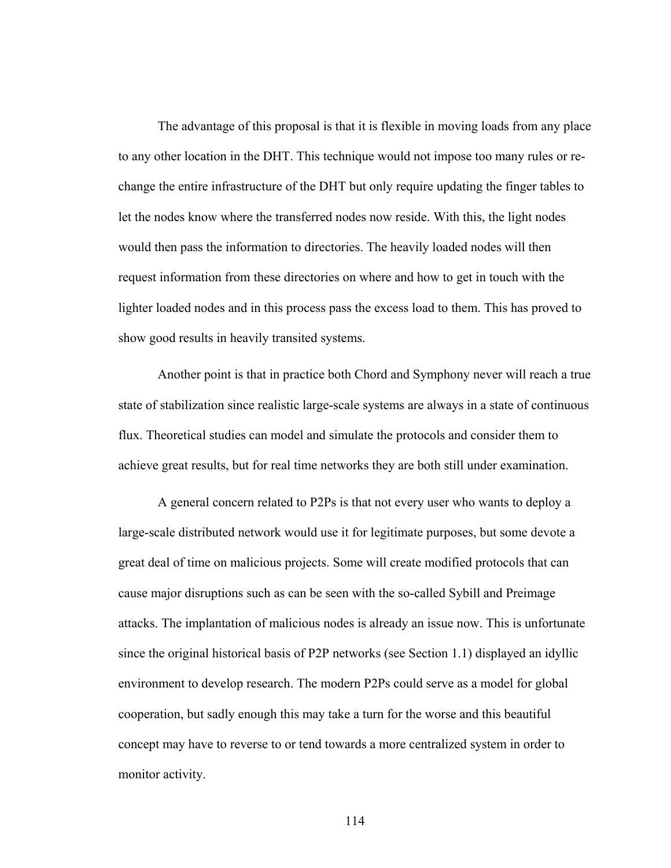The advantage of this proposal is that it is flexible in moving loads from any place to any other location in the DHT. This technique would not impose too many rules or rechange the entire infrastructure of the DHT but only require updating the finger tables to let the nodes know where the transferred nodes now reside. With this, the light nodes would then pass the information to directories. The heavily loaded nodes will then request information from these directories on where and how to get in touch with the lighter loaded nodes and in this process pass the excess load to them. This has proved to show good results in heavily transited systems.

Another point is that in practice both Chord and Symphony never will reach a true state of stabilization since realistic large-scale systems are always in a state of continuous flux. Theoretical studies can model and simulate the protocols and consider them to achieve great results, but for real time networks they are both still under examination.

A general concern related to P2Ps is that not every user who wants to deploy a large-scale distributed network would use it for legitimate purposes, but some devote a great deal of time on malicious projects. Some will create modified protocols that can cause major disruptions such as can be seen with the so-called Sybill and Preimage attacks. The implantation of malicious nodes is already an issue now. This is unfortunate since the original historical basis of P2P networks (see Section 1.1) displayed an idyllic environment to develop research. The modern P2Ps could serve as a model for global cooperation, but sadly enough this may take a turn for the worse and this beautiful concept may have to reverse to or tend towards a more centralized system in order to monitor activity.

114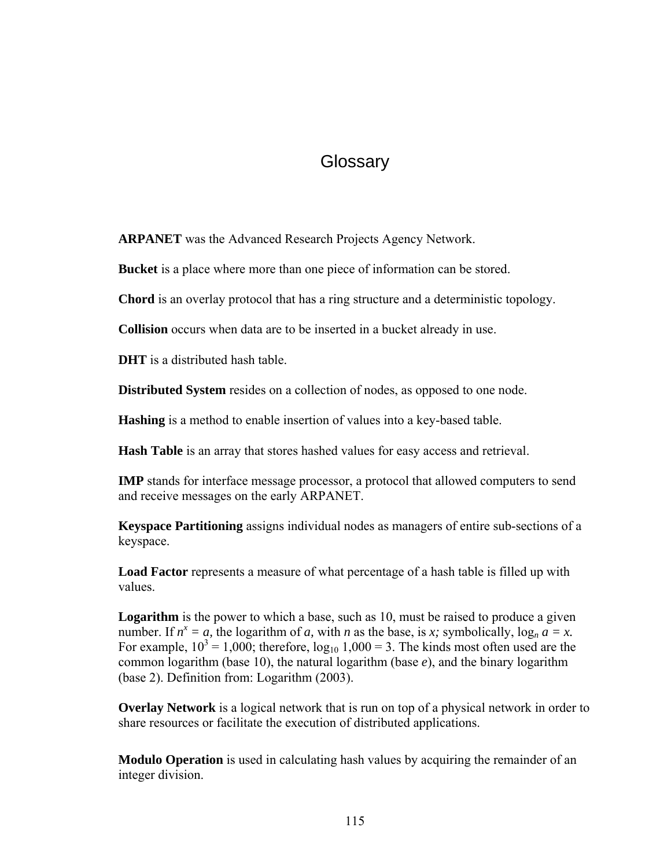## **Glossary**

**ARPANET** was the Advanced Research Projects Agency Network.

**Bucket** is a place where more than one piece of information can be stored.

**Chord** is an overlay protocol that has a ring structure and a deterministic topology.

**Collision** occurs when data are to be inserted in a bucket already in use.

**DHT** is a distributed hash table.

**Distributed System** resides on a collection of nodes, as opposed to one node.

**Hashing** is a method to enable insertion of values into a key-based table.

**Hash Table** is an array that stores hashed values for easy access and retrieval.

**IMP** stands for interface message processor, a protocol that allowed computers to send and receive messages on the early ARPANET.

**Keyspace Partitioning** assigns individual nodes as managers of entire sub-sections of a keyspace.

**Load Factor** represents a measure of what percentage of a hash table is filled up with values.

**Logarithm** is the power to which a base, such as 10, must be raised to produce a given number. If  $n^x = a$ , the logarithm of *a*, with *n* as the base, is *x*; symbolically,  $\log_n a = x$ . For example,  $10^3 = 1,000$ ; therefore,  $log_{10} 1,000 = 3$ . The kinds most often used are the common logarithm (base 10), the natural logarithm (base *e*), and the binary logarithm (base 2). Definition from: Logarithm (2003).

**Overlay Network** is a logical network that is run on top of a physical network in order to share resources or facilitate the execution of distributed applications.

**Modulo Operation** is used in calculating hash values by acquiring the remainder of an integer division.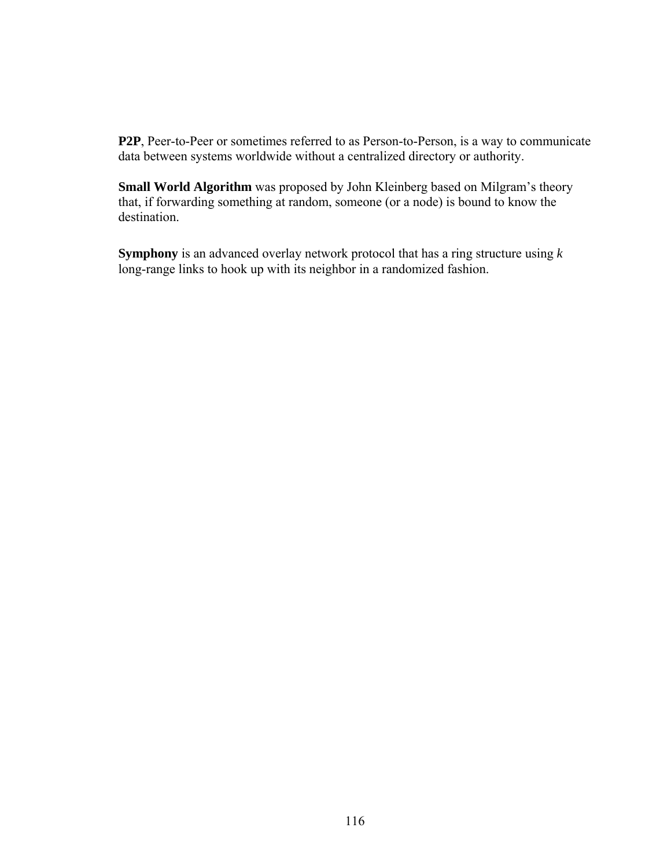**P2P**, Peer-to-Peer or sometimes referred to as Person-to-Person, is a way to communicate data between systems worldwide without a centralized directory or authority.

**Small World Algorithm** was proposed by John Kleinberg based on Milgram's theory that, if forwarding something at random, someone (or a node) is bound to know the destination.

**Symphony** is an advanced overlay network protocol that has a ring structure using *k* long-range links to hook up with its neighbor in a randomized fashion.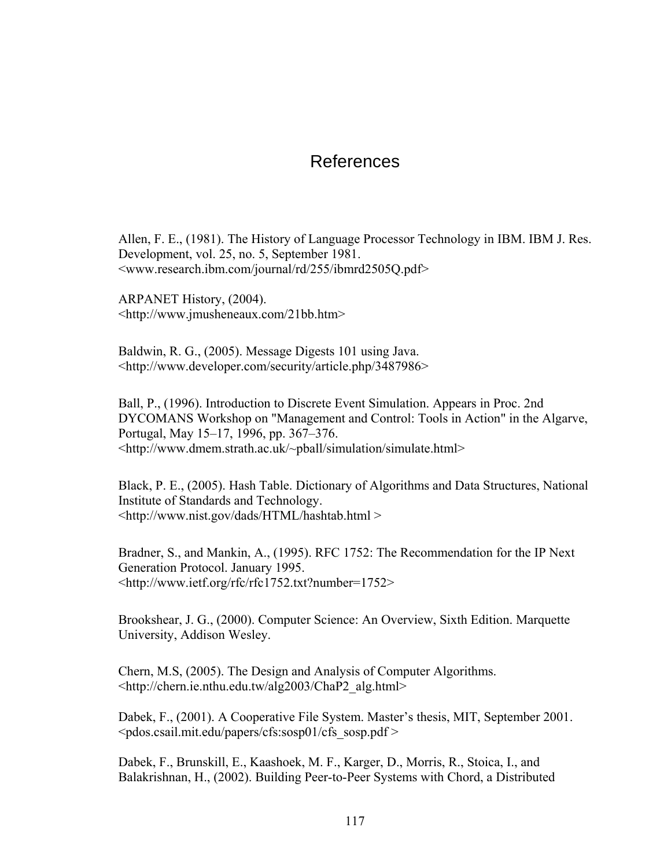### References

Allen, F. E., (1981). The History of Language Processor Technology in IBM. IBM J. Res. Development, vol. 25, no. 5, September 1981. <www.research.ibm.com/journal/rd/255/ibmrd2505Q.pdf>

ARPANET History, (2004). <http://www.jmusheneaux.com/21bb.htm>

Baldwin, R. G., (2005). Message Digests 101 using Java. <http://www.developer.com/security/article.php/3487986>

Ball, P., (1996). Introduction to Discrete Event Simulation. Appears in Proc. 2nd DYCOMANS Workshop on "Management and Control: Tools in Action" in the Algarve, Portugal, May 15–17, 1996, pp. 367–376. <http://www.dmem.strath.ac.uk/~pball/simulation/simulate.html>

Black, P. E., (2005). Hash Table. Dictionary of Algorithms and Data Structures, National Institute of Standards and Technology. <http://www.nist.gov/dads/HTML/hashtab.html >

Bradner, S., and Mankin, A., (1995). RFC 1752: The Recommendation for the IP Next Generation Protocol. January 1995. <http://www.ietf.org/rfc/rfc1752.txt?number=1752>

Brookshear, J. G., (2000). Computer Science: An Overview, Sixth Edition. Marquette University, Addison Wesley.

Chern, M.S, (2005). The Design and Analysis of Computer Algorithms. <http://chern.ie.nthu.edu.tw/alg2003/ChaP2\_alg.html>

Dabek, F., (2001). A Cooperative File System. Master's thesis, MIT, September 2001.  $<$ pdos.csail.mit.edu/papers/cfs:sosp01/cfs\_sosp.pdf >

Dabek, F., Brunskill, E., Kaashoek, M. F., Karger, D., Morris, R., Stoica, I., and Balakrishnan, H., (2002). Building Peer-to-Peer Systems with Chord, a Distributed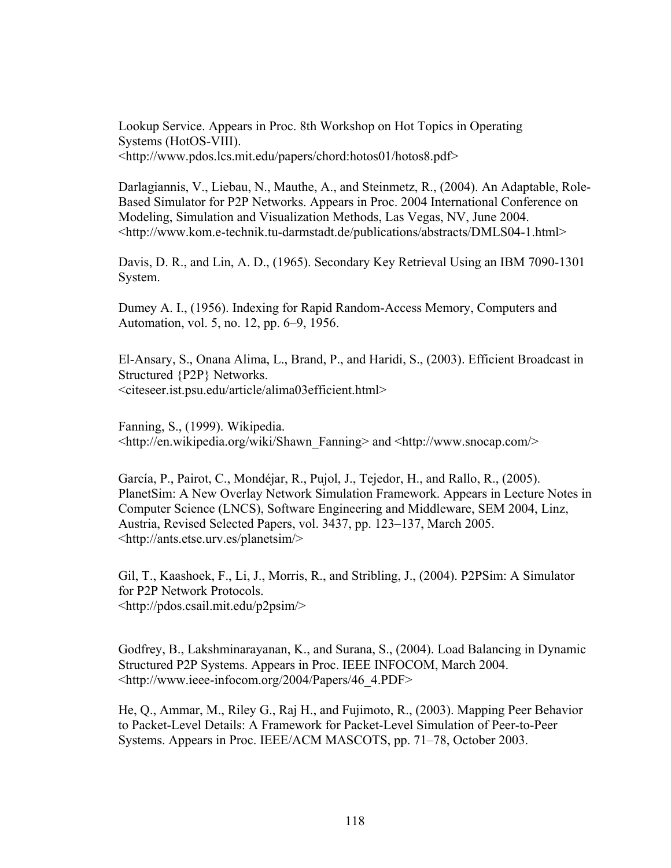Lookup Service. Appears in Proc. 8th Workshop on Hot Topics in Operating Systems (HotOS-VIII). <http://www.pdos.lcs.mit.edu/papers/chord:hotos01/hotos8.pdf>

Darlagiannis, V., Liebau, N., Mauthe, A., and Steinmetz, R., (2004). An Adaptable, Role-Based Simulator for P2P Networks. Appears in Proc. 2004 International Conference on Modeling, Simulation and Visualization Methods, Las Vegas, NV, June 2004. <http://www.kom.e-technik.tu-darmstadt.de/publications/abstracts/DMLS04-1.html>

Davis, D. R., and Lin, A. D., (1965). Secondary Key Retrieval Using an IBM 7090-1301 System.

Dumey A. I., (1956). Indexing for Rapid Random-Access Memory, Computers and Automation, vol. 5, no. 12, pp. 6–9, 1956.

El-Ansary, S., Onana Alima, L., Brand, P., and Haridi, S., (2003). Efficient Broadcast in Structured {P2P} Networks. <citeseer.ist.psu.edu/article/alima03efficient.html>

Fanning, S., (1999). Wikipedia. <http://en.wikipedia.org/wiki/Shawn\_Fanning> and <http://www.snocap.com/>

García, P., Pairot, C., Mondéjar, R., Pujol, J., Tejedor, H., and Rallo, R., (2005). PlanetSim: A New Overlay Network Simulation Framework. Appears in Lecture Notes in Computer Science (LNCS), Software Engineering and Middleware, SEM 2004, Linz, Austria, Revised Selected Papers, vol. 3437, pp. 123–137, March 2005. <http://ants.etse.urv.es/planetsim/>

Gil, T., Kaashoek, F., Li, J., Morris, R., and Stribling, J., (2004). P2PSim: A Simulator for P2P Network Protocols. <http://pdos.csail.mit.edu/p2psim/>

Godfrey, B., Lakshminarayanan, K., and Surana, S., (2004). Load Balancing in Dynamic Structured P2P Systems. Appears in Proc. IEEE INFOCOM, March 2004. <http://www.ieee-infocom.org/2004/Papers/46\_4.PDF>

He, Q., Ammar, M., Riley G., Raj H., and Fujimoto, R., (2003). Mapping Peer Behavior to Packet-Level Details: A Framework for Packet-Level Simulation of Peer-to-Peer Systems. Appears in Proc. IEEE/ACM MASCOTS, pp. 71–78, October 2003.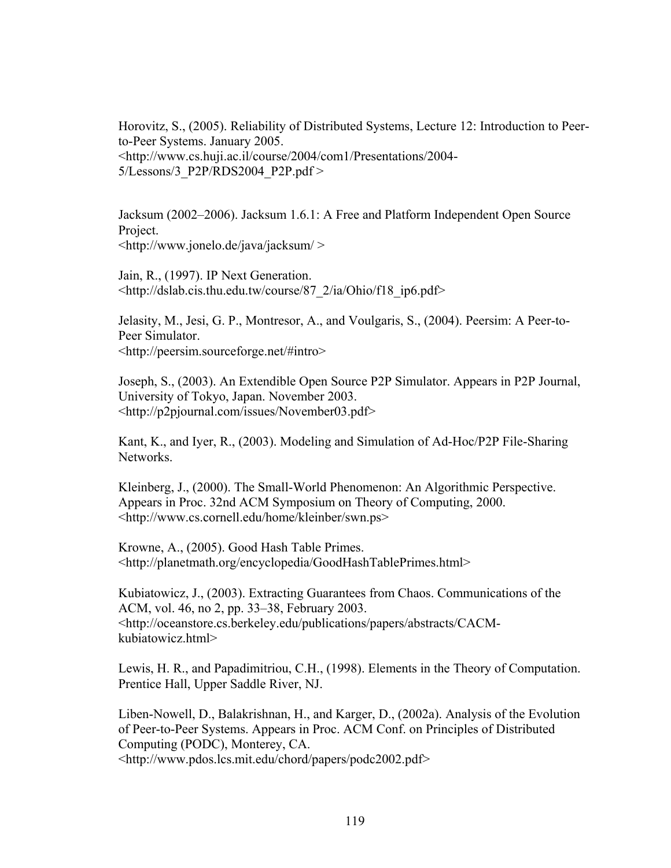Horovitz, S., (2005). Reliability of Distributed Systems, Lecture 12: Introduction to Peerto-Peer Systems. January 2005. <http://www.cs.huji.ac.il/course/2004/com1/Presentations/2004- 5/Lessons/3\_P2P/RDS2004\_P2P.pdf >

Jacksum (2002–2006). Jacksum 1.6.1: A Free and Platform Independent Open Source Project. <http://www.jonelo.de/java/jacksum/ >

Jain, R., (1997). IP Next Generation. <http://dslab.cis.thu.edu.tw/course/87\_2/ia/Ohio/f18\_ip6.pdf>

Jelasity, M., Jesi, G. P., Montresor, A., and Voulgaris, S., (2004). Peersim: A Peer-to-Peer Simulator. <http://peersim.sourceforge.net/#intro>

Joseph, S., (2003). An Extendible Open Source P2P Simulator. Appears in P2P Journal, University of Tokyo, Japan. November 2003. <http://p2pjournal.com/issues/November03.pdf>

Kant, K., and Iyer, R., (2003). Modeling and Simulation of Ad-Hoc/P2P File-Sharing Networks.

Kleinberg, J., (2000). The Small-World Phenomenon: An Algorithmic Perspective. Appears in Proc. 32nd ACM Symposium on Theory of Computing, 2000. <http://www.cs.cornell.edu/home/kleinber/swn.ps>

Krowne, A., (2005). Good Hash Table Primes. <http://planetmath.org/encyclopedia/GoodHashTablePrimes.html>

Kubiatowicz, J., (2003). Extracting Guarantees from Chaos. Communications of the ACM, vol. 46, no 2, pp. 33–38, February 2003. <http://oceanstore.cs.berkeley.edu/publications/papers/abstracts/CACMkubiatowicz.html>

Lewis, H. R., and Papadimitriou, C.H., (1998). Elements in the Theory of Computation. Prentice Hall, Upper Saddle River, NJ.

Liben-Nowell, D., Balakrishnan, H., and Karger, D., (2002a). Analysis of the Evolution of Peer-to-Peer Systems. Appears in Proc. ACM Conf. on Principles of Distributed Computing (PODC), Monterey, CA.

<http://www.pdos.lcs.mit.edu/chord/papers/podc2002.pdf>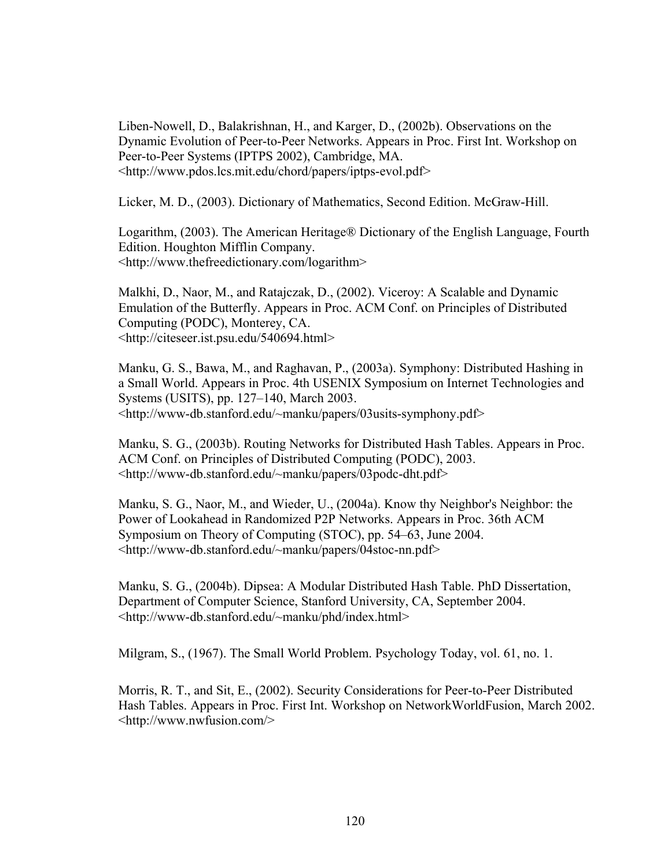Liben-Nowell, D., Balakrishnan, H., and Karger, D., (2002b). Observations on the Dynamic Evolution of Peer-to-Peer Networks. Appears in Proc. First Int. Workshop on Peer-to-Peer Systems (IPTPS 2002), Cambridge, MA. <http://www.pdos.lcs.mit.edu/chord/papers/iptps-evol.pdf>

Licker, M. D., (2003). Dictionary of Mathematics, Second Edition. McGraw-Hill.

Logarithm, (2003). The American Heritage® Dictionary of the English Language, Fourth Edition. Houghton Mifflin Company. <http://www.thefreedictionary.com/logarithm>

Malkhi, D., Naor, M., and Ratajczak, D., (2002). Viceroy: A Scalable and Dynamic Emulation of the Butterfly. Appears in Proc. ACM Conf. on Principles of Distributed Computing (PODC), Monterey, CA. <http://citeseer.ist.psu.edu/540694.html>

Manku, G. S., Bawa, M., and Raghavan, P., (2003a). Symphony: Distributed Hashing in a Small World. Appears in Proc. 4th USENIX Symposium on Internet Technologies and Systems (USITS), pp. 127–140, March 2003. <http://www-db.stanford.edu/~manku/papers/03usits-symphony.pdf>

Manku, S. G., (2003b). Routing Networks for Distributed Hash Tables. Appears in Proc. ACM Conf. on Principles of Distributed Computing (PODC), 2003. <http://www-db.stanford.edu/~manku/papers/03podc-dht.pdf>

Manku, S. G., Naor, M., and Wieder, U., (2004a). Know thy Neighbor's Neighbor: the Power of Lookahead in Randomized P2P Networks. Appears in Proc. 36th ACM Symposium on Theory of Computing (STOC), pp. 54–63, June 2004. <http://www-db.stanford.edu/~manku/papers/04stoc-nn.pdf>

Manku, S. G., (2004b). Dipsea: A Modular Distributed Hash Table. PhD Dissertation, Department of Computer Science, Stanford University, CA, September 2004. <http://www-db.stanford.edu/~manku/phd/index.html>

Milgram, S., (1967). The Small World Problem. Psychology Today, vol. 61, no. 1.

Morris, R. T., and Sit, E., (2002). Security Considerations for Peer-to-Peer Distributed Hash Tables. Appears in Proc. First Int. Workshop on NetworkWorldFusion, March 2002. <http://www.nwfusion.com/>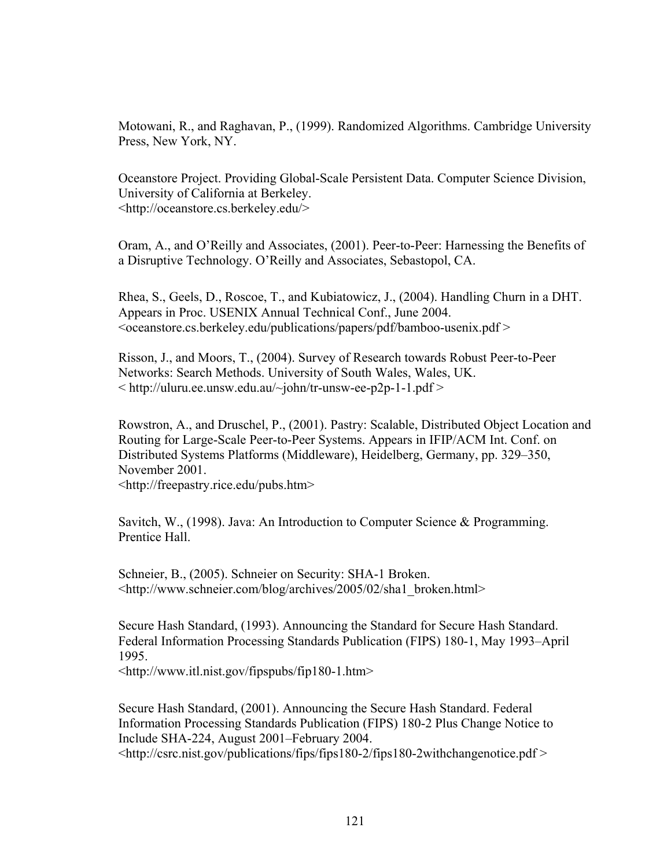Motowani, R., and Raghavan, P., (1999). Randomized Algorithms. Cambridge University Press, New York, NY.

Oceanstore Project. Providing Global-Scale Persistent Data. Computer Science Division, University of California at Berkeley. <http://oceanstore.cs.berkeley.edu/>

Oram, A., and O'Reilly and Associates, (2001). Peer-to-Peer: Harnessing the Benefits of a Disruptive Technology. O'Reilly and Associates, Sebastopol, CA.

Rhea, S., Geels, D., Roscoe, T., and Kubiatowicz, J., (2004). Handling Churn in a DHT. Appears in Proc. USENIX Annual Technical Conf., June 2004.  $\alpha$  < oceanstore.cs.berkeley.edu/publications/papers/pdf/bamboo-usenix.pdf  $>$ 

Risson, J., and Moors, T., (2004). Survey of Research towards Robust Peer-to-Peer Networks: Search Methods. University of South Wales, Wales, UK.  $\langle \text{http://uluru.ee.unsw.edu.au/~john/tr-unsw-ee-p2p-1-1.pdf} \rangle$ 

Rowstron, A., and Druschel, P., (2001). Pastry: Scalable, Distributed Object Location and Routing for Large-Scale Peer-to-Peer Systems. Appears in IFIP/ACM Int. Conf. on Distributed Systems Platforms (Middleware), Heidelberg, Germany, pp. 329–350, November 2001.

<http://freepastry.rice.edu/pubs.htm>

Savitch, W., (1998). Java: An Introduction to Computer Science & Programming. Prentice Hall.

Schneier, B., (2005). Schneier on Security: SHA-1 Broken. <http://www.schneier.com/blog/archives/2005/02/sha1\_broken.html>

Secure Hash Standard, (1993). Announcing the Standard for Secure Hash Standard. Federal Information Processing Standards Publication (FIPS) 180-1, May 1993–April 1995.

<http://www.itl.nist.gov/fipspubs/fip180-1.htm>

Secure Hash Standard, (2001). Announcing the Secure Hash Standard. Federal Information Processing Standards Publication (FIPS) 180-2 Plus Change Notice to Include SHA-224, August 2001–February 2004. <http://csrc.nist.gov/publications/fips/fips180-2/fips180-2withchangenotice.pdf >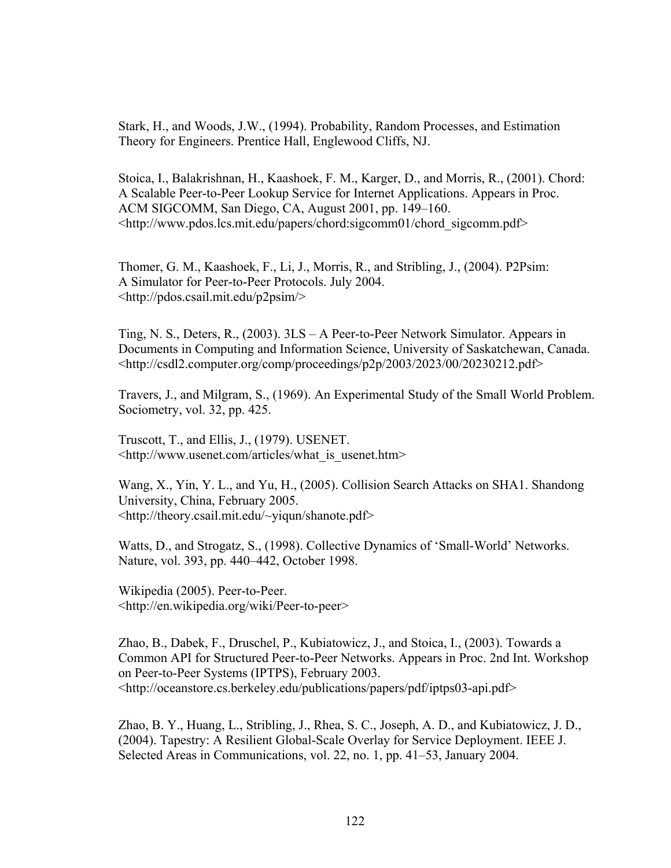Stark, H., and Woods, J.W., (1994). Probability, Random Processes, and Estimation Theory for Engineers. Prentice Hall, Englewood Cliffs, NJ.

Stoica, I., Balakrishnan, H., Kaashoek, F. M., Karger, D., and Morris, R., (2001). Chord: A Scalable Peer-to-Peer Lookup Service for Internet Applications. Appears in Proc. ACM SIGCOMM, San Diego, CA, August 2001, pp. 149–160. <http://www.pdos.lcs.mit.edu/papers/chord:sigcomm01/chord\_sigcomm.pdf>

Thomer, G. M., Kaashoek, F., Li, J., Morris, R., and Stribling, J., (2004). P2Psim: A Simulator for Peer-to-Peer Protocols. July 2004. <http://pdos.csail.mit.edu/p2psim/>

Ting, N. S., Deters, R., (2003). 3LS – A Peer-to-Peer Network Simulator. Appears in Documents in Computing and Information Science, University of Saskatchewan, Canada. <http://csdl2.computer.org/comp/proceedings/p2p/2003/2023/00/20230212.pdf>

Travers, J., and Milgram, S., (1969). An Experimental Study of the Small World Problem. Sociometry, vol. 32, pp. 425.

Truscott, T., and Ellis, J., (1979). USENET. <http://www.usenet.com/articles/what\_is\_usenet.htm>

Wang, X., Yin, Y. L., and Yu, H., (2005). Collision Search Attacks on SHA1. Shandong University, China, February 2005. <http://theory.csail.mit.edu/~yiqun/shanote.pdf>

Watts, D., and Strogatz, S., (1998). Collective Dynamics of 'Small-World' Networks. Nature, vol. 393, pp. 440–442, October 1998.

Wikipedia (2005). Peer-to-Peer. <http://en.wikipedia.org/wiki/Peer-to-peer>

Zhao, B., Dabek, F., Druschel, P., Kubiatowicz, J., and Stoica, I., (2003). Towards a Common API for Structured Peer-to-Peer Networks. Appears in Proc. 2nd Int. Workshop on Peer-to-Peer Systems (IPTPS), February 2003. <http://oceanstore.cs.berkeley.edu/publications/papers/pdf/iptps03-api.pdf>

Zhao, B. Y., Huang, L., Stribling, J., Rhea, S. C., Joseph, A. D., and Kubiatowicz, J. D., (2004). Tapestry: A Resilient Global-Scale Overlay for Service Deployment. IEEE J. Selected Areas in Communications, vol. 22, no. 1, pp. 41–53, January 2004.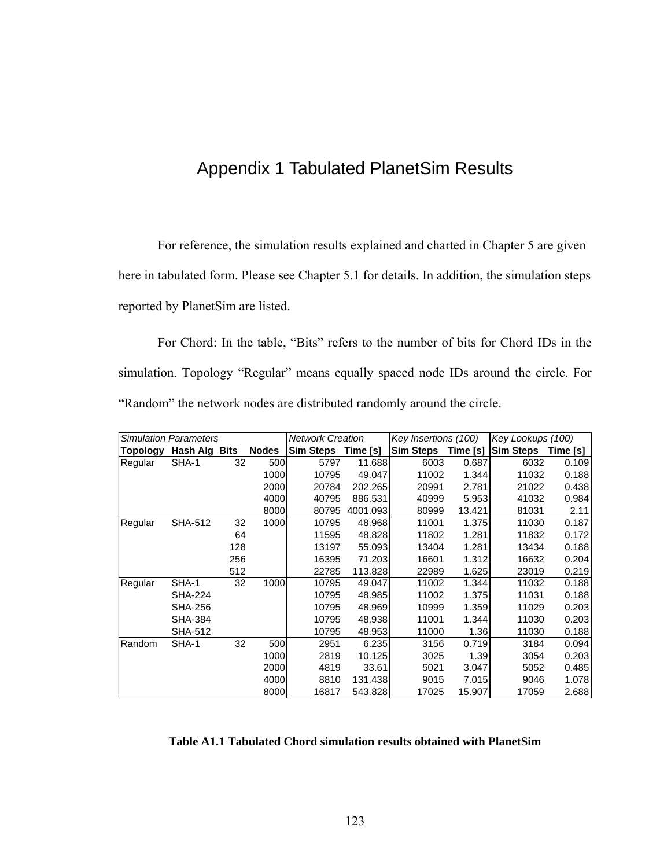## Appendix 1 Tabulated PlanetSim Results

For reference, the simulation results explained and charted in Chapter 5 are given here in tabulated form. Please see Chapter 5.1 for details. In addition, the simulation steps reported by PlanetSim are listed.

For Chord: In the table, "Bits" refers to the number of bits for Chord IDs in the simulation. Topology "Regular" means equally spaced node IDs around the circle. For "Random" the network nodes are distributed randomly around the circle.

| <b>Simulation Parameters</b> |                |     | <b>Network Creation</b> |                    | Key Insertions (100) |                  | Key Lookups (100) |                  |          |
|------------------------------|----------------|-----|-------------------------|--------------------|----------------------|------------------|-------------------|------------------|----------|
| Topology                     | Hash Alg Bits  |     | <b>Nodes</b>            | Sim Steps Time [s] |                      | <b>Sim Steps</b> | Time [s]          | <b>Sim Steps</b> | Time [s] |
| Regular                      | SHA-1          | 32  | 500                     | 5797               | 11.688               | 6003             | 0.687             | 6032             | 0.109    |
|                              |                |     | 1000                    | 10795              | 49.047               | 11002            | 1.344             | 11032            | 0.188    |
|                              |                |     | 2000                    | 20784              | 202.265              | 20991            | 2.781             | 21022            | 0.438    |
|                              |                |     | 4000                    | 40795              | 886.531              | 40999            | 5.953             | 41032            | 0.984    |
|                              |                |     | 8000                    | 80795              | 4001.093             | 80999            | 13.421            | 81031            | 2.11     |
| Regular                      | <b>SHA-512</b> | 32  | 1000                    | 10795              | 48.968               | 11001            | 1.375             | 11030            | 0.187    |
|                              |                | 64  |                         | 11595              | 48.828               | 11802            | 1.281             | 11832            | 0.172    |
|                              |                | 128 |                         | 13197              | 55.093               | 13404            | 1.281             | 13434            | 0.188    |
|                              |                | 256 |                         | 16395              | 71.203               | 16601            | 1.312             | 16632            | 0.204    |
|                              |                | 512 |                         | 22785              | 113.828              | 22989            | 1.625             | 23019            | 0.219    |
| Regular                      | SHA-1          | 32  | 1000                    | 10795              | 49.047               | 11002            | 1.344             | 11032            | 0.188    |
|                              | <b>SHA-224</b> |     |                         | 10795              | 48.985               | 11002            | 1.375             | 11031            | 0.188    |
|                              | <b>SHA-256</b> |     |                         | 10795              | 48.969               | 10999            | 1.359             | 11029            | 0.203    |
|                              | <b>SHA-384</b> |     |                         | 10795              | 48.938               | 11001            | 1.344             | 11030            | 0.203    |
|                              | <b>SHA-512</b> |     |                         | 10795              | 48.953               | 11000            | 1.36              | 11030            | 0.188    |
| Random                       | SHA-1          | 32  | 500                     | 2951               | 6.235                | 3156             | 0.719             | 3184             | 0.094    |
|                              |                |     | 1000                    | 2819               | 10.125               | 3025             | 1.39              | 3054             | 0.203    |
|                              |                |     | 2000                    | 4819               | 33.61                | 5021             | 3.047             | 5052             | 0.485    |
|                              |                |     | 4000                    | 8810               | 131.438              | 9015             | 7.015             | 9046             | 1.078    |
|                              |                |     | 8000                    | 16817              | 543.828              | 17025            | 15.907            | 17059            | 2.688    |

#### **Table A1.1 Tabulated Chord simulation results obtained with PlanetSim**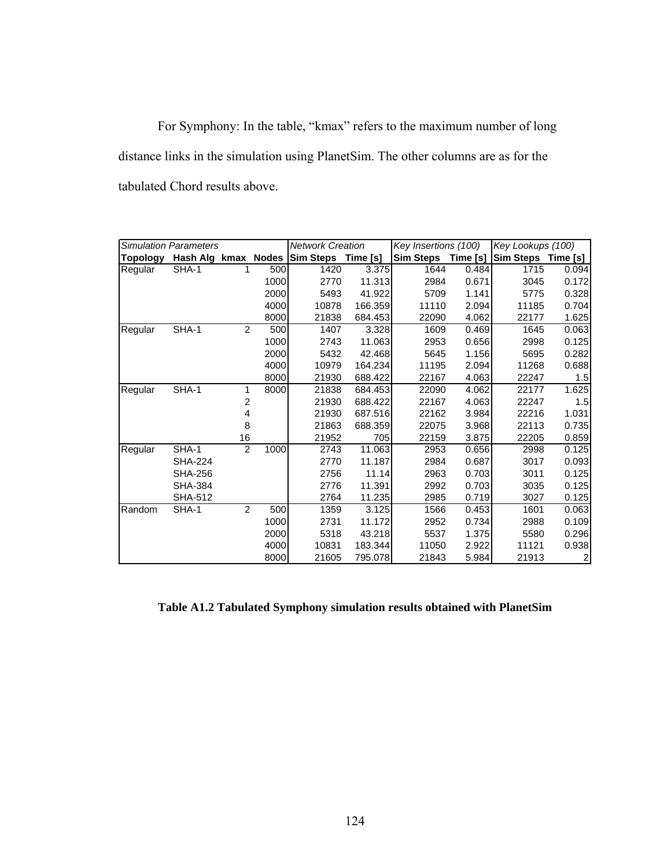For Symphony: In the table, "kmax" refers to the maximum number of long distance links in the simulation using PlanetSim. The other columns are as for the tabulated Chord results above.

| <b>Simulation Parameters</b> |                     |                | <b>Network Creation</b> |                  | Key Insertions (100) |                  | Key Lookups (100) |                    |                |
|------------------------------|---------------------|----------------|-------------------------|------------------|----------------------|------------------|-------------------|--------------------|----------------|
| <b>Topology</b>              | Hash Alg kmax Nodes |                |                         | <b>Sim Steps</b> | Time [s]             | <b>Sim Steps</b> | Time [s]          | Sim Steps Time [s] |                |
| Regular                      | SHA-1               | 1              | 500                     | 1420             | 3.375                | 1644             | 0.484             | 1715               | 0.094          |
|                              |                     |                | 1000                    | 2770             | 11.313               | 2984             | 0.671             | 3045               | 0.172          |
|                              |                     |                | 2000                    | 5493             | 41.922               | 5709             | 1.141             | 5775               | 0.328          |
|                              |                     |                | 4000                    | 10878            | 166.359              | 11110            | 2.094             | 11185              | 0.704          |
|                              |                     |                | 8000                    | 21838            | 684.453              | 22090            | 4.062             | 22177              | 1.625          |
| Regular                      | SHA-1               | $\overline{2}$ | 500                     | 1407             | 3.328                | 1609             | 0.469             | 1645               | 0.063          |
|                              |                     |                | 1000                    | 2743             | 11.063               | 2953             | 0.656             | 2998               | 0.125          |
|                              |                     |                | 2000                    | 5432             | 42.468               | 5645             | 1.156             | 5695               | 0.282          |
|                              |                     |                | 4000                    | 10979            | 164.234              | 11195            | 2.094             | 11268              | 0.688          |
|                              |                     |                | 8000                    | 21930            | 688.422              | 22167            | 4.063             | 22247              | 1.5            |
| Regular                      | SHA-1               | 1              | 8000                    | 21838            | 684.453              | 22090            | 4.062             | 22177              | 1.625          |
|                              |                     | 2              |                         | 21930            | 688.422              | 22167            | 4.063             | 22247              | 1.5            |
|                              |                     | 4              |                         | 21930            | 687.516              | 22162            | 3.984             | 22216              | 1.031          |
|                              |                     | 8              |                         | 21863            | 688.359              | 22075            | 3.968             | 22113              | 0.735          |
|                              |                     | 16             |                         | 21952            | 705                  | 22159            | 3.875             | 22205              | 0.859          |
| Regular                      | SHA-1               | 2              | 1000                    | 2743             | 11.063               | 2953             | 0.656             | 2998               | 0.125          |
|                              | <b>SHA-224</b>      |                |                         | 2770             | 11.187               | 2984             | 0.687             | 3017               | 0.093          |
|                              | <b>SHA-256</b>      |                |                         | 2756             | 11.14                | 2963             | 0.703             | 3011               | 0.125          |
|                              | <b>SHA-384</b>      |                |                         | 2776             | 11.391               | 2992             | 0.703             | 3035               | 0.125          |
|                              | <b>SHA-512</b>      |                |                         | 2764             | 11.235               | 2985             | 0.719             | 3027               | 0.125          |
| Random                       | SHA-1               | 2              | 500                     | 1359             | 3.125                | 1566             | 0.453             | 1601               | 0.063          |
|                              |                     |                | 1000                    | 2731             | 11.172               | 2952             | 0.734             | 2988               | 0.109          |
|                              |                     |                | 2000                    | 5318             | 43.218               | 5537             | 1.375             | 5580               | 0.296          |
|                              |                     |                | 4000                    | 10831            | 183.344              | 11050            | 2.922             | 11121              | 0.938          |
|                              |                     |                | 8000                    | 21605            | 795.078              | 21843            | 5.984             | 21913              | $\overline{c}$ |

**Table A1.2 Tabulated Symphony simulation results obtained with PlanetSim**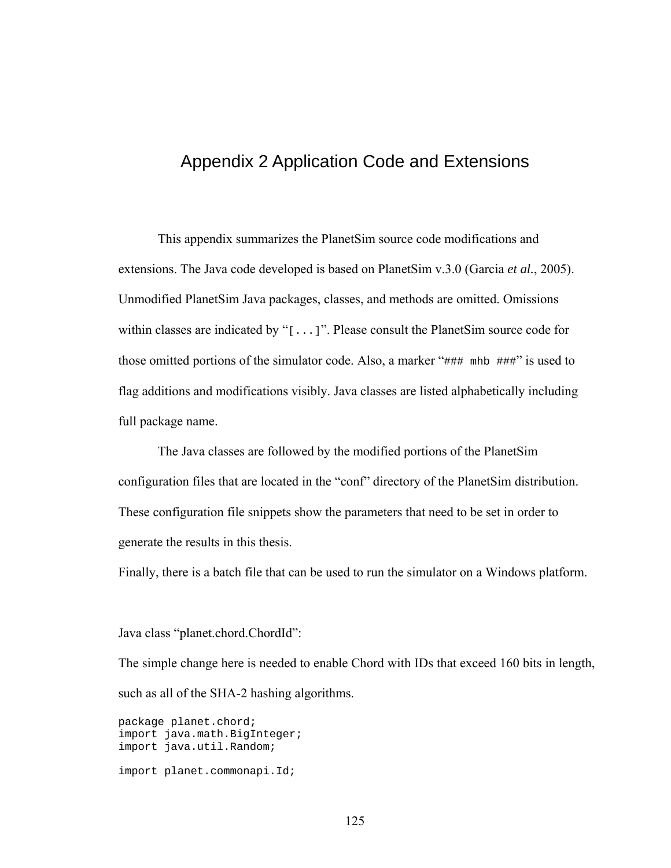### Appendix 2 Application Code and Extensions

This appendix summarizes the PlanetSim source code modifications and extensions. The Java code developed is based on PlanetSim v.3.0 (Garcia *et al.*, 2005). Unmodified PlanetSim Java packages, classes, and methods are omitted. Omissions within classes are indicated by "[...]". Please consult the PlanetSim source code for those omitted portions of the simulator code. Also, a marker "### mhb ###" is used to flag additions and modifications visibly. Java classes are listed alphabetically including full package name.

The Java classes are followed by the modified portions of the PlanetSim configuration files that are located in the "conf" directory of the PlanetSim distribution. These configuration file snippets show the parameters that need to be set in order to generate the results in this thesis.

Finally, there is a batch file that can be used to run the simulator on a Windows platform.

Java class "planet.chord.ChordId":

The simple change here is needed to enable Chord with IDs that exceed 160 bits in length, such as all of the SHA-2 hashing algorithms.

package planet.chord; import java.math.BigInteger; import java.util.Random; import planet.commonapi.Id;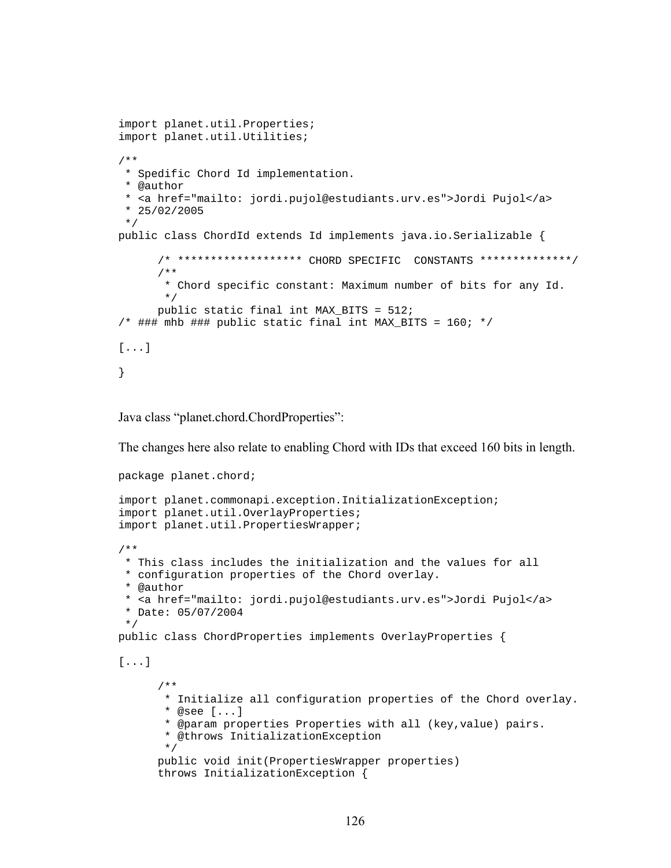```
import planet.util.Properties; 
import planet.util.Utilities; 
/** 
  * Spedific Chord Id implementation. 
  * @author 
  * <a href="mailto: jordi.pujol@estudiants.urv.es">Jordi Pujol</a> 
  * 25/02/2005 
  */ 
public class ChordId extends Id implements java.io.Serializable { 
       /* ******************* CHORD SPECIFIC CONSTANTS **************/ 
       /** 
        * Chord specific constant: Maximum number of bits for any Id. 
        */ 
       public static final int MAX_BITS = 512; 
/* ### mhb ### public static final int MAX_BITS = 160; */
[...] 
}
```
Java class "planet.chord.ChordProperties":

The changes here also relate to enabling Chord with IDs that exceed 160 bits in length.

```
package planet.chord; 
import planet.commonapi.exception.InitializationException; 
import planet.util.OverlayProperties; 
import planet.util.PropertiesWrapper; 
/** 
  * This class includes the initialization and the values for all 
  * configuration properties of the Chord overlay. 
  * @author 
  * <a href="mailto: jordi.pujol@estudiants.urv.es">Jordi Pujol</a> 
  * Date: 05/07/2004 
  */ 
public class ChordProperties implements OverlayProperties { 
[...] 
       /** 
        * Initialize all configuration properties of the Chord overlay. 
        * @see [...] 
        * @param properties Properties with all (key,value) pairs. 
        * @throws InitializationException 
        */ 
       public void init(PropertiesWrapper properties) 
      throws InitializationException {
```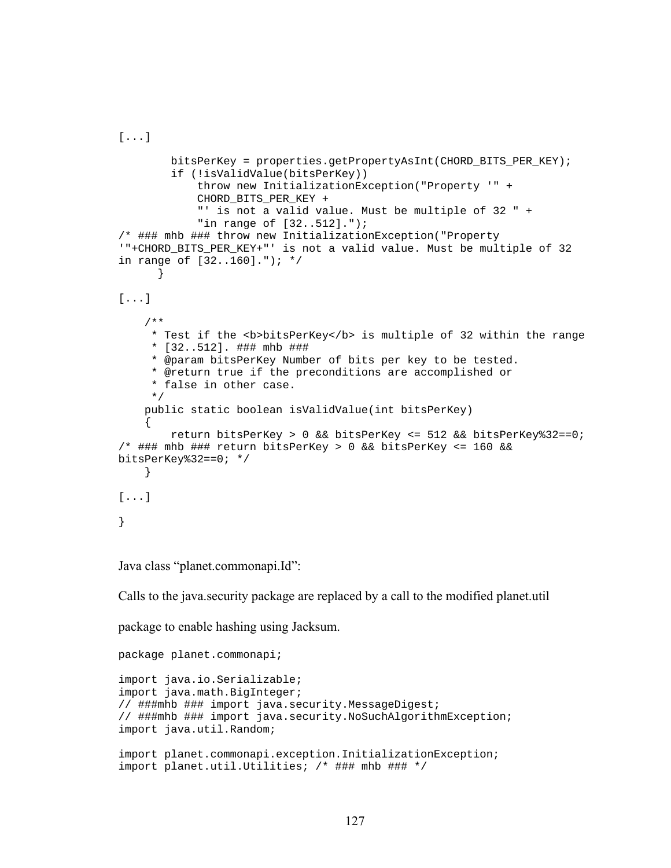```
[...] 
         bitsPerKey = properties.getPropertyAsInt(CHORD_BITS_PER_KEY); 
         if (!isValidValue(bitsPerKey)) 
             throw new InitializationException("Property '" + 
            CHORD_BITS_PER_KEY + 
             "' is not a valid value. Must be multiple of 32 " + 
             "in range of [32..512]."); 
/* ### mhb ### throw new InitializationException("Property 
'"+CHORD_BITS_PER_KEY+"' is not a valid value. Must be multiple of 32 
in range of [32..160]."); */ 
 } 
[...] 
     /** 
      * Test if the <b>bitsPerKey</b> is multiple of 32 within the range 
      * [32..512]. ### mhb ### 
      * @param bitsPerKey Number of bits per key to be tested. 
      * @return true if the preconditions are accomplished or 
      * false in other case. 
      */ 
     public static boolean isValidValue(int bitsPerKey) 
     { 
         return bitsPerKey > 0 && bitsPerKey <= 512 && bitsPerKey%32==0; 
/* ### mhb ### return bitsPerKey > 0 && bitsPerKey <= 160 && 
bitsPerKey%32==0; */ } 
[...] 
}
```
Java class "planet.commonapi.Id":

Calls to the java.security package are replaced by a call to the modified planet.util

package to enable hashing using Jacksum.

```
package planet.commonapi; 
import java.io.Serializable; 
import java.math.BigInteger; 
// ###mhb ### import java.security.MessageDigest; 
// ###mhb ### import java.security.NoSuchAlgorithmException; 
import java.util.Random; 
import planet.commonapi.exception.InitializationException; 
import planet.util.Utilities; /* ### mhb ### */
```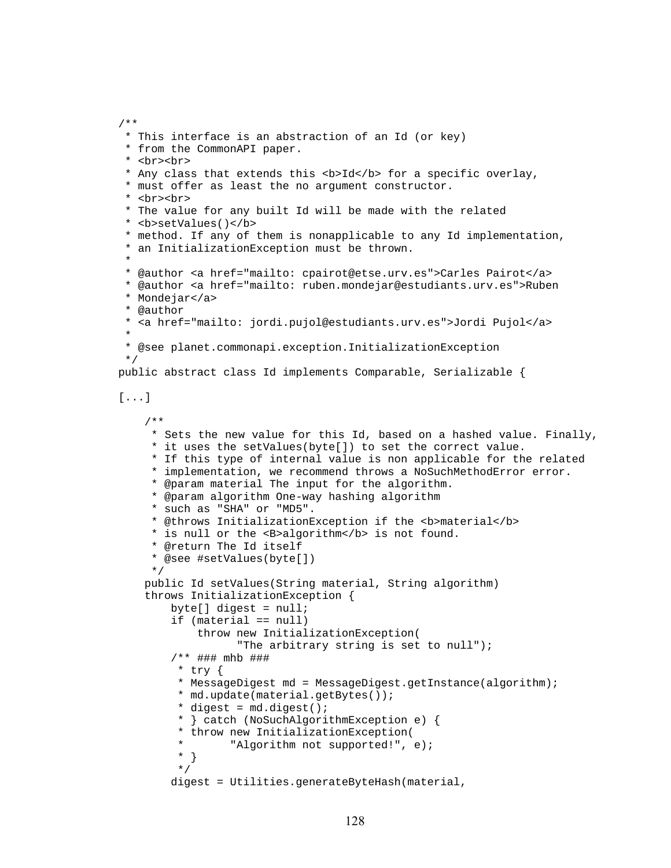```
 * This interface is an abstraction of an Id (or key) 
  * from the CommonAPI paper. 
  * <br><br> 
 * Any class that extends this <b>Id</b> for a specific overlay,
  * must offer as least the no argument constructor. 
  * <br><br> 
  * The value for any built Id will be made with the related 
  * <b>setValues()</b> 
  * method. If any of them is nonapplicable to any Id implementation, 
  * an InitializationException must be thrown. 
 * 
  * @author <a href="mailto: cpairot@etse.urv.es">Carles Pairot</a> 
  * @author <a href="mailto: ruben.mondejar@estudiants.urv.es">Ruben 
  * Mondejar</a> 
  * @author 
  * <a href="mailto: jordi.pujol@estudiants.urv.es">Jordi Pujol</a> 
 * 
  * @see planet.commonapi.exception.InitializationException 
  */ 
public abstract class Id implements Comparable, Serializable { 
[...] 
     /** 
      * Sets the new value for this Id, based on a hashed value. Finally, 
      * it uses the setValues(byte[]) to set the correct value. 
      * If this type of internal value is non applicable for the related 
      * implementation, we recommend throws a NoSuchMethodError error. 
      * @param material The input for the algorithm. 
      * @param algorithm One-way hashing algorithm 
      * such as "SHA" or "MD5". 
     * @throws InitializationException if the <b>material</b>
     * is null or the <B>algorithm</b> is not found.
      * @return The Id itself 
      * @see #setValues(byte[]) 
      */ 
    public Id setValues(String material, String algorithm) 
    throws InitializationException { 
         byte[] digest = null; 
         if (material == null) 
             throw new InitializationException( 
                   "The arbitrary string is set to null"); 
         /** ### mhb ### 
          * try { 
          * MessageDigest md = MessageDigest.getInstance(algorithm); 
          * md.update(material.getBytes()); 
         * digest = md.diqest();
          * } catch (NoSuchAlgorithmException e) { 
          * throw new InitializationException( 
          * "Algorithm not supported!", e); 
          * } 
          */ 
         digest = Utilities.generateByteHash(material,
```
/\*\*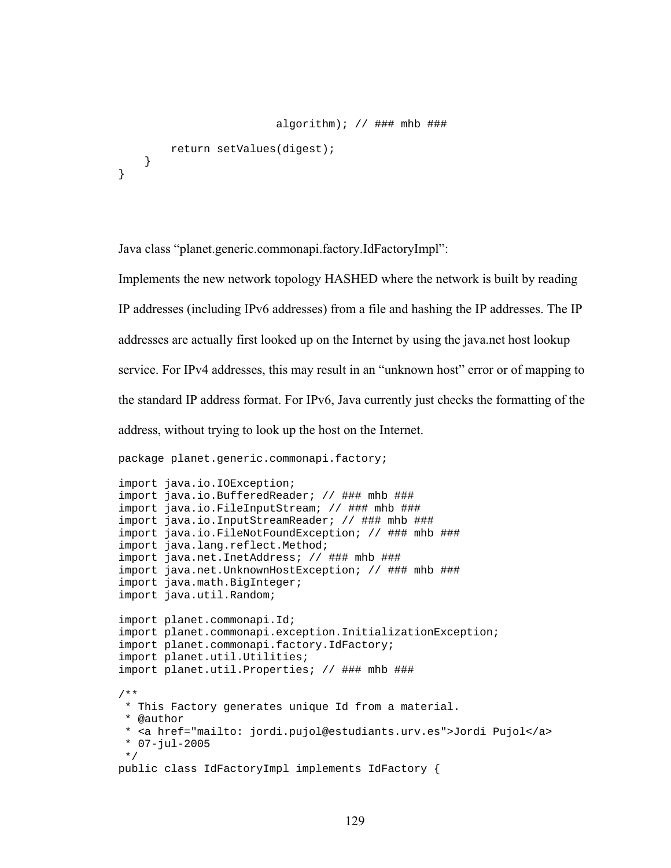```
algorithm); // ### mhb ###
         return setValues(digest); 
     } 
}
```
Java class "planet.generic.commonapi.factory.IdFactoryImpl":

Implements the new network topology HASHED where the network is built by reading

IP addresses (including IPv6 addresses) from a file and hashing the IP addresses. The IP

addresses are actually first looked up on the Internet by using the java.net host lookup

service. For IPv4 addresses, this may result in an "unknown host" error or of mapping to

the standard IP address format. For IPv6, Java currently just checks the formatting of the

address, without trying to look up the host on the Internet.

package planet.generic.commonapi.factory;

```
import java.io.IOException; 
import java.io.BufferedReader; // ### mhb ### 
import java.io.FileInputStream; // ### mhb ### 
import java.io.InputStreamReader; // ### mhb ### 
import java.io.FileNotFoundException; // ### mhb ### 
import java.lang.reflect.Method; 
import java.net.InetAddress; // ### mhb ### 
import java.net.UnknownHostException; // ### mhb ### 
import java.math.BigInteger; 
import java.util.Random; 
import planet.commonapi.Id; 
import planet.commonapi.exception.InitializationException; 
import planet.commonapi.factory.IdFactory; 
import planet.util.Utilities; 
import planet.util.Properties; // ### mhb ### 
/** 
  * This Factory generates unique Id from a material. 
  * @author 
  * <a href="mailto: jordi.pujol@estudiants.urv.es">Jordi Pujol</a> 
  * 07-jul-2005 
  */ 
public class IdFactoryImpl implements IdFactory {
```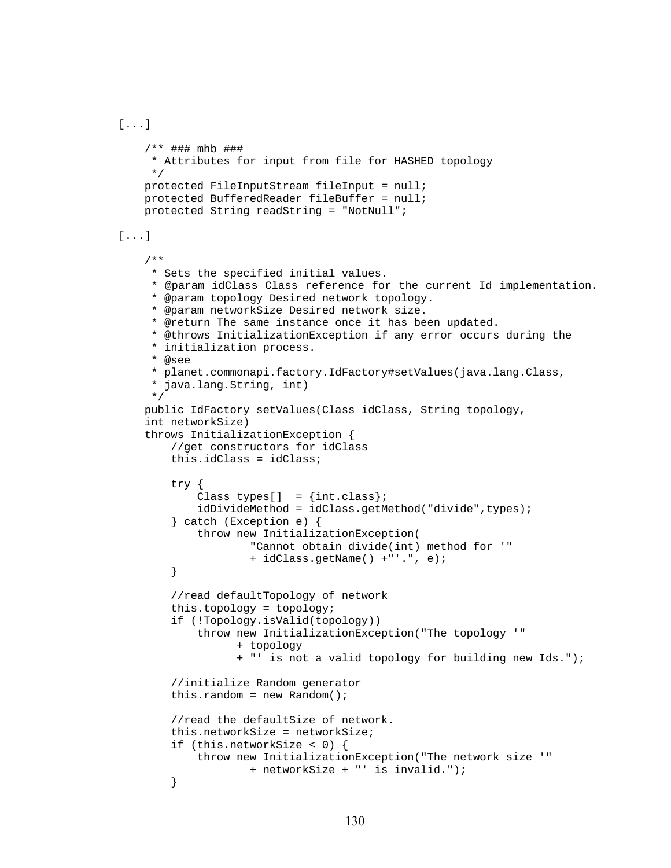```
[...]
```

```
 /** ### mhb ### 
      * Attributes for input from file for HASHED topology 
      */ 
     protected FileInputStream fileInput = null; 
     protected BufferedReader fileBuffer = null; 
     protected String readString = "NotNull"; 
[...] 
     /** 
      * Sets the specified initial values. 
      * @param idClass Class reference for the current Id implementation. 
      * @param topology Desired network topology. 
      * @param networkSize Desired network size. 
      * @return The same instance once it has been updated. 
      * @throws InitializationException if any error occurs during the 
      * initialization process. 
      * @see 
      * planet.commonapi.factory.IdFactory#setValues(java.lang.Class, 
      * java.lang.String, int) 
      */ 
    public IdFactory setValues(Class idClass, String topology, 
    int networkSize) 
     throws InitializationException { 
         //get constructors for idClass 
         this.idClass = idClass; 
         try { 
            Class types[] = \{int.class\};
             idDivideMethod = idClass.getMethod("divide",types); 
         } catch (Exception e) { 
             throw new InitializationException( 
                      "Cannot obtain divide(int) method for '" 
                      + idClass.getName() +"'.", e); 
         } 
         //read defaultTopology of network 
         this.topology = topology; 
         if (!Topology.isValid(topology)) 
             throw new InitializationException("The topology '" 
                    + topology 
                   + "' is not a valid topology for building new Ids."); 
         //initialize Random generator 
        this.random = new Random();
         //read the defaultSize of network. 
         this.networkSize = networkSize; 
         if (this.networkSize < 0) { 
             throw new InitializationException("The network size '" 
                      + networkSize + "' is invalid."); 
         }
```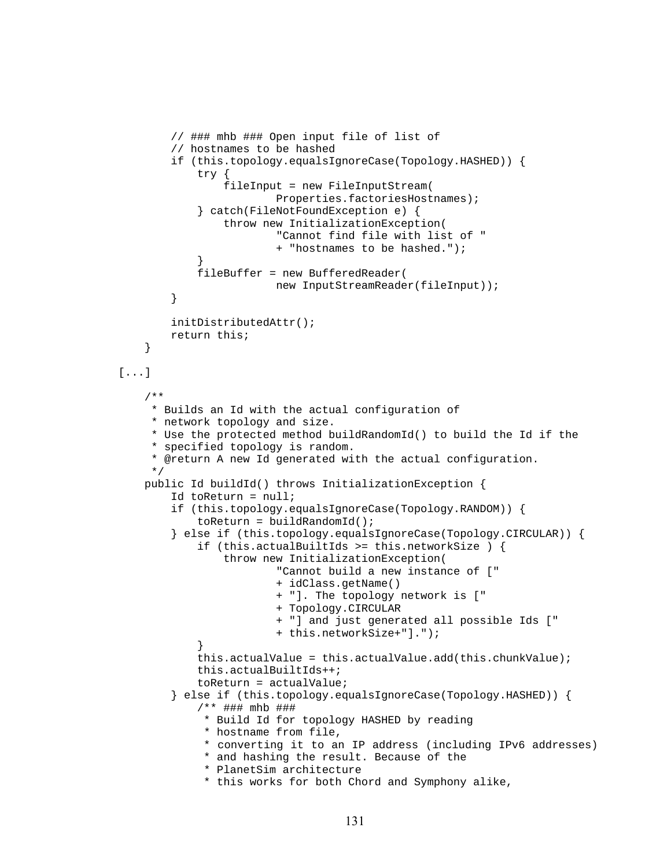```
 // ### mhb ### Open input file of list of 
         // hostnames to be hashed 
         if (this.topology.equalsIgnoreCase(Topology.HASHED)) { 
             try { 
                 fileInput = new FileInputStream( 
                         Properties.factoriesHostnames); 
             } catch(FileNotFoundException e) { 
                  throw new InitializationException( 
                         "Cannot find file with list of " 
                          + "hostnames to be hashed."); 
 } 
             fileBuffer = new BufferedReader( 
                         new InputStreamReader(fileInput)); 
         } 
         initDistributedAttr(); 
         return this; 
     } 
[...] 
     /** 
     * Builds an Id with the actual configuration of 
      * network topology and size. 
      * Use the protected method buildRandomId() to build the Id if the 
      * specified topology is random. 
      * @return A new Id generated with the actual configuration. 
      */ 
    public Id buildId() throws InitializationException { 
         Id toReturn = null; 
         if (this.topology.equalsIgnoreCase(Topology.RANDOM)) { 
             toReturn = buildRandomId(); 
         } else if (this.topology.equalsIgnoreCase(Topology.CIRCULAR)) { 
             if (this.actualBuiltIds >= this.networkSize ) { 
                  throw new InitializationException( 
                         "Cannot build a new instance of [" 
                          + idClass.getName() 
                          + "]. The topology network is [" 
                          + Topology.CIRCULAR 
                          + "] and just generated all possible Ids [" 
                          + this.networkSize+"]."); 
 } 
             this.actualValue = this.actualValue.add(this.chunkValue); 
             this.actualBuiltIds++; 
             toReturn = actualValue; 
         } else if (this.topology.equalsIgnoreCase(Topology.HASHED)) { 
             /** ### mhb ### 
              * Build Id for topology HASHED by reading 
              * hostname from file, 
              * converting it to an IP address (including IPv6 addresses) 
              * and hashing the result. Because of the 
              * PlanetSim architecture 
              * this works for both Chord and Symphony alike,
```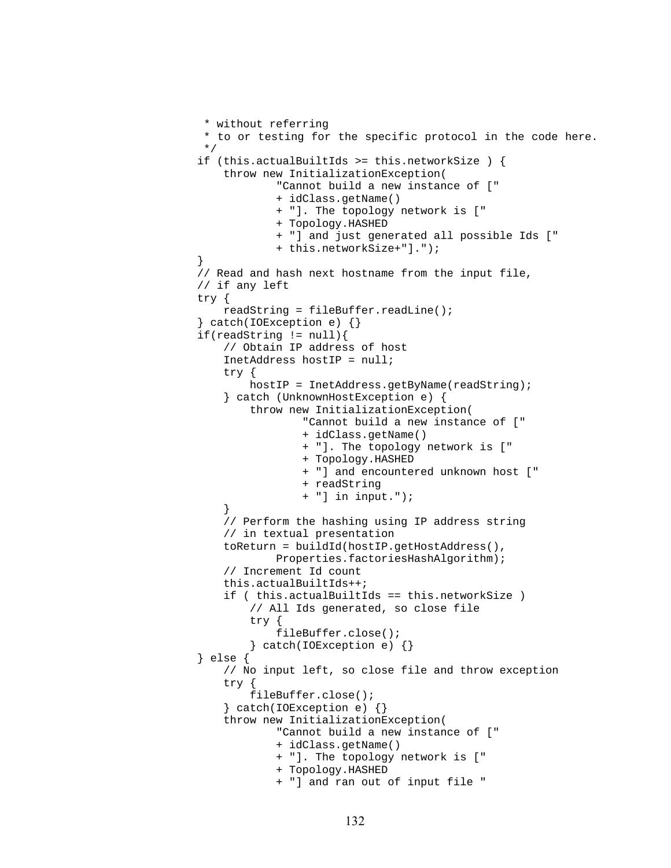```
 * without referring 
             * to or testing for the specific protocol in the code here.<br>*/
 */ 
             if (this.actualBuiltIds >= this.networkSize ) { 
                 throw new InitializationException( 
                         "Cannot build a new instance of [" 
                          + idClass.getName() 
                          + "]. The topology network is [" 
                          + Topology.HASHED 
                          + "] and just generated all possible Ids [" 
                          + this.networkSize+"]."); 
 } 
             // Read and hash next hostname from the input file, 
            // if any left 
             try { 
                 readString = fileBuffer.readLine(); 
             } catch(IOException e) {} 
            if(readString != null){ // Obtain IP address of host 
                 InetAddress hostIP = null; 
                 try { 
                     hostIP = InetAddress.getByName(readString); 
                 } catch (UnknownHostException e) { 
                     throw new InitializationException( 
                              "Cannot build a new instance of [" 
                              + idClass.getName() 
                              + "]. The topology network is [" 
                              + Topology.HASHED 
                              + "] and encountered unknown host [" 
                              + readString 
                              + "] in input."); 
 } 
                 // Perform the hashing using IP address string 
                 // in textual presentation 
                 toReturn = buildId(hostIP.getHostAddress(), 
                         Properties.factoriesHashAlgorithm); 
                 // Increment Id count 
                 this.actualBuiltIds++; 
                 if ( this.actualBuiltIds == this.networkSize ) 
                      // All Ids generated, so close file 
                     try { 
                          fileBuffer.close(); 
                      } catch(IOException e) {} 
             } else { 
                 // No input left, so close file and throw exception 
                 try { 
                     fileBuffer.close(); 
                 } catch(IOException e) {} 
                 throw new InitializationException( 
                         "Cannot build a new instance of [" 
                          + idClass.getName() 
                          + "]. The topology network is [" 
                          + Topology.HASHED 
                          + "] and ran out of input file "
```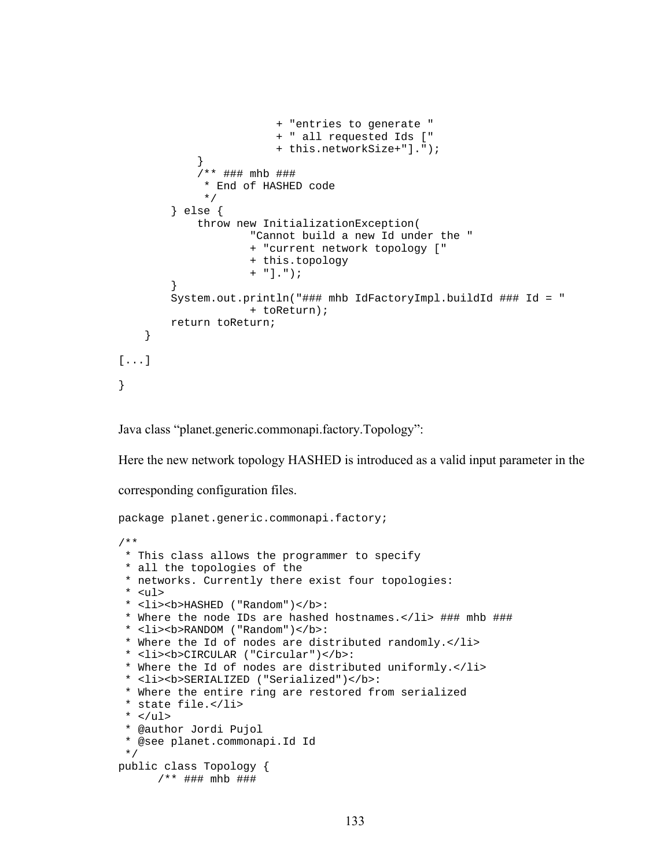```
+ "entries to generate " 
                          + " all requested Ids [" 
                          + this.networkSize+"]."); 
 } 
              /** ### mhb ### 
               * End of HASHED code 
               */ 
         } else { 
             throw new InitializationException( 
                      "Cannot build a new Id under the " 
                      + "current network topology [" 
                      + this.topology 
                      + "]."); 
 } 
         System.out.println("### mhb IdFactoryImpl.buildId ### Id = " 
                      + toReturn); 
         return toReturn; 
     } 
[...] 
}
```
Java class "planet.generic.commonapi.factory.Topology":

Here the new network topology HASHED is introduced as a valid input parameter in the

corresponding configuration files.

```
package planet.generic.commonapi.factory; 
/** 
  * This class allows the programmer to specify 
  * all the topologies of the 
  * networks. Currently there exist four topologies: 
  * <ul> 
  * <li><b>HASHED ("Random")</b>: 
  * Where the node IDs are hashed hostnames.</li> ### mhb ### 
  * <li><b>RANDOM ("Random")</b>: 
  * Where the Id of nodes are distributed randomly.</li> 
  * <li><b>CIRCULAR ("Circular")</b>: 
  * Where the Id of nodes are distributed uniformly.</li> 
  * <li><b>SERIALIZED ("Serialized")</b>: 
  * Where the entire ring are restored from serialized 
  * state file.</li> 
 * </ul>
  * @author Jordi Pujol 
  * @see planet.commonapi.Id Id 
  */ 
public class Topology { 
       /** ### mhb ###
```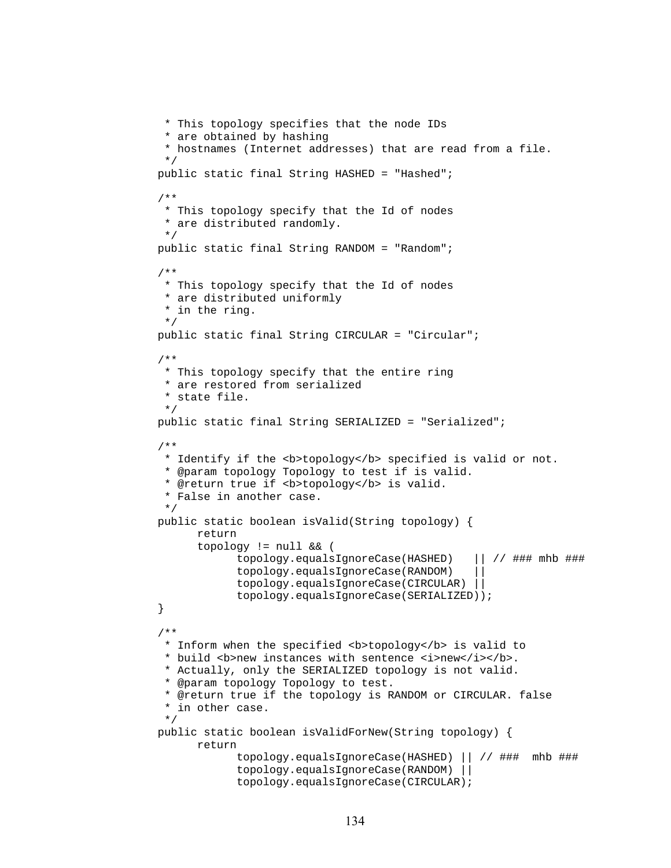```
 * This topology specifies that the node IDs 
  * are obtained by hashing 
  * hostnames (Internet addresses) that are read from a file. 
  */ 
 public static final String HASHED = "Hashed"; 
 /** 
  * This topology specify that the Id of nodes 
  * are distributed randomly. 
  */ 
 public static final String RANDOM = "Random"; 
 /** 
  * This topology specify that the Id of nodes 
  * are distributed uniformly 
  * in the ring. 
  */ 
 public static final String CIRCULAR = "Circular"; 
 /** 
  * This topology specify that the entire ring 
  * are restored from serialized 
  * state file. 
  */ 
 public static final String SERIALIZED = "Serialized"; 
 /** 
 * Identify if the <b>topology</b> specified is valid or not.
  * @param topology Topology to test if is valid. 
 * @return true if <b>topology</b> is valid.
  * False in another case. 
  */ 
 public static boolean isValid(String topology) { 
       return 
       topology != null && ( 
              topology.equalsIgnoreCase(HASHED) || // ### mhb ### 
              topology.equalsIgnoreCase(RANDOM) || 
              topology.equalsIgnoreCase(CIRCULAR) || 
              topology.equalsIgnoreCase(SERIALIZED)); 
 } 
 /** 
 * Inform when the specified <b>topology</b> is valid to
 * build <b>new instances with sentence <i>new</i>></b>.
  * Actually, only the SERIALIZED topology is not valid. 
  * @param topology Topology to test. 
  * @return true if the topology is RANDOM or CIRCULAR. false 
  * in other case. 
  */ 
 public static boolean isValidForNew(String topology) { 
       return 
              topology.equalsIgnoreCase(HASHED) || // ### mhb ### 
              topology.equalsIgnoreCase(RANDOM) || 
              topology.equalsIgnoreCase(CIRCULAR);
```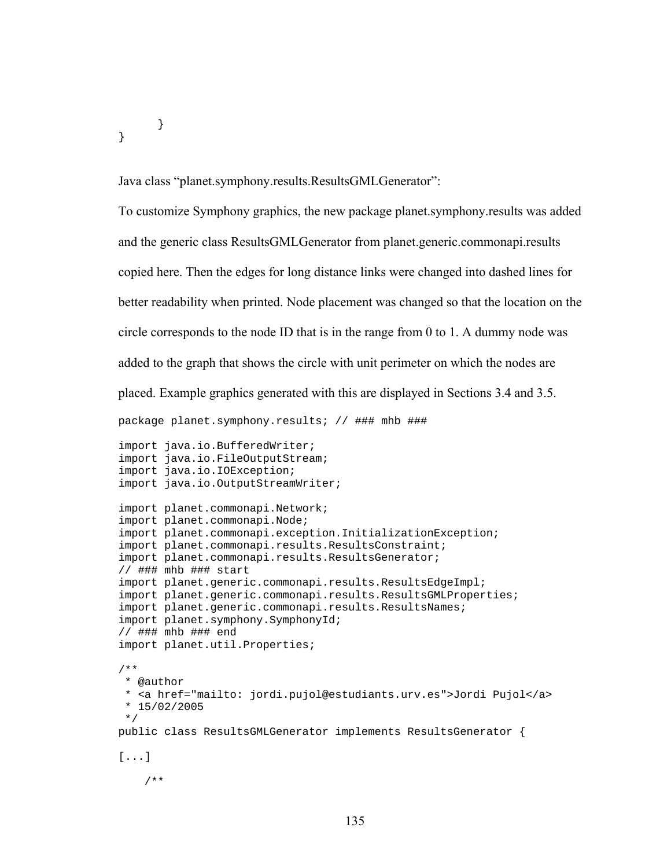}

}

Java class "planet.symphony.results.ResultsGMLGenerator":

To customize Symphony graphics, the new package planet.symphony.results was added and the generic class ResultsGMLGenerator from planet.generic.commonapi.results copied here. Then the edges for long distance links were changed into dashed lines for better readability when printed. Node placement was changed so that the location on the circle corresponds to the node ID that is in the range from 0 to 1. A dummy node was added to the graph that shows the circle with unit perimeter on which the nodes are placed. Example graphics generated with this are displayed in Sections 3.4 and 3.5.

package planet.symphony.results; // ### mhb ###

import java.io.BufferedWriter; import java.io.FileOutputStream; import java.io.IOException; import java.io.OutputStreamWriter;

```
import planet.commonapi.Network; 
import planet.commonapi.Node; 
import planet.commonapi.exception.InitializationException; 
import planet.commonapi.results.ResultsConstraint; 
import planet.commonapi.results.ResultsGenerator; 
// ### mhb ### start 
import planet.generic.commonapi.results.ResultsEdgeImpl; 
import planet.generic.commonapi.results.ResultsGMLProperties; 
import planet.generic.commonapi.results.ResultsNames; 
import planet.symphony.SymphonyId; 
// ### mhb ### end 
import planet.util.Properties; 
/** 
 * @author 
 * <a href="mailto: jordi.pujol@estudiants.urv.es">Jordi Pujol</a>
```

```
 * 15/02/2005 
 */
```

```
public class ResultsGMLGenerator implements ResultsGenerator {
```

```
[...]
```
/\*\*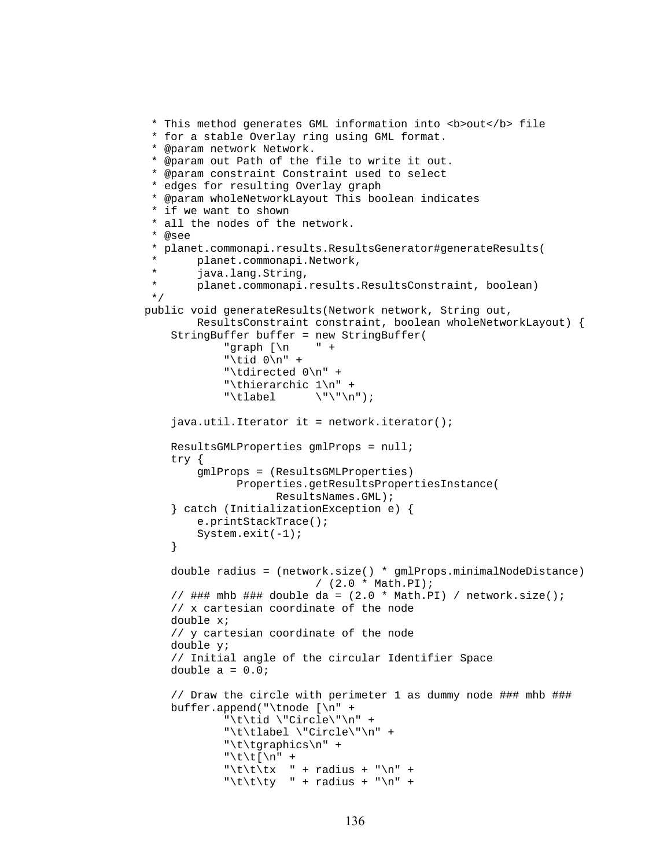```
 * This method generates GML information into <b>out</b> file 
  * for a stable Overlay ring using GML format. 
  * @param network Network. 
  * @param out Path of the file to write it out. 
  * @param constraint Constraint used to select 
  * edges for resulting Overlay graph 
  * @param wholeNetworkLayout This boolean indicates 
  * if we want to shown 
  * all the nodes of the network. 
  * @see 
  * planet.commonapi.results.ResultsGenerator#generateResults( 
        planet.commonapi.Network,
  * java.lang.String, 
        planet.commonapi.results.ResultsConstraint, boolean)
  */ 
 public void generateResults(Network network, String out, 
         ResultsConstraint constraint, boolean wholeNetworkLayout) { 
     StringBuffer buffer = new StringBuffer( 
             "graph [\n\ln \ \ ] +
              "\tid 0\n" + 
              "\tdirected 0\n" + 
             "\thierarchic 1\n" +<br>"\tlabel \"\"\n
                        \setminus"\setminus"\setminusn");
    java.util.Iterator it = network.iterator();
     ResultsGMLProperties gmlProps = null; 
     try { 
         gmlProps = (ResultsGMLProperties) 
               Properties.getResultsPropertiesInstance( 
                     ResultsNames.GML); 
     } catch (InitializationException e) { 
         e.printStackTrace(); 
         System.exit(-1); 
     } 
     double radius = (network.size() * gmlProps.minimalNodeDistance) 
                             / (2.0 * Math.PI); 
    // ### mhb ### double da = (2.0 * \text{Math.PI}) / network.size();
     // x cartesian coordinate of the node 
     double x; 
     // y cartesian coordinate of the node 
     double y; 
     // Initial angle of the circular Identifier Space 
    double a = 0.0;
     // Draw the circle with perimeter 1 as dummy node ### mhb ### 
     buffer.append("\tnode [\n" + 
              "\t\tid \"Circle\"\n" + 
              "\t\tlabel \"Circle\"\n" + 
              "\t\tgraphics\n" + 
             "\t\t[\n" +
             "\t\tt\tx " + radius + "\n" +
             "\t\t\ty " + radius + "\n" +
```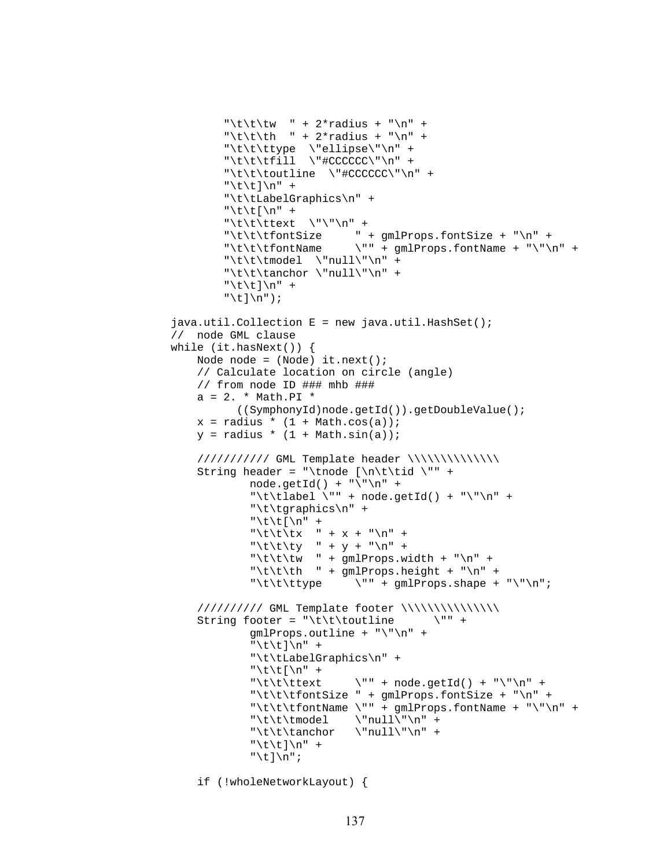```
"\t\t\tw " + 2*radius + "\n" +
          "\t\t\th " + 2*radius + "\n" +
           "\t\t\ttype \"ellipse\"\n" + 
          "\t\t\tfill \"#CCCCCC\"\n" +
           "\t\t\toutline \"#CCCCCC\"\n" + 
          "\t\t]\n" +
           "\t\tLabelGraphics\n" + 
          "\t\t[\n\n' +"\t\t\ttext \"\"\n" +
           "\t\t\tfontSize " + gmlProps.fontSize + "\n" + 
          "\t\tt\t\td"\t\tt\model \ \nu\llbracket\ \mathbf{r} \mathbf{n} \ +
          "\t\tt\t\anchor \null'\n''\n'' +"\t\t]\n" +"\tilde\tau\java.util.Collection E = new java.util.HashSet();
 // node GML clause 
 while (it.hasNext()) { 
     Node node = (Node) it.next(); 
      // Calculate location on circle (angle) 
    // from node ID ### mhb ### 
     a = 2. * Math.PI *((SymphonyId)node.getId()).getDoubleValue(); 
    x = radius * (1 + \text{Math.} \cos(a));
    y = radius * (1 + \text{Math.sin}(a));
      /////////// GML Template header \\\\\\\\\\\\\\ 
     String header = "\tnode [\n\t\tid \"" + 
              node.getId() + "\n" \n'"\t\tlabel \"" + node.getId() + "\"\n" +
                "\t\tgraphics\n" + 
               "\t\t[\n" +
               "\t\tt\tx " + x + "\n" +
               "\t\t\ty " + y + "\n" +
               "\t\tt\% " + gmlProps.width + "\n" +
               "\t\tt\th " + gmlProps.height + "\n" +
               "\t\t\ttype \"" + gmlProps.shape + "\"\n";
      ////////// GML Template footer \\\\\\\\\\\\\\\ 
     String footer = "\tt\tilde{\text{t}} = "\tt\tilde{\text{t}} gmlProps.outline + "\"\n" + 
               "\t\t]\n" +
                "\t\tLabelGraphics\n" + 
               "\t\t[\n\n' +"\t\t\ttext \"" + node.getId() + "\"\n" +
                "\t\t\tfontSize " + gmlProps.fontSize + "\n" + 
                "\t\t\tfontName \"" + gmlProps.fontName + "\"\n" + 
               "\t\tt\t\model \qquad \t\nu\lbrack\n\lbrack\n\lbrack\n\lbrack\n\lbrack\n\lbrack\n\lbrack\n\lbrack\n\lbrack\n\lbrack\n\lbrack\n\lbrack\n\lbrack\n\lbrack\n\lbrack\n\lbrack\n\lbrack\n\lbrack\n\lbrack\n\lbrack\n\lbrack\n\lbrack\n\lbrack\n\lbrack\n\lbrack\n\lbrack\n\lbrack\n\lbrack\n\lbrack\n\lbrack\n\lbrack\n\lbrack\n\lbrack\n\lbrack\n\ "\t\t\tanchor \"null\"\n" + 
               "\t\t]\n" +"\t]\n";
```
if (!wholeNetworkLayout) {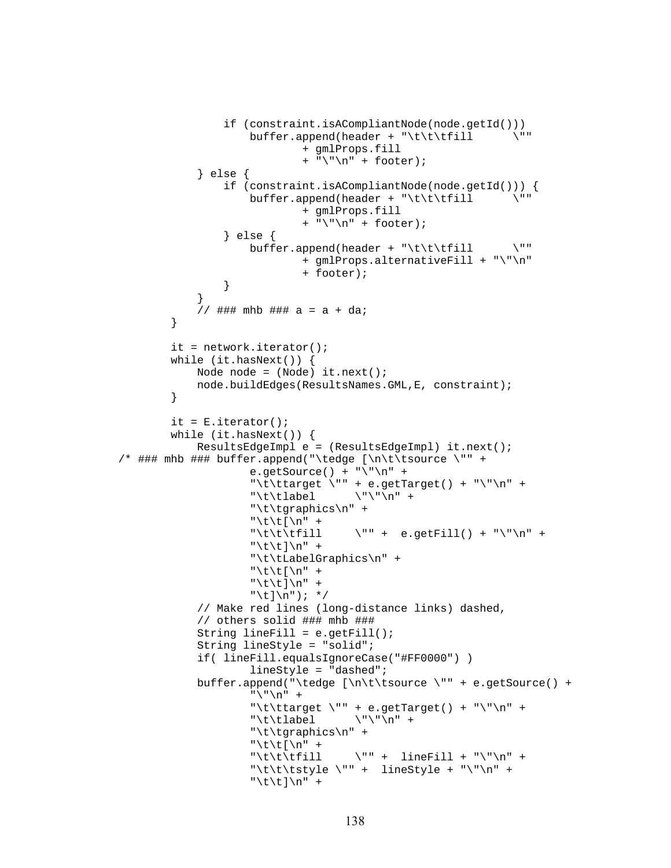```
if (constraint.isACompliantNode(node.getId()))<br>buffer.append(header + "\t\t\tfill \""
                            buffer.append(header + "\\t\tilde{1}] + gmlProps.fill 
                                        + "\n\\' \n\\' + footer;
                  } else { 
                       if (constraint.isACompliantNode(node.getId())) { 
                             buffer.append(header + "\t\t\tfill \"" 
                                         + gmlProps.fill 
                                        + "\n\\'n" + footer;
                        } else { 
                            buffer.append(header + "\t\tt\tilde{1}] \"
                                         + gmlProps.alternativeFill + "\"\n" 
                                         + footer); 
 } 
 } 
                 // ### mhb ### a = a + da;
            } 
            it = network.iterator(); 
            while (it.hasNext()) { 
                  Node node = (Node) it.next(); 
                  node.buildEdges(ResultsNames.GML,E, constraint); 
            } 
           it = E.iterator();
            while (it.hasNext()) { 
                  ResultsEdgeImpl e = (ResultsEdgeImpl) it.next(); 
\gamma ### mhb ### buffer.append("\tedge [\n\t\tsource \"" +
                            e.qetSource() + "\"\n" +
 "\t\ttarget \"" + e.getTarget() + "\"\n" + 
 "\t\tlabel \"\"\n" + 
                             "\t\tgraphics\n" + 
                            "\t\t[\n" +
                             "\t\t\tfill \"" + e.getFill() + "\"\n" + 
                            "\t\t]\n" + "\t\tLabelGraphics\n" + 
                            "\t\t\\t[\n\n\frac{m" +}{}"\t\t]\n" +
                            "\backslash t] \backslash n"); */
                  // Make red lines (long-distance links) dashed, 
                  // others solid ### mhb ### 
                 String lineFill = e.getFill();
                  String lineStyle = "solid"; 
                  if( lineFill.equalsIgnoreCase("#FF0000") ) 
                             lineStyle = "dashed"; 
                  buffer.append("\tedge [\n\t\tsource \"" + e.getSource() + 
                            " \backslash" \backslash n" +"\t\ttarget \"" + e.getTarget() + "\"\n" +
                             "\t\tlabel \"\"\n" + 
                             "\t\tgraphics\n" + 
                            "\t\t\\t[\n\n' +"\t\t\t\till \qquad \qquad \qquad \text{linear} \qquad \qquad \text{linear} \qquad \qquad \text{linear} \qquad \qquad \text{linear} \qquad \text{linear} \qquad \text{linear} \qquad \text{linear} \qquad \text{linear} \qquad \text{linear} \qquad \text{linear} \qquad \text{linear} \qquad \text{linear} \qquad \text{linear} \qquad \text{linear} \qquad \text{linear} \qquad \text{linear} \qquad \text{linear} \qquad \text{linear} \qquad \text{linear} \qquad \text{linear} \qquad \text{linear} \qquad \text{linear} \qquad \text{linear} \qquad \text{linear} \qquad \"\t\t\tstyle \"" + lineStyle + "\"\n" +
                            "\t\t]\n" +
```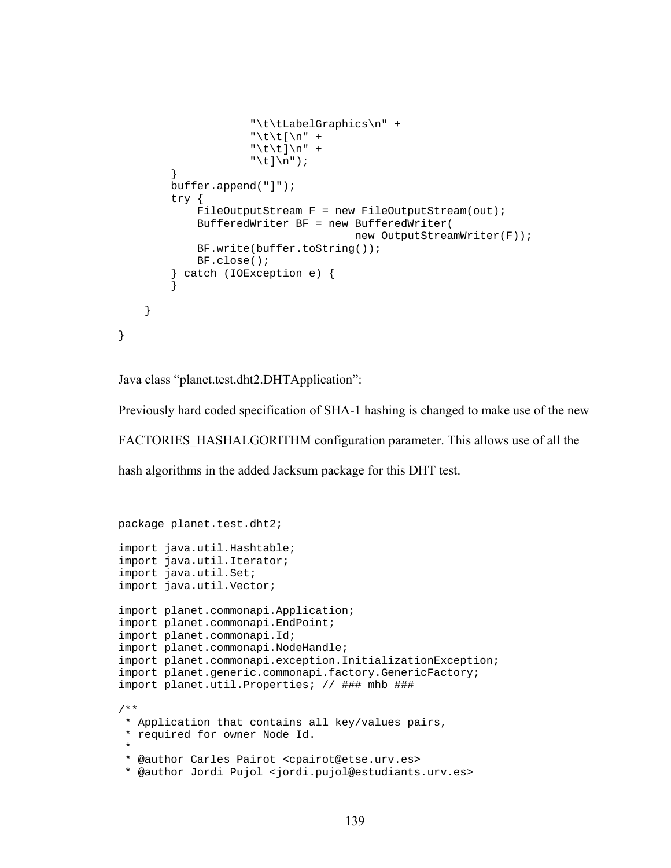```
 "\t\tLabelGraphics\n" + 
                     "\t\tilde\tau\"\t\t]\n" +
                     "\t]\n^n;
         } 
         buffer.append("]"); 
         try { 
            FileOutputStream F = new FileOutputStream(out); BufferedWriter BF = new BufferedWriter( 
                                      new OutputStreamWriter(F)); 
             BF.write(buffer.toString()); 
             BF.close(); 
         } catch (IOException e) { 
 } 
     }
```
Java class "planet.test.dht2.DHTApplication":

}

Previously hard coded specification of SHA-1 hashing is changed to make use of the new

FACTORIES\_HASHALGORITHM configuration parameter. This allows use of all the

hash algorithms in the added Jacksum package for this DHT test.

```
package planet.test.dht2; 
import java.util.Hashtable; 
import java.util.Iterator; 
import java.util.Set; 
import java.util.Vector; 
import planet.commonapi.Application; 
import planet.commonapi.EndPoint; 
import planet.commonapi.Id; 
import planet.commonapi.NodeHandle; 
import planet.commonapi.exception.InitializationException; 
import planet.generic.commonapi.factory.GenericFactory; 
import planet.util.Properties; // ### mhb ### 
/** 
  * Application that contains all key/values pairs, 
  * required for owner Node Id. 
 * 
  * @author Carles Pairot <cpairot@etse.urv.es> 
  * @author Jordi Pujol <jordi.pujol@estudiants.urv.es>
```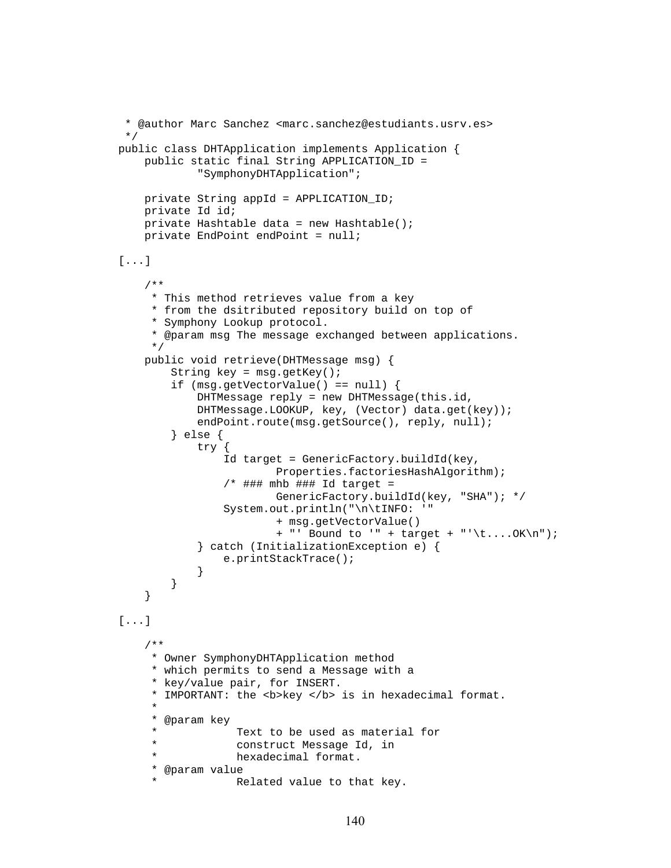```
 * @author Marc Sanchez <marc.sanchez@estudiants.usrv.es> 
  */ 
public class DHTApplication implements Application { 
    public static final String APPLICATION_ID = 
            "SymphonyDHTApplication"; 
     private String appId = APPLICATION_ID; 
     private Id id; 
     private Hashtable data = new Hashtable(); 
     private EndPoint endPoint = null; 
[...] 
     /** 
      * This method retrieves value from a key 
      * from the dsitributed repository build on top of 
      * Symphony Lookup protocol. 
      * @param msg The message exchanged between applications. 
      */ 
     public void retrieve(DHTMessage msg) { 
        String key = msg.getKey();
         if (msg.getVectorValue() == null) { 
             DHTMessage reply = new DHTMessage(this.id, 
            DHTMessage.LOOKUP, key, (Vector) data.get(key)); 
            endPoint.route(msg.getSource(), reply, null);
         } else { 
             try { 
                 Id target = GenericFactory.buildId(key, 
                         Properties.factoriesHashAlgorithm); 
                 /* ### mhb ### Id target =
                         GenericFactory.buildId(key, "SHA"); */ 
                 System.out.println("\n\tINFO: '" 
                         + msg.getVectorValue() 
                         + "' Bound to '" + target + "'\t....OK\n"); 
             } catch (InitializationException e) { 
                 e.printStackTrace(); 
 } 
 } 
     } 
[...] 
     /** 
      * Owner SymphonyDHTApplication method 
      * which permits to send a Message with a 
      * key/value pair, for INSERT. 
     * IMPORTANT: the <b>/>b> key </b> is in hexadecimal format.
 * 
      * @param key 
      * Text to be used as material for 
      * construct Message Id, in 
                  hexadecimal format.
      * @param value 
                  Related value to that key.
```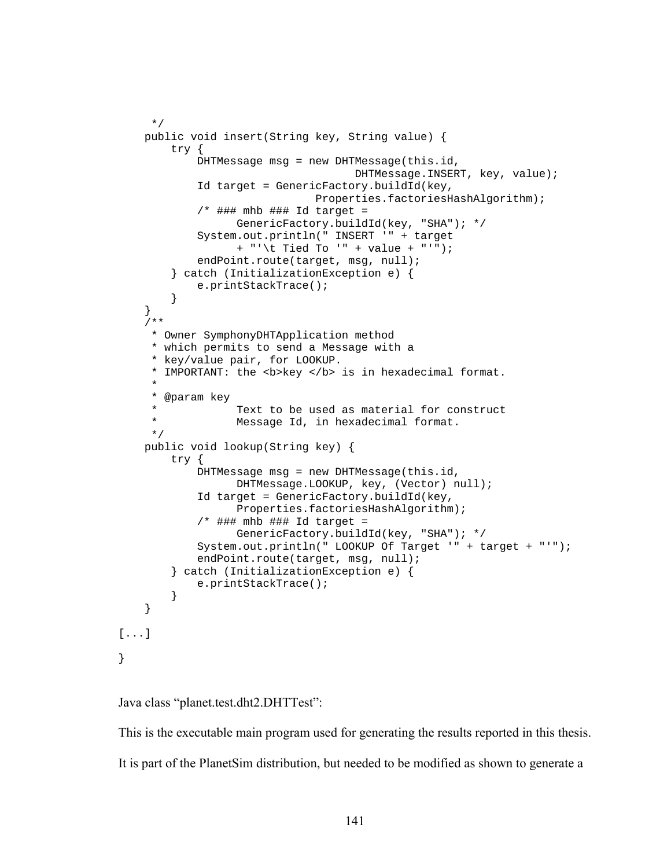```
 */ 
     public void insert(String key, String value) { 
         try { 
             DHTMessage msg = new DHTMessage(this.id, 
                                      DHTMessage.INSERT, key, value); 
             Id target = GenericFactory.buildId(key, 
                                Properties.factoriesHashAlgorithm); 
             /* ### mhb ### Id target =
                   GenericFactory.buildId(key, "SHA"); */ 
             System.out.println(" INSERT '" + target 
                   + "'\t Tied To '" + value + "'"); 
            endPoint.route(target, msg, null);
         } catch (InitializationException e) { 
             e.printStackTrace(); 
 } 
     } 
     /** 
      * Owner SymphonyDHTApplication method 
      * which permits to send a Message with a 
      * key/value pair, for LOOKUP. 
     * IMPORTANT: the <b>key </b> is in hexadecimal format.
 * 
      * @param key 
     * Text to be used as material for construct<br>* Mossage Id in boundarimal format
                   Message Id, in hexadecimal format.
      */ 
     public void lookup(String key) { 
         try { 
             DHTMessage msg = new DHTMessage(this.id, 
                   DHTMessage.LOOKUP, key, (Vector) null); 
             Id target = GenericFactory.buildId(key, 
                   Properties.factoriesHashAlgorithm); 
             /* ### mhb ### Id target =
                   GenericFactory.buildId(key, "SHA"); */ 
             System.out.println(" LOOKUP Of Target '" + target + "'"); 
            endPoint.route(target, msg, null);
         } catch (InitializationException e) { 
             e.printStackTrace(); 
 } 
     } 
[...]
```
Java class "planet.test.dht2.DHTTest":

}

This is the executable main program used for generating the results reported in this thesis. It is part of the PlanetSim distribution, but needed to be modified as shown to generate a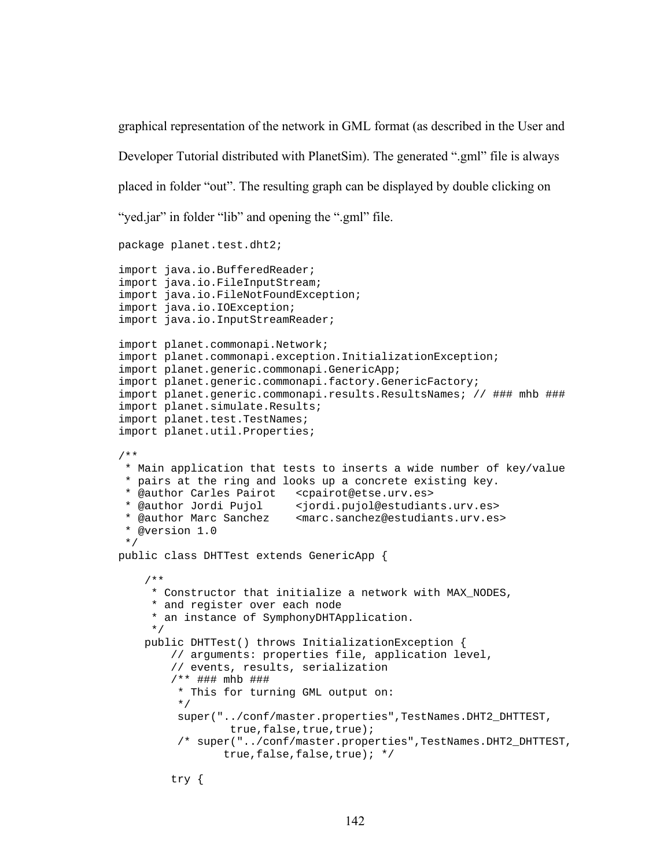graphical representation of the network in GML format (as described in the User and Developer Tutorial distributed with PlanetSim). The generated ".gml" file is always placed in folder "out". The resulting graph can be displayed by double clicking on "yed.jar" in folder "lib" and opening the ".gml" file.

```
package planet.test.dht2; 
import java.io.BufferedReader; 
import java.io.FileInputStream; 
import java.io.FileNotFoundException; 
import java.io.IOException; 
import java.io.InputStreamReader; 
import planet.commonapi.Network; 
import planet.commonapi.exception.InitializationException; 
import planet.generic.commonapi.GenericApp; 
import planet.generic.commonapi.factory.GenericFactory; 
import planet.generic.commonapi.results.ResultsNames; // ### mhb ### 
import planet.simulate.Results; 
import planet.test.TestNames; 
import planet.util.Properties; 
/** 
  * Main application that tests to inserts a wide number of key/value 
  * pairs at the ring and looks up a concrete existing key. 
  * @author Carles Pairot <cpairot@etse.urv.es> 
  * @author Jordi Pujol <jordi.pujol@estudiants.urv.es> 
                            <marc.sanchez@estudiants.urv.es>
  * @version 1.0 
  */ 
public class DHTTest extends GenericApp { 
     /** 
      * Constructor that initialize a network with MAX_NODES, 
      * and register over each node 
      * an instance of SymphonyDHTApplication. 
      */ 
     public DHTTest() throws InitializationException { 
         // arguments: properties file, application level, 
         // events, results, serialization 
         /** ### mhb ### 
          * This for turning GML output on: 
          */ 
          super("../conf/master.properties",TestNames.DHT2_DHTTEST, 
                  true, false, true, true);
          /* super("../conf/master.properties",TestNames.DHT2_DHTTEST, 
                 true,false,false,true); */ 
         try {
```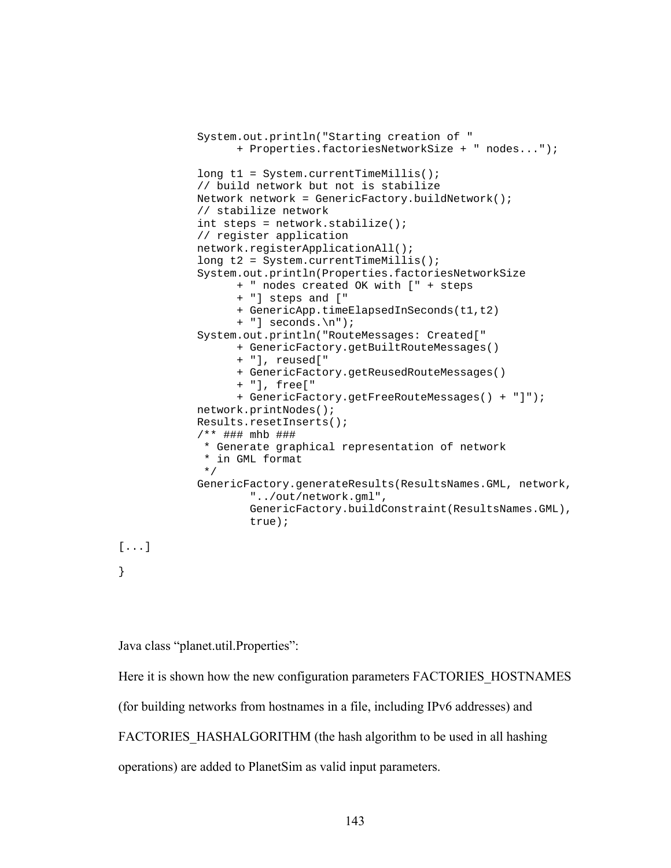```
 System.out.println("Starting creation of " 
                   + Properties.factoriesNetworkSize + " nodes..."); 
            long t1 = System.currentTimeMillis();
             // build network but not is stabilize 
             Network network = GenericFactory.buildNetwork(); 
             // stabilize network 
             int steps = network.stabilize(); 
             // register application 
             network.registerApplicationAll(); 
            long t2 = System.currentTimeMillis();
             System.out.println(Properties.factoriesNetworkSize 
                   + " nodes created OK with [" + steps 
                   + "] steps and [" 
                   + GenericApp.timeElapsedInSeconds(t1,t2) 
                   + "] seconds.\n"); 
             System.out.println("RouteMessages: Created[" 
                   + GenericFactory.getBuiltRouteMessages() 
                   + "], reused[" 
                   + GenericFactory.getReusedRouteMessages() 
                   + "], free[" 
                   + GenericFactory.getFreeRouteMessages() + "]"); 
             network.printNodes(); 
             Results.resetInserts(); 
             /** ### mhb ### 
               * Generate graphical representation of network 
              * in GML format 
              */ 
             GenericFactory.generateResults(ResultsNames.GML, network, 
                      "../out/network.gml", 
                      GenericFactory.buildConstraint(ResultsNames.GML), 
                      true); 
[...] 
}
```
Java class "planet.util.Properties":

Here it is shown how the new configuration parameters FACTORIES\_HOSTNAMES

(for building networks from hostnames in a file, including IPv6 addresses) and

FACTORIES HASHALGORITHM (the hash algorithm to be used in all hashing

operations) are added to PlanetSim as valid input parameters.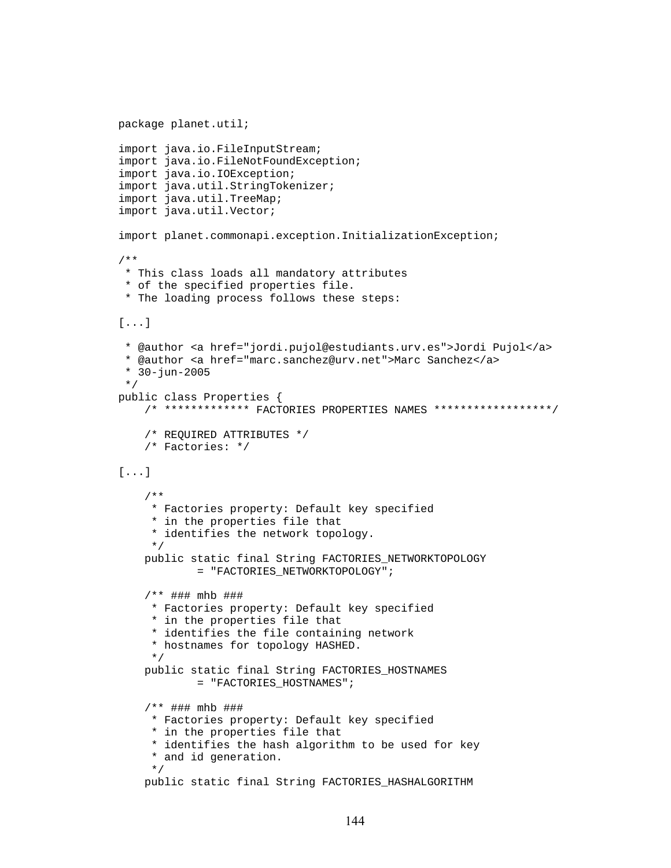```
package planet.util; 
import java.io.FileInputStream; 
import java.io.FileNotFoundException; 
import java.io.IOException; 
import java.util.StringTokenizer; 
import java.util.TreeMap; 
import java.util.Vector; 
import planet.commonapi.exception.InitializationException; 
/** 
  * This class loads all mandatory attributes 
  * of the specified properties file. 
  * The loading process follows these steps: 
[...] 
  * @author <a href="jordi.pujol@estudiants.urv.es">Jordi Pujol</a> 
  * @author <a href="marc.sanchez@urv.net">Marc Sanchez</a> 
  * 30-jun-2005 
  */ 
public class Properties { 
     /* ************* FACTORIES PROPERTIES NAMES ******************/ 
     /* REQUIRED ATTRIBUTES */ 
    /* Factories: */ 
[...] 
     /** 
      * Factories property: Default key specified 
      * in the properties file that 
      * identifies the network topology. 
      */ 
    public static final String FACTORIES_NETWORKTOPOLOGY 
            = "FACTORIES_NETWORKTOPOLOGY"; 
     /** ### mhb ### 
      * Factories property: Default key specified 
      * in the properties file that 
      * identifies the file containing network 
      * hostnames for topology HASHED. 
      */ 
    public static final String FACTORIES_HOSTNAMES 
            = "FACTORIES_HOSTNAMES"; 
     /** ### mhb ### 
      * Factories property: Default key specified 
      * in the properties file that 
      * identifies the hash algorithm to be used for key 
      * and id generation. 
      */ 
    public static final String FACTORIES_HASHALGORITHM
```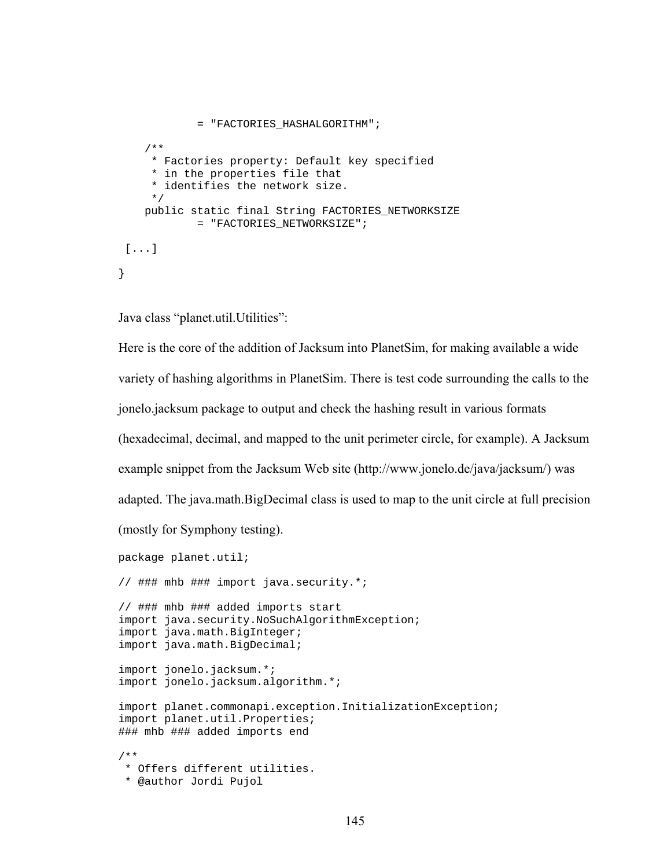```
= "FACTORIES_HASHALGORITHM"; 
     /** 
      * Factories property: Default key specified 
      * in the properties file that 
      * identifies the network size. 
      */ 
    public static final String FACTORIES_NETWORKSIZE 
             = "FACTORIES_NETWORKSIZE"; 
 [...] 
}
```
Java class "planet.util.Utilities":

Here is the core of the addition of Jacksum into PlanetSim, for making available a wide variety of hashing algorithms in PlanetSim. There is test code surrounding the calls to the jonelo.jacksum package to output and check the hashing result in various formats (hexadecimal, decimal, and mapped to the unit perimeter circle, for example). A Jacksum example snippet from the Jacksum Web site (http://www.jonelo.de/java/jacksum/) was adapted. The java.math.BigDecimal class is used to map to the unit circle at full precision (mostly for Symphony testing).

package planet.util; // ### mhb ### import java.security.\*; // ### mhb ### added imports start import java.security.NoSuchAlgorithmException; import java.math.BigInteger; import java.math.BigDecimal; import jonelo.jacksum.\*; import jonelo.jacksum.algorithm.\*; import planet.commonapi.exception.InitializationException; import planet.util.Properties; ### mhb ### added imports end /\*\* \* Offers different utilities. \* @author Jordi Pujol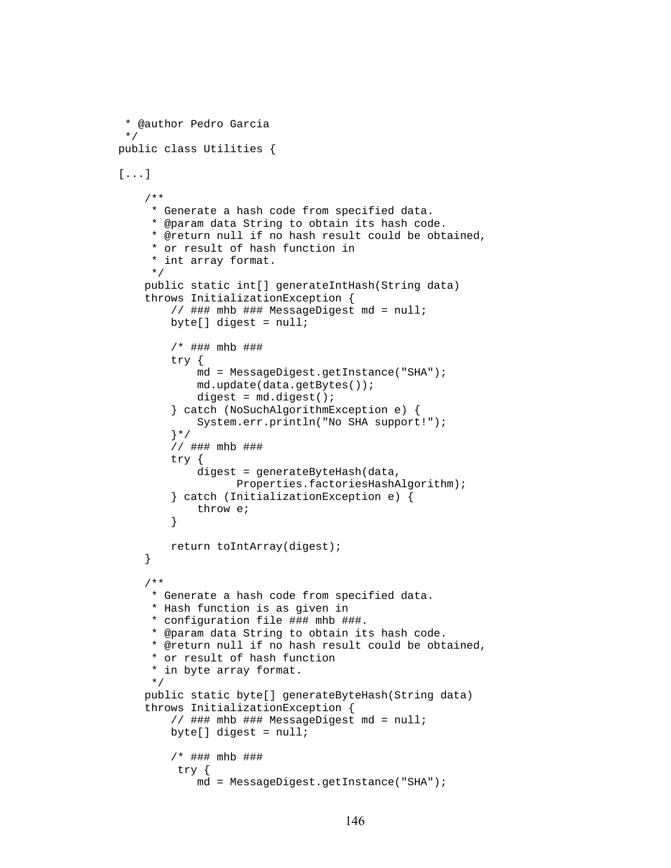```
 * @author Pedro Garcia 
  */ 
public class Utilities { 
[...] 
     /** 
      * Generate a hash code from specified data. 
      * @param data String to obtain its hash code. 
      * @return null if no hash result could be obtained, 
      * or result of hash function in 
      * int array format. 
      */ 
     public static int[] generateIntHash(String data) 
     throws InitializationException { 
         // ### mhb ### MessageDigest md = null; 
         byte[] digest = null; 
          /* ### mhb ### 
         try { 
              md = MessageDigest.getInstance("SHA"); 
              md.update(data.getBytes()); 
              digest = md.digest(); 
          } catch (NoSuchAlgorithmException e) { 
              System.err.println("No SHA support!"); 
          }*/ 
         // ### mhb ### 
         try { 
              digest = generateByteHash(data, 
                   Properties.factoriesHashAlgorithm); 
         } catch (InitializationException e) { 
              throw e; 
         } 
         return toIntArray(digest); 
     } 
     /** 
      * Generate a hash code from specified data. 
      * Hash function is as given in 
      * configuration file ### mhb ###. 
      * @param data String to obtain its hash code. 
      * @return null if no hash result could be obtained, 
      * or result of hash function 
      * in byte array format. 
      */ 
     public static byte[] generateByteHash(String data) 
     throws InitializationException { 
        1/ ### mhb ### MessageDigest md = null;
        byte[] digest = null;
         /* ### mhb ### 
          try { 
              md = MessageDigest.getInstance("SHA");
```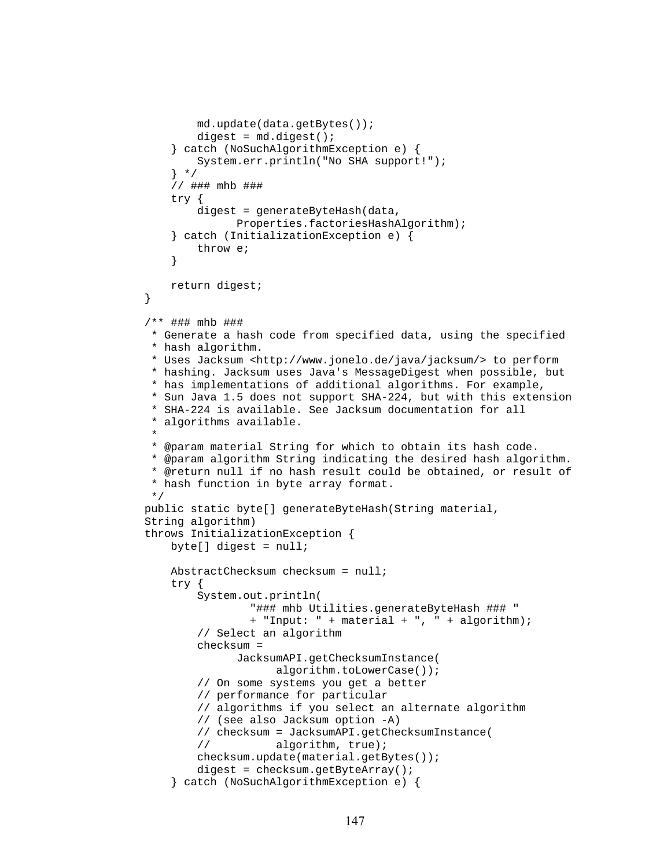```
 md.update(data.getBytes()); 
            digest = md.digest();
         } catch (NoSuchAlgorithmException e) { 
             System.err.println("No SHA support!"); 
         } */ 
         // ### mhb ### 
         try { 
             digest = generateByteHash(data, 
                  Properties.factoriesHashAlgorithm); 
         } catch (InitializationException e) { 
             throw e; 
 } 
         return digest; 
     } 
     /** ### mhb ### 
      * Generate a hash code from specified data, using the specified 
      * hash algorithm. 
      * Uses Jacksum <http://www.jonelo.de/java/jacksum/> to perform 
      * hashing. Jacksum uses Java's MessageDigest when possible, but 
      * has implementations of additional algorithms. For example, 
      * Sun Java 1.5 does not support SHA-224, but with this extension 
      * SHA-224 is available. See Jacksum documentation for all 
      * algorithms available. 
 * 
     * @param material String for which to obtain its hash code. 
      * @param algorithm String indicating the desired hash algorithm. 
      * @return null if no hash result could be obtained, or result of 
      * hash function in byte array format. 
      */ 
   public static byte[] generateByteHash(String material, 
   String algorithm) 
    throws InitializationException { 
        byte[] digest = null;
         AbstractChecksum checksum = null; 
         try { 
             System.out.println( 
                     "### mhb Utilities.generateByteHash ### "
                     + "Input: " + material + ", " + algorithm); 
             // Select an algorithm 
             checksum = 
                  JacksumAPI.getChecksumInstance( 
                         algorithm.toLowerCase()); 
             // On some systems you get a better 
            // performance for particular 
             // algorithms if you select an alternate algorithm 
             // (see also Jacksum option -A) 
             // checksum = JacksumAPI.getChecksumInstance( 
            // algorithm, true); 
             checksum.update(material.getBytes()); 
             digest = checksum.getByteArray(); 
         } catch (NoSuchAlgorithmException e) {
```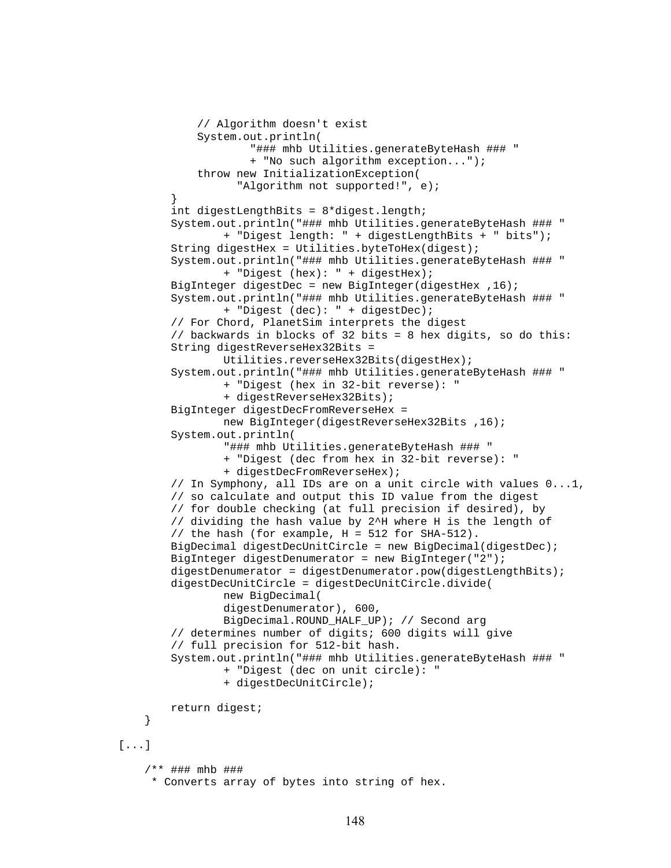```
 // Algorithm doesn't exist 
             System.out.println( 
                      "### mhb Utilities.generateByteHash ### " 
                      + "No such algorithm exception..."); 
             throw new InitializationException( 
                   "Algorithm not supported!", e); 
 } 
         int digestLengthBits = 8*digest.length; 
         System.out.println("### mhb Utilities.generateByteHash ### " 
                 + "Digest length: " + digestLengthBits + " bits"); 
         String digestHex = Utilities.byteToHex(digest); 
         System.out.println("### mhb Utilities.generateByteHash ### " 
                 + "Digest (hex): " + digestHex); 
        BigInteger digestDec = new BigInteger(digestHex , 16);
         System.out.println("### mhb Utilities.generateByteHash ### " 
                 + "Digest (dec): " + digestDec); 
         // For Chord, PlanetSim interprets the digest 
         // backwards in blocks of 32 bits = 8 hex digits, so do this: 
         String digestReverseHex32Bits = 
                 Utilities.reverseHex32Bits(digestHex); 
         System.out.println("### mhb Utilities.generateByteHash ### " 
                 + "Digest (hex in 32-bit reverse): " 
                  + digestReverseHex32Bits); 
         BigInteger digestDecFromReverseHex = 
                 new BigInteger(digestReverseHex32Bits ,16); 
         System.out.println( 
                  "### mhb Utilities.generateByteHash ### " 
                 + "Digest (dec from hex in 32-bit reverse): " 
                  + digestDecFromReverseHex); 
         // In Symphony, all IDs are on a unit circle with values 0...1, 
         // so calculate and output this ID value from the digest 
         // for double checking (at full precision if desired), by 
         // dividing the hash value by 2^H where H is the length of 
         // the hash (for example, H = 512 for SHA-512). 
         BigDecimal digestDecUnitCircle = new BigDecimal(digestDec); 
         BigInteger digestDenumerator = new BigInteger("2"); 
         digestDenumerator = digestDenumerator.pow(digestLengthBits); 
         digestDecUnitCircle = digestDecUnitCircle.divide( 
                 new BigDecimal( 
                 digestDenumerator), 600, 
                 BigDecimal.ROUND_HALF_UP); // Second arg 
         // determines number of digits; 600 digits will give 
         // full precision for 512-bit hash. 
         System.out.println("### mhb Utilities.generateByteHash ### " 
                 + "Digest (dec on unit circle): " 
                 + digestDecUnitCircle); 
         return digest; 
     } 
[...] 
     /** ### mhb ### 
      * Converts array of bytes into string of hex.
```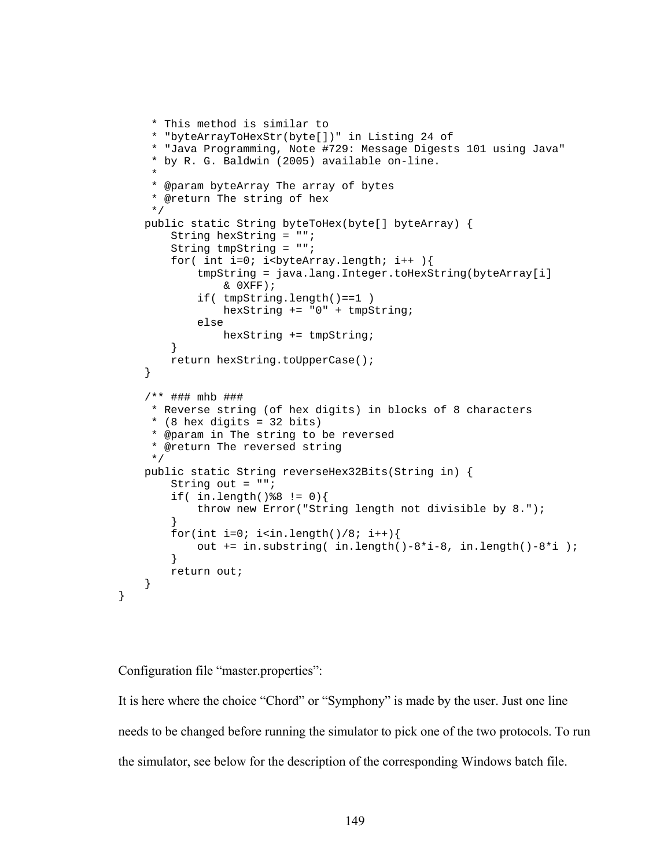```
 * This method is similar to 
      * "byteArrayToHexStr(byte[])" in Listing 24 of 
      * "Java Programming, Note #729: Message Digests 101 using Java" 
      * by R. G. Baldwin (2005) available on-line. 
 * 
      * @param byteArray The array of bytes 
      * @return The string of hex 
      */ 
    public static String byteToHex(byte[] byteArray) { 
         String hexString = ""; 
         String tmpString = ""; 
        for( int i=0; i<br/>byteArray.length; i++ ){
             tmpString = java.lang.Integer.toHexString(byteArray[i] 
                 & 0XFF); 
             if( tmpString.length()==1 ) 
                 hexString += "0" + tmpString; 
             else 
                 hexString += tmpString; 
 } 
         return hexString.toUpperCase(); 
     } 
     /** ### mhb ### 
      * Reverse string (of hex digits) in blocks of 8 characters 
     * (8 hex digits = 32 \text{ bits})
      * @param in The string to be reversed 
     * @return The reversed string 
     */ 
    public static String reverseHex32Bits(String in) { 
        String out = " ";
        if( in.length()88 != 0){
             throw new Error("String length not divisible by 8."); 
 } 
        for(int i=0; i<in.length()/8; i++){
            out += in.substring( in.length()-8*i-8, in.length()-8*i);
 } 
         return out; 
     }
```
Configuration file "master.properties":

}

It is here where the choice "Chord" or "Symphony" is made by the user. Just one line needs to be changed before running the simulator to pick one of the two protocols. To run the simulator, see below for the description of the corresponding Windows batch file.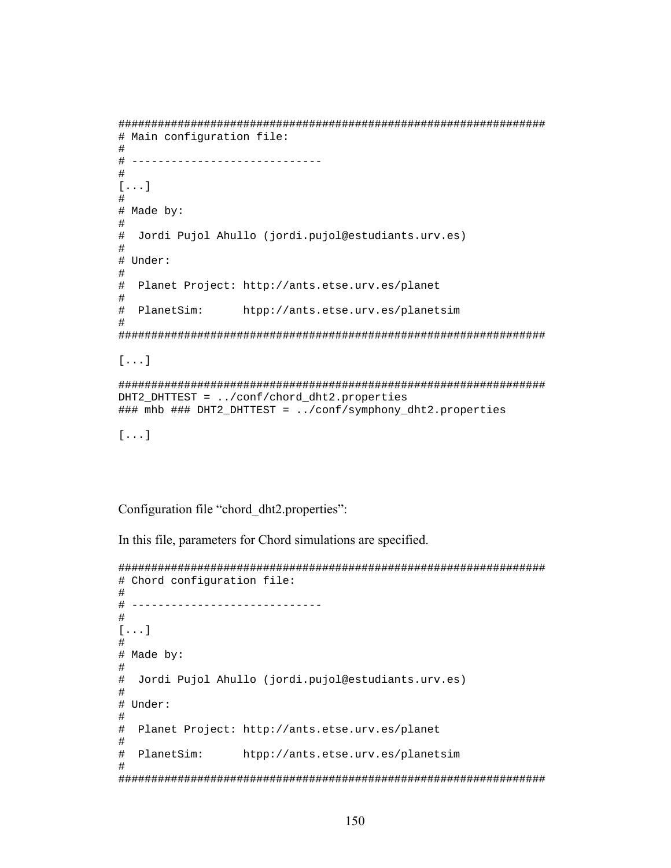```
################################################################# 
# Main configuration file: 
# 
# ----------------------------- 
# 
[...] 
# 
# Made by: 
# 
# Jordi Pujol Ahullo (jordi.pujol@estudiants.urv.es) 
# 
# Under: 
# 
# Planet Project: http://ants.etse.urv.es/planet 
# 
# PlanetSim: htpp://ants.etse.urv.es/planetsim 
# 
################################################################# 
[...] 
################################################################# 
DHT2_DHTTEST = ../conf/chord_dht2.properties 
### mhb ### DHT2_DHTTEST = ../conf/symphony_dht2.properties 
[...]
```
Configuration file "chord\_dht2.properties":

In this file, parameters for Chord simulations are specified.

```
################################################################# 
# Chord configuration file: 
# 
# ----------------------------- 
# 
[...] 
# 
# Made by: 
# 
# Jordi Pujol Ahullo (jordi.pujol@estudiants.urv.es) 
# 
# Under: 
# 
# Planet Project: http://ants.etse.urv.es/planet 
# 
# PlanetSim: htpp://ants.etse.urv.es/planetsim 
# 
#################################################################
```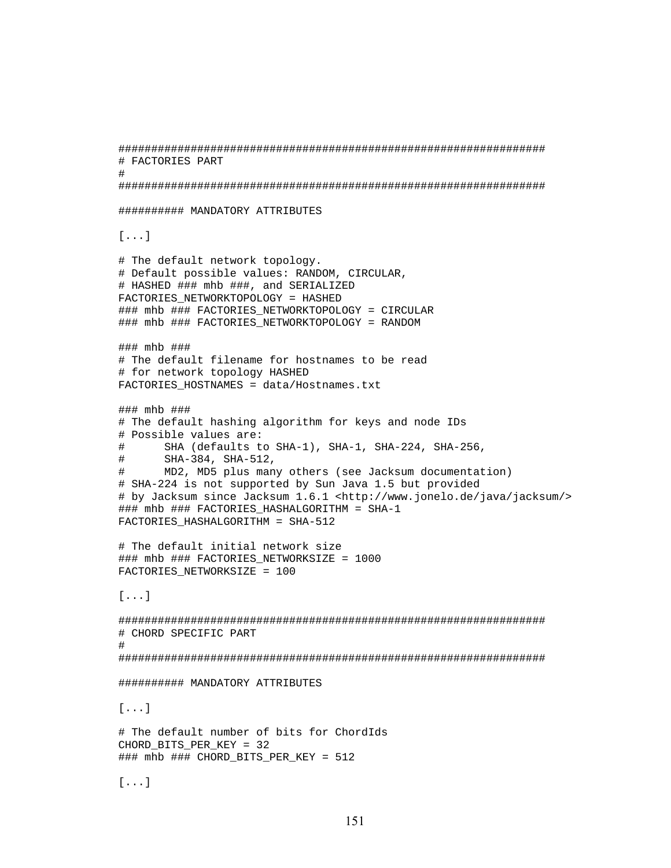```
################################################################# 
# FACTORIES PART 
# 
################################################################# 
########## MANDATORY ATTRIBUTES 
[...] 
# The default network topology. 
# Default possible values: RANDOM, CIRCULAR, 
# HASHED ### mhb ###, and SERIALIZED 
FACTORIES_NETWORKTOPOLOGY = HASHED 
### mhb ### FACTORIES NETWORKTOPOLOGY = CIRCULAR
### mhb ### FACTORIES_NETWORKTOPOLOGY = RANDOM 
### mhb ### 
# The default filename for hostnames to be read 
# for network topology HASHED 
FACTORIES_HOSTNAMES = data/Hostnames.txt 
### mhb ### 
# The default hashing algorithm for keys and node IDs 
# Possible values are: 
# SHA (defaults to SHA-1), SHA-1, SHA-224, SHA-256, 
# SHA-384, SHA-512, 
# MD2, MD5 plus many others (see Jacksum documentation) 
# SHA-224 is not supported by Sun Java 1.5 but provided 
# by Jacksum since Jacksum 1.6.1 <http://www.jonelo.de/java/jacksum/> 
### mhb ### FACTORIES HASHALGORITHM = SHA-1
FACTORIES_HASHALGORITHM = SHA-512 
# The default initial network size 
### mhb ### FACTORIES NETWORKSIZE = 1000
FACTORIES_NETWORKSIZE = 100 
[...] 
################################################################# 
# CHORD SPECIFIC PART 
# 
################################################################# 
########## MANDATORY ATTRIBUTES 
[...] 
# The default number of bits for ChordIds 
CHORD_BITS_PER_KEY = 32 
### mhb ### CHORD_BITS_PER_KEY = 512 
[...]
```

```
151
```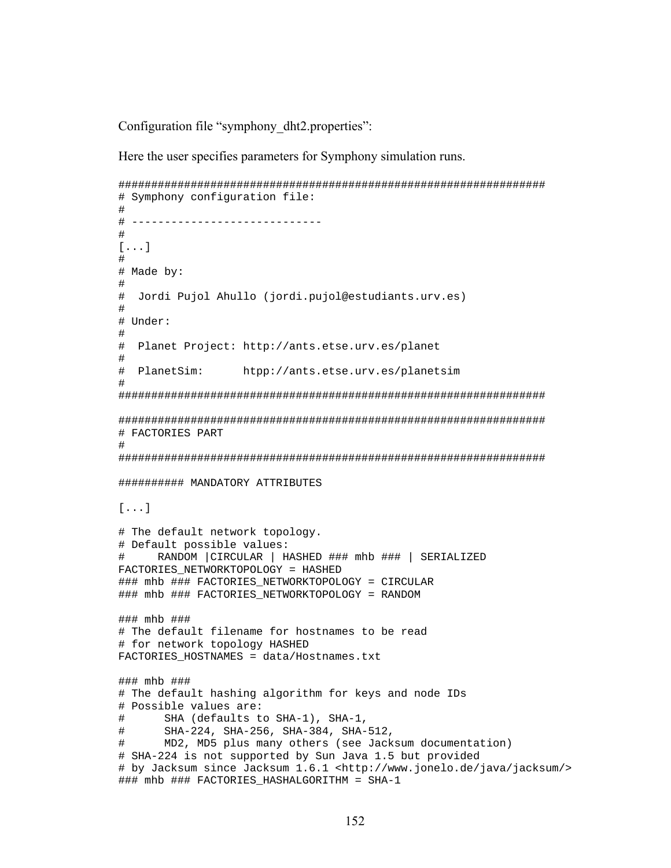Configuration file "symphony\_dht2.properties":

Here the user specifies parameters for Symphony simulation runs.

```
################################################################# 
# Symphony configuration file: 
# 
# ----------------------------- 
# 
[...] 
# 
# Made by: 
# 
# Jordi Pujol Ahullo (jordi.pujol@estudiants.urv.es) 
# 
# Under: 
# 
# Planet Project: http://ants.etse.urv.es/planet 
# 
# PlanetSim: htpp://ants.etse.urv.es/planetsim 
# 
################################################################# 
################################################################# 
# FACTORIES PART 
# 
################################################################# 
########## MANDATORY ATTRIBUTES 
[...] 
# The default network topology. 
# Default possible values: 
# RANDOM |CIRCULAR | HASHED ### mhb ### | SERIALIZED 
FACTORIES_NETWORKTOPOLOGY = HASHED 
### mhb ### FACTORIES NETWORKTOPOLOGY = CIRCULAR
### mhb ### FACTORIES_NETWORKTOPOLOGY = RANDOM 
### mhb ### 
# The default filename for hostnames to be read 
# for network topology HASHED 
FACTORIES HOSTNAMES = data/Hostnames.txt
### mhb ### 
# The default hashing algorithm for keys and node IDs 
# Possible values are: 
# SHA (defaults to SHA-1), SHA-1, 
# SHA-224, SHA-256, SHA-384, SHA-512, 
# MD2, MD5 plus many others (see Jacksum documentation) 
# SHA-224 is not supported by Sun Java 1.5 but provided 
# by Jacksum since Jacksum 1.6.1 <http://www.jonelo.de/java/jacksum/> 
### mhb ### FACTORIES_HASHALGORITHM = SHA-1
```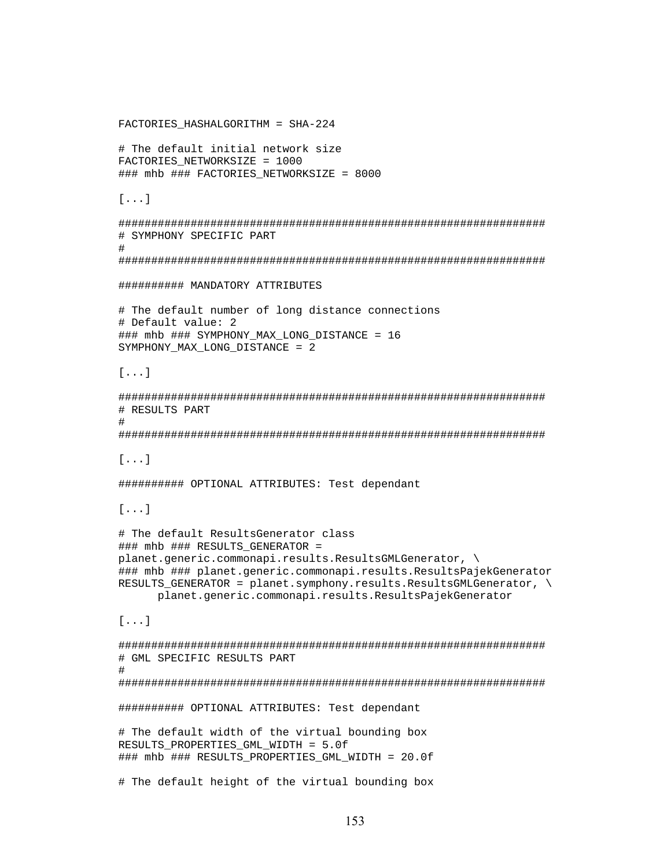```
FACTORIES_HASHALGORITHM = SHA-224 
# The default initial network size 
FACTORIES_NETWORKSIZE = 1000 
### mhb ### FACTORIES NETWORKSIZE = 8000
[...] 
################################################################# 
# SYMPHONY SPECIFIC PART 
# 
################################################################# 
########## MANDATORY ATTRIBUTES 
# The default number of long distance connections 
# Default value: 2 
### mhb ### SYMPHONY MAX LONG DISTANCE = 16
SYMPHONY MAX LONG DISTANCE = 2
[...] 
################################################################# 
# RESULTS PART 
# 
################################################################# 
[...] 
########## OPTIONAL ATTRIBUTES: Test dependant 
[...] 
# The default ResultsGenerator class 
### mhb ### RESULTS GENERATOR =
planet.generic.commonapi.results.ResultsGMLGenerator, \ 
### mhb ### planet.generic.commonapi.results.ResultsPajekGenerator 
RESULTS_GENERATOR = planet.symphony.results.ResultsGMLGenerator, \ 
       planet.generic.commonapi.results.ResultsPajekGenerator 
[...] 
################################################################# 
# GML SPECIFIC RESULTS PART 
# 
################################################################# 
########## OPTIONAL ATTRIBUTES: Test dependant 
# The default width of the virtual bounding box 
RESULTS_PROPERTIES_GML_WIDTH = 5.0f 
### mhb ### RESULTS_PROPERTIES_GML_WIDTH = 20.0f
```

```
# The default height of the virtual bounding box
```